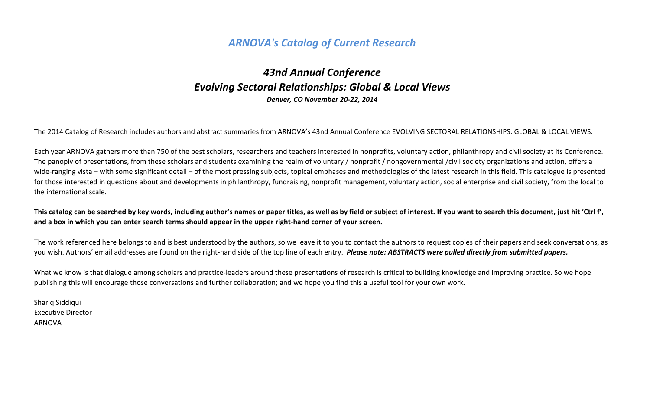# *ARNOVA's Catalog of Current Research*

# *43nd Annual Conference Evolving Sectoral Relationships: Global & Local Views Denver, CO November 20-22, 2014*

The 2014 Catalog of Research includes authors and abstract summaries from ARNOVA's 43nd Annual Conference EVOLVING SECTORAL RELATIONSHIPS: GLOBAL & LOCAL VIEWS.

Each year ARNOVA gathers more than 750 of the best scholars, researchers and teachers interested in nonprofits, voluntary action, philanthropy and civil society at its Conference. The panoply of presentations, from these scholars and students examining the realm of voluntary / nonprofit / nongovernmental /civil society organizations and action, offers a wide-ranging vista – with some significant detail – of the most pressing subjects, topical emphases and methodologies of the latest research in this field. This catalogue is presented for those interested in questions about and developments in philanthropy, fundraising, nonprofit management, voluntary action, social enterprise and civil society, from the local to the international scale.

**This catalog can be searched by key words, including author's names or paper titles, as well as by field or subject of interest. If you want to search this document, just hit 'Ctrl f', and a box in which you can enter search terms should appear in the upper right-hand corner of your screen.** 

The work referenced here belongs to and is best understood by the authors, so we leave it to you to contact the authors to request copies of their papers and seek conversations, as you wish. Authors' email addresses are found on the right-hand side of the top line of each entry. *Please note: ABSTRACTS were pulled directly from submitted papers.* 

What we know is that dialogue among scholars and practice-leaders around these presentations of research is critical to building knowledge and improving practice. So we hope publishing this will encourage those conversations and further collaboration; and we hope you find this a useful tool for your own work.

Shariq Siddiqui Executive Director ARNOVA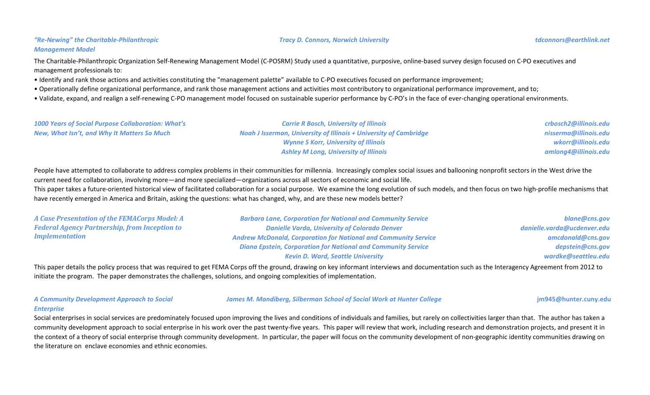# *"Re-Newing" the Charitable-Philanthropic Management Model*

### *Tracy D. Connors, Norwich University [tdconnors@earthlink.net](mailto:tdconnors@earthlink.net)*

The Charitable-Philanthropic Organization Self-Renewing Management Model (C-POSRM) Study used a quantitative, purposive, online-based survey design focused on C-PO executives and management professionals to:

• Identify and rank those actions and activities constituting the "management palette" available to C-PO executives focused on performance improvement;

• Operationally define organizational performance, and rank those management actions and activities most contributory to organizational performance improvement, and to;

• Validate, expand, and realign a self-renewing C-PO management model focused on sustainable superior performance by C-PO's in the face of ever-changing operational environments.

| <b>1000 Years of Social Purpose Collaboration: What's</b> | <b>Carrie R Bosch, University of Illinois</b>                            | crbosch2@illinois.edu |
|-----------------------------------------------------------|--------------------------------------------------------------------------|-----------------------|
| New, What Isn't, and Why It Matters So Much               | <b>Noah J Isserman, University of Illinois + University of Cambridge</b> | nisserma@illinois.edu |
|                                                           | <b>Wynne S Korr, University of Illinois</b>                              | wkorr@illinois.edu    |
|                                                           | <b>Ashley M Long, University of Illinois</b>                             | amlong4@illinois.edu  |

People have attempted to collaborate to address complex problems in their communities for millennia. Increasingly complex social issues and ballooning nonprofit sectors in the West drive the current need for collaboration, involving more—and more specialized—organizations across all sectors of economic and social life.

This paper takes a future-oriented historical view of facilitated collaboration for a social purpose. We examine the long evolution of such models, and then focus on two high-profile mechanisms that have recently emerged in America and Britain, asking the questions: what has changed, why, and are these new models better?

| A Case Presentation of the FEMACorps Model: A        | <b>Barbara Lane, Corporation for National and Community Service</b>    | blane@cns.gov               |
|------------------------------------------------------|------------------------------------------------------------------------|-----------------------------|
| <b>Federal Agency Partnership, from Inception to</b> | <b>Danielle Varda, University of Colorado Denver</b>                   | danielle.varda@ucdenver.edu |
| <b>Implementation</b>                                | <b>Andrew McDonald, Corporation for National and Community Service</b> | amcdonald@cns.gov           |
|                                                      | <b>Diana Epstein, Corporation for National and Community Service</b>   | depstein@cns.gov            |
|                                                      | <b>Kevin D. Ward, Seattle University</b>                               | wardke@seattleu.edu         |

This paper details the policy process that was required to get FEMA Corps off the ground, drawing on key informant interviews and documentation such as the Interagency Agreement from 2012 to initiate the program. The paper demonstrates the challenges, solutions, and ongoing complexities of implementation.

*A Community Development Approach to Social* 

*James M. Mandiberg, Silberman School of Social Work at Hunter College* **[jm945@hunter.cuny.edu](mailto:jm945@hunter.cuny.edu)**

### *Enterprise*

Social enterprises in social services are predominately focused upon improving the lives and conditions of individuals and families, but rarely on collectivities larger than that. The author has taken a community development approach to social enterprise in his work over the past twenty-five years. This paper will review that work, including research and demonstration projects, and present it in the context of a theory of social enterprise through community development. In particular, the paper will focus on the community development of non-geographic identity communities drawing on the literature on enclave economies and ethnic economies.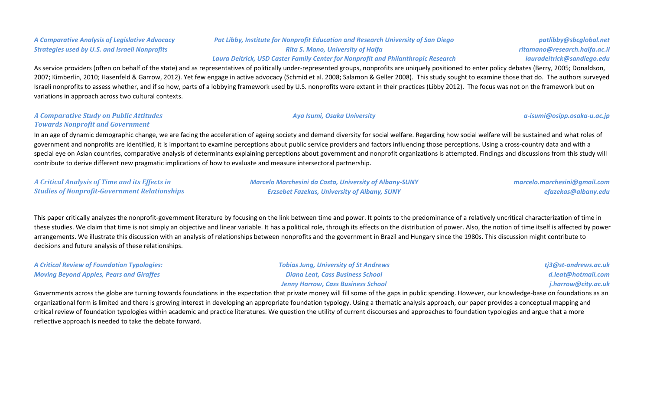# *A Comparative Analysis of Legislative Advocacy Strategies used by U.S. and Israeli Nonprofits*

# *Pat Libby, Institute for Nonprofit Education and Research University of San Diego Rita S. Mano, University of Haifa Laura Deitrick, USD Caster Family Center for Nonprofit and Philanthropic Research*

As service providers (often on behalf of the state) and as representatives of politically under-represented groups, nonprofits are uniquely positioned to enter policy debates (Berry, 2005; Donaldson, 2007; Kimberlin, 2010; Hasenfeld & Garrow, 2012). Yet few engage in active advocacy (Schmid et al. 2008; Salamon & Geller 2008). This study sought to examine those that do. The authors surveyed Israeli nonprofits to assess whether, and if so how, parts of a lobbying framework used by U.S. nonprofits were extant in their practices (Libby 2012). The focus was not on the framework but on variations in approach across two cultural contexts.

### *A Comparative Study on Public Attitudes Towards Nonprofit and Government*

In an age of dynamic demographic change, we are facing the acceleration of ageing society and demand diversity for social welfare. Regarding how social welfare will be sustained and what roles of government and nonprofits are identified, it is important to examine perceptions about public service providers and factors influencing those perceptions. Using a cross-country data and with a special eye on Asian countries, comparative analysis of determinants explaining perceptions about government and nonprofit organizations is attempted. Findings and discussions from this study will contribute to derive different new pragmatic implications of how to evaluate and measure intersectoral partnership.

*A Critical Analysis of Time and its Effects in Studies of Nonprofit-Government Relationships*

*Marcelo Marchesini da Costa, University of Albany-SUNY Erzsebet Fazekas, University of Albany, SUNY*

*marcelo.marchesini@gmail.com efazekas@albany.edu*

This paper critically analyzes the nonprofit-government literature by focusing on the link between time and power. It points to the predominance of a relatively uncritical characterization of time in these studies. We claim that time is not simply an objective and linear variable. It has a political role, through its effects on the distribution of power. Also, the notion of time itself is affected by power arrangements. We illustrate this discussion with an analysis of relationships between nonprofits and the government in Brazil and Hungary since the 1980s. This discussion might contribute to decisions and future analysis of these relationships.

| <b>A Critical Review of Foundation Typologies:</b> | <b>Tobias Jung, University of St Andrews</b> | tj3@st-andrews.ac.uk |
|----------------------------------------------------|----------------------------------------------|----------------------|
| <b>Moving Beyond Apples, Pears and Giraffes</b>    | <b>Diana Leat, Cass Business School</b>      | d.leat@hotmail.com   |
|                                                    | Jenny Harrow, Cass Business School           | j.harrow@city.ac.uk  |

Governments across the globe are turning towards foundations in the expectation that private money will fill some of the gaps in public spending. However, our knowledge-base on foundations as an organizational form is limited and there is growing interest in developing an appropriate foundation typology. Using a thematic analysis approach, our paper provides a conceptual mapping and critical review of foundation typologies within academic and practice literatures. We question the utility of current discourses and approaches to foundation typologies and argue that a more reflective approach is needed to take the debate forward.

*patlibby@sbcglobal.net ritamano@research.haifa.ac.il lauradeitrick@sandiego.edu*

*Aya Isumi, Osaka University a-isumi@osipp.osaka-u.ac.jp*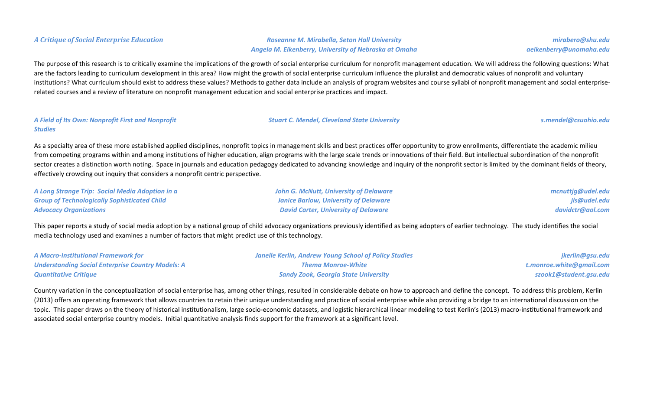*A Critique of Social Enterprise Education Roseanne M. Mirabella, Seton Hall University Angela M. Eikenberry, University of Nebraska at Omaha*

The purpose of this research is to critically examine the implications of the growth of social enterprise curriculum for nonprofit management education. We will address the following questions: What are the factors leading to curriculum development in this area? How might the growth of social enterprise curriculum influence the pluralist and democratic values of nonprofit and voluntary institutions? What curriculum should exist to address these values? Methods to gather data include an analysis of program websites and course syllabi of nonprofit management and social enterpriserelated courses and a review of literature on nonprofit management education and social enterprise practices and impact.

### *A Field of Its Own: Nonprofit First and Nonprofit Studies*

As a specialty area of these more established applied disciplines, nonprofit topics in management skills and best practices offer opportunity to grow enrollments, differentiate the academic milieu from competing programs within and among institutions of higher education, align programs with the large scale trends or innovations of their field. But intellectual subordination of the nonprofit sector creates a distinction worth noting. Space in journals and education pedagogy dedicated to advancing knowledge and inquiry of the nonprofit sector is limited by the dominant fields of theory, effectively crowding out inquiry that considers a nonprofit centric perspective.

| A Long Strange Trip: Social Media Adoption in a     | <b>John G. McNutt, University of Delaware</b> | mcnuttjg@udel.edu |
|-----------------------------------------------------|-----------------------------------------------|-------------------|
| <b>Group of Technologically Sophisticated Child</b> | <b>Janice Barlow, University of Delaware</b>  | jls@udel.edu      |
| <b>Advocacy Organizations</b>                       | <b>David Carter, University of Delaware</b>   | davidctr@aol.com  |

This paper reports a study of social media adoption by a national group of child advocacy organizations previously identified as being adopters of earlier technology. The study identifies the social media technology used and examines a number of factors that might predict use of this technology.

| <b>A Macro-Institutional Framework for</b>               | <b>Janelle Kerlin, Andrew Young School of Policy Studies</b> | jkerlin@gsu.edu          |
|----------------------------------------------------------|--------------------------------------------------------------|--------------------------|
| <b>Understanding Social Enterprise Country Models: A</b> | <b>Thema Monroe-White</b>                                    | t.monroe.white@gmail.com |
| <b>Quantitative Critique</b>                             | <b>Sandy Zook, Georgia State University</b>                  | szook1@student.gsu.edu   |

Country variation in the conceptualization of social enterprise has, among other things, resulted in considerable debate on how to approach and define the concept. To address this problem, Kerlin (2013) offers an operating framework that allows countries to retain their unique understanding and practice of social enterprise while also providing a bridge to an international discussion on the topic. This paper draws on the theory of historical institutionalism, large socio-economic datasets, and logistic hierarchical linear modeling to test Kerlin's (2013) macro-institutional framework and associated social enterprise country models. Initial quantitative analysis finds support for the framework at a significant level.

*mirabero@shu.edu aeikenberry@unomaha.edu*

*Stuart C. Mendel, Cleveland State University [s.mendel@csuohio.edu](mailto:s.mendel@csuohio.edu)*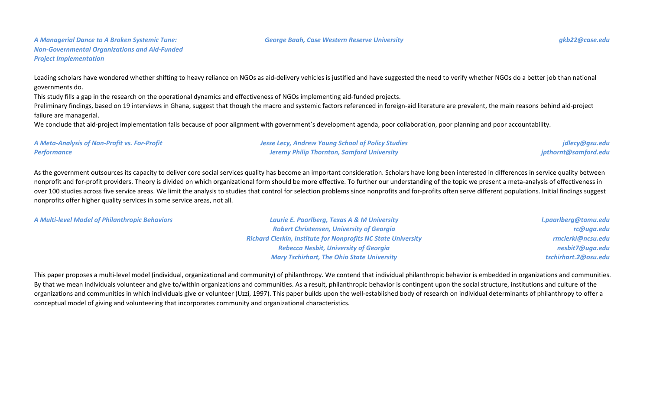### *George Baah, Case Western Reserve University [gkb22@case.edu](mailto:gkb22@case.edu)*

Leading scholars have wondered whether shifting to heavy reliance on NGOs as aid-delivery vehicles is justified and have suggested the need to verify whether NGOs do a better job than national governments do.

This study fills a gap in the research on the operational dynamics and effectiveness of NGOs implementing aid-funded projects.

Preliminary findings, based on 19 interviews in Ghana, suggest that though the macro and systemic factors referenced in foreign-aid literature are prevalent, the main reasons behind aid-project failure are managerial.

We conclude that aid-project implementation fails because of poor alignment with government's development agenda, poor collaboration, poor planning and poor accountability.

| A Meta-Analysis of Non-Profit vs. For-Profit | <b>Jesse Lecy, Andrew Young School of Policy Studies</b> | jdlecy@gsu.edu       |
|----------------------------------------------|----------------------------------------------------------|----------------------|
| Performance                                  | <b>Jeremy Philip Thornton, Samford University</b>        | jpthornt@samford.edu |

As the government outsources its capacity to deliver core social services quality has become an important consideration. Scholars have long been interested in differences in service quality between nonprofit and for-profit providers. Theory is divided on which organizational form should be more effective. To further our understanding of the topic we present a meta-analysis of effectiveness in over 100 studies across five service areas. We limit the analysis to studies that control for selection problems since nonprofits and for-profits often serve different populations. Initial findings suggest nonprofits offer higher quality services in some service areas, not all.

*A Multi-level Model of Philanthropic Behaviors Laurie E. Paarlberg, Texas A & M University*

*Robert Christensen, University of Georgia Richard Clerkin, Institute for Nonprofits NC State University Rebecca Nesbit, University of Georgia Mary Tschirhart, The Ohio State University*

*l.paarlberg@tamu.edu rc@uga.edu rmclerki@ncsu.edu nesbit7@uga.edu tschirhart.2@osu.edu*

This paper proposes a multi-level model (individual, organizational and community) of philanthropy. We contend that individual philanthropic behavior is embedded in organizations and communities. By that we mean individuals volunteer and give to/within organizations and communities. As a result, philanthropic behavior is contingent upon the social structure, institutions and culture of the organizations and communities in which individuals give or volunteer (Uzzi, 1997). This paper builds upon the well-established body of research on individual determinants of philanthropy to offer a conceptual model of giving and volunteering that incorporates community and organizational characteristics.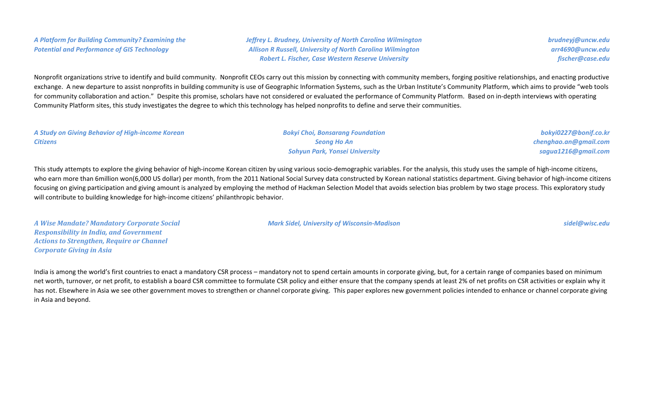*A Platform for Building Community? Examining the Potential and Performance of GIS Technology*

*Jeffrey L. Brudney, University of North Carolina Wilmington Allison R Russell, University of North Carolina Wilmington Robert L. Fischer, Case Western Reserve University*

*brudneyj@uncw.edu arr4690@uncw.edu fischer@case.edu*

Nonprofit organizations strive to identify and build community. Nonprofit CEOs carry out this mission by connecting with community members, forging positive relationships, and enacting productive exchange. A new departure to assist nonprofits in building community is use of Geographic Information Systems, such as the Urban Institute's Community Platform, which aims to provide "web tools for community collaboration and action." Despite this promise, scholars have not considered or evaluated the performance of Community Platform. Based on in-depth interviews with operating Community Platform sites, this study investigates the degree to which this technology has helped nonprofits to define and serve their communities.

| A Study on Giving Behavior of High-income Korean | <b>Bokyi Choi, Bonsarang Foundation</b> | bokyi0227@bonif.co.kr |
|--------------------------------------------------|-----------------------------------------|-----------------------|
| <b>Citizens</b>                                  | <b>Seong Ho An</b>                      | chenghao.an@gmail.com |
|                                                  | <b>Sohyun Park, Yonsei University</b>   | sagua1216@gmail.com   |

This study attempts to explore the giving behavior of high-income Korean citizen by using various socio-demographic variables. For the analysis, this study uses the sample of high-income citizens, who earn more than 6million won(6,000 US dollar) per month, from the 2011 National Social Survey data constructed by Korean national statistics department. Giving behavior of high-income citizens focusing on giving participation and giving amount is analyzed by employing the method of Hackman Selection Model that avoids selection bias problem by two stage process. This exploratory study will contribute to building knowledge for high-income citizens' philanthropic behavior.

*A Wise Mandate? Mandatory Corporate Social Responsibility in India, and Government Actions to Strengthen, Require or Channel Corporate Giving in Asia*

*Mark Sidel, University of Wisconsin-Madison sidel@wisc.edu*

India is among the world's first countries to enact a mandatory CSR process – mandatory not to spend certain amounts in corporate giving, but, for a certain range of companies based on minimum net worth, turnover, or net profit, to establish a board CSR committee to formulate CSR policy and either ensure that the company spends at least 2% of net profits on CSR activities or explain why it has not. Elsewhere in Asia we see other government moves to strengthen or channel corporate giving. This paper explores new government policies intended to enhance or channel corporate giving in Asia and beyond.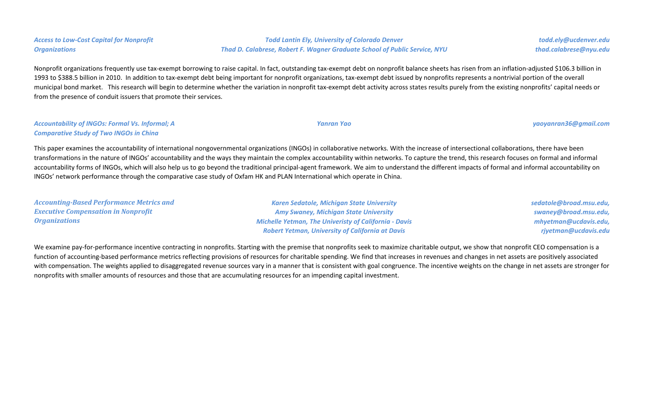# *Access to Low-Cost Capital for Nonprofit Organizations*

### *Todd Lantin Ely, University of Colorado Denver Thad D. Calabrese, Robert F. Wagner Graduate School of Public Service, NYU*

Nonprofit organizations frequently use tax-exempt borrowing to raise capital. In fact, outstanding tax-exempt debt on nonprofit balance sheets has risen from an inflation-adjusted \$106.3 billion in 1993 to \$388.5 billion in 2010. In addition to tax-exempt debt being important for nonprofit organizations, tax-exempt debt issued by nonprofits represents a nontrivial portion of the overall municipal bond market. This research will begin to determine whether the variation in nonprofit tax-exempt debt activity across states results purely from the existing nonprofits' capital needs or from the presence of conduit issuers that promote their services.

### *Accountability of INGOs: Formal Vs. Informal; A Comparative Study of Two INGOs in China*

This paper examines the accountability of international nongovernmental organizations (INGOs) in collaborative networks. With the increase of intersectional collaborations, there have been transformations in the nature of INGOs' accountability and the ways they maintain the complex accountability within networks. To capture the trend, this research focuses on formal and informal accountability forms of INGOs, which will also help us to go beyond the traditional principal-agent framework. We aim to understand the different impacts of formal and informal accountability on INGOs' network performance through the comparative case study of Oxfam HK and PLAN International which operate in China.

| <b>Accounting-Based Performance Metrics and</b> | <b>Karen Sedatole, Michigan State University</b>             | sedatole@broad.msu.edu, |
|-------------------------------------------------|--------------------------------------------------------------|-------------------------|
| <b>Executive Compensation in Nonprofit</b>      | <b>Amy Swaney, Michigan State University</b>                 | swaney@broad.msu.edu,   |
| <i><b>Organizations</b></i>                     | <b>Michelle Yetman, The Univeristy of California - Davis</b> | mhyetman@ucdavis.edu,   |
|                                                 | <b>Robert Yetman, University of California at Davis</b>      | rjyetman@ucdavis.edu    |

We examine pay-for-performance incentive contracting in nonprofits. Starting with the premise that nonprofits seek to maximize charitable output, we show that nonprofit CEO compensation is a function of accounting-based performance metrics reflecting provisions of resources for charitable spending. We find that increases in revenues and changes in net assets are positively associated with compensation. The weights applied to disaggregated revenue sources vary in a manner that is consistent with goal congruence. The incentive weights on the change in net assets are stronger for nonprofits with smaller amounts of resources and those that are accumulating resources for an impending capital investment.

*Yanran Yao [yaoyanran36@gmail.com](mailto:yaoyanran36@gmail.com)*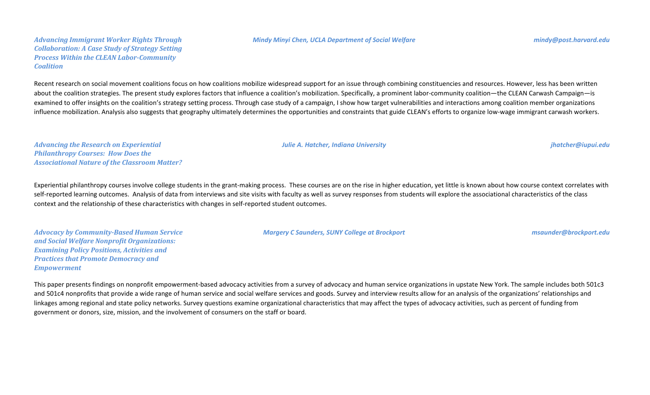### *Mindy Minyi Chen, UCLA Department of Social Welfare [mindy@post.harvard.edu](mailto:mindy@post.harvard.edu)*

*Advancing Immigrant Worker Rights Through Collaboration: A Case Study of Strategy Setting Process Within the CLEAN Labor-Community Coalition*

Recent research on social movement coalitions focus on how coalitions mobilize widespread support for an issue through combining constituencies and resources. However, less has been written about the coalition strategies. The present study explores factors that influence a coalition's mobilization. Specifically, a prominent labor-community coalition—the CLEAN Carwash Campaign—is examined to offer insights on the coalition's strategy setting process. Through case study of a campaign, I show how target vulnerabilities and interactions among coalition member organizations influence mobilization. Analysis also suggests that geography ultimately determines the opportunities and constraints that guide CLEAN's efforts to organize low-wage immigrant carwash workers.

*Advancing the Research on Experiential Philanthropy Courses: How Does the Associational Nature of the Classroom Matter?*

Experiential philanthropy courses involve college students in the grant-making process. These courses are on the rise in higher education, yet little is known about how course context correlates with self-reported learning outcomes. Analysis of data from interviews and site visits with faculty as well as survey responses from students will explore the associational characteristics of the class context and the relationship of these characteristics with changes in self-reported student outcomes.

*Advocacy by Community-Based Human Service and Social Welfare Nonprofit Organizations: Examining Policy Positions, Activities and Practices that Promote Democracy and Empowerment*

*Margery C Saunders, SUNY College at Brockport msaunder@brockport.edu*

This paper presents findings on nonprofit empowerment-based advocacy activities from a survey of advocacy and human service organizations in upstate New York. The sample includes both 501c3 and 501c4 nonprofits that provide a wide range of human service and social welfare services and goods. Survey and interview results allow for an analysis of the organizations' relationships and linkages among regional and state policy networks. Survey questions examine organizational characteristics that may affect the types of advocacy activities, such as percent of funding from government or donors, size, mission, and the involvement of consumers on the staff or board.

*Julie A. Hatcher, Indiana University jhatcher@iupui.edu*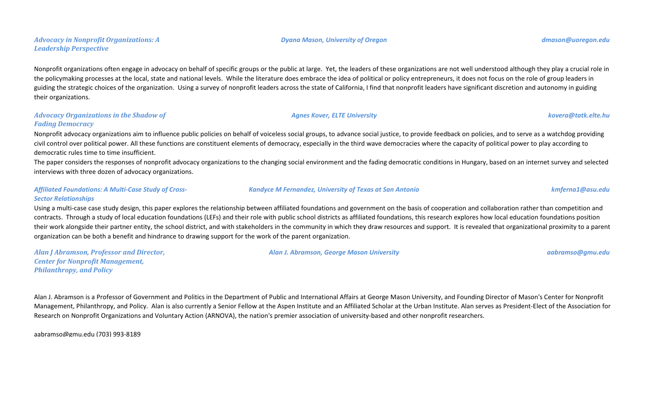Nonprofit organizations often engage in advocacy on behalf of specific groups or the public at large. Yet, the leaders of these organizations are not well understood although they play a crucial role in the policymaking processes at the local, state and national levels. While the literature does embrace the idea of political or policy entrepreneurs, it does not focus on the role of group leaders in guiding the strategic choices of the organization. Using a survey of nonprofit leaders across the state of California, I find that nonprofit leaders have significant discretion and autonomy in guiding their organizations.

# *Advocacy Organizations in the Shadow of Fading Democracy*

*Advocacy in Nonprofit Organizations: A* 

*Leadership Perspective*

Nonprofit advocacy organizations aim to influence public policies on behalf of voiceless social groups, to advance social justice, to provide feedback on policies, and to serve as a watchdog providing civil control over political power. All these functions are constituent elements of democracy, especially in the third wave democracies where the capacity of political power to play according to democratic rules time to time insufficient.

The paper considers the responses of nonprofit advocacy organizations to the changing social environment and the fading democratic conditions in Hungary, based on an internet survey and selected interviews with three dozen of advocacy organizations.

# *Affiliated Foundations: A Multi-Case Study of Cross-Sector Relationships*

Using a multi-case case study design, this paper explores the relationship between affiliated foundations and government on the basis of cooperation and collaboration rather than competition and contracts. Through a study of local education foundations (LEFs) and their role with public school districts as affiliated foundations, this research explores how local education foundations position their work alongside their partner entity, the school district, and with stakeholders in the community in which they draw resources and support. It is revealed that organizational proximity to a parent organization can be both a benefit and hindrance to drawing support for the work of the parent organization.

*Alan J Abramson, Professor and Director, Center for Nonprofit Management, Philanthropy, and Policy*

Alan J. Abramson is a Professor of Government and Politics in the Department of Public and International Affairs at George Mason University, and Founding Director of Mason's Center for Nonprofit Management, Philanthropy, and Policy. Alan is also currently a Senior Fellow at the Aspen Institute and an Affiliated Scholar at the Urban Institute. Alan serves as President-Elect of the Association for Research on Nonprofit Organizations and Voluntary Action (ARNOVA), the nation's premier association of university-based and other nonprofit researchers.

aabramso@gmu.edu (703) 993-8189

*Dyana Mason, University of Oregon [dmason@uoregon.edu](mailto:dmason@uoregon.edu)*

*Agnes Kover, ELTE University [kovera@tatk.elte.hu](mailto:kovera@tatk.elte.hu)*

*Kandyce M Fernandez, University of Texas at San Antonio [kmferna1@asu.edu](mailto:kmferna1@asu.edu)*

*Alan J. Abramson, George Mason University aabramso@gmu.edu*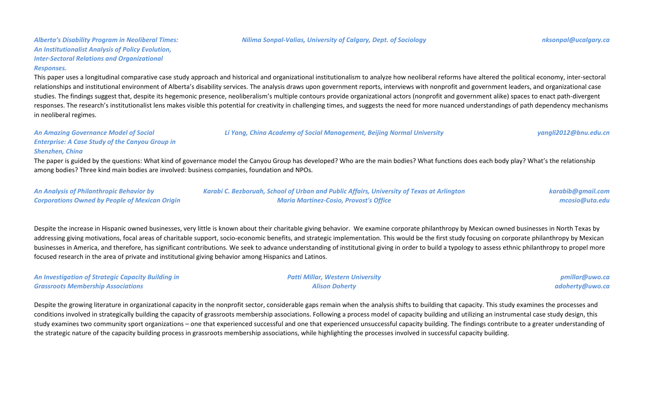*Alberta's Disability Program in Neoliberal Times: An Institutionalist Analysis of Policy Evolution, Inter-Sectoral Relations and Organizational Responses.*

This paper uses a longitudinal comparative case study approach and historical and organizational institutionalism to analyze how neoliberal reforms have altered the political economy, inter-sectoral relationships and institutional environment of Alberta's disability services. The analysis draws upon government reports, interviews with nonprofit and government leaders, and organizational case studies. The findings suggest that, despite its hegemonic presence, neoliberalism's multiple contours provide organizational actors (nonprofit and government alike) spaces to enact path-divergent responses. The research's institutionalist lens makes visible this potential for creativity in challenging times, and suggests the need for more nuanced understandings of path dependency mechanisms in neoliberal regimes.

*An Amazing Governance Model of Social Enterprise: A Case Study of the Canyou Group in Shenzhen, China*

The paper is guided by the questions: What kind of governance model the Canyou Group has developed? Who are the main bodies? What functions does each body play? What's the relationship among bodies? Three kind main bodies are involved: business companies, foundation and NPOs.

| <b>An Analysis of Philanthropic Behavior by</b>       | Karabi C. Bezboruah, School of Urban and Public Affairs, University of Texas at Arlington | karabib@gmail.com |
|-------------------------------------------------------|-------------------------------------------------------------------------------------------|-------------------|
| <b>Corporations Owned by People of Mexican Origin</b> | <b>Maria Martinez-Cosio, Provost's Office</b>                                             | mcosio@uta.edu    |

Despite the increase in Hispanic owned businesses, very little is known about their charitable giving behavior. We examine corporate philanthropy by Mexican owned businesses in North Texas by addressing giving motivations, focal areas of charitable support, socio-economic benefits, and strategic implementation. This would be the first study focusing on corporate philanthropy by Mexican businesses in America, and therefore, has significant contributions. We seek to advance understanding of institutional giving in order to build a typology to assess ethnic philanthropy to propel more focused research in the area of private and institutional giving behavior among Hispanics and Latinos.

| <b>An Investigation of Strategic Capacity Building in</b> | <b>Patti Millar, Western University</b> | pmillar@uwo.ca  |
|-----------------------------------------------------------|-----------------------------------------|-----------------|
| <b>Grassroots Membership Associations</b>                 | <b>Alison Doherty</b>                   | adoherty@uwo.ca |

Despite the growing literature in organizational capacity in the nonprofit sector, considerable gaps remain when the analysis shifts to building that capacity. This study examines the processes and conditions involved in strategically building the capacity of grassroots membership associations. Following a process model of capacity building and utilizing an instrumental case study design, this study examines two community sport organizations – one that experienced successful and one that experienced unsuccessful capacity building. The findings contribute to a greater understanding of the strategic nature of the capacity building process in grassroots membership associations, while highlighting the processes involved in successful capacity building.

*Li Yang, China Academy of Social Management, Beijing Normal University [yangli2012@bnu.edu.cn](mailto:yangli2012@bnu.edu.cn)*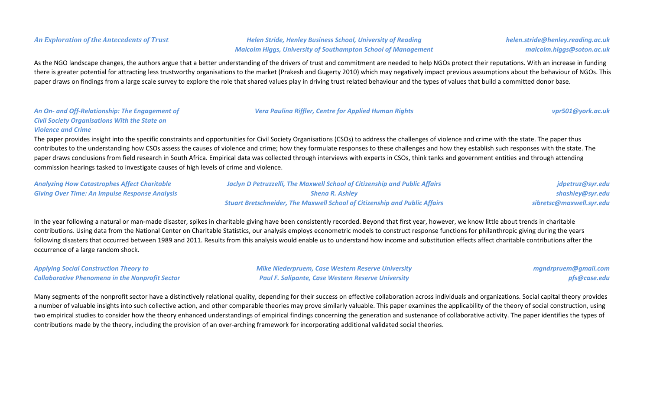# *An Exploration of the Antecedents of Trust Helen Stride, Henley Business School, University of Reading Malcolm Higgs, University of Southampton School of Management*

As the NGO landscape changes, the authors argue that a better understanding of the drivers of trust and commitment are needed to help NGOs protect their reputations. With an increase in funding there is greater potential for attracting less trustworthy organisations to the market (Prakesh and Gugerty 2010) which may negatively impact previous assumptions about the behaviour of NGOs. This paper draws on findings from a large scale survey to explore the role that shared values play in driving trust related behaviour and the types of values that build a committed donor base.

### *An On- and Off-Relationship: The Engagement of Civil Society Organisations With the State on Violence and Crime*

The paper provides insight into the specific constraints and opportunities for Civil Society Organisations (CSOs) to address the challenges of violence and crime with the state. The paper thus contributes to the understanding how CSOs assess the causes of violence and crime; how they formulate responses to these challenges and how they establish such responses with the state. The paper draws conclusions from field research in South Africa. Empirical data was collected through interviews with experts in CSOs, think tanks and government entities and through attending commission hearings tasked to investigate causes of high levels of crime and violence.

| <b>Analyzing How Catastrophes Affect Charitable</b>   | Jaclyn D Petruzzelli, The Maxwell School of Citizenship and Public Affairs        | jdpetruz@syr.edu         |
|-------------------------------------------------------|-----------------------------------------------------------------------------------|--------------------------|
| <b>Giving Over Time: An Impulse Response Analysis</b> | <b>Sheng R. Ashley</b>                                                            | shashley@syr.edu         |
|                                                       | <b>Stuart Bretschneider, The Maxwell School of Citizenship and Public Affairs</b> | sibretsc@maxwell.syr.edu |

In the year following a natural or man-made disaster, spikes in charitable giving have been consistently recorded. Beyond that first year, however, we know little about trends in charitable contributions. Using data from the National Center on Charitable Statistics, our analysis employs econometric models to construct response functions for philanthropic giving during the years following disasters that occurred between 1989 and 2011. Results from this analysis would enable us to understand how income and substitution effects affect charitable contributions after the occurrence of a large random shock.

| <b>Applying Social Construction Theory to</b>          | <b>Mike Niederpruem, Case Western Reserve University</b>  | mgndrpruem@gmail.com |
|--------------------------------------------------------|-----------------------------------------------------------|----------------------|
| <b>Collaborative Phenomena in the Nonprofit Sector</b> | <b>Paul F. Salipante, Case Western Reserve University</b> | pfs@case.edu         |

Many segments of the nonprofit sector have a distinctively relational quality, depending for their success on effective collaboration across individuals and organizations. Social capital theory provides a number of valuable insights into such collective action, and other comparable theories may prove similarly valuable. This paper examines the applicability of the theory of social construction, using two empirical studies to consider how the theory enhanced understandings of empirical findings concerning the generation and sustenance of collaborative activity. The paper identifies the types of contributions made by the theory, including the provision of an over-arching framework for incorporating additional validated social theories.

### *Vera Paulina Riffler, Centre for Applied Human Rights [vpr501@york.ac.uk](mailto:vpr501@york.ac.uk)*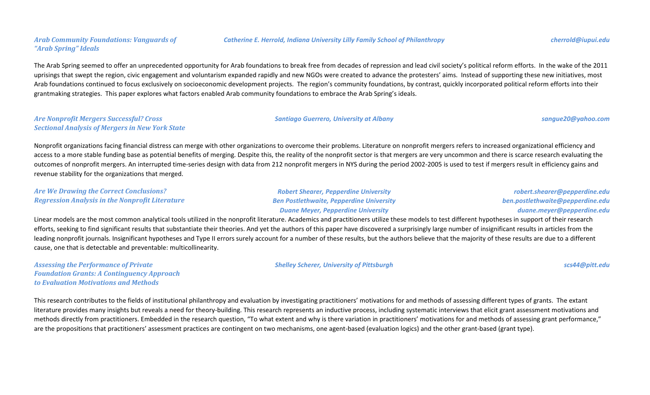# *Arab Community Foundations: Vanguards of "Arab Spring" Ideals*

The Arab Spring seemed to offer an unprecedented opportunity for Arab foundations to break free from decades of repression and lead civil society's political reform efforts. In the wake of the 2011 uprisings that swept the region, civic engagement and voluntarism expanded rapidly and new NGOs were created to advance the protesters' aims. Instead of supporting these new initiatives, most Arab foundations continued to focus exclusively on socioeconomic development projects. The region's community foundations, by contrast, quickly incorporated political reform efforts into their grantmaking strategies. This paper explores what factors enabled Arab community foundations to embrace the Arab Spring's ideals.

### *Are Nonprofit Mergers Successful? Cross Sectional Analysis of Mergers in New York State*

Nonprofit organizations facing financial distress can merge with other organizations to overcome their problems. Literature on nonprofit mergers refers to increased organizational efficiency and access to a more stable funding base as potential benefits of merging. Despite this, the reality of the nonprofit sector is that mergers are very uncommon and there is scarce research evaluating the outcomes of nonprofit mergers. An interrupted time-series design with data from 212 nonprofit mergers in NYS during the period 2002-2005 is used to test if mergers result in efficiency gains and revenue stability for the organizations that merged.

# *Are We Drawing the Correct Conclusions? Regression Analysis in the Nonprofit Literature*

*Robert Shearer, Pepperdine University Ben Postlethwaite, Pepperdine University Duane Meyer, Pepperdine University*

*robert.shearer@pepperdine.edu ben.postlethwaite@pepperdine.edu duane.meyer@pepperdine.edu*

Linear models are the most common analytical tools utilized in the nonprofit literature. Academics and practitioners utilize these models to test different hypotheses in support of their research efforts, seeking to find significant results that substantiate their theories. And yet the authors of this paper have discovered a surprisingly large number of insignificant results in articles from the leading nonprofit journals. Insignificant hypotheses and Type II errors surely account for a number of these results, but the authors believe that the majority of these results are due to a different cause, one that is detectable and preventable: multicollinearity.

*Assessing the Performance of Private Foundation Grants: A Continguency Approach to Evaluation Motivations and Methods*

This research contributes to the fields of institutional philanthropy and evaluation by investigating practitioners' motivations for and methods of assessing different types of grants. The extant literature provides many insights but reveals a need for theory-building. This research represents an inductive process, including systematic interviews that elicit grant assessment motivations and methods directly from practitioners. Embedded in the research question, "To what extent and why is there variation in practitioners' motivations for and methods of assessing grant performance," are the propositions that practitioners' assessment practices are contingent on two mechanisms, one agent-based (evaluation logics) and the other grant-based (grant type).

### *Catherine E. Herrold, Indiana University Lilly Family School of Philanthropy cherrold@iupui.edu*

*Shelley Scherer, University of Pittsburgh [scs44@pitt.edu](mailto:scs44@pitt.edu)*

### *Santiago Guerrero, University at Albany [sangue20@yahoo.com](mailto:sangue20@yahoo.com)*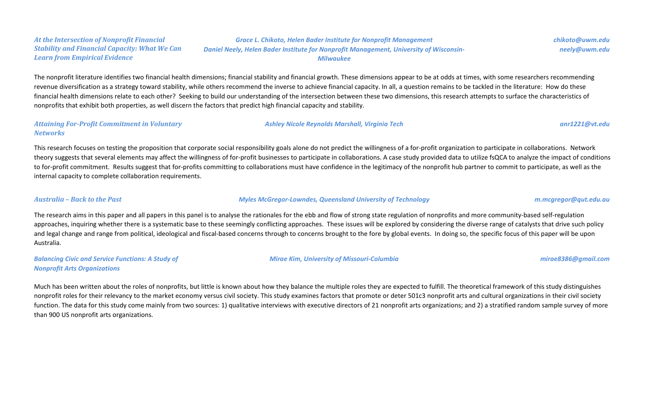### *At the Intersection of Nonprofit Financial Stability and Financial Capacity: What We Can Learn from Empirical Evidence*

*Grace L. Chikoto, Helen Bader Institute for Nonprofit Management Daniel Neely, Helen Bader Institute for Nonprofit Management, University of Wisconsin-Milwaukee*

The nonprofit literature identifies two financial health dimensions; financial stability and financial growth. These dimensions appear to be at odds at times, with some researchers recommending revenue diversification as a strategy toward stability, while others recommend the inverse to achieve financial capacity. In all, a question remains to be tackled in the literature: How do these financial health dimensions relate to each other? Seeking to build our understanding of the intersection between these two dimensions, this research attempts to surface the characteristics of nonprofits that exhibit both properties, as well discern the factors that predict high financial capacity and stability.

### *Attaining For-Profit Commitment in Voluntary Networks*

This research focuses on testing the proposition that corporate social responsibility goals alone do not predict the willingness of a for-profit organization to participate in collaborations. Network theory suggests that several elements may affect the willingness of for-profit businesses to participate in collaborations. A case study provided data to utilize fsQCA to analyze the impact of conditions to for-profit commitment. Results suggest that for-profits committing to collaborations must have confidence in the legitimacy of the nonprofit hub partner to commit to participate, as well as the internal capacity to complete collaboration requirements.

### *Australia – Back to the Past Myles McGregor-Lowndes, Queensland University of Technology m.mcgregor@qut.edu.au*

The research aims in this paper and all papers in this panel is to analyse the rationales for the ebb and flow of strong state regulation of nonprofits and more community-based self-regulation approaches, inquiring whether there is a systematic base to these seemingly conflicting approaches. These issues will be explored by considering the diverse range of catalysts that drive such policy and legal change and range from political, ideological and fiscal-based concerns through to concerns brought to the fore by global events. In doing so, the specific focus of this paper will be upon Australia.

*Balancing Civic and Service Functions: A Study of Nonprofit Arts Organizations*

*Mirae Kim, University of Missouri-Columbia [mirae8386@gmail.com](mailto:mirae8386@gmail.com)*

Much has been written about the roles of nonprofits, but little is known about how they balance the multiple roles they are expected to fulfill. The theoretical framework of this study distinguishes nonprofit roles for their relevancy to the market economy versus civil society. This study examines factors that promote or deter 501c3 nonprofit arts and cultural organizations in their civil society function. The data for this study come mainly from two sources: 1) qualitative interviews with executive directors of 21 nonprofit arts organizations; and 2) a stratified random sample survey of more than 900 US nonprofit arts organizations.

# *chikoto@uwm.edu neely@uwm.edu*

*Ashley Nicole Reynolds Marshall, Virginia Tech [anr1221@vt.edu](mailto:anr1221@vt.edu)*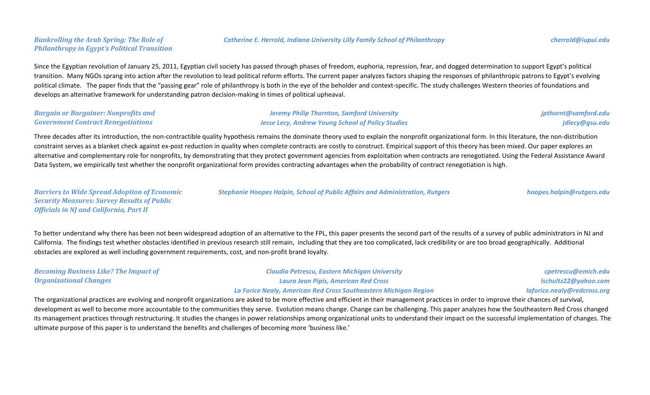# *Bankrolling the Arab Spring: The Role of Philanthropy in Egypt's Political Transition*

Since the Egyptian revolution of January 25, 2011, Egyptian civil society has passed through phases of freedom, euphoria, repression, fear, and dogged determination to support Egypt's political transition. Many NGOs sprang into action after the revolution to lead political reform efforts. The current paper analyzes factors shaping the responses of philanthropic patrons to Egypt's evolving political climate. The paper finds that the "passing gear" role of philanthropy is both in the eye of the beholder and context-specific. The study challenges Western theories of foundations and develops an alternative framework for understanding patron decision-making in times of political upheaval.

| <b>Bargain or Bargainer: Nonprofits and</b> | <b>Jeremy Philip Thornton, Samford University</b>        | jpthornt@samford.edu |
|---------------------------------------------|----------------------------------------------------------|----------------------|
| <b>Government Contract Renegotiations</b>   | <b>Jesse Lecy, Andrew Young School of Policy Studies</b> | jdlecy@gsu.edu       |

Three decades after its introduction, the non-contractible quality hypothesis remains the dominate theory used to explain the nonprofit organizational form. In this literature, the non-distribution constraint serves as a blanket check against ex-post reduction in quality when complete contracts are costly to construct. Empirical support of this theory has been mixed. Our paper explores an alternative and complementary role for nonprofits, by demonstrating that they protect government agencies from exploitation when contracts are renegotiated. Using the Federal Assistance Award Data System, we empirically test whether the nonprofit organizational form provides contracting advantages when the probability of contract renegotiation is high.

| <b>Barriers to Wide Spread Adoption of Economic</b> | <b>Stephanie Hoopes Halpin, School of Public Affairs and Administration, Rutgers</b> | hoopes.halpin@rutgers.edu |
|-----------------------------------------------------|--------------------------------------------------------------------------------------|---------------------------|
| <b>Security Measures: Survey Results of Public</b>  |                                                                                      |                           |
| <b>Officials in NJ and California, Part II</b>      |                                                                                      |                           |
|                                                     |                                                                                      |                           |

To better understand why there has been not been widespread adoption of an alternative to the FPL, this paper presents the second part of the results of a survey of public administrators in NJ and California. The findings test whether obstacles identified in previous research still remain, including that they are too complicated, lack credibility or are too broad geographically. Additional obstacles are explored as well including government requirements, cost, and non-profit brand loyalty.

| <b>Becoming Business Like? The Impact of</b> | <b>Claudia Petrescu, Eastern Michigan University</b>             | cpetrescu@emich.edu         |
|----------------------------------------------|------------------------------------------------------------------|-----------------------------|
| <b>Organizational Changes</b>                | Laura Jean Pipis, American Red Cross                             | Ischultz22@yahoo.com        |
|                                              | La Forice Nealy, American Red Cross Southeastern Michigan Region | laforice.nealy@redcross.org |

The organizational practices are evolving and nonprofit organizations are asked to be more effective and efficient in their management practices in order to improve their chances of survival, development as well to become more accountable to the communities they serve. Evolution means change. Change can be challenging. This paper analyzes how the Southeastern Red Cross changed its management practices through restructuring. It studies the changes in power relationships among organizational units to understand their impact on the successful implementation of changes. The ultimate purpose of this paper is to understand the benefits and challenges of becoming more 'business like.'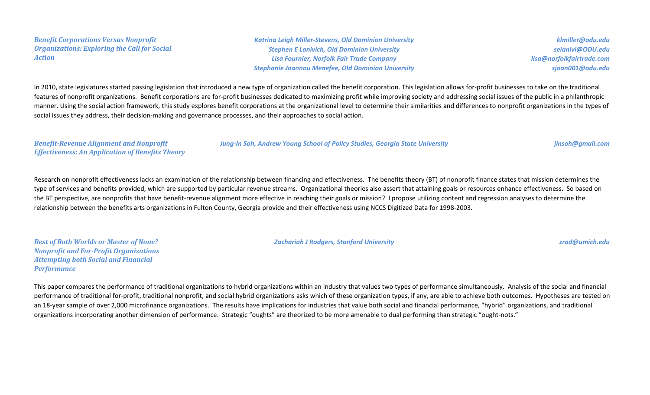*Benefit Corporations Versus Nonprofit Organizations: Exploring the Call for Social Action*

*Katrina Leigh Miller-Stevens, Old Dominion University Stephen E Lanivich, Old Dominion University Lisa Fournier, Norfolk Fair Trade Company Stephanie Joannou Menefee, Old Dominion University*

*[klmiller@odu.edu](mailto:meinhard@ryerson.ca) [selanivi@ODU.edu](mailto:meinhard@ryerson.ca) [lisa@norfolkfairtrade.com](mailto:meinhard@ryerson.ca) [sjoan001@odu.edu](mailto:meinhard@ryerson.ca)*

In 2010, state legislatures started passing legislation that introduced a new type of organization called the benefit corporation. This legislation allows for-profit businesses to take on the traditional features of nonprofit organizations. Benefit corporations are for-profit businesses dedicated to maximizing profit while improving society and addressing social issues of the public in a philanthropic manner. Using the social action framework, this study explores benefit corporations at the organizational level to determine their similarities and differences to nonprofit organizations in the types of social issues they address, their decision-making and governance processes, and their approaches to social action.

*Benefit-Revenue Alignment and Nonprofit Effectiveness: An Application of Benefits Theory*

*Jung-In Soh, Andrew Young School of Policy Studies, Georgia State University [jinsoh@gmail.com](mailto:jinsoh@gmail.com)*

Research on nonprofit effectiveness lacks an examination of the relationship between financing and effectiveness. The benefits theory (BT) of nonprofit finance states that mission determines the type of services and benefits provided, which are supported by particular revenue streams. Organizational theories also assert that attaining goals or resources enhance effectiveness. So based on the BT perspective, are nonprofits that have benefit-revenue alignment more effective in reaching their goals or mission? I propose utilizing content and regression analyses to determine the relationship between the benefits arts organizations in Fulton County, Georgia provide and their effectiveness using NCCS Digitized Data for 1998-2003.

*Best of Both Worlds or Master of None? Nonprofit and For-Profit Organizations Attempting both Social and Financial Performance*

*Zachariah J Rodgers, Stanford University [zrod@umich.edu](mailto:zrod@umich.edu)*

This paper compares the performance of traditional organizations to hybrid organizations within an industry that values two types of performance simultaneously. Analysis of the social and financial performance of traditional for-profit, traditional nonprofit, and social hybrid organizations asks which of these organization types, if any, are able to achieve both outcomes. Hypotheses are tested on an 18-year sample of over 2,000 microfinance organizations. The results have implications for industries that value both social and financial performance, "hybrid" organizations, and traditional organizations incorporating another dimension of performance. Strategic "oughts" are theorized to be more amenable to dual performing than strategic "ought-nots."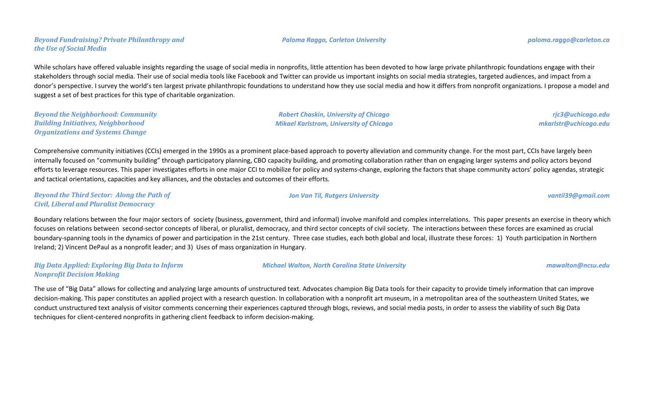While scholars have offered valuable insights regarding the usage of social media in nonprofits, little attention has been devoted to how large private philanthropic foundations engage with their stakeholders through social media. Their use of social media tools like Facebook and Twitter can provide us important insights on social media strategies, targeted audiences, and impact from a donor's perspective. I survey the world's ten largest private philanthropic foundations to understand how they use social media and how it differs from nonprofit organizations. I propose a model and suggest a set of best practices for this type of charitable organization.

*Beyond the Neighborhood: Community Building Initiatives, Neighborhood Organizations and Systems Change*

*Beyond Fundraising? Private Philanthropy and* 

*the Use of Social Media*

Comprehensive community initiatives (CCIs) emerged in the 1990s as a prominent place-based approach to poverty alleviation and community change. For the most part, CCIs have largely been internally focused on "community building" through participatory planning, CBO capacity building, and promoting collaboration rather than on engaging larger systems and policy actors beyond efforts to leverage resources. This paper investigates efforts in one major CCI to mobilize for policy and systems-change, exploring the factors that shape community actors' policy agendas, strategic and tactical orientations, capacities and key alliances, and the obstacles and outcomes of their efforts.

*Beyond the Third Sector: Along the Path of Civil, Liberal and Pluralist Democracy*

Boundary relations between the four major sectors of society (business, government, third and informal) involve manifold and complex interrelations. This paper presents an exercise in theory which focuses on relations between second-sector concepts of liberal, or pluralist, democracy, and third sector concepts of civil society. The interactions between these forces are examined as crucial boundary-spanning tools in the dynamics of power and participation in the 21st century. Three case studies, each both global and local, illustrate these forces: 1) Youth participation in Northern Ireland; 2) Vincent DePaul as a nonprofit leader; and 3) Uses of mass organization in Hungary.

*Big Data Applied: Exploring Big Data to Inform Nonprofit Decision Making*

*Michael Walton, North Carolina State University [mawalton@ncsu.edu](mailto:mawalton@ncsu.edu)*

The use of "Big Data" allows for collecting and analyzing large amounts of unstructured text. Advocates champion Big Data tools for their capacity to provide timely information that can improve decision-making. This paper constitutes an applied project with a research question. In collaboration with a nonprofit art museum, in a metropolitan area of the southeastern United States, we conduct unstructured text analysis of visitor comments concerning their experiences captured through blogs, reviews, and social media posts, in order to assess the viability of such Big Data techniques for client-centered nonprofits in gathering client feedback to inform decision-making.

*Robert Chaskin, University of Chicago Mikael Karlstrom, University of Chicago*

*[rjc3@uchicago.edu](mailto:ptweet@sjfc.edu) [mkarlstr@uchicago.edu](mailto:ptweet@sjfc.edu)*

*Jon Van Til, Rutgers University [vantil39@gmail.com](mailto:vantil39@gmail.com)*

*Paloma Raggo, Carleton University paloma.raggo@carleton.ca*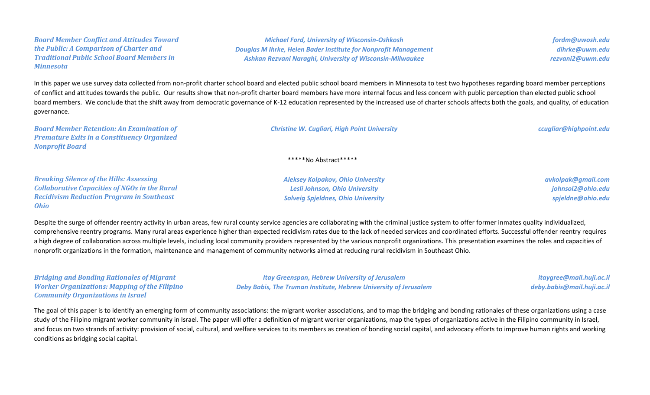*Board Member Conflict and Attitudes Toward the Public: A Comparison of Charter and Traditional Public School Board Members in Minnesota*

*Michael Ford, University of Wisconsin-Oshkosh Douglas M Ihrke, Helen Bader Institute for Nonprofit Management Ashkan Rezvani Naraghi, University of Wisconsin-Milwaukee*

*fordm@uwosh.edu dihrke@uwm.edu rezvani2@uwm.edu*

In this paper we use survey data collected from non-profit charter school board and elected public school board members in Minnesota to test two hypotheses regarding board member perceptions of conflict and attitudes towards the public. Our results show that non-profit charter board members have more internal focus and less concern with public perception than elected public school board members. We conclude that the shift away from democratic governance of K-12 education represented by the increased use of charter schools affects both the goals, and quality, of education governance.

| <b>Board Member Retention: An Examination of</b><br><b>Premature Exits in a Constituency Organized</b><br><b>Nonprofit Board</b>                                           | <b>Christine W. Cugliari, High Point University</b>                                                                     | ccugliar@highpoint.edu                                       |
|----------------------------------------------------------------------------------------------------------------------------------------------------------------------------|-------------------------------------------------------------------------------------------------------------------------|--------------------------------------------------------------|
| $****No Abstract*****$                                                                                                                                                     |                                                                                                                         |                                                              |
| <b>Breaking Silence of the Hills: Assessing</b><br><b>Collaborative Capacities of NGOs in the Rural</b><br><b>Recidivism Reduction Program in Southeast</b><br><b>Ohio</b> | <b>Aleksey Kolpakov, Ohio University</b><br>Lesli Johnson, Ohio University<br><b>Solveig Spieldnes, Ohio University</b> | avkolpak@gmail.com<br>johnsol2@ohio.edu<br>spjeldne@ohio.edu |

Despite the surge of offender reentry activity in urban areas, few rural county service agencies are collaborating with the criminal justice system to offer former inmates quality individualized, comprehensive reentry programs. Many rural areas experience higher than expected recidivism rates due to the lack of needed services and coordinated efforts. Successful offender reentry requires a high degree of collaboration across multiple levels, including local community providers represented by the various nonprofit organizations. This presentation examines the roles and capacities of nonprofit organizations in the formation, maintenance and management of community networks aimed at reducing rural recidivism in Southeast Ohio.

*Bridging and Bonding Rationales of Migrant Worker Organizations: Mapping of the Filipino Community Organizations in Israel*

*Itay Greenspan, Hebrew University of Jerusalem Deby Babis, The Truman Institute, Hebrew University of Jerusalem*

*itaygree@mail.huji.ac.il deby.babis@mail.huji.ac.il*

The goal of this paper is to identify an emerging form of community associations: the migrant worker associations, and to map the bridging and bonding rationales of these organizations using a case study of the Filipino migrant worker community in Israel. The paper will offer a definition of migrant worker organizations, map the types of organizations active in the Filipino community in Israel, and focus on two strands of activity: provision of social, cultural, and welfare services to its members as creation of bonding social capital, and advocacy efforts to improve human rights and working conditions as bridging social capital.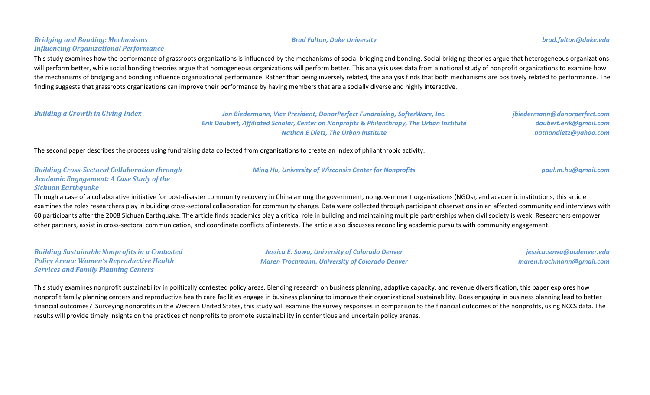# *Bridging and Bonding: Mechanisms Influencing Organizational Performance*

This study examines how the performance of grassroots organizations is influenced by the mechanisms of social bridging and bonding. Social bridging theories argue that heterogeneous organizations will perform better, while social bonding theories argue that homogeneous organizations will perform better. This analysis uses data from a national study of nonprofit organizations to examine how the mechanisms of bridging and bonding influence organizational performance. Rather than being inversely related, the analysis finds that both mechanisms are positively related to performance. The finding suggests that grassroots organizations can improve their performance by having members that are a socially diverse and highly interactive.

*Building a Growth in Giving Index Jon Biedermann, Vice President, DonorPerfect Fundraising, SofterWare, Inc. Erik Daubert, Affiliated Scholar, Center on Nonprofits & Philanthropy, The Urban Institute Nathan E Dietz, The Urban Institute*

*jbiedermann@donorperfect.com daubert.erik@gmail.com nathandietz@yahoo.com*

The second paper describes the process using fundraising data collected from organizations to create an Index of philanthropic activity.

### *Building Cross-Sectoral Collaboration through Academic Engagement: A Case Study of the Sichuan Earthquake*

Through a case of a collaborative initiative for post-disaster community recovery in China among the government, nongovernment organizations (NGOs), and academic institutions, this article examines the roles researchers play in building cross-sectoral collaboration for community change. Data were collected through participant observations in an affected community and interviews with 60 participants after the 2008 Sichuan Earthquake. The article finds academics play a critical role in building and maintaining multiple partnerships when civil society is weak. Researchers empower other partners, assist in cross-sectoral communication, and coordinate conflicts of interests. The article also discusses reconciling academic pursuits with community engagement.

*Building Sustainable Nonprofits in a Contested Policy Arena: Women's Reproductive Health Services and Family Planning Centers*

*Jessica E. Sowa, University of Colorado Denver Maren Trochmann, University of Colorado Denver*

*jessica.sowa@ucdenver.edu maren.trochmann@gmail.com*

This study examines nonprofit sustainability in politically contested policy areas. Blending research on business planning, adaptive capacity, and revenue diversification, this paper explores how nonprofit family planning centers and reproductive health care facilities engage in business planning to improve their organizational sustainability. Does engaging in business planning lead to better financial outcomes? Surveying nonprofits in the Western United States, this study will examine the survey responses in comparison to the financial outcomes of the nonprofits, using NCCS data. The results will provide timely insights on the practices of nonprofits to promote sustainability in contentious and uncertain policy arenas.

### *Brad Fulton, Duke University [brad.fulton@duke.edu](mailto:brad.fulton@duke.edu)*



*Ming Hu, University of Wisconsin Center for Nonprofits [paul.m.hu@gmail.com](mailto:paul.m.hu@gmail.com)*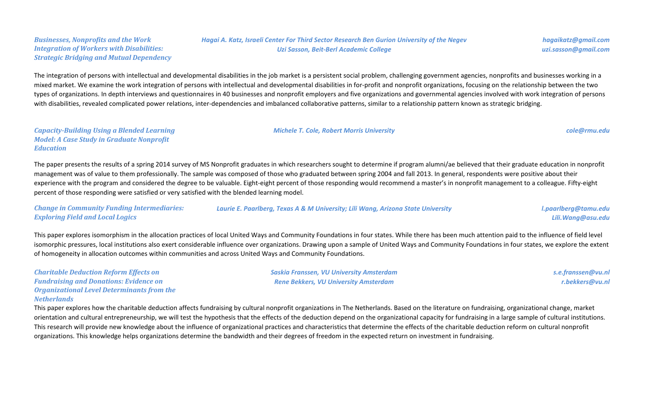### *Businesses, Nonprofits and the Work Integration of Workers with Disabilities: Strategic Bridging and Mutual Dependency*

*Hagai A. Katz, Israeli Center For Third Sector Research Ben Gurion University of the Negev Uzi Sasson, Beit-Berl Academic College*

*Michele T. Cole, Robert Morris University [cole@rmu.edu](mailto:cole@rmu.edu)*

The integration of persons with intellectual and developmental disabilities in the job market is a persistent social problem, challenging government agencies, nonprofits and businesses working in a mixed market. We examine the work integration of persons with intellectual and developmental disabilities in for-profit and nonprofit organizations, focusing on the relationship between the two types of organizations. In depth interviews and questionnaires in 40 businesses and nonprofit employers and five organizations and governmental agencies involved with work integration of persons with disabilities, revealed complicated power relations, inter-dependencies and imbalanced collaborative patterns, similar to a relationship pattern known as strategic bridging.

# *Capacity-Building Using a Blended Learning Model: A Case Study in Graduate Nonprofit Education*

The paper presents the results of a spring 2014 survey of MS Nonprofit graduates in which researchers sought to determine if program alumni/ae believed that their graduate education in nonprofit management was of value to them professionally. The sample was composed of those who graduated between spring 2004 and fall 2013. In general, respondents were positive about their experience with the program and considered the degree to be valuable. Eight-eight percent of those responding would recommend a master's in nonprofit management to a colleague. Fifty-eight percent of those responding were satisfied or very satisfied with the blended learning model.

| <b>Change in Community Funding Intermediaries:</b> | Laurie E. Paarlberg, Texas A & M University; Lili Wang, Arizona State University | I.paarlberg@tamu.edu |
|----------------------------------------------------|----------------------------------------------------------------------------------|----------------------|
| <b>Exploring Field and Local Logics</b>            |                                                                                  | Lili. Wang@asu.edu   |

This paper explores isomorphism in the allocation practices of local United Ways and Community Foundations in four states. While there has been much attention paid to the influence of field level isomorphic pressures, local institutions also exert considerable influence over organizations. Drawing upon a sample of United Ways and Community Foundations in four states, we explore the extent of homogeneity in allocation outcomes within communities and across United Ways and Community Foundations.

| <b>Charitable Deduction Reform Effects on</b>     |
|---------------------------------------------------|
| <b>Fundraising and Donations: Evidence on</b>     |
| <b>Organizational Level Determinants from the</b> |
| Netherlands                                       |

*Saskia Franssen, VU University Amsterdam Rene Bekkers, VU University Amsterdam*

*s.e.franssen@vu.nl r.bekkers@vu.nl*

This paper explores how the charitable deduction affects fundraising by cultural nonprofit organizations in The Netherlands. Based on the literature on fundraising, organizational change, market orientation and cultural entrepreneurship, we will test the hypothesis that the effects of the deduction depend on the organizational capacity for fundraising in a large sample of cultural institutions. This research will provide new knowledge about the influence of organizational practices and characteristics that determine the effects of the charitable deduction reform on cultural nonprofit organizations. This knowledge helps organizations determine the bandwidth and their degrees of freedom in the expected return on investment in fundraising.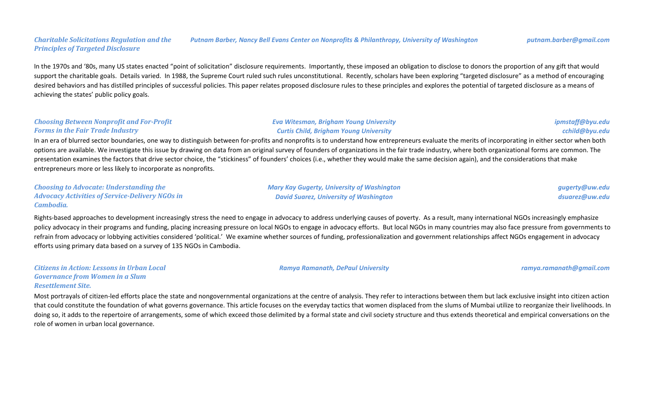### *Charitable Solicitations Regulation and the Principles of Targeted Disclosure Putnam Barber, Nancy Bell Evans Center on Nonprofits & Philanthropy, University of Washington putnam.barber@gmail.com*

In the 1970s and '80s, many US states enacted "point of solicitation" disclosure requirements. Importantly, these imposed an obligation to disclose to donors the proportion of any gift that would support the charitable goals. Details varied. In 1988, the Supreme Court ruled such rules unconstitutional. Recently, scholars have been exploring "targeted disclosure" as a method of encouraging desired behaviors and has distilled principles of successful policies. This paper relates proposed disclosure rules to these principles and explores the potential of targeted disclosure as a means of achieving the states' public policy goals.

# *Choosing Between Nonprofit and For-Profit Forms in the Fair Trade Industry*

# In an era of blurred sector boundaries, one way to distinguish between for-profits and nonprofits is to understand how entrepreneurs evaluate the merits of incorporating in either sector when both options are available. We investigate this issue by drawing on data from an original survey of founders of organizations in the fair trade industry, where both organizational forms are common. The presentation examines the factors that drive sector choice, the "stickiness" of founders' choices (i.e., whether they would make the same decision again), and the considerations that make entrepreneurs more or less likely to incorporate as nonprofits.

| <b>Choosing to Advocate: Understanding the</b>         | <b>Mary Kay Gugerty, University of Washington</b> | gugerty@uw.edu |
|--------------------------------------------------------|---------------------------------------------------|----------------|
| <b>Advocacy Activities of Service-Delivery NGOs in</b> | <b>David Suarez, University of Washington</b>     | dsuarez@uw.edu |
| Cambodia.                                              |                                                   |                |

Rights-based approaches to development increasingly stress the need to engage in advocacy to address underlying causes of poverty. As a result, many international NGOs increasingly emphasize policy advocacy in their programs and funding, placing increasing pressure on local NGOs to engage in advocacy efforts. But local NGOs in many countries may also face pressure from governments to refrain from advocacy or lobbying activities considered 'political.' We examine whether sources of funding, professionalization and government relationships affect NGOs engagement in advocacy efforts using primary data based on a survey of 135 NGOs in Cambodia.

*Citizens in Action: Lessons in Urban Local Governance from Women in a Slum Resettlement Site.*

Most portrayals of citizen-led efforts place the state and nongovernmental organizations at the centre of analysis. They refer to interactions between them but lack exclusive insight into citizen action that could constitute the foundation of what governs governance. This article focuses on the everyday tactics that women displaced from the slums of Mumbai utilize to reorganize their livelihoods. In doing so, it adds to the repertoire of arrangements, some of which exceed those delimited by a formal state and civil society structure and thus extends theoretical and empirical conversations on the role of women in urban local governance.

*Ramya Ramanath, DePaul University [ramya.ramanath@gmail.com](mailto:ramya.ramanath@gmail.com)*

*[ipmstaff@byu.edu](mailto:menghanho330@gmail.com) [cchild@byu.edu](mailto:menghanho330@gmail.com)*

*Eva Witesman, Brigham Young University Curtis Child, Brigham Young University*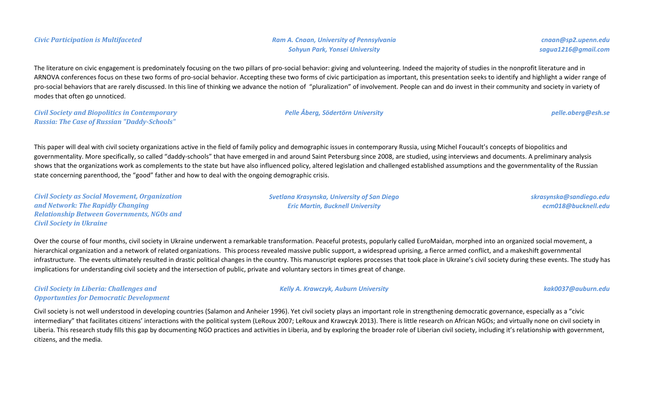*Civic Participation is Multifaceted Ram A. Cnaan, University of Pennsylvania Sohyun Park, Yonsei University*

*cnaan@sp2.upenn.edu sagua1216@gmail.com*

The literature on civic engagement is predominately focusing on the two pillars of pro-social behavior: giving and volunteering. Indeed the majority of studies in the nonprofit literature and in ARNOVA conferences focus on these two forms of pro-social behavior. Accepting these two forms of civic participation as important, this presentation seeks to identify and highlight a wider range of pro-social behaviors that are rarely discussed. In this line of thinking we advance the notion of "pluralization" of involvement. People can and do invest in their community and society in variety of modes that often go unnoticed.

*Civil Society and Biopolitics in Contemporary Russia: The Case of Russian "Daddy-Schools"*

*Pelle Åberg, Södertörn University [pelle.aberg@esh.se](mailto:pelle.aberg@esh.se)*

This paper will deal with civil society organizations active in the field of family policy and demographic issues in contemporary Russia, using Michel Foucault's concepts of biopolitics and governmentality. More specifically, so called "daddy-schools" that have emerged in and around Saint Petersburg since 2008, are studied, using interviews and documents. A preliminary analysis shows that the organizations work as complements to the state but have also influenced policy, altered legislation and challenged established assumptions and the governmentality of the Russian state concerning parenthood, the "good" father and how to deal with the ongoing demographic crisis.

*Civil Society as Social Movement, Organization and Network: The Rapidly Changing Relationship Between Governments, NGOs and Civil Society in Ukraine*

*Svetlana Krasynska, University of San Diego Eric Martin, Bucknell University*

*Kelly A. Krawczyk, Auburn University [kak0037@auburn.edu](mailto:kak0037@auburn.edu)*

*skrasynska@sandiego.edu ecm018@bucknell.edu*

Over the course of four months, civil society in Ukraine underwent a remarkable transformation. Peaceful protests, popularly called EuroMaidan, morphed into an organized social movement, a hierarchical organization and a network of related organizations. This process revealed massive public support, a widespread uprising, a fierce armed conflict, and a makeshift governmental infrastructure. The events ultimately resulted in drastic political changes in the country. This manuscript explores processes that took place in Ukraine's civil society during these events. The study has implications for understanding civil society and the intersection of public, private and voluntary sectors in times great of change.

*Civil Society in Liberia: Challenges and Opportunties for Democratic Development*

Civil society is not well understood in developing countries (Salamon and Anheier 1996). Yet civil society plays an important role in strengthening democratic governance, especially as a "civic intermediary" that facilitates citizens' interactions with the political system (LeRoux 2007; LeRoux and Krawczyk 2013). There is little research on African NGOs; and virtually none on civil society in Liberia. This research study fills this gap by documenting NGO practices and activities in Liberia, and by exploring the broader role of Liberian civil society, including it's relationship with government, citizens, and the media.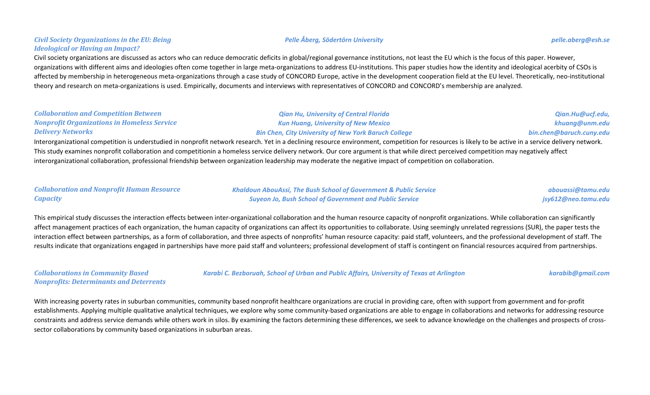# Civil society organizations are discussed as actors who can reduce democratic deficits in global/regional governance institutions, not least the EU which is the focus of this paper. However, organizations with different aims and ideologies often come together in large meta-organizations to address EU-institutions. This paper studies how the identity and ideological acerbity of CSOs is affected by membership in heterogeneous meta-organizations through a case study of CONCORD Europe, active in the development cooperation field at the EU level. Theoretically, neo-institutional theory and research on meta-organizations is used. Empirically, documents and interviews with representatives of CONCORD and CONCORD's membership are analyzed.

### *Collaboration and Competition Between Nonprofit Organizations in Homeless Service Delivery Networks*

*Civil Society Organizations in the EU: Being* 

*Ideological or Having an Impact?*

*Kun Huang, University of New Mexico Bin Chen, City University of New York Baruch College* Interorganizational competition is understudied in nonprofit network research. Yet in a declining resource environment, competition for resources is likely to be active in a service delivery network.

*Qian Hu, University of Central Florida*

This study examines nonprofit collaboration and competitionin a homeless service delivery network. Our core argument is that while direct perceived competition may negatively affect interorganizational collaboration, professional friendship between organization leadership may moderate the negative impact of competition on collaboration.

# *Collaboration and Nonprofit Human Resource Capacity*

*Khaldoun AbouAssi, The Bush School of Government & Public Service Suyeon Jo, Bush School of Government and Public Service*

This empirical study discusses the interaction effects between inter-organizational collaboration and the human resource capacity of nonprofit organizations. While collaboration can significantly affect management practices of each organization, the human capacity of organizations can affect its opportunities to collaborate. Using seemingly unrelated regressions (SUR), the paper tests the interaction effect between partnerships, as a form of collaboration, and three aspects of nonprofits' human resource capacity: paid staff, volunteers, and the professional development of staff. The results indicate that organizations engaged in partnerships have more paid staff and volunteers; professional development of staff is contingent on financial resources acquired from partnerships.

*Collaborations in Community Based Nonprofits: Determinants and Deterrents*

With increasing poverty rates in suburban communities, community based nonprofit healthcare organizations are crucial in providing care, often with support from government and for-profit establishments. Applying multiple qualitative analytical techniques, we explore why some community-based organizations are able to engage in collaborations and networks for addressing resource constraints and address service demands while others work in silos. By examining the factors determining these differences, we seek to advance knowledge on the challenges and prospects of crosssector collaborations by community based organizations in suburban areas.



*Karabi C. Bezboruah, School of Urban and Public Affairs, University of Texas at Arlington [karabib@gmail.com](mailto:karabib@gmail.com)*

*abouassi@tamu.edu jsy612@neo.tamu.edu*

*[Qian.Hu@ucf.edu,](mailto:neesparz@usc.edu) [khuang@unm.edu](mailto:neesparz@usc.edu) [bin.chen@baruch.cuny.edu](mailto:neesparz@usc.edu)*

*Pelle Åberg, Södertörn University [pelle.aberg@esh.se](mailto:pelle.aberg@esh.se)*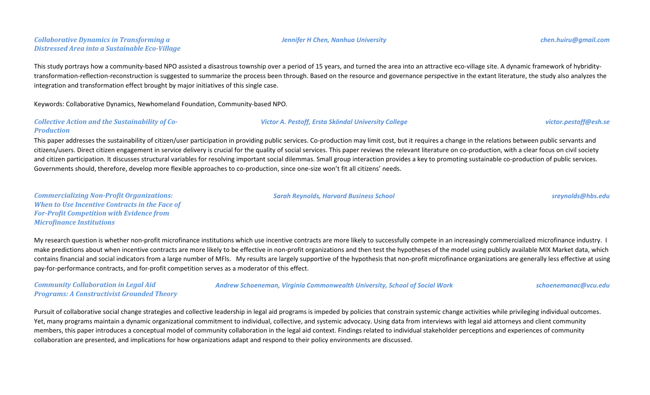# *Collaborative Dynamics in Transforming a Distressed Area into a Sustainable Eco-Village*

This study portrays how a community-based NPO assisted a disastrous township over a period of 15 years, and turned the area into an attractive eco-village site. A dynamic framework of hybriditytransformation-reflection-reconstruction is suggested to summarize the process been through. Based on the resource and governance perspective in the extant literature, the study also analyzes the integration and transformation effect brought by major initiatives of this single case.

Keywords: Collaborative Dynamics, Newhomeland Foundation, Community-based NPO.

### *Collective Action and the Sustainability of Co-Production*

This paper addresses the sustainability of citizen/user participation in providing public services. Co-production may limit cost, but it requires a change in the relations between public servants and citizens/users. Direct citizen engagement in service delivery is crucial for the quality of social services. This paper reviews the relevant literature on co-production, with a clear focus on civil society and citizen participation. It discusses structural variables for resolving important social dilemmas. Small group interaction provides a key to promoting sustainable co-production of public services. Governments should, therefore, develop more flexible approaches to co-production, since one-size won't fit all citizens' needs.

*Commercializing Non-Profit Organizations: When to Use Incentive Contracts in the Face of For-Profit Competition with Evidence from Microfinance Institutions*

My research question is whether non-profit microfinance institutions which use incentive contracts are more likely to successfully compete in an increasingly commercialized microfinance industry. I make predictions about when incentive contracts are more likely to be effective in non-profit organizations and then test the hypotheses of the model using publicly available MIX Market data, which contains financial and social indicators from a large number of MFIs. My results are largely supportive of the hypothesis that non-profit microfinance organizations are generally less effective at using pay-for-performance contracts, and for-profit competition serves as a moderator of this effect.

*Community Collaboration in Legal Aid Programs: A Constructivist Grounded Theory* *Andrew Schoeneman, Virginia Commonwealth University, School of Social Work [schoenemanac@vcu.edu](mailto:schoenemanac@vcu.edu)*

Pursuit of collaborative social change strategies and collective leadership in legal aid programs is impeded by policies that constrain systemic change activities while privileging individual outcomes. Yet, many programs maintain a dynamic organizational commitment to individual, collective, and systemic advocacy. Using data from interviews with legal aid attorneys and client community members, this paper introduces a conceptual model of community collaboration in the legal aid context. Findings related to individual stakeholder perceptions and experiences of community collaboration are presented, and implications for how organizations adapt and respond to their policy environments are discussed.

*Victor A. Pestoff, Ersta Sköndal University College [victor.pestoff@esh.se](mailto:victor.pestoff@esh.se)*

### *Sarah Reynolds, Harvard Business School [sreynolds@hbs.edu](mailto:sreynolds@hbs.edu)*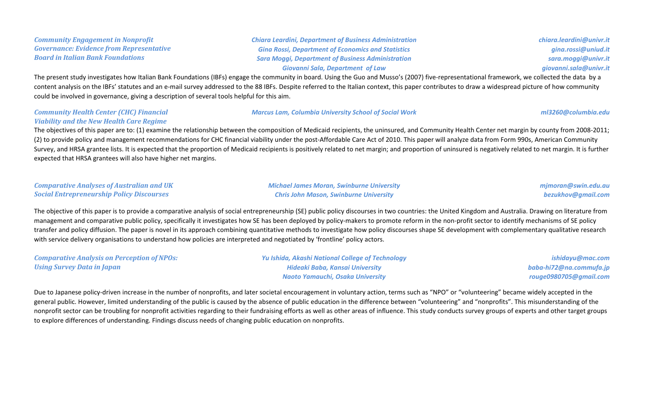*Community Engagement in Nonprofit Governance: Evidence from Representative Board in Italian Bank Foundations*

*Chiara Leardini, Department of Business Administration Gina Rossi, Department of Economics and Statistics Sara Moggi, Department of Business Administration Giovanni Sala, Department of Law*

*chiara.leardini@univr.it gina.rossi@uniud.it sara.moggi@univr.it giovanni.sala@univr.it*

The present study investigates how Italian Bank Foundations (IBFs) engage the community in board. Using the Guo and Musso's (2007) five-representational framework, we collected the data by a content analysis on the IBFs' statutes and an e-mail survey addressed to the 88 IBFs. Despite referred to the Italian context, this paper contributes to draw a widespread picture of how community could be involved in governance, giving a description of several tools helpful for this aim.

### *Community Health Center (CHC) Financial Viability and the New Health Care Regime*

### *Marcus Lam, Columbia University School of Social Work [ml3260@columbia.edu](mailto:ml3260@columbia.edu)*

The objectives of this paper are to: (1) examine the relationship between the composition of Medicaid recipients, the uninsured, and Community Health Center net margin by county from 2008-2011; (2) to provide policy and management recommendations for CHC financial viability under the post-Affordable Care Act of 2010. This paper will analyze data from Form 990s, American Community Survey, and HRSA grantee lists. It is expected that the proportion of Medicaid recipients is positively related to net margin; and proportion of uninsured is negatively related to net margin. It is further expected that HRSA grantees will also have higher net margins.

| <b>Comparative Analyses of Australian and UK</b> | <b>Michael James Moran, Swinburne University</b> | mjmoran@swin.edu.au |
|--------------------------------------------------|--------------------------------------------------|---------------------|
| <b>Social Entrepreneurship Policy Discourses</b> | <b>Chris John Mason, Swinburne University</b>    | bezukhov@gmail.com  |

The objective of this paper is to provide a comparative analysis of social entrepreneurship (SE) public policy discourses in two countries: the United Kingdom and Australia. Drawing on literature from management and comparative public policy, specifically it investigates how SE has been deployed by policy-makers to promote reform in the non-profit sector to identify mechanisms of SE policy transfer and policy diffusion. The paper is novel in its approach combining quantitative methods to investigate how policy discourses shape SE development with complementary qualitative research with service delivery organisations to understand how policies are interpreted and negotiated by 'frontline' policy actors.

*Comparative Analysis on Perception of NPOs: Using Survey Data in Japan Yu Ishida, Akashi National College of Technology Hideaki Baba, Kansai University*

Due to Japanese policy-driven increase in the number of nonprofits, and later societal encouragement in voluntary action, terms such as "NPO" or "volunteering" became widely accepted in the general public. However, limited understanding of the public is caused by the absence of public education in the difference between "volunteering" and "nonprofits". This misunderstanding of the nonprofit sector can be troubling for nonprofit activities regarding to their fundraising efforts as well as other areas of influence. This study conducts survey groups of experts and other target groups to explore differences of understanding. Findings discuss needs of changing public education on nonprofits.

*Naoto Yamauchi, Osaka University*

*ishidayu@mac.com baba-hi72@na.commufa.jp*

*rouge0980705@gmail.com*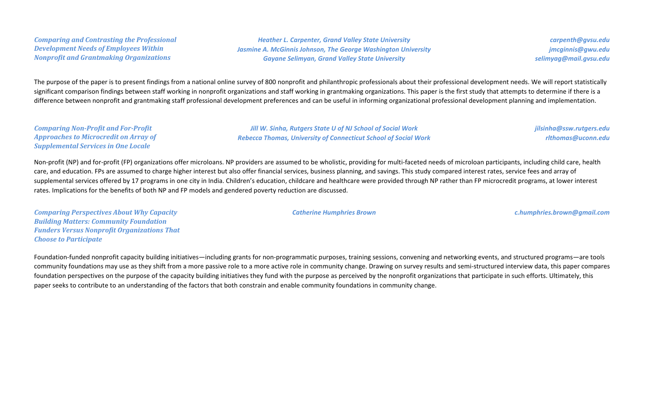*Comparing and Contrasting the Professional Development Needs of Employees Within Nonprofit and Grantmaking Organizations*

*Heather L. Carpenter, Grand Valley State University Jasmine A. McGinnis Johnson, The George Washington University Gayane Selimyan, Grand Valley State University*

*carpenth@gvsu.edu jmcginnis@gwu.edu selimyag@mail.gvsu.edu*

The purpose of the paper is to present findings from a national online survey of 800 nonprofit and philanthropic professionals about their professional development needs. We will report statistically significant comparison findings between staff working in nonprofit organizations and staff working in grantmaking organizations. This paper is the first study that attempts to determine if there is a difference between nonprofit and grantmaking staff professional development preferences and can be useful in informing organizational professional development planning and implementation.

*Comparing Non-Profit and For-Profit Approaches to Microcredit on Array of Supplemental Services in One Locale*

*Jill W. Sinha, Rutgers State U of NJ School of Social Work Rebecca Thomas, University of Connecticut School of Social Work* *jilsinha@ssw.rutgers.edu rlthomas@uconn.edu*

Non-profit (NP) and for-profit (FP) organizations offer microloans. NP providers are assumed to be wholistic, providing for multi-faceted needs of microloan participants, including child care, health care, and education. FPs are assumed to charge higher interest but also offer financial services, business planning, and savings. This study compared interest rates, service fees and array of supplemental services offered by 17 programs in one city in India. Children's education, childcare and healthcare were provided through NP rather than FP microcredit programs, at lower interest rates. Implications for the benefits of both NP and FP models and gendered poverty reduction are discussed.

*Comparing Perspectives About Why Capacity Building Matters: Community Foundation Funders Versus Nonprofit Organizations That Choose to Participate*

Foundation-funded nonprofit capacity building initiatives—including grants for non-programmatic purposes, training sessions, convening and networking events, and structured programs—are tools community foundations may use as they shift from a more passive role to a more active role in community change. Drawing on survey results and semi-structured interview data, this paper compares foundation perspectives on the purpose of the capacity building initiatives they fund with the purpose as perceived by the nonprofit organizations that participate in such efforts. Ultimately, this paper seeks to contribute to an understanding of the factors that both constrain and enable community foundations in community change.

*Catherine Humphries Brown c.humphries.brown@gmail.com*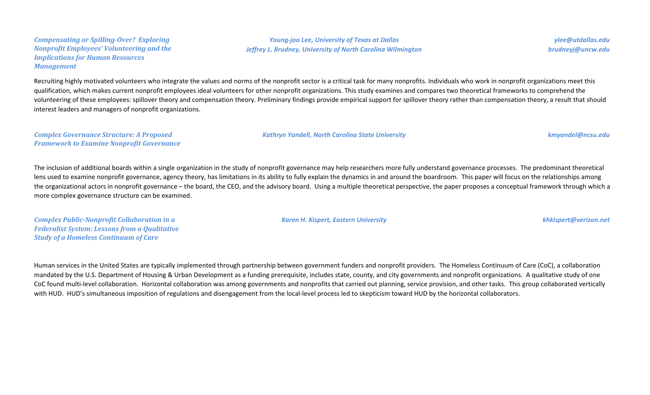### *Compensating or Spilling-Over? Exploring Nonprofit Employees' Volunteering and the Implications for Human Resources Management*

*Young-joo Lee, University of Texas at Dallas Jeffrey L. Brudney, University of North Carolina Wilmington*

*ylee@utdallas.edu brudneyj@uncw.edu*

Recruiting highly motivated volunteers who integrate the values and norms of the nonprofit sector is a critical task for many nonprofits. Individuals who work in nonprofit organizations meet this qualification, which makes current nonprofit employees ideal volunteers for other nonprofit organizations. This study examines and compares two theoretical frameworks to comprehend the volunteering of these employees: spillover theory and compensation theory. Preliminary findings provide empirical support for spillover theory rather than compensation theory, a result that should interest leaders and managers of nonprofit organizations.

*Complex Governance Structure: A Proposed Framework to Examine Nonprofit Governance* *Kathryn Yandell, North Carolina State University kmyandel@ncsu.edu*

The inclusion of additional boards within a single organization in the study of nonprofit governance may help researchers more fully understand governance processes. The predominant theoretical lens used to examine nonprofit governance, agency theory, has limitations in its ability to fully explain the dynamics in and around the boardroom. This paper will focus on the relationships among the organizational actors in nonprofit governance – the board, the CEO, and the advisory board. Using a multiple theoretical perspective, the paper proposes a conceptual framework through which a more complex governance structure can be examined.

*Complex Public-Nonprofit Collaboration in a Federalist System: Lessons from a Qualitative Study of a Homeless Continuum of Care*

*Karen H. Kispert, Eastern University khkispert@verizon.net*

Human services in the United States are typically implemented through partnership between government funders and nonprofit providers. The Homeless Continuum of Care (CoC), a collaboration mandated by the U.S. Department of Housing & Urban Development as a funding prerequisite, includes state, county, and city governments and nonprofit organizations. A qualitative study of one CoC found multi-level collaboration. Horizontal collaboration was among governments and nonprofits that carried out planning, service provision, and other tasks. This group collaborated vertically with HUD. HUD's simultaneous imposition of regulations and disengagement from the local-level process led to skepticism toward HUD by the horizontal collaborators.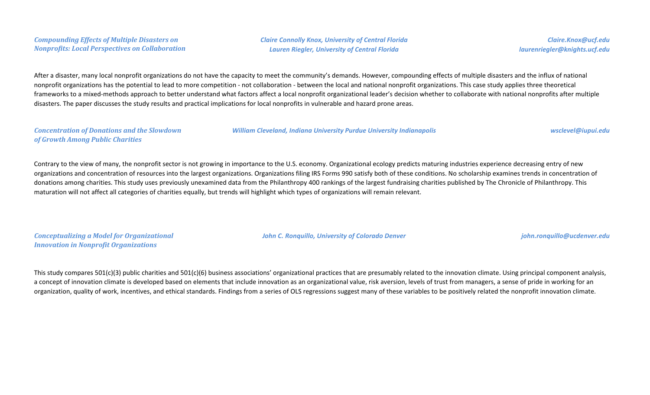# *Compounding Effects of Multiple Disasters on Nonprofits: Local Perspectives on Collaboration*

*Claire Connolly Knox, University of Central Florida Lauren Riegler, University of Central Florida*

*Claire.Knox@ucf.edu laurenriegler@knights.ucf.edu*

After a disaster, many local nonprofit organizations do not have the capacity to meet the community's demands. However, compounding effects of multiple disasters and the influx of national nonprofit organizations has the potential to lead to more competition - not collaboration - between the local and national nonprofit organizations. This case study applies three theoretical frameworks to a mixed-methods approach to better understand what factors affect a local nonprofit organizational leader's decision whether to collaborate with national nonprofits after multiple disasters. The paper discusses the study results and practical implications for local nonprofits in vulnerable and hazard prone areas.

### *Concentration of Donations and the Slowdown of Growth Among Public Charities*

*William Cleveland, Indiana University Purdue University Indianapolis wsclevel@iupui.edu*

Contrary to the view of many, the nonprofit sector is not growing in importance to the U.S. economy. Organizational ecology predicts maturing industries experience decreasing entry of new organizations and concentration of resources into the largest organizations. Organizations filing IRS Forms 990 satisfy both of these conditions. No scholarship examines trends in concentration of donations among charities. This study uses previously unexamined data from the Philanthropy 400 rankings of the largest fundraising charities published by The Chronicle of Philanthropy. This maturation will not affect all categories of charities equally, but trends will highlight which types of organizations will remain relevant.

*Conceptualizing a Model for Organizational Innovation in Nonprofit Organizations*

*John C. Ronquillo, University of Colorado Denver john.ronquillo@ucdenver.edu*

This study compares 501(c)(3) public charities and 501(c)(6) business associations' organizational practices that are presumably related to the innovation climate. Using principal component analysis, a concept of innovation climate is developed based on elements that include innovation as an organizational value, risk aversion, levels of trust from managers, a sense of pride in working for an organization, quality of work, incentives, and ethical standards. Findings from a series of OLS regressions suggest many of these variables to be positively related the nonprofit innovation climate.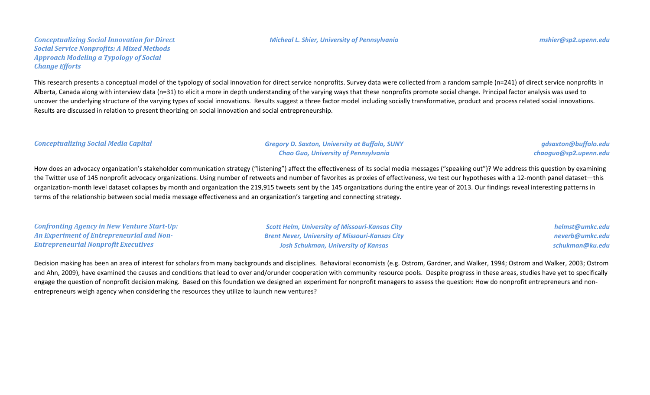### *Micheal L. Shier, University of Pennsylvania mshier@sp2.upenn.edu*

*Conceptualizing Social Innovation for Direct Social Service Nonprofits: A Mixed Methods Approach Modeling a Typology of Social Change Efforts*

This research presents a conceptual model of the typology of social innovation for direct service nonprofits. Survey data were collected from a random sample (n=241) of direct service nonprofits in Alberta, Canada along with interview data (n=31) to elicit a more in depth understanding of the varying ways that these nonprofits promote social change. Principal factor analysis was used to uncover the underlying structure of the varying types of social innovations. Results suggest a three factor model including socially transformative, product and process related social innovations. Results are discussed in relation to present theorizing on social innovation and social entrepreneurship.

### *Conceptualizing Social Media Capital Gregory D. Saxton, University at Buffalo, SUNY*

*Chao Guo, University of Pennsylvania*

*gdsaxton@buffalo.edu chaoguo@sp2.upenn.edu*

How does an advocacy organization's stakeholder communication strategy ("listening") affect the effectiveness of its social media messages ("speaking out")? We address this question by examining the Twitter use of 145 nonprofit advocacy organizations. Using number of retweets and number of favorites as proxies of effectiveness, we test our hypotheses with a 12-month panel dataset—this organization-month level dataset collapses by month and organization the 219,915 tweets sent by the 145 organizations during the entire year of 2013. Our findings reveal interesting patterns in terms of the relationship between social media message effectiveness and an organization's targeting and connecting strategy.

*Confronting Agency in New Venture Start-Up: An Experiment of Entrepreneurial and Non-Entrepreneurial Nonprofit Executives*

*Scott Helm, University of Missouri-Kansas City Brent Never, University of Missouri-Kansas City Josh Schukman, University of Kansas*

*helmst@umkc.edu neverb@umkc.edu schukman@ku.edu*

Decision making has been an area of interest for scholars from many backgrounds and disciplines. Behavioral economists (e.g. Ostrom, Gardner, and Walker, 1994; Ostrom and Walker, 2003; Ostrom and Ahn, 2009), have examined the causes and conditions that lead to over and/orunder cooperation with community resource pools. Despite progress in these areas, studies have yet to specifically engage the question of nonprofit decision making. Based on this foundation we designed an experiment for nonprofit managers to assess the question: How do nonprofit entrepreneurs and nonentrepreneurs weigh agency when considering the resources they utilize to launch new ventures?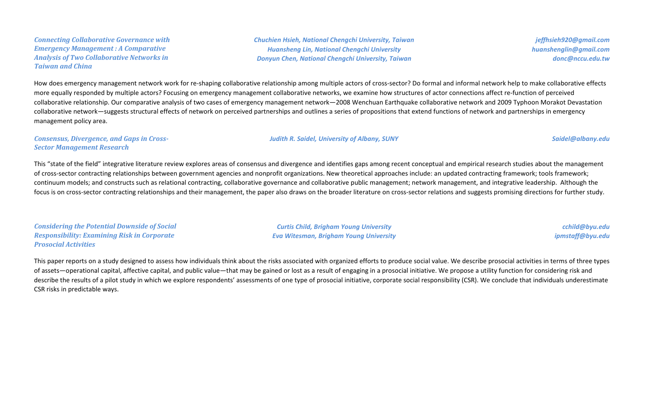# *Connecting Collaborative Governance with Emergency Management : A Comparative Analysis of Two Collaborative Networks in Taiwan and China*

*Chuchien Hsieh, National Chengchi University, Taiwan Huansheng Lin, National Chengchi University Donyun Chen, National Chengchi University, Taiwan*

*jeffhsieh920@gmail.com huanshenglin@gmail.com donc@nccu.edu.tw*

How does emergency management network work for re-shaping collaborative relationship among multiple actors of cross-sector? Do formal and informal network help to make collaborative effects more equally responded by multiple actors? Focusing on emergency management collaborative networks, we examine how structures of actor connections affect re-function of perceived collaborative relationship. Our comparative analysis of two cases of emergency management network—2008 Wenchuan Earthquake collaborative network and 2009 Typhoon Morakot Devastation collaborative network—suggests structural effects of network on perceived partnerships and outlines a series of propositions that extend functions of network and partnerships in emergency management policy area.

*Consensus, Divergence, and Gaps in Cross-Sector Management Research*

This "state of the field" integrative literature review explores areas of consensus and divergence and identifies gaps among recent conceptual and empirical research studies about the management of cross-sector contracting relationships between government agencies and nonprofit organizations. New theoretical approaches include: an updated contracting framework; tools framework; continuum models; and constructs such as relational contracting, collaborative governance and collaborative public management; network management, and integrative leadership. Although the focus is on cross-sector contracting relationships and their management, the paper also draws on the broader literature on cross-sector relations and suggests promising directions for further study.

*Considering the Potential Downside of Social Responsibility: Examining Risk in Corporate Prosocial Activities*

*Curtis Child, Brigham Young University Eva Witesman, Brigham Young University*

*cchild@byu.edu ipmstaff@byu.edu*

This paper reports on a study designed to assess how individuals think about the risks associated with organized efforts to produce social value. We describe prosocial activities in terms of three types of assets—operational capital, affective capital, and public value—that may be gained or lost as a result of engaging in a prosocial initiative. We propose a utility function for considering risk and describe the results of a pilot study in which we explore respondents' assessments of one type of prosocial initiative, corporate social responsibility (CSR). We conclude that individuals underestimate CSR risks in predictable ways.

*Judith R. Saidel, University of Albany, SUNY Saidel@albany.edu*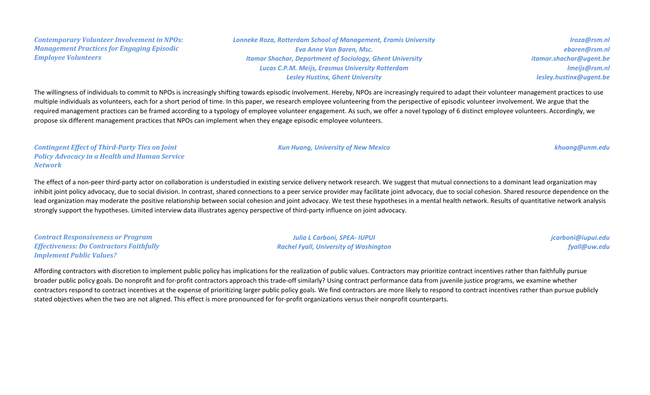*Contemporary Volunteer Involvement in NPOs: Management Practices for Engaging Episodic Employee Volunteers*

*Lonneke Roza, Rotterdam School of Management, Eramis University Eva Anne Van Baren, Msc. Itamar Shachar, Department of Sociology, Ghent University Lucas C.P.M. Meijs, Erasmus University Rotterdam Lesley Hustinx, Ghent University*

*lroza@rsm.nl ebaren@rsm.nl itamar.shachar@ugent.be lmeijs@rsm.nl lesley.hustinx@ugent.be*

The willingness of individuals to commit to NPOs is increasingly shifting towards episodic involvement. Hereby, NPOs are increasingly required to adapt their volunteer management practices to use multiple individuals as volunteers, each for a short period of time. In this paper, we research employee volunteering from the perspective of episodic volunteer involvement. We argue that the required management practices can be framed according to a typology of employee volunteer engagement. As such, we offer a novel typology of 6 distinct employee volunteers. Accordingly, we propose six different management practices that NPOs can implement when they engage episodic employee volunteers.

*Contingent Effect of Third-Party Ties on Joint Policy Advocacy in a Health and Human Service Network*

The effect of a non-peer third-party actor on collaboration is understudied in existing service delivery network research. We suggest that mutual connections to a dominant lead organization may inhibit joint policy advocacy, due to social division. In contrast, shared connections to a peer service provider may facilitate joint advocacy, due to social cohesion. Shared resource dependence on the lead organization may moderate the positive relationship between social cohesion and joint advocacy. We test these hypotheses in a mental health network. Results of quantitative network analysis strongly support the hypotheses. Limited interview data illustrates agency perspective of third-party influence on joint advocacy.

*Contract Responsiveness or Program Effectiveness: Do Contractors Faithfully Implement Public Values?*

*Julia L Carboni, SPEA- IUPUI Rachel Fyall, University of Washington* *jcarboni@iupui.edu fyall@uw.edu*

Affording contractors with discretion to implement public policy has implications for the realization of public values. Contractors may prioritize contract incentives rather than faithfully pursue broader public policy goals. Do nonprofit and for-profit contractors approach this trade-off similarly? Using contract performance data from juvenile justice programs, we examine whether contractors respond to contract incentives at the expense of prioritizing larger public policy goals. We find contractors are more likely to respond to contract incentives rather than pursue publicly stated objectives when the two are not aligned. This effect is more pronounced for for-profit organizations versus their nonprofit counterparts.

*Kun Huang, University of New Mexico khuang@unm.edu*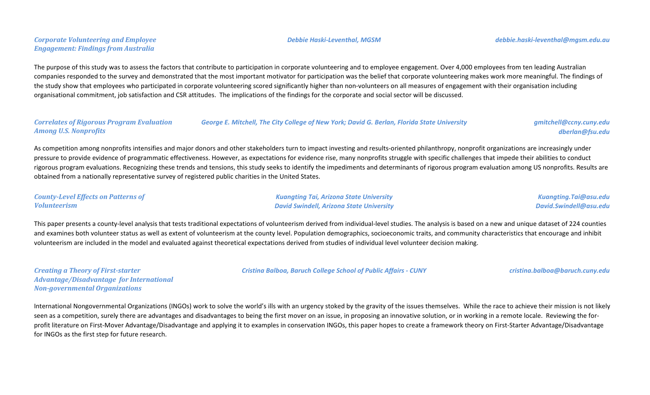# *Corporate Volunteering and Employee Engagement: Findings from Australia*

The purpose of this study was to assess the factors that contribute to participation in corporate volunteering and to employee engagement. Over 4,000 employees from ten leading Australian companies responded to the survey and demonstrated that the most important motivator for participation was the belief that corporate volunteering makes work more meaningful. The findings of the study show that employees who participated in corporate volunteering scored significantly higher than non-volunteers on all measures of engagement with their organisation including organisational commitment, job satisfaction and CSR attitudes. The implications of the findings for the corporate and social sector will be discussed.

*Correlates of Rigorous Program Evaluation Among U.S. Nonprofits George E. Mitchell, The City College of New York; David G. Berlan, Florida State University gmitchell@ccny.cuny.edu*

As competition among nonprofits intensifies and major donors and other stakeholders turn to impact investing and results-oriented philanthropy, nonprofit organizations are increasingly under pressure to provide evidence of programmatic effectiveness. However, as expectations for evidence rise, many nonprofits struggle with specific challenges that impede their abilities to conduct rigorous program evaluations. Recognizing these trends and tensions, this study seeks to identify the impediments and determinants of rigorous program evaluation among US nonprofits. Results are obtained from a nationally representative survey of registered public charities in the United States.

*County-Level Effects on Patterns of Volunteerism*

*Kuangting Tai, Arizona State University David Swindell, Arizona State University*

*Cristina Balboa, Baruch College School of Public Affairs - CUNY cristina.balboa@baruch.cuny.edu*

*Kuangting.Tai@asu.edu David.Swindell@asu.edu*

This paper presents a county-level analysis that tests traditional expectations of volunteerism derived from individual-level studies. The analysis is based on a new and unique dataset of 224 counties and examines both volunteer status as well as extent of volunteerism at the county level. Population demographics, socioeconomic traits, and community characteristics that encourage and inhibit volunteerism are included in the model and evaluated against theoretical expectations derived from studies of individual level volunteer decision making.

*Creating a Theory of First-starter Advantage/Disadvantage for International Non-governmental Organizations*

International Nongovernmental Organizations (INGOs) work to solve the world's ills with an urgency stoked by the gravity of the issues themselves. While the race to achieve their mission is not likely seen as a competition, surely there are advantages and disadvantages to being the first mover on an issue, in proposing an innovative solution, or in working in a remote locale. Reviewing the forprofit literature on First-Mover Advantage/Disadvantage and applying it to examples in conservation INGOs, this paper hopes to create a framework theory on First-Starter Advantage/Disadvantage for INGOs as the first step for future research.

### *Debbie Haski-Leventhal, MGSM debbie.haski-leventhal@mgsm.edu.au*

*dberlan@fsu.edu*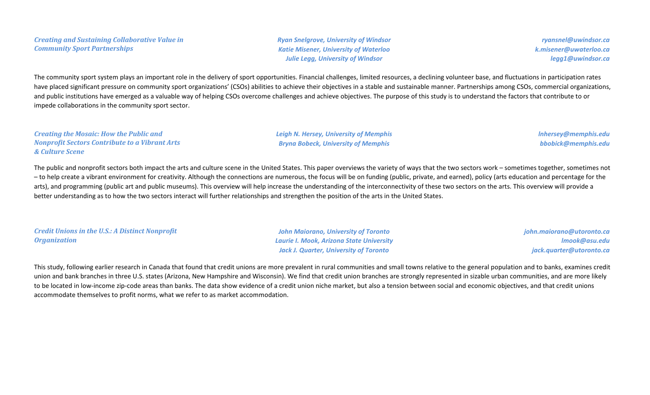*Ryan Snelgrove, University of Windsor Katie Misener, University of Waterloo Julie Legg, University of Windsor*

*ryansnel@uwindsor.ca k.misener@uwaterloo.ca legg1@uwindsor.ca*

The community sport system plays an important role in the delivery of sport opportunities. Financial challenges, limited resources, a declining volunteer base, and fluctuations in participation rates have placed significant pressure on community sport organizations' (CSOs) abilities to achieve their objectives in a stable and sustainable manner. Partnerships among CSOs, commercial organizations, and public institutions have emerged as a valuable way of helping CSOs overcome challenges and achieve objectives. The purpose of this study is to understand the factors that contribute to or impede collaborations in the community sport sector.

*Creating the Mosaic: How the Public and Nonprofit Sectors Contribute to a Vibrant Arts & Culture Scene Leigh N. Hersey, University of Memphis Bryna Bobeck, University of Memphis*

*lnhersey@memphis.edu bbobick@memphis.edu*

The public and nonprofit sectors both impact the arts and culture scene in the United States. This paper overviews the variety of ways that the two sectors work – sometimes together, sometimes not – to help create a vibrant environment for creativity. Although the connections are numerous, the focus will be on funding (public, private, and earned), policy (arts education and percentage for the arts), and programming (public art and public museums). This overview will help increase the understanding of the interconnectivity of these two sectors on the arts. This overview will provide a better understanding as to how the two sectors interact will further relationships and strengthen the position of the arts in the United States.

*Credit Unions in the U.S.: A Distinct Nonprofit Organization*

*John Maiorano, University of Toronto Laurie I. Mook, Arizona State University Jack J. Quarter, University of Toronto*

*john.maiorano@utoronto.ca lmook@asu.edu jack.quarter@utoronto.ca*

This study, following earlier research in Canada that found that credit unions are more prevalent in rural communities and small towns relative to the general population and to banks, examines credit union and bank branches in three U.S. states (Arizona, New Hampshire and Wisconsin). We find that credit union branches are strongly represented in sizable urban communities, and are more likely to be located in low-income zip-code areas than banks. The data show evidence of a credit union niche market, but also a tension between social and economic objectives, and that credit unions accommodate themselves to profit norms, what we refer to as market accommodation.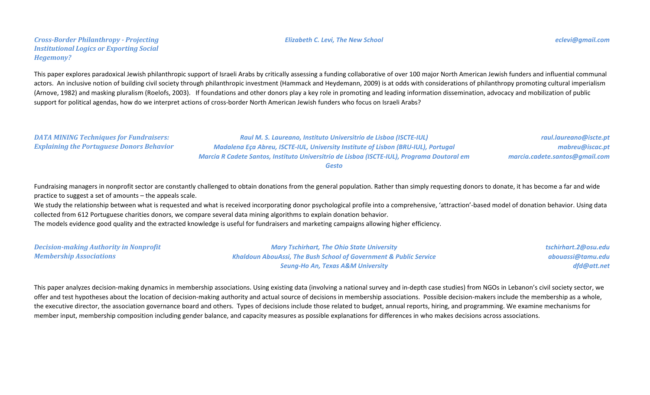### *Cross-Border Philanthropy - Projecting Institutional Logics or Exporting Social Hegemony?*

### *Elizabeth C. Levi, The New School eclevi@gmail.com*

This paper explores paradoxical Jewish philanthropic support of Israeli Arabs by critically assessing a funding collaborative of over 100 major North American Jewish funders and influential communal actors. An inclusive notion of building civil society through philanthropic investment (Hammack and Heydemann, 2009) is at odds with considerations of philanthropy promoting cultural imperialism (Arnove, 1982) and masking pluralism (Roelofs, 2003). If foundations and other donors play a key role in promoting and leading information dissemination, advocacy and mobilization of public support for political agendas, how do we interpret actions of cross-border North American Jewish funders who focus on Israeli Arabs?

*DATA MINING Techniques for Fundraisers: Explaining the Portuguese Donors Behavior*

*Raul M. S. Laureano, Instituto Universitrio de Lisboa (ISCTE-IUL) Madalena Eça Abreu, ISCTE-IUL, University Institute of Lisbon (BRU-IUL), Portugal Marcia R Cadete Santos, Instituto Universitrio de Lisboa (ISCTE-IUL), Programa Doutoral em Gesto*

Fundraising managers in nonprofit sector are constantly challenged to obtain donations from the general population. Rather than simply requesting donors to donate, it has become a far and wide practice to suggest a set of amounts – the appeals scale.

We study the relationship between what is requested and what is received incorporating donor psychological profile into a comprehensive, 'attraction'-based model of donation behavior. Using data collected from 612 Portuguese charities donors, we compare several data mining algorithms to explain donation behavior.

The models evidence good quality and the extracted knowledge is useful for fundraisers and marketing campaigns allowing higher efficiency.

| <b>Decision-making Authority in Nonprofit</b> | <b>Mary Tschirhart, The Ohio State University</b>                            | tschirhart.2@osu.edu |
|-----------------------------------------------|------------------------------------------------------------------------------|----------------------|
| <b>Membership Associations</b>                | <b>Khaldoun AbouAssi, The Bush School of Government &amp; Public Service</b> | abouassi@tamu.edu    |
|                                               | <b>Seung-Ho An, Texas A&amp;M University</b>                                 | dfd@att.net          |

This paper analyzes decision-making dynamics in membership associations. Using existing data (involving a national survey and in-depth case studies) from NGOs in Lebanon's civil society sector, we offer and test hypotheses about the location of decision-making authority and actual source of decisions in membership associations. Possible decision-makers include the membership as a whole, the executive director, the association governance board and others. Types of decisions include those related to budget, annual reports, hiring, and programming. We examine mechanisms for member input, membership composition including gender balance, and capacity measures as possible explanations for differences in who makes decisions across associations.

*raul.laureano@iscte.pt mabreu@iscac.pt*

*marcia.cadete.santos@gmail.com*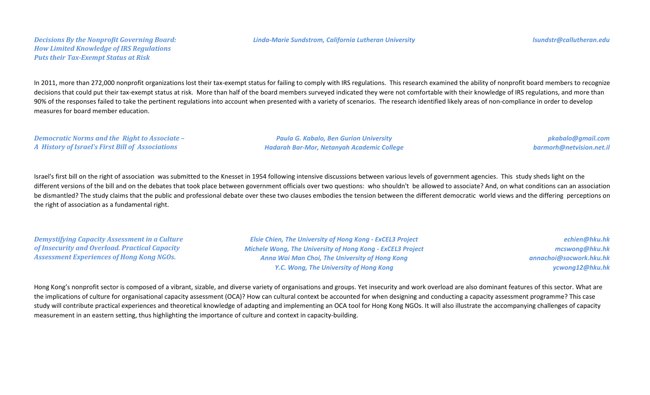### *Decisions By the Nonprofit Governing Board: How Limited Knowledge of IRS Regulations Puts their Tax-Exempt Status at Risk*

In 2011, more than 272,000 nonprofit organizations lost their tax-exempt status for failing to comply with IRS regulations. This research examined the ability of nonprofit board members to recognize decisions that could put their tax-exempt status at risk. More than half of the board members surveyed indicated they were not comfortable with their knowledge of IRS regulations, and more than 90% of the responses failed to take the pertinent regulations into account when presented with a variety of scenarios. The research identified likely areas of non-compliance in order to develop measures for board member education.

*Democratic Norms and the Right to Associate – A History of Israel's First Bill of Associations*

*Paula G. Kabalo, Ben Gurion University Hadarah Bar-Mor, Netanyah Academic College*

*pkabalo@gmail.com barmorh@netvision.net.il*

Israel's first bill on the right of association was submitted to the Knesset in 1954 following intensive discussions between various levels of government agencies. This study sheds light on the different versions of the bill and on the debates that took place between government officials over two questions: who shouldn't be allowed to associate? And, on what conditions can an association be dismantled? The study claims that the public and professional debate over these two clauses embodies the tension between the different democratic world views and the differing perceptions on the right of association as a fundamental right.

*Demystifying Capacity Assessment in a Culture of Insecurity and Overload. Practical Capacity Assessment Experiences of Hong Kong NGOs.*

*Elsie Chien, The University of Hong Kong - ExCEL3 Project Michele Wong, The University of Hong Kong - ExCEL3 Project Anna Wai Man Choi, The University of Hong Kong Y.C. Wong, The University of Hong Kong*

*echien@hku.hk mcswong@hku.hk annachoi@socwork.hku.hk ycwong12@hku.hk*

Hong Kong's nonprofit sector is composed of a vibrant, sizable, and diverse variety of organisations and groups. Yet insecurity and work overload are also dominant features of this sector. What are the implications of culture for organisational capacity assessment (OCA)? How can cultural context be accounted for when designing and conducting a capacity assessment programme? This case study will contribute practical experiences and theoretical knowledge of adapting and implementing an OCA tool for Hong Kong NGOs. It will also illustrate the accompanying challenges of capacity measurement in an eastern setting, thus highlighting the importance of culture and context in capacity-building.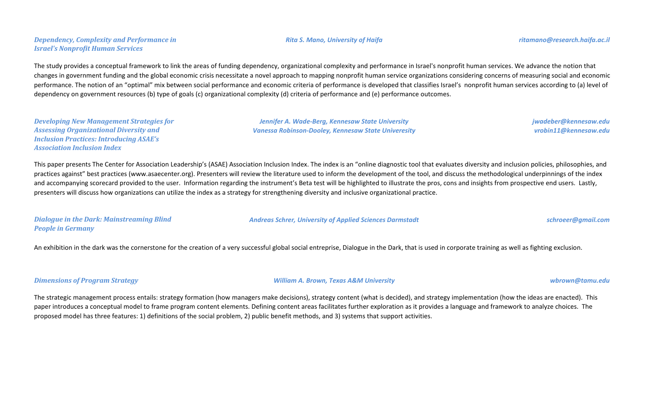The study provides a conceptual framework to link the areas of funding dependency, organizational complexity and performance in Israel's nonprofit human services. We advance the notion that changes in government funding and the global economic crisis necessitate a novel approach to mapping nonprofit human service organizations considering concerns of measuring social and economic performance. The notion of an "optimal" mix between social performance and economic criteria of performance is developed that classifies Israel's nonprofit human services according to (a) level of dependency on government resources (b) type of goals (c) organizational complexity (d) criteria of performance and (e) performance outcomes.

*Developing New Management Strategies for Assessing Organizational Diversity and Inclusion Practices: Introducing ASAE's Association Inclusion Index*

*Dependency, Complexity and Performance in* 

*Israel's Nonprofit Human Services*

This paper presents The Center for Association Leadership's (ASAE) Association Inclusion Index. The index is an "online diagnostic tool that evaluates diversity and inclusion policies, philosophies, and practices against" best practices (www.asaecenter.org). Presenters will review the literature used to inform the development of the tool, and discuss the methodological underpinnings of the index and accompanying scorecard provided to the user. Information regarding the instrument's Beta test will be highlighted to illustrate the pros, cons and insights from prospective end users. Lastly, presenters will discuss how organizations can utilize the index as a strategy for strengthening diversity and inclusive organizational practice.

*Dialogue in the Dark: Mainstreaming Blind People in Germany*

*Andreas Schrer, University of Applied Sciences Darmstadt schroeer@gmail.com*

An exhibition in the dark was the cornerstone for the creation of a very successful global social entreprise, Dialogue in the Dark, that is used in corporate training as well as fighting exclusion.

### *Dimensions of Program Strategy William A. Brown, Texas A&M University wbrown@tamu.edu*

The strategic management process entails: strategy formation (how managers make decisions), strategy content (what is decided), and strategy implementation (how the ideas are enacted). This paper introduces a conceptual model to frame program content elements. Defining content areas facilitates further exploration as it provides a language and framework to analyze choices. The proposed model has three features: 1) definitions of the social problem, 2) public benefit methods, and 3) systems that support activities.

*Jennifer A. Wade-Berg, Kennesaw State University Vanessa Robinson-Dooley, Kennesaw State Univeresity*

*vrobin11@kennesaw.edu*

# *jwadeber@kennesaw.edu*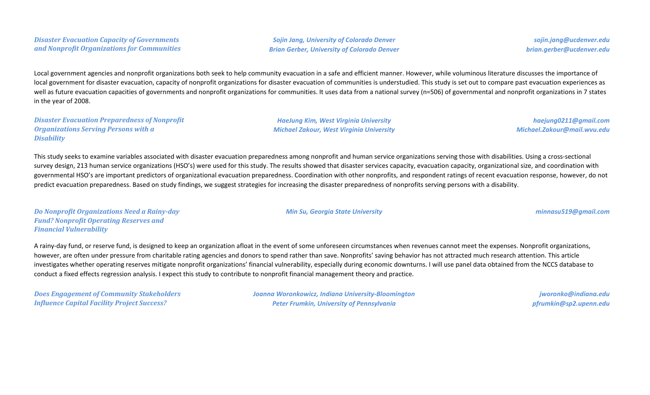*Sojin Jang, University of Colorado Denver Brian Gerber, University of Colorado Denver*

*sojin.jang@ucdenver.edu brian.gerber@ucdenver.edu*

Local government agencies and nonprofit organizations both seek to help community evacuation in a safe and efficient manner. However, while voluminous literature discusses the importance of local government for disaster evacuation, capacity of nonprofit organizations for disaster evacuation of communities is understudied. This study is set out to compare past evacuation experiences as well as future evacuation capacities of governments and nonprofit organizations for communities. It uses data from a national survey (n=506) of governmental and nonprofit organizations in 7 states in the year of 2008.

*Disaster Evacuation Preparedness of Nonprofit Organizations Serving Persons with a Disability*

*HaeJung Kim, West Virginia University Michael Zakour, West Virginia University*

*Min Su, Georgia State University minnasu519@gmail.com*

*haejung0211@gmail.com Michael.Zakour@mail.wvu.edu*

This study seeks to examine variables associated with disaster evacuation preparedness among nonprofit and human service organizations serving those with disabilities. Using a cross-sectional survey design, 213 human service organizations (HSO's) were used for this study. The results showed that disaster services capacity, evacuation capacity, organizational size, and coordination with governmental HSO's are important predictors of organizational evacuation preparedness. Coordination with other nonprofits, and respondent ratings of recent evacuation response, however, do not predict evacuation preparedness. Based on study findings, we suggest strategies for increasing the disaster preparedness of nonprofits serving persons with a disability.

*Do Nonprofit Organizations Need a Rainy-day Fund? Nonprofit Operating Reserves and Financial Vulnerability*

A rainy-day fund, or reserve fund, is designed to keep an organization afloat in the event of some unforeseen circumstances when revenues cannot meet the expenses. Nonprofit organizations, however, are often under pressure from charitable rating agencies and donors to spend rather than save. Nonprofits' saving behavior has not attracted much research attention. This article investigates whether operating reserves mitigate nonprofit organizations' financial vulnerability, especially during economic downturns. I will use panel data obtained from the NCCS database to conduct a fixed effects regression analysis. I expect this study to contribute to nonprofit financial management theory and practice.

*Does Engagement of Community Stakeholders Influence Capital Facility Project Success?*

*Joanna Woronkowicz, Indiana University-Bloomington Peter Frumkin, University of Pennsylvania*

*jworonko@indiana.edu pfrumkin@sp2.upenn.edu*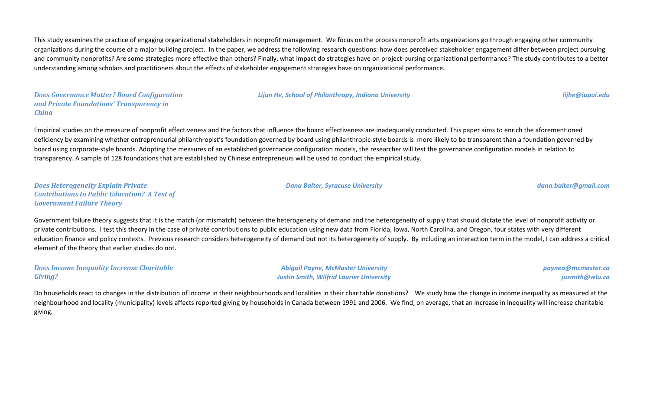This study examines the practice of engaging organizational stakeholders in nonprofit management. We focus on the process nonprofit arts organizations go through engaging other community organizations during the course of a major building project. In the paper, we address the following research questions: how does perceived stakeholder engagement differ between project pursuing and community nonprofits? Are some strategies more effective than others? Finally, what impact do strategies have on project-pursing organizational performance? The study contributes to a better understanding among scholars and practitioners about the effects of stakeholder engagement strategies have on organizational performance.

#### *Does Governance Matter? Board Configuration and Private Foundations' Transparency in China*

#### *Lijun He, School of Philanthropy, Indiana University lijhe@iupui.edu*

Empirical studies on the measure of nonprofit effectiveness and the factors that influence the board effectiveness are inadequately conducted. This paper aims to enrich the aforementioned deficiency by examining whether entrepreneurial philanthropist's foundation governed by board using philanthropic-style boards is more likely to be transparent than a foundation governed by board using corporate-style boards. Adopting the measures of an established governance configuration models, the researcher will test the governance configuration models in relation to transparency. A sample of 128 foundations that are established by Chinese entrepreneurs will be used to conduct the empirical study.

*Does Heterogeneity Explain Private Contributions to Public Education? A Test of Government Failure Theory*

Government failure theory suggests that it is the match (or mismatch) between the heterogeneity of demand and the heterogeneity of supply that should dictate the level of nonprofit activity or private contributions. I test this theory in the case of private contributions to public education using new data from Florida, Iowa, North Carolina, and Oregon, four states with very different education finance and policy contexts. Previous research considers heterogeneity of demand but not its heterogeneity of supply. By including an interaction term in the model, I can address a critical element of the theory that earlier studies do not.

*Does Income Inequality Increase Charitable Giving?*

*Abigail Payne, McMaster University Justin Smith, Wilfrid Laurier University* *paynea@mcmaster.ca jusmith@wlu.ca*

Do households react to changes in the distribution of income in their neighbourhoods and localities in their charitable donations? We study how the change in income inequality as measured at the neighbourhood and locality (municipality) levels affects reported giving by households in Canada between 1991 and 2006. We find, on average, that an increase in inequality will increase charitable giving.

#### *Dana Balter, Syracuse University dana.balter@gmail.com*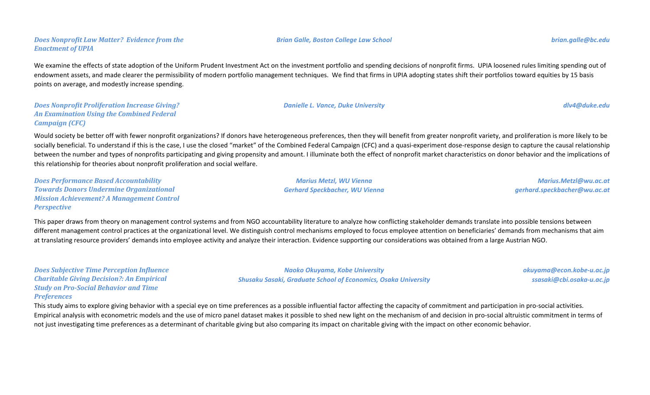# We examine the effects of state adoption of the Uniform Prudent Investment Act on the investment portfolio and spending decisions of nonprofit firms. UPIA loosened rules limiting spending out of endowment assets, and made clearer the permissibility of modern portfolio management techniques. We find that firms in UPIA adopting states shift their portfolios toward equities by 15 basis points on average, and modestly increase spending.

#### *Does Nonprofit Proliferation Increase Giving? An Examination Using the Combined Federal Campaign (CFC)*

*Does Nonprofit Law Matter? Evidence from the* 

*Enactment of UPIA*

Would society be better off with fewer nonprofit organizations? If donors have heterogeneous preferences, then they will benefit from greater nonprofit variety, and proliferation is more likely to be socially beneficial. To understand if this is the case, I use the closed "market" of the Combined Federal Campaign (CFC) and a quasi-experiment dose-response design to capture the causal relationship between the number and types of nonprofits participating and giving propensity and amount. I illuminate both the effect of nonprofit market characteristics on donor behavior and the implications of this relationship for theories about nonprofit proliferation and social welfare.

*Does Performance Based Accountability Towards Donors Undermine Organizational Mission Achievement? A Management Control Perspective*

This paper draws from theory on management control systems and from NGO accountability literature to analyze how conflicting stakeholder demands translate into possible tensions between different management control practices at the organizational level. We distinguish control mechanisms employed to focus employee attention on beneficiaries' demands from mechanisms that aim at translating resource providers' demands into employee activity and analyze their interaction. Evidence supporting our considerations was obtained from a large Austrian NGO.

*Does Subjective Time Perception Influence Charitable Giving Decision?: An Empirical Study on Pro-Social Behavior and Time Preferences*

This study aims to explore giving behavior with a special eye on time preferences as a possible influential factor affecting the capacity of commitment and participation in pro-social activities. Empirical analysis with econometric models and the use of micro panel dataset makes it possible to shed new light on the mechanism of and decision in pro-social altruistic commitment in terms of not just investigating time preferences as a determinant of charitable giving but also comparing its impact on charitable giving with the impact on other economic behavior.

*Marius Metzl, WU Vienna Gerhard Speckbacher, WU Vienna*

*Naoko Okuyama, Kobe University Shusaku Sasaki, Graduate School of Economics, Osaka University*

*Marius.Metzl@wu.ac.at gerhard.speckbacher@wu.ac.at*

> *okuyama@econ.kobe-u.ac.jp ssasaki@cbi.osaka-u.ac.jp*

*Danielle L. Vance, Duke University dlv4@duke.edu*

*Brian Galle, Boston College Law School brian.galle@bc.edu*

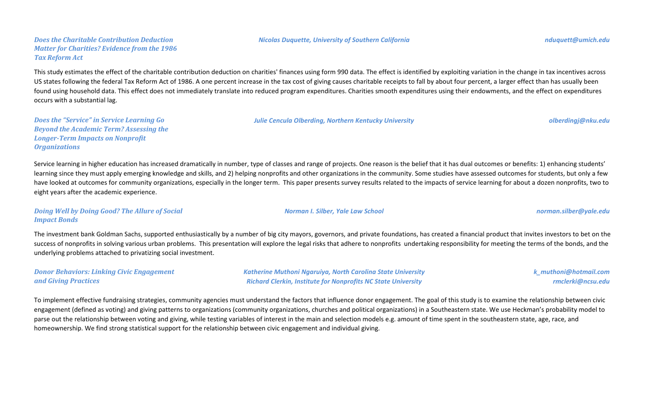*Does the Charitable Contribution Deduction Matter for Charities? Evidence from the 1986 Tax Reform Act*

This study estimates the effect of the charitable contribution deduction on charities' finances using form 990 data. The effect is identified by exploiting variation in the change in tax incentives across US states following the federal Tax Reform Act of 1986. A one percent increase in the tax cost of giving causes charitable receipts to fall by about four percent, a larger effect than has usually been found using household data. This effect does not immediately translate into reduced program expenditures. Charities smooth expenditures using their endowments, and the effect on expenditures occurs with a substantial lag.

*Does the "Service" in Service Learning Go Beyond the Academic Term? Assessing the Longer-Term Impacts on Nonprofit Organizations*

Service learning in higher education has increased dramatically in number, type of classes and range of projects. One reason is the belief that it has dual outcomes or benefits: 1) enhancing students' learning since they must apply emerging knowledge and skills, and 2) helping nonprofits and other organizations in the community. Some studies have assessed outcomes for students, but only a few have looked at outcomes for community organizations, especially in the longer term. This paper presents survey results related to the impacts of service learning for about a dozen nonprofits, two to eight years after the academic experience.

*Doing Well by Doing Good? The Allure of Social Impact Bonds*

The investment bank Goldman Sachs, supported enthusiastically by a number of big city mayors, governors, and private foundations, has created a financial product that invites investors to bet on the success of nonprofits in solving various urban problems. This presentation will explore the legal risks that adhere to nonprofits undertaking responsibility for meeting the terms of the bonds, and the underlying problems attached to privatizing social investment.

| <b>Donor Behaviors: Linking Civic Engagement</b> | <b>Katherine Muthoni Ngaruiya, North Carolina State University</b>   | k_muthoni@hotmail.com |
|--------------------------------------------------|----------------------------------------------------------------------|-----------------------|
| and Giving Practices                             | <b>Richard Clerkin, Institute for Nonprofits NC State University</b> | rmclerki@ncsu.edu     |

To implement effective fundraising strategies, community agencies must understand the factors that influence donor engagement. The goal of this study is to examine the relationship between civic engagement (defined as voting) and giving patterns to organizations (community organizations, churches and political organizations) in a Southeastern state. We use Heckman's probability model to parse out the relationship between voting and giving, while testing variables of interest in the main and selection models e.g. amount of time spent in the southeastern state, age, race, and homeownership. We find strong statistical support for the relationship between civic engagement and individual giving.

*Nicolas Duquette, University of Southern California nduquett@umich.edu*

*Julie Cencula Olberding, Northern Kentucky University olberdingj@nku.edu*

*Norman I. Silber, Yale Law School norman.silber@yale.edu*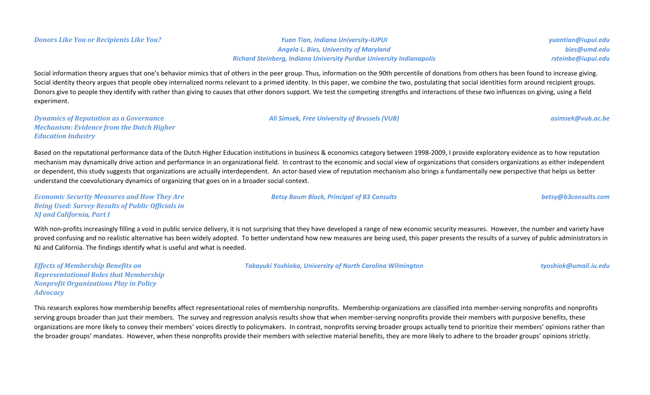*Angela L. Bies, University of Maryland Richard Steinberg, Indiana University Purdue University Indianapolis*

*Ali Simsek, Free University of Brussels (VUB) asimsek@vub.ac.be*

*Betsy Baum Block, Principal of B3 Consults betsy@b3consults.com*

*yuantian@iupui.edu bies@umd.edu rsteinbe@iupui.edu*

Social information theory argues that one's behavior mimics that of others in the peer group. Thus, information on the 90th percentile of donations from others has been found to increase giving. Social identity theory argues that people obey internalized norms relevant to a primed identity. In this paper, we combine the two, postulating that social identities form around recipient groups. Donors give to people they identify with rather than giving to causes that other donors support. We test the competing strengths and interactions of these two influences on giving, using a field experiment.

*Dynamics of Reputation as a Governance Mechanism: Evidence from the Dutch Higher Education Industry*

Based on the reputational performance data of the Dutch Higher Education institutions in business & economics category between 1998-2009, I provide exploratory evidence as to how reputation mechanism may dynamically drive action and performance in an organizational field. In contrast to the economic and social view of organizations that considers organizations as either independent or dependent, this study suggests that organizations are actually interdependent. An actor-based view of reputation mechanism also brings a fundamentally new perspective that helps us better understand the coevolutionary dynamics of organizing that goes on in a broader social context.

*Economic Security Measures and How They Are Being Used: Survey Results of Public Officials in NJ and California, Part I*

With non-profits increasingly filling a void in public service delivery, it is not surprising that they have developed a range of new economic security measures. However, the number and variety have proved confusing and no realistic alternative has been widely adopted. To better understand how new measures are being used, this paper presents the results of a survey of public administrators in NJ and California. The findings identify what is useful and what is needed.

*Effects of Membership Benefits on Representational Roles that Membership Nonprofit Organizations Play in Policy Advocacy*

*Takayuki Yoshioka, University of North Carolina Wilmington tyoshiok@umail.iu.edu*

This research explores how membership benefits affect representational roles of membership nonprofits. Membership organizations are classified into member-serving nonprofits and nonprofits serving groups broader than just their members. The survey and regression analysis results show that when member-serving nonprofits provide their members with purposive benefits, these organizations are more likely to convey their members' voices directly to policymakers. In contrast, nonprofits serving broader groups actually tend to prioritize their members' opinions rather than the broader groups' mandates. However, when these nonprofits provide their members with selective material benefits, they are more likely to adhere to the broader groups' opinions strictly.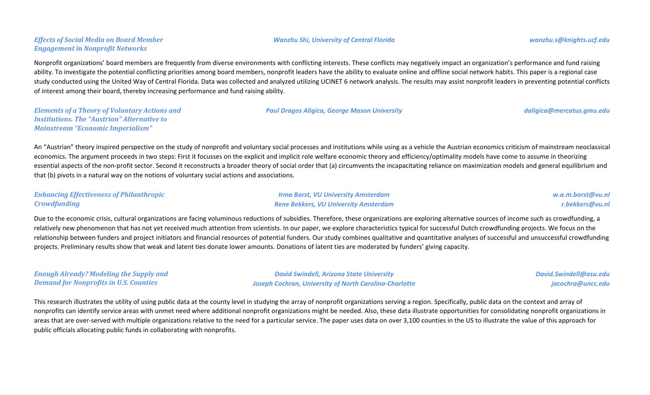## *Effects of Social Media on Board Member Engagement in Nonprofit Networks*

#### *Wanzhu Shi, University of Central Florida wanzhu.s@knights.ucf.edu*

Nonprofit organizations' board members are frequently from diverse environments with conflicting interests. These conflicts may negatively impact an organization's performance and fund raising ability. To investigate the potential conflicting priorities among board members, nonprofit leaders have the ability to evaluate online and offline social network habits. This paper is a regional case study conducted using the United Way of Central Florida. Data was collected and analyzed utilizing UCINET 6 network analysis. The results may assist nonprofit leaders in preventing potential conflicts of interest among their board, thereby increasing performance and fund raising ability.

*Elements of a Theory of Voluntary Actions and Institutions. The "Austrian" Alternative to Mainstream "Economic Imperialism"*

*Paul Dragos Aligica, George Mason University daligica@mercatus.gmu.edu*

An "Austrian" theory inspired perspective on the study of nonprofit and voluntary social processes and institutions while using as a vehicle the Austrian economics criticism of mainstream neoclassical economics. The argument proceeds in two steps: First it focusses on the explicit and implicit role welfare economic theory and efficiency/optimality models have come to assume in theorizing essential aspects of the non-profit sector. Second it reconstructs a broader theory of social order that (a) circumvents the incapacitating reliance on maximization models and general equilibrium and that (b) pivots in a natural way on the notions of voluntary social actions and associations.

## *Enhancing Effectiveness of Philanthropic Crowdfunding*

*Irma Borst, VU University Amsterdam Rene Bekkers, VU University Amsterdam* *w.a.m.borst@vu.nl r.bekkers@vu.nl*

Due to the economic crisis, cultural organizations are facing voluminous reductions of subsidies. Therefore, these organizations are exploring alternative sources of income such as crowdfunding, a relatively new phenomenon that has not yet received much attention from scientists. In our paper, we explore characteristics typical for successful Dutch crowdfunding projects. We focus on the relationship between funders and project initiators and financial resources of potential funders. Our study combines qualitative and quantitative analyses of successful and unsuccessful crowdfunding projects. Preliminary results show that weak and latent ties donate lower amounts. Donations of latent ties are moderated by funders' giving capacity.

| <b>Enough Already? Modeling the Supply and</b> | <b>David Swindell, Arizona State University</b>               | David.Swindell@asu.edu |
|------------------------------------------------|---------------------------------------------------------------|------------------------|
| <b>Demand for Nonprofits in U.S. Counties</b>  | <b>Joseph Cochran, University of North Carolina-Charlotte</b> | jacochra@uncc.edu      |

This research illustrates the utility of using public data at the county level in studying the array of nonprofit organizations serving a region. Specifically, public data on the context and array of nonprofits can identify service areas with unmet need where additional nonprofit organizations might be needed. Also, these data illustrate opportunities for consolidating nonprofit organizations in areas that are over-served with multiple organizations relative to the need for a particular service. The paper uses data on over 3,100 counties in the US to illustrate the value of this approach for public officials allocating public funds in collaborating with nonprofits.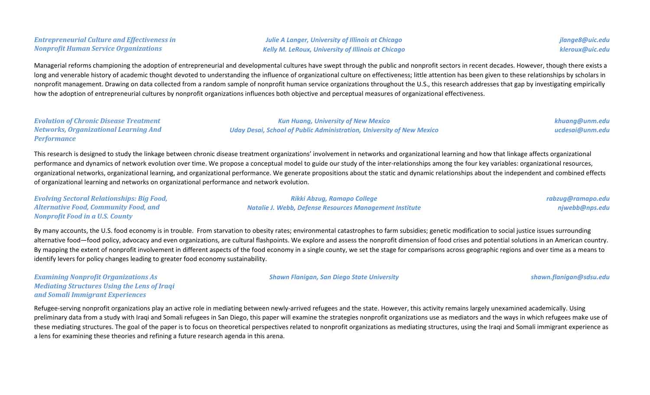## *Entrepreneurial Culture and Effectiveness in Nonprofit Human Service Organizations*

*Julie A Langer, University of Illinois at Chicago Kelly M. LeRoux, University of Illinois at Chicago*

Managerial reforms championing the adoption of entrepreneurial and developmental cultures have swept through the public and nonprofit sectors in recent decades. However, though there exists a long and venerable history of academic thought devoted to understanding the influence of organizational culture on effectiveness; little attention has been given to these relationships by scholars in nonprofit management. Drawing on data collected from a random sample of nonprofit human service organizations throughout the U.S., this research addresses that gap by investigating empirically how the adoption of entrepreneurial cultures by nonprofit organizations influences both objective and perceptual measures of organizational effectiveness.

| <b>Evolution of Chronic Disease Treatment</b> | <b>Kun Huang, University of New Mexico</b>                                   | khuang@unm.edu  |
|-----------------------------------------------|------------------------------------------------------------------------------|-----------------|
| <b>Networks, Organizational Learning And</b>  | <b>Uday Desai, School of Public Administration, University of New Mexico</b> | ucdesai@unm.edu |
| <b>Performance</b>                            |                                                                              |                 |

This research is designed to study the linkage between chronic disease treatment organizations' involvement in networks and organizational learning and how that linkage affects organizational performance and dynamics of network evolution over time. We propose a conceptual model to guide our study of the inter-relationships among the four key variables: organizational resources, organizational networks, organizational learning, and organizational performance. We generate propositions about the static and dynamic relationships about the independent and combined effects of organizational learning and networks on organizational performance and network evolution.

*Evolving Sectoral Relationships: Big Food, Alternative Food, Community Food, and Nonprofit Food in a U.S. County Rikki Abzug, Ramapo College Natalie J. Webb, Defense Resources Management Institute rabzug@ramapo.edu njwebb@nps.edu*

By many accounts, the U.S. food economy is in trouble. From starvation to obesity rates; environmental catastrophes to farm subsidies; genetic modification to social justice issues surrounding alternative food—food policy, advocacy and even organizations, are cultural flashpoints. We explore and assess the nonprofit dimension of food crises and potential solutions in an American country. By mapping the extent of nonprofit involvement in different aspects of the food economy in a single county, we set the stage for comparisons across geographic regions and over time as a means to identify levers for policy changes leading to greater food economy sustainability.

*Examining Nonprofit Organizations As Mediating Structures Using the Lens of Iraqi and Somali Immigrant Experiences*

Refugee-serving nonprofit organizations play an active role in mediating between newly-arrived refugees and the state. However, this activity remains largely unexamined academically. Using preliminary data from a study with Iraqi and Somali refugees in San Diego, this paper will examine the strategies nonprofit organizations use as mediators and the ways in which refugees make use of these mediating structures. The goal of the paper is to focus on theoretical perspectives related to nonprofit organizations as mediating structures, using the Iraqi and Somali immigrant experience as a lens for examining these theories and refining a future research agenda in this arena.

*Shawn Flanigan, San Diego State University shawn.flanigan@sdsu.edu*

*jlange8@uic.edu kleroux@uic.edu*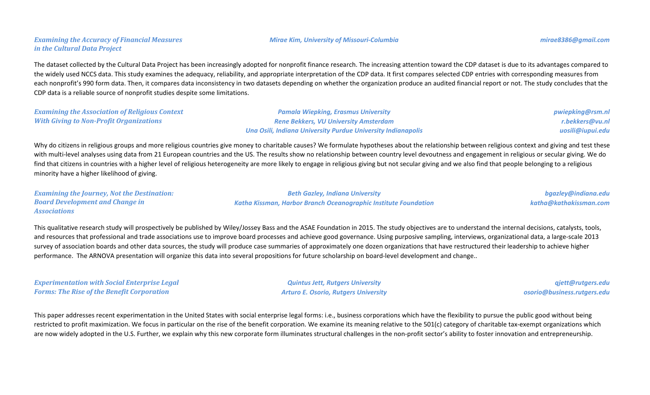## *Examining the Accuracy of Financial Measures in the Cultural Data Project*

## The dataset collected by the Cultural Data Project has been increasingly adopted for nonprofit finance research. The increasing attention toward the CDP dataset is due to its advantages compared to the widely used NCCS data. This study examines the adequacy, reliability, and appropriate interpretation of the CDP data. It first compares selected CDP entries with corresponding measures from each nonprofit's 990 form data. Then, it compares data inconsistency in two datasets depending on whether the organization produce an audited financial report or not. The study concludes that the CDP data is a reliable source of nonprofit studies despite some limitations.

| <b>Examining the Association of Religious Context</b> | <b>Pamala Wiepking, Erasmus University</b>                   | pwiepking@rsm.nl |
|-------------------------------------------------------|--------------------------------------------------------------|------------------|
| <b>With Giving to Non-Profit Organizations</b>        | <b>Rene Bekkers, VU University Amsterdam</b>                 | r.bekkers@vu.nl  |
|                                                       | Una Osili, Indiana University Purdue University Indianapolis | uosili@iupui.edu |

Why do citizens in religious groups and more religious countries give money to charitable causes? We formulate hypotheses about the relationship between religious context and giving and test these with multi-level analyses using data from 21 European countries and the US. The results show no relationship between country level devoutness and engagement in religious or secular giving. We do find that citizens in countries with a higher level of religious heterogeneity are more likely to engage in religious giving but not secular giving and we also find that people belonging to a religious minority have a higher likelihood of giving.

*Examining the Journey, Not the Destination: Board Development and Change in Associations Beth Gazley, Indiana University Katha Kissman, Harbor Branch Oceanographic Institute Foundation bgazley@indiana.edu katha@kathakissman.com*

This qualitative research study will prospectively be published by Wiley/Jossey Bass and the ASAE Foundation in 2015. The study objectives are to understand the internal decisions, catalysts, tools, and resources that professional and trade associations use to improve board processes and achieve good governance. Using purposive sampling, interviews, organizational data, a large-scale 2013 survey of association boards and other data sources, the study will produce case summaries of approximately one dozen organizations that have restructured their leadership to achieve higher performance. The ARNOVA presentation will organize this data into several propositions for future scholarship on board-level development and change..

| <b>Experimentation with Social Enterprise Legal</b> |
|-----------------------------------------------------|
| <b>Forms: The Rise of the Benefit Corporation</b>   |

*Quintus Jett, Rutgers University Arturo E. Osorio, Rutgers University*

*qjett@rutgers.edu osorio@business.rutgers.edu*

This paper addresses recent experimentation in the United States with social enterprise legal forms: i.e., business corporations which have the flexibility to pursue the public good without being restricted to profit maximization. We focus in particular on the rise of the benefit corporation. We examine its meaning relative to the 501(c) category of charitable tax-exempt organizations which are now widely adopted in the U.S. Further, we explain why this new corporate form illuminates structural challenges in the non-profit sector's ability to foster innovation and entrepreneurship.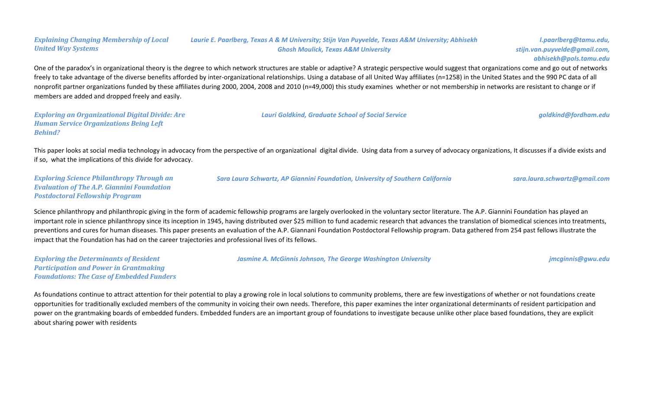#### *Explaining Changing Membership of Local United Way Systems Laurie E. Paarlberg, Texas A & M University; Stijn Van Puyvelde, Texas A&M University; Abhisekh Ghosh Moulick, Texas A&M University*

*l.paarlberg@tamu.edu, stijn.van.puyvelde@gmail.com, abhisekh@pols.tamu.edu*

One of the paradox's in organizational theory is the degree to which network structures are stable or adaptive? A strategic perspective would suggest that organizations come and go out of networks freely to take advantage of the diverse benefits afforded by inter-organizational relationships. Using a database of all United Way affiliates (n=1258) in the United States and the 990 PC data of all nonprofit partner organizations funded by these affiliates during 2000, 2004, 2008 and 2010 (n=49,000) this study examines whether or not membership in networks are resistant to change or if members are added and dropped freely and easily.

*Exploring an Organizational Digital Divide: Are Human Service Organizations Being Left Behind?*

*Lauri Goldkind, Graduate School of Social Service goldkind@fordham.edu*

This paper looks at social media technology in advocacy from the perspective of an organizational digital divide. Using data from a survey of advocacy organizations, It discusses if a divide exists and if so, what the implications of this divide for advocacy.

*Exploring Science Philanthropy Through an Evaluation of The A.P. Giannini Foundation Postdoctoral Fellowship Program*

*Sara Laura Schwartz, AP Giannini Foundation, University of Southern California sara.laura.schwartz@gmail.com*

Science philanthropy and philanthropic giving in the form of academic fellowship programs are largely overlooked in the voluntary sector literature. The A.P. Giannini Foundation has played an important role in science philanthropy since its inception in 1945, having distributed over \$25 million to fund academic research that advances the translation of biomedical sciences into treatments, preventions and cures for human diseases. This paper presents an evaluation of the A.P. Giannani Foundation Postdoctoral Fellowship program. Data gathered from 254 past fellows illustrate the impact that the Foundation has had on the career trajectories and professional lives of its fellows.

*Exploring the Determinants of Resident Participation and Power in Grantmaking Foundations: The Case of Embedded Funders* *Jasmine A. McGinnis Johnson, The George Washington University jmcginnis@gwu.edu*

As foundations continue to attract attention for their potential to play a growing role in local solutions to community problems, there are few investigations of whether or not foundations create opportunities for traditionally excluded members of the community in voicing their own needs. Therefore, this paper examines the inter organizational determinants of resident participation and power on the grantmaking boards of embedded funders. Embedded funders are an important group of foundations to investigate because unlike other place based foundations, they are explicit about sharing power with residents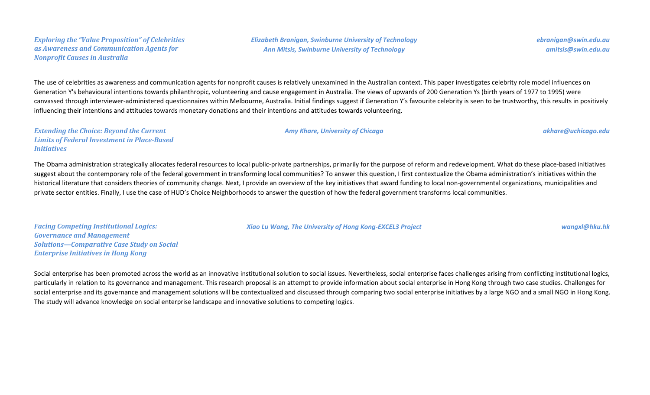#### *Exploring the "Value Proposition" of Celebrities as Awareness and Communication Agents for Nonprofit Causes in Australia*

*Elizabeth Branigan, Swinburne University of Technology Ann Mitsis, Swinburne University of Technology*

*ebranigan@swin.edu.au amitsis@swin.edu.au*

The use of celebrities as awareness and communication agents for nonprofit causes is relatively unexamined in the Australian context. This paper investigates celebrity role model influences on Generation Y's behavioural intentions towards philanthropic, volunteering and cause engagement in Australia. The views of upwards of 200 Generation Ys (birth years of 1977 to 1995) were canvassed through interviewer-administered questionnaires within Melbourne, Australia. Initial findings suggest if Generation Y's favourite celebrity is seen to be trustworthy, this results in positively influencing their intentions and attitudes towards monetary donations and their intentions and attitudes towards volunteering.

*Extending the Choice: Beyond the Current Limits of Federal Investment in Place-Based Initiatives*

The Obama administration strategically allocates federal resources to local public-private partnerships, primarily for the purpose of reform and redevelopment. What do these place-based initiatives suggest about the contemporary role of the federal government in transforming local communities? To answer this question, I first contextualize the Obama administration's initiatives within the historical literature that considers theories of community change. Next, I provide an overview of the key initiatives that award funding to local non-governmental organizations, municipalities and private sector entities. Finally, I use the case of HUD's Choice Neighborhoods to answer the question of how the federal government transforms local communities.

*Facing Competing Institutional Logics: Governance and Management Solutions—Comparative Case Study on Social Enterprise Initiatives in Hong Kong*

*Xiao Lu Wang, The University of Hong Kong-EXCEL3 Project wangxl@hku.hk*

Social enterprise has been promoted across the world as an innovative institutional solution to social issues. Nevertheless, social enterprise faces challenges arising from conflicting institutional logics, particularly in relation to its governance and management. This research proposal is an attempt to provide information about social enterprise in Hong Kong through two case studies. Challenges for social enterprise and its governance and management solutions will be contextualized and discussed through comparing two social enterprise initiatives by a large NGO and a small NGO in Hong Kong. The study will advance knowledge on social enterprise landscape and innovative solutions to competing logics.

*Amy Khare, University of Chicago akhare@uchicago.edu*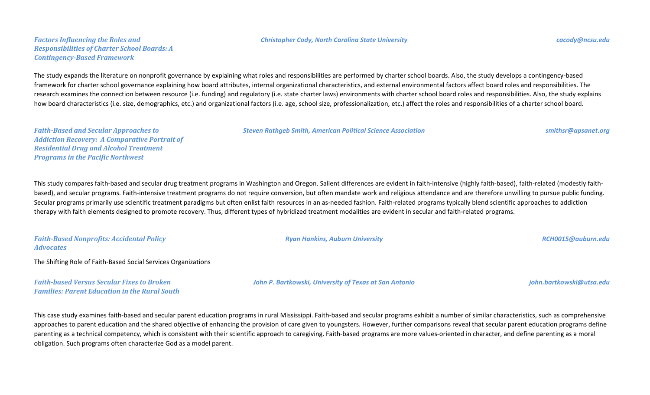#### *Christopher Cody, North Carolina State University cacody@ncsu.edu*

#### *Factors Influencing the Roles and Responsibilities of Charter School Boards: A Contingency-Based Framework*

The study expands the literature on nonprofit governance by explaining what roles and responsibilities are performed by charter school boards. Also, the study develops a contingency-based framework for charter school governance explaining how board attributes, internal organizational characteristics, and external environmental factors affect board roles and responsibilities. The research examines the connection between resource (i.e. funding) and regulatory (i.e. state charter laws) environments with charter school board roles and responsibilities. Also, the study explains how board characteristics (i.e. size, demographics, etc.) and organizational factors (i.e. age, school size, professionalization, etc.) affect the roles and responsibilities of a charter school board.

*Steven Rathgeb Smith, American Political Science Association smithsr@apsanet.org*

*Faith-Based and Secular Approaches to Addiction Recovery: A Comparative Portrait of Residential Drug and Alcohol Treatment Programs in the Pacific Northwest*

This study compares faith-based and secular drug treatment programs in Washington and Oregon. Salient differences are evident in faith-intensive (highly faith-based), faith-related (modestly faithbased), and secular programs. Faith-intensive treatment programs do not require conversion, but often mandate work and religious attendance and are therefore unwilling to pursue public funding. Secular programs primarily use scientific treatment paradigms but often enlist faith resources in an as-needed fashion. Faith-related programs typically blend scientific approaches to addiction therapy with faith elements designed to promote recovery. Thus, different types of hybridized treatment modalities are evident in secular and faith-related programs.

| <b>Faith-Based Nonprofits: Accidental Policy</b><br><b>Advocates</b>                                      | <b>Ryan Hankins, Auburn University</b>                 | RCH0015@auburn.edu       |
|-----------------------------------------------------------------------------------------------------------|--------------------------------------------------------|--------------------------|
| The Shifting Role of Faith-Based Social Services Organizations                                            |                                                        |                          |
| <b>Faith-based Versus Secular Fixes to Broken</b><br><b>Families: Parent Education in the Rural South</b> | John P. Bartkowski, University of Texas at San Antonio | john.bartkowski@utsa.edu |

This case study examines faith-based and secular parent education programs in rural Mississippi. Faith-based and secular programs exhibit a number of similar characteristics, such as comprehensive approaches to parent education and the shared objective of enhancing the provision of care given to youngsters. However, further comparisons reveal that secular parent education programs define parenting as a technical competency, which is consistent with their scientific approach to caregiving. Faith-based programs are more values-oriented in character, and define parenting as a moral obligation. Such programs often characterize God as a model parent.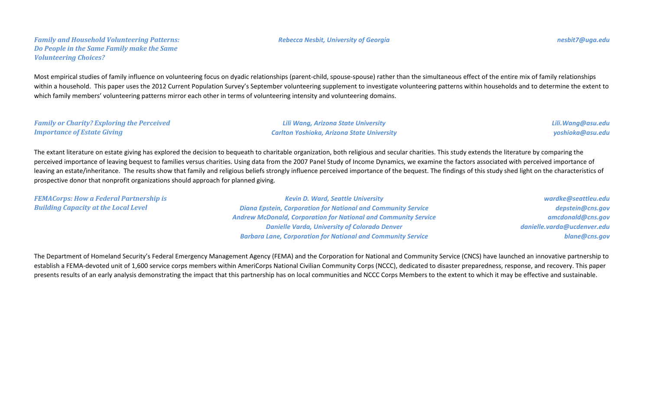#### *Family and Household Volunteering Patterns: Do People in the Same Family make the Same Volunteering Choices?*

Most empirical studies of family influence on volunteering focus on dyadic relationships (parent-child, spouse-spouse) rather than the simultaneous effect of the entire mix of family relationships within a household. This paper uses the 2012 Current Population Survey's September volunteering supplement to investigate volunteering patterns within households and to determine the extent to which family members' volunteering patterns mirror each other in terms of volunteering intensity and volunteering domains.

| <b>Family or Charity? Exploring the Perceived</b> | <b>Lili Wang, Arizona State University</b>        | Lili.Wang@asu.edu |
|---------------------------------------------------|---------------------------------------------------|-------------------|
| <b>Importance of Estate Giving</b>                | <b>Carlton Yoshioka, Arizona State University</b> | yoshioka@asu.edu  |

The extant literature on estate giving has explored the decision to bequeath to charitable organization, both religious and secular charities. This study extends the literature by comparing the perceived importance of leaving bequest to families versus charities. Using data from the 2007 Panel Study of Income Dynamics, we examine the factors associated with perceived importance of leaving an estate/inheritance. The results show that family and religious beliefs strongly influence perceived importance of the bequest. The findings of this study shed light on the characteristics of prospective donor that nonprofit organizations should approach for planned giving.

| <b>FEMACorps: How a Federal Partnership is</b> | <b>Kevin D. Ward, Seattle University</b>                               | wardke@seattleu.edu         |
|------------------------------------------------|------------------------------------------------------------------------|-----------------------------|
| <b>Building Capacity at the Local Level</b>    | <b>Diana Epstein, Corporation for National and Community Service</b>   | depstein@cns.gov            |
|                                                | <b>Andrew McDonald, Corporation for National and Community Service</b> | amcdonald@cns.gov           |
|                                                | <b>Danielle Varda, University of Colorado Denver</b>                   | danielle.varda@ucdenver.edu |
|                                                | <b>Barbara Lane, Corporation for National and Community Service</b>    | blane@cns.gov               |

The Department of Homeland Security's Federal Emergency Management Agency (FEMA) and the Corporation for National and Community Service (CNCS) have launched an innovative partnership to establish a FEMA-devoted unit of 1,600 service corps members within AmeriCorps National Civilian Community Corps (NCCC), dedicated to disaster preparedness, response, and recovery. This paper presents results of an early analysis demonstrating the impact that this partnership has on local communities and NCCC Corps Members to the extent to which it may be effective and sustainable.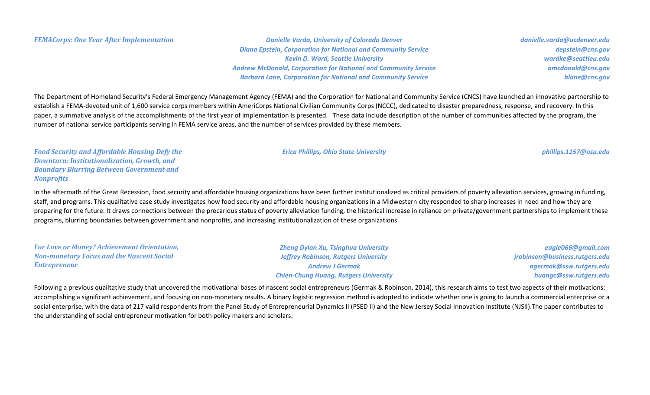*FEMACorps: One Year After Implementation Danielle Varda, University of Colorado Denver Diana Epstein, Corporation for National and Community Service Kevin D. Ward, Seattle University Andrew McDonald, Corporation for National and Community Service Barbara Lane, Corporation for National and Community Service*

*danielle.varda@ucdenver.edu depstein@cns.gov wardke@seattleu.edu amcdonald@cns.gov blane@cns.gov*

The Department of Homeland Security's Federal Emergency Management Agency (FEMA) and the Corporation for National and Community Service (CNCS) have launched an innovative partnership to establish a FEMA-devoted unit of 1,600 service corps members within AmeriCorps National Civilian Community Corps (NCCC), dedicated to disaster preparedness, response, and recovery. In this paper, a summative analysis of the accomplishments of the first year of implementation is presented. These data include description of the number of communities affected by the program, the number of national service participants serving in FEMA service areas, and the number of services provided by these members.

*Food Security and Affordable Housing Defy the Downturn: Institutionalization, Growth, and Boundary Blurring Between Government and Nonprofits*

In the aftermath of the Great Recession, food security and affordable housing organizations have been further institutionalized as critical providers of poverty alleviation services, growing in funding, staff, and programs. This qualitative case study investigates how food security and affordable housing organizations in a Midwestern city responded to sharp increases in need and how they are preparing for the future. It draws connections between the precarious status of poverty alleviation funding, the historical increase in reliance on private/government partnerships to implement these programs, blurring boundaries between government and nonprofits, and increasing institutionalization of these organizations.

*For Love or Money? Achievement Orientation, Non-monetary Focus and the Nascent Social Entrepreneur Zheng Dylan Xu, Tsinghua University Jeffrey Robinson, Rutgers University Andrew J Germak Chien-Chung Huang, Rutgers University eagle066@gmail.com jrobinson@business.rutgers.edu agermak@ssw.rutgers.edu huangc@ssw.rutgers.edu*

Following a previous qualitative study that uncovered the motivational bases of nascent social entrepreneurs (Germak & Robinson, 2014), this research aims to test two aspects of their motivations: accomplishing a significant achievement, and focusing on non-monetary results. A binary logistic regression method is adopted to indicate whether one is going to launch a commercial enterprise or a social enterprise, with the data of 217 valid respondents from the Panel Study of Entrepreneurial Dynamics II (PSED II) and the New Jersey Social Innovation Institute (NJSII).The paper contributes to the understanding of social entrepreneur motivation for both policy makers and scholars.

*Erica Phillips, Ohio State University phillips.1157@osu.edu*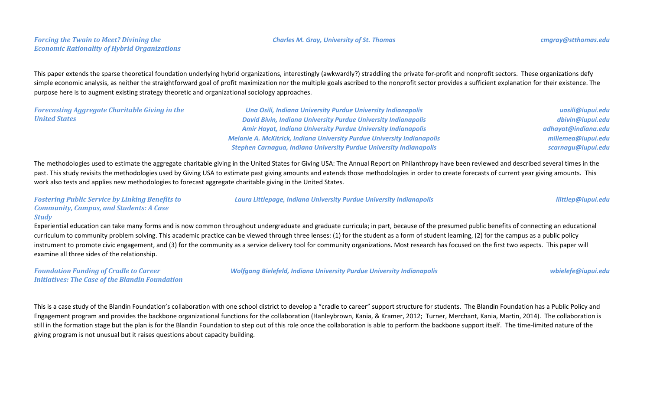#### *Forcing the Twain to Meet? Divining the Economic Rationality of Hybrid Organizations*

This paper extends the sparse theoretical foundation underlying hybrid organizations, interestingly (awkwardly?) straddling the private for-profit and nonprofit sectors. These organizations defy simple economic analysis, as neither the straightforward goal of profit maximization nor the multiple goals ascribed to the nonprofit sector provides a sufficient explanation for their existence. The purpose here is to augment existing strategy theoretic and organizational sociology approaches.

| <b>Forecasting Aggregate Charitable Giving in the</b> | Una Osili, Indiana University Purdue University Indianapolis                   | uosili@iupui.edu    |
|-------------------------------------------------------|--------------------------------------------------------------------------------|---------------------|
| <b>United States</b>                                  | <b>David Bivin, Indiana University Purdue University Indianapolis</b>          | dbivin@iupui.edu    |
|                                                       | <b>Amir Hayat, Indiana University Purdue University Indianapolis</b>           | adhayat@indiana.edu |
|                                                       | <b>Melanie A. McKitrick, Indiana University Purdue University Indianapolis</b> | millemea@iupui.edu  |
|                                                       | <b>Stephen Carnagua, Indiana University Purdue University Indianapolis</b>     | scarnagu@iupui.edu  |

The methodologies used to estimate the aggregate charitable giving in the United States for Giving USA: The Annual Report on Philanthropy have been reviewed and described several times in the past. This study revisits the methodologies used by Giving USA to estimate past giving amounts and extends those methodologies in order to create forecasts of current year giving amounts. This work also tests and applies new methodologies to forecast aggregate charitable giving in the United States.

*Fostering Public Service by Linking Benefits to Community, Campus, and Students: A Case Study*

Experiential education can take many forms and is now common throughout undergraduate and graduate curricula; in part, because of the presumed public benefits of connecting an educational curriculum to community problem solving. This academic practice can be viewed through three lenses: (1) for the student as a form of student learning, (2) for the campus as a public policy instrument to promote civic engagement, and (3) for the community as a service delivery tool for community organizations. Most research has focused on the first two aspects. This paper will examine all three sides of the relationship.

*Foundation Funding of Cradle to Career Initiatives: The Case of the Blandin Foundation* *Wolfgang Bielefeld, Indiana University Purdue University Indianapolis wbielefe@iupui.edu*

This is a case study of the Blandin Foundation's collaboration with one school district to develop a "cradle to career" support structure for students. The Blandin Foundation has a Public Policy and Engagement program and provides the backbone organizational functions for the collaboration (Hanleybrown, Kania, & Kramer, 2012; Turner, Merchant, Kania, Martin, 2014). The collaboration is still in the formation stage but the plan is for the Blandin Foundation to step out of this role once the collaboration is able to perform the backbone support itself. The time-limited nature of the giving program is not unusual but it raises questions about capacity building.

*Laura Littlepage, Indiana University Purdue University Indianapolis llittlep@iupui.edu*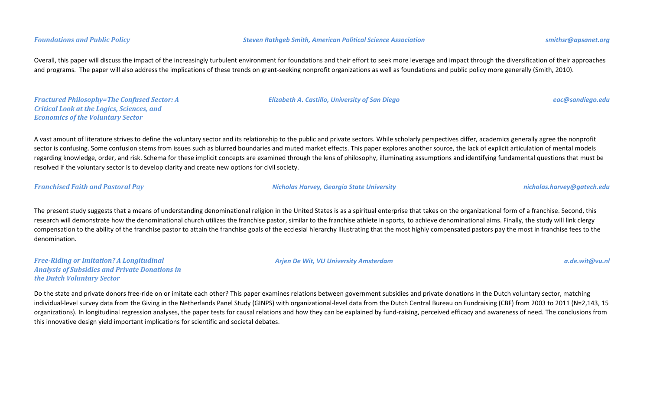Overall, this paper will discuss the impact of the increasingly turbulent environment for foundations and their effort to seek more leverage and impact through the diversification of their approaches and programs. The paper will also address the implications of these trends on grant-seeking nonprofit organizations as well as foundations and public policy more generally (Smith, 2010).

*Fractured Philosophy=The Confused Sector: A Critical Look at the Logics, Sciences, and Economics of the Voluntary Sector*

*Elizabeth A. Castillo, University of San Diego eac@sandiego.edu*

A vast amount of literature strives to define the voluntary sector and its relationship to the public and private sectors. While scholarly perspectives differ, academics generally agree the nonprofit sector is confusing. Some confusion stems from issues such as blurred boundaries and muted market effects. This paper explores another source, the lack of explicit articulation of mental models regarding knowledge, order, and risk. Schema for these implicit concepts are examined through the lens of philosophy, illuminating assumptions and identifying fundamental questions that must be resolved if the voluntary sector is to develop clarity and create new options for civil society.

*Franchised Faith and Pastoral Pay Nicholas Harvey, Georgia State University nicholas.harvey@gatech.edu*

The present study suggests that a means of understanding denominational religion in the United States is as a spiritual enterprise that takes on the organizational form of a franchise. Second, this research will demonstrate how the denominational church utilizes the franchise pastor, similar to the franchise athlete in sports, to achieve denominational aims. Finally, the study will link clergy compensation to the ability of the franchise pastor to attain the franchise goals of the ecclesial hierarchy illustrating that the most highly compensated pastors pay the most in franchise fees to the denomination.

*Free-Riding or Imitation? A Longitudinal Analysis of Subsidies and Private Donations in the Dutch Voluntary Sector*

*Arjen De Wit, VU University Amsterdam a.de.wit@vu.nl*

Do the state and private donors free-ride on or imitate each other? This paper examines relations between government subsidies and private donations in the Dutch voluntary sector, matching individual-level survey data from the Giving in the Netherlands Panel Study (GINPS) with organizational-level data from the Dutch Central Bureau on Fundraising (CBF) from 2003 to 2011 (N=2,143, 15 organizations). In longitudinal regression analyses, the paper tests for causal relations and how they can be explained by fund-raising, perceived efficacy and awareness of need. The conclusions from this innovative design yield important implications for scientific and societal debates.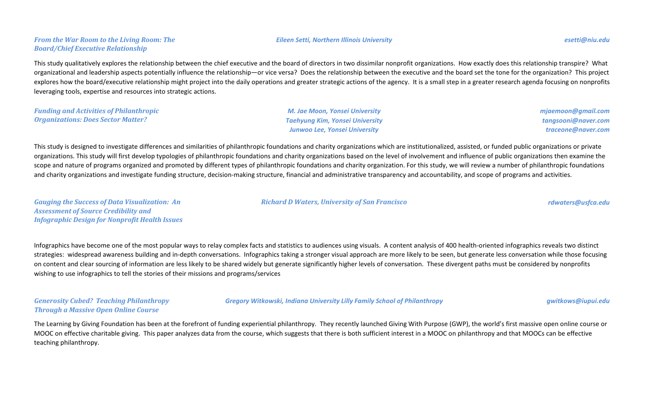This study qualitatively explores the relationship between the chief executive and the board of directors in two dissimilar nonprofit organizations. How exactly does this relationship transpire? What organizational and leadership aspects potentially influence the relationship—or vice versa? Does the relationship between the executive and the board set the tone for the organization? This project explores how the board/executive relationship might project into the daily operations and greater strategic actions of the agency. It is a small step in a greater research agenda focusing on nonprofits leveraging tools, expertise and resources into strategic actions.

| <b>Funding and Activities of Philanthropic</b> | M. Jae Moon, Yonsei University  | mjaemoon@gmail.com  |
|------------------------------------------------|---------------------------------|---------------------|
| <b>Organizations: Does Sector Matter?</b>      | Taehyung Kim, Yonsei University | tangsooni@naver.com |
|                                                | Junwoo Lee, Yonsei University   | traceone@naver.com  |

This study is designed to investigate differences and similarities of philanthropic foundations and charity organizations which are institutionalized, assisted, or funded public organizations or private organizations. This study will first develop typologies of philanthropic foundations and charity organizations based on the level of involvement and influence of public organizations then examine the scope and nature of programs organized and promoted by different types of philanthropic foundations and charity organization. For this study, we will review a number of philanthropic foundations and charity organizations and investigate funding structure, decision-making structure, financial and administrative transparency and accountability, and scope of programs and activities.

*Gauging the Success of Data Visualization: An Assessment of Source Credibility and Infographic Design for Nonprofit Health Issues*

*Board/Chief Executive Relationship*

Infographics have become one of the most popular ways to relay complex facts and statistics to audiences using visuals. A content analysis of 400 health-oriented infographics reveals two distinct strategies: widespread awareness building and in-depth conversations. Infographics taking a stronger visual approach are more likely to be seen, but generate less conversation while those focusing on content and clear sourcing of information are less likely to be shared widely but generate significantly higher levels of conversation. These divergent paths must be considered by nonprofits wishing to use infographics to tell the stories of their missions and programs/services

*Generosity Cubed? Teaching Philanthropy Through a Massive Open Online Course*

*Gregory Witkowski, Indiana University Lilly Family School of Philanthropy gwitkows@iupui.edu*

The Learning by Giving Foundation has been at the forefront of funding experiential philanthropy. They recently launched Giving With Purpose (GWP), the world's first massive open online course or MOOC on effective charitable giving. This paper analyzes data from the course, which suggests that there is both sufficient interest in a MOOC on philanthropy and that MOOCs can be effective teaching philanthropy.

*Eileen Setti, Northern Illinois University esetti@niu.edu*

*Richard D Waters, University of San Francisco rdwaters@usfca.edu*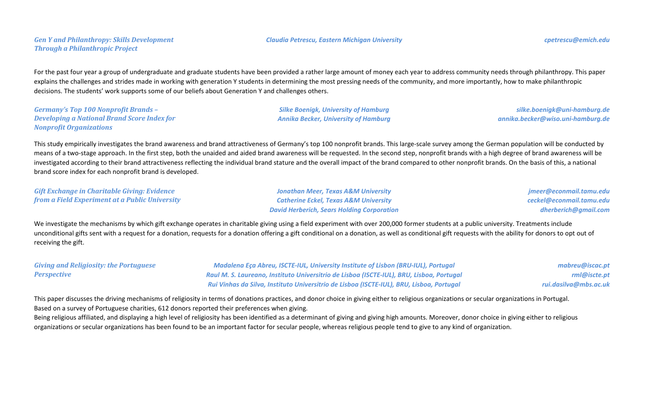*Gen Y and Philanthropy: Skills Development Through a Philanthropic Project*

For the past four year a group of undergraduate and graduate students have been provided a rather large amount of money each year to address community needs through philanthropy. This paper explains the challenges and strides made in working with generation Y students in determining the most pressing needs of the community, and more importantly, how to make philanthropic decisions. The students' work supports some of our beliefs about Generation Y and challenges others.

*Germany's Top 100 Nonprofit Brands – Developing a National Brand Score Index for Nonprofit Organizations*

*Silke Boenigk, University of Hamburg Annika Becker, University of Hamburg*

*silke.boenigk@uni-hamburg.de annika.becker@wiso.uni-hamburg.de*

This study empirically investigates the brand awareness and brand attractiveness of Germany's top 100 nonprofit brands. This large-scale survey among the German population will be conducted by means of a two-stage approach. In the first step, both the unaided and aided brand awareness will be requested. In the second step, nonprofit brands with a high degree of brand awareness will be investigated according to their brand attractiveness reflecting the individual brand stature and the overall impact of the brand compared to other nonprofit brands. On the basis of this, a national brand score index for each nonprofit brand is developed.

*Gift Exchange in Charitable Giving: Evidence from a Field Experiment at a Public University*

*Jonathan Meer, Texas A&M University Catherine Eckel, Texas A&M University David Herberich, Sears Holding Corporation*

*jmeer@econmail.tamu.edu ceckel@econmail.tamu.edu dherberich@gmail.com*

We investigate the mechanisms by which gift exchange operates in charitable giving using a field experiment with over 200,000 former students at a public university. Treatments include unconditional gifts sent with a request for a donation, requests for a donation offering a gift conditional on a donation, as well as conditional gift requests with the ability for donors to opt out of receiving the gift.

*Giving and Religiosity: the Portuguese Perspective Madalena Eça Abreu, ISCTE-IUL, University Institute of Lisbon (BRU-IUL), Portugal Raul M. S. Laureano, Instituto Universitrio de Lisboa (ISCTE-IUL), BRU, Lisboa, Portugal Rui Vinhas da Silva, Instituto Universitrio de Lisboa (ISCTE-IUL), BRU, Lisboa, Portugal mabreu@iscac.pt rml@iscte.pt rui.dasilva@mbs.ac.uk*

This paper discusses the driving mechanisms of religiosity in terms of donations practices, and donor choice in giving either to religious organizations or secular organizations in Portugal. Based on a survey of Portuguese charities, 612 donors reported their preferences when giving.

Being religious affiliated, and displaying a high level of religiosity has been identified as a determinant of giving and giving high amounts. Moreover, donor choice in giving either to religious organizations or secular organizations has been found to be an important factor for secular people, whereas religious people tend to give to any kind of organization.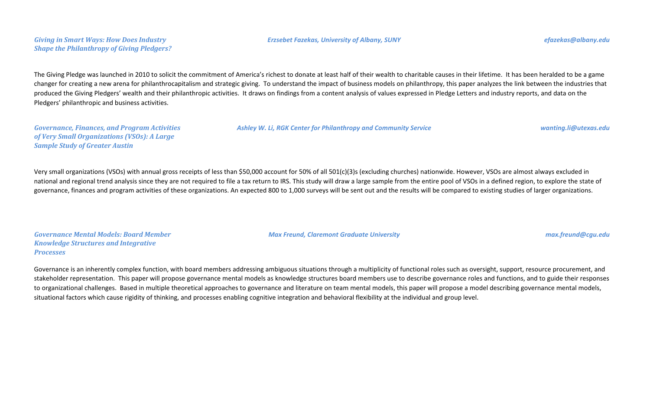### *Giving in Smart Ways: How Does Industry Shape the Philanthropy of Giving Pledgers?*

#### *Erzsebet Fazekas, University of Albany, SUNY efazekas@albany.edu*

The Giving Pledge was launched in 2010 to solicit the commitment of America's richest to donate at least half of their wealth to charitable causes in their lifetime. It has been heralded to be a game changer for creating a new arena for philanthrocapitalism and strategic giving. To understand the impact of business models on philanthropy, this paper analyzes the link between the industries that produced the Giving Pledgers' wealth and their philanthropic activities. It draws on findings from a content analysis of values expressed in Pledge Letters and industry reports, and data on the Pledgers' philanthropic and business activities.

*Governance, Finances, and Program Activities of Very Small Organizations (VSOs): A Large Sample Study of Greater Austin*

Very small organizations (VSOs) with annual gross receipts of less than \$50,000 account for 50% of all 501(c)(3)s (excluding churches) nationwide. However, VSOs are almost always excluded in national and regional trend analysis since they are not required to file a tax return to IRS. This study will draw a large sample from the entire pool of VSOs in a defined region, to explore the state of governance, finances and program activities of these organizations. An expected 800 to 1,000 surveys will be sent out and the results will be compared to existing studies of larger organizations.

*Governance Mental Models: Board Member Knowledge Structures and Integrative Processes*

Governance is an inherently complex function, with board members addressing ambiguous situations through a multiplicity of functional roles such as oversight, support, resource procurement, and stakeholder representation. This paper will propose governance mental models as knowledge structures board members use to describe governance roles and functions, and to guide their responses to organizational challenges. Based in multiple theoretical approaches to governance and literature on team mental models, this paper will propose a model describing governance mental models,

situational factors which cause rigidity of thinking, and processes enabling cognitive integration and behavioral flexibility at the individual and group level.

*Max Freund, Claremont Graduate University max.freund@cgu.edu*

*Ashley W. Li, RGK Center for Philanthropy and Community Service wanting.li@utexas.edu*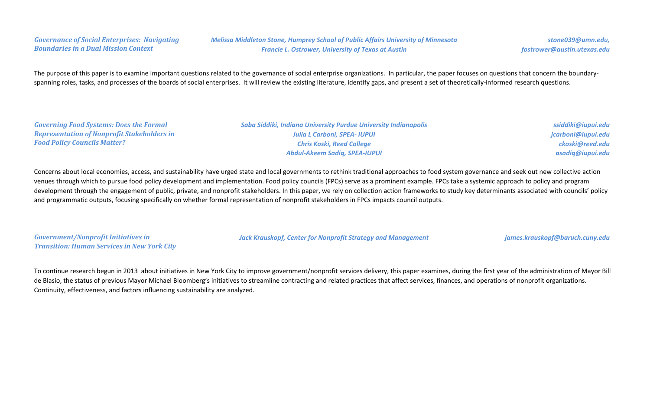### *Governance of Social Enterprises: Navigating Boundaries in a Dual Mission Context*

*Melissa Middleton Stone, Humprey School of Public Affairs University of Minnesota Francie L. Ostrower, University of Texas at Austin*

The purpose of this paper is to examine important questions related to the governance of social enterprise organizations. In particular, the paper focuses on questions that concern the boundaryspanning roles, tasks, and processes of the boards of social enterprises. It will review the existing literature, identify gaps, and present a set of theoretically-informed research questions.

| <b>Governing Food Systems: Does the Formal</b>     | Saba Siddiki, Indiana University Purdue University Indianapolis | ssiddiki@iupui.edu |
|----------------------------------------------------|-----------------------------------------------------------------|--------------------|
| <b>Representation of Nonprofit Stakeholders in</b> | <b>Julia L Carboni, SPEA- IUPUI</b>                             | jcarboni@iupui.edu |
| <b>Food Policy Councils Matter?</b>                | <b>Chris Koski, Reed College</b>                                | ckoski@reed.edu    |
|                                                    | <b>Abdul-Akeem Sadiq, SPEA-IUPUI</b>                            | asadiq@iupui.edu   |
|                                                    |                                                                 |                    |

Concerns about local economies, access, and sustainability have urged state and local governments to rethink traditional approaches to food system governance and seek out new collective action venues through which to pursue food policy development and implementation. Food policy councils (FPCs) serve as a prominent example. FPCs take a systemic approach to policy and program development through the engagement of public, private, and nonprofit stakeholders. In this paper, we rely on collection action frameworks to study key determinants associated with councils' policy and programmatic outputs, focusing specifically on whether formal representation of nonprofit stakeholders in FPCs impacts council outputs.

| <b>Government/Nonprofit Initiatives in</b>         |
|----------------------------------------------------|
| <b>Transition: Human Services in New York City</b> |

*Jack Krauskopf, Center for Nonprofit Strategy and Management james.krauskopf@baruch.cuny.edu*

To continue research begun in 2013 about initiatives in New York City to improve government/nonprofit services delivery, this paper examines, during the first year of the administration of Mayor Bill de Blasio, the status of previous Mayor Michael Bloomberg's initiatives to streamline contracting and related practices that affect services, finances, and operations of nonprofit organizations. Continuity, effectiveness, and factors influencing sustainability are analyzed.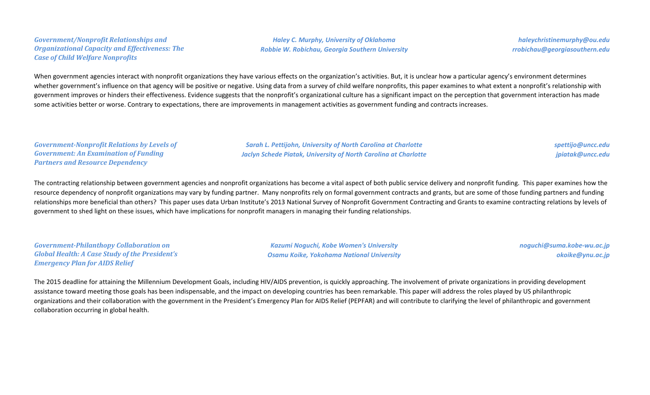#### *Government/Nonprofit Relationships and Organizational Capacity and Effectiveness: The Case of Child Welfare Nonprofits*

*Haley C. Murphy, University of Oklahoma Robbie W. Robichau, Georgia Southern University*

*haleychristinemurphy@ou.edu rrobichau@georgiasouthern.edu*

When government agencies interact with nonprofit organizations they have various effects on the organization's activities. But, it is unclear how a particular agency's environment determines whether government's influence on that agency will be positive or negative. Using data from a survey of child welfare nonprofits, this paper examines to what extent a nonprofit's relationship with government improves or hinders their effectiveness. Evidence suggests that the nonprofit's organizational culture has a significant impact on the perception that government interaction has made some activities better or worse. Contrary to expectations, there are improvements in management activities as government funding and contracts increases.

*Government-Nonprofit Relations by Levels of Government: An Examination of Funding Partners and Resource Dependency*

*Sarah L. Pettijohn, University of North Carolina at Charlotte Jaclyn Schede Piatak, University of North Carolina at Charlotte* *spettijo@uncc.edu jpiatak@uncc.edu*

The contracting relationship between government agencies and nonprofit organizations has become a vital aspect of both public service delivery and nonprofit funding. This paper examines how the resource dependency of nonprofit organizations may vary by funding partner. Many nonprofits rely on formal government contracts and grants, but are some of those funding partners and funding relationships more beneficial than others? This paper uses data Urban Institute's 2013 National Survey of Nonprofit Government Contracting and Grants to examine contracting relations by levels of government to shed light on these issues, which have implications for nonprofit managers in managing their funding relationships.

*Government-Philanthopy Collaboration on Global Health: A Case Study of the President's Emergency Plan for AIDS Relief*

*Kazumi Noguchi, Kobe Women's University Osamu Koike, Yokohama National University* *noguchi@suma.kobe-wu.ac.jp okoike@ynu.ac.jp*

The 2015 deadline for attaining the Millennium Development Goals, including HIV/AIDS prevention, is quickly approaching. The involvement of private organizations in providing development assistance toward meeting those goals has been indispensable, and the impact on developing countries has been remarkable. This paper will address the roles played by US philanthropic organizations and their collaboration with the government in the President's Emergency Plan for AIDS Relief (PEPFAR) and will contribute to clarifying the level of philanthropic and government collaboration occurring in global health.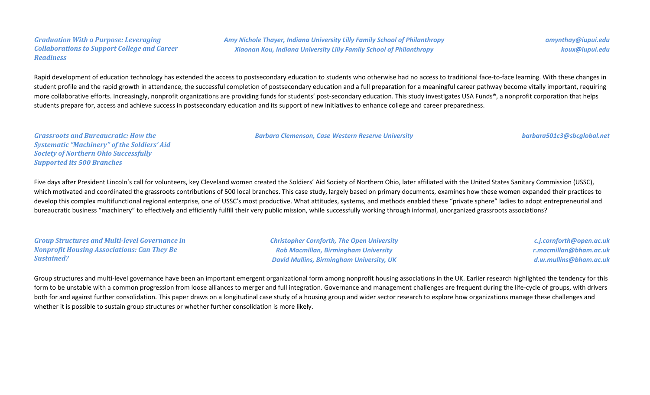#### *Graduation With a Purpose: Leveraging Collaborations to Support College and Career Readiness*

*Amy Nichole Thayer, Indiana University Lilly Family School of Philanthropy Xiaonan Kou, Indiana University Lilly Family School of Philanthropy*

*amynthay@iupui.edu koux@iupui.edu*

Rapid development of education technology has extended the access to postsecondary education to students who otherwise had no access to traditional face-to-face learning. With these changes in student profile and the rapid growth in attendance, the successful completion of postsecondary education and a full preparation for a meaningful career pathway become vitally important, requiring more collaborative efforts. Increasingly, nonprofit organizations are providing funds for students' post-secondary education. This study investigates USA Funds®, a nonprofit corporation that helps students prepare for, access and achieve success in postsecondary education and its support of new initiatives to enhance college and career preparedness.

*Barbara Clemenson, Case Western Reserve University barbara501c3@sbcglobal.net*

*Grassroots and Bureaucratic: How the Systematic "Machinery" of the Soldiers' Aid Society of Northern Ohio Successfully Supported its 500 Branches*

Five days after President Lincoln's call for volunteers, key Cleveland women created the Soldiers' Aid Society of Northern Ohio, later affiliated with the United States Sanitary Commission (USSC), which motivated and coordinated the grassroots contributions of 500 local branches. This case study, largely based on primary documents, examines how these women expanded their practices to develop this complex multifunctional regional enterprise, one of USSC's most productive. What attitudes, systems, and methods enabled these "private sphere" ladies to adopt entrepreneurial and bureaucratic business "machinery" to effectively and efficiently fulfill their very public mission, while successfully working through informal, unorganized grassroots associations?

*Group Structures and Multi-level Governance in Nonprofit Housing Associations: Can They Be Sustained?*

*Christopher Cornforth, The Open University Rob Macmillan, Birmingham University David Mullins, Birmingham University, UK*

*c.j.cornforth@open.ac.uk r.macmillan@bham.ac.uk d.w.mullins@bham.ac.uk*

Group structures and multi-level governance have been an important emergent organizational form among nonprofit housing associations in the UK. Earlier research highlighted the tendency for this form to be unstable with a common progression from loose alliances to merger and full integration. Governance and management challenges are frequent during the life-cycle of groups, with drivers both for and against further consolidation. This paper draws on a longitudinal case study of a housing group and wider sector research to explore how organizations manage these challenges and whether it is possible to sustain group structures or whether further consolidation is more likely.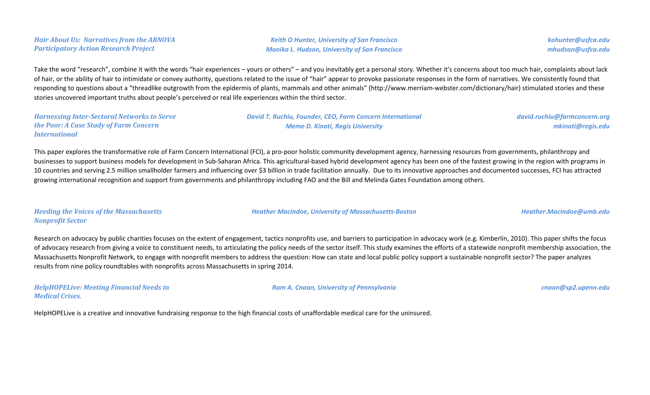*Hair About Us: Narratives from the ARNOVA Participatory Action Research Project*

*Keith O Hunter, University of San Francisco Monika L. Hudson, University of San Francisco* *kohunter@usfca.edu mhudson@usfca.edu*

Take the word "research", combine it with the words "hair experiences – yours or others" – and you inevitably get a personal story. Whether it's concerns about too much hair, complaints about lack of hair, or the ability of hair to intimidate or convey authority, questions related to the issue of "hair" appear to provoke passionate responses in the form of narratives. We consistently found that responding to questions about a "threadlike outgrowth from the epidermis of plants, mammals and other animals" (http://www.merriam-webster.com/dictionary/hair) stimulated stories and these stories uncovered important truths about people's perceived or real life experiences within the third sector.

*Harnessing Inter-Sectoral Networks to Serve the Poor: A Case Study of Farm Concern International*

*David T. Ruchiu, Founder, CEO, Farm Concern International Meme D. Kinoti, Regis University*

*david.ruchiu@farmconcern.org mkinoti@regis.edu*

This paper explores the transformative role of Farm Concern International (FCI), a pro-poor holistic community development agency, harnessing resources from governments, philanthropy and businesses to support business models for development in Sub-Saharan Africa. This agricultural-based hybrid development agency has been one of the fastest growing in the region with programs in 10 countries and serving 2.5 million smallholder farmers and influencing over \$3 billion in trade facilitation annually. Due to its innovative approaches and documented successes, FCI has attracted growing international recognition and support from governments and philanthropy including FAO and the Bill and Melinda Gates Foundation among others.

*Heeding the Voices of the Massachusetts Nonprofit Sector*

Research on advocacy by public charities focuses on the extent of engagement, tactics nonprofits use, and barriers to participation in advocacy work (e.g. Kimberlin, 2010). This paper shifts the focus of advocacy research from giving a voice to constituent needs, to articulating the policy needs of the sector itself. This study examines the efforts of a statewide nonprofit membership association, the Massachusetts Nonprofit Network, to engage with nonprofit members to address the question: How can state and local public policy support a sustainable nonprofit sector? The paper analyzes results from nine policy roundtables with nonprofits across Massachusetts in spring 2014.

*HelpHOPELive: Meeting Financial Needs in Medical Crises.*

*Ram A. Cnaan, University of Pennsylvania cnaan@sp2.upenn.edu*

*Heather MacIndoe, University of Massachusetts-Boston Heather.MacIndoe@umb.edu*

HelpHOPELive is a creative and innovative fundraising response to the high financial costs of unaffordable medical care for the uninsured.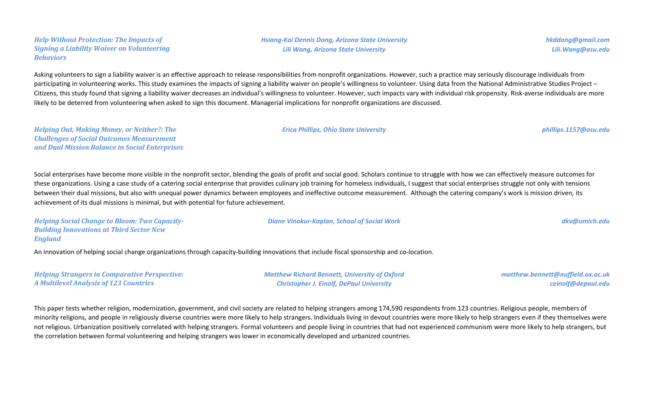*Help Without Protection: The Impacts of Signing a Liability Waiver on Volunteering Behaviors*

Asking volunteers to sign a liability waiver is an effective approach to release responsibilities from nonprofit organizations. However, such a practice may seriously discourage individuals from participating in volunteering works. This study examines the impacts of signing a liability waiver on people's willingness to volunteer. Using data from the National Administrative Studies Project – Citizens, this study found that signing a liability waiver decreases an individual's willingness to volunteer. However, such impacts vary with individual risk propensity. Risk-averse individuals are more likely to be deterred from volunteering when asked to sign this document. Managerial implications for nonprofit organizations are discussed.

*Helping Out, Making Money, or Neither?: The Challenges of Social Outcomes Measurement and Dual Mission Balance in Social Enterprises*

Social enterprises have become more visible in the nonprofit sector, blending the goals of profit and social good. Scholars continue to struggle with how we can effectively measure outcomes for these organizations. Using a case study of a catering social enterprise that provides culinary job training for homeless individuals, I suggest that social enterprises struggle not only with tensions between their dual missions, but also with unequal power dynamics between employees and ineffective outcome measurement. Although the catering company's work is mission driven, its achievement of its dual missions is minimal, but with potential for future achievement.

*Helping Social Change to Bloom: Two Capacity-Building Innovations at Third Sector New England*

An innovation of helping social change organizations through capacity-building innovations that include fiscal sponsorship and co-location.

*Helping Strangers in Comparative Perspective: A Multilevel Analysis of 123 Countries*

*Matthew Richard Bennett, University of Oxford Christopher J. Einolf, DePaul University*

*matthew.bennett@nuffield.ox.ac.uk ceinolf@depaul.edu*

This paper tests whether religion, modernization, government, and civil society are related to helping strangers among 174,590 respondents from 123 countries. Religious people, members of minority religions, and people in religiously diverse countries were more likely to help strangers. Individuals living in devout countries were more likely to help strangers even if they themselves were not religious. Urbanization positively correlated with helping strangers. Formal volunteers and people living in countries that had not experienced communism were more likely to help strangers, but the correlation between formal volunteering and helping strangers was lower in economically developed and urbanized countries.

*hkddong@gmail.com Lili.Wang@asu.edu*

*Erica Phillips, Ohio State University phillips.1157@osu.edu*

*Diane Vinokur-Kaplan, School of Social Work dkv@umich.edu*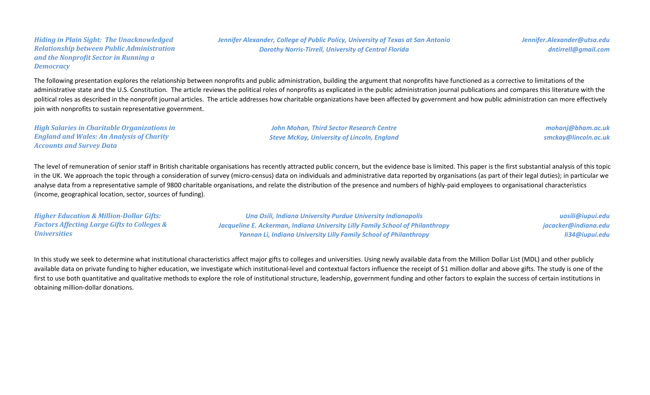#### *Hiding in Plain Sight: The Unacknowledged Relationship between Public Administration and the Nonprofit Sector in Running a Democracy*

*Jennifer Alexander, College of Public Policy, University of Texas at San Antonio Dorothy Norris-Tirrell, University of Central Florida*

*Jennifer.Alexander@utsa.edu dntirrell@gmail.com*

The following presentation explores the relationship between nonprofits and public administration, building the argument that nonprofits have functioned as a corrective to limitations of the administrative state and the U.S. Constitution. The article reviews the political roles of nonprofits as explicated in the public administration journal publications and compares this literature with the political roles as described in the nonprofit journal articles. The article addresses how charitable organizations have been affected by government and how public administration can more effectively join with nonprofits to sustain representative government.

*High Salaries in Charitable Organizations in England and Wales: An Analysis of Charity Accounts and Survey Data*

*John Mohan, Third Sector Research Centre Steve McKay, University of Lincoln, England*

*mohanj@bham.ac.uk smckay@lincoln.ac.uk*

The level of remuneration of senior staff in British charitable organisations has recently attracted public concern, but the evidence base is limited. This paper is the first substantial analysis of this topic in the UK. We approach the topic through a consideration of survey (micro-census) data on individuals and administrative data reported by organisations (as part of their legal duties); in particular we analyse data from a representative sample of 9800 charitable organisations, and relate the distribution of the presence and numbers of highly-paid employees to organisational characteristics (income, geographical location, sector, sources of funding).

*Higher Education & Million-Dollar Gifts: Factors Affecting Large Gifts to Colleges & Universities Una Osili, Indiana University Purdue University Indianapolis Jacqueline E. Ackerman, Indiana University Lilly Family School of Philanthropy Yannan Li, Indiana University Lilly Family School of Philanthropy uosili@iupui.edu jacacker@indiana.edu li34@iupui.edu*

In this study we seek to determine what institutional characteristics affect major gifts to colleges and universities. Using newly available data from the Million Dollar List (MDL) and other publicly available data on private funding to higher education, we investigate which institutional-level and contextual factors influence the receipt of \$1 million dollar and above gifts. The study is one of the first to use both quantitative and qualitative methods to explore the role of institutional structure, leadership, government funding and other factors to explain the success of certain institutions in obtaining million-dollar donations.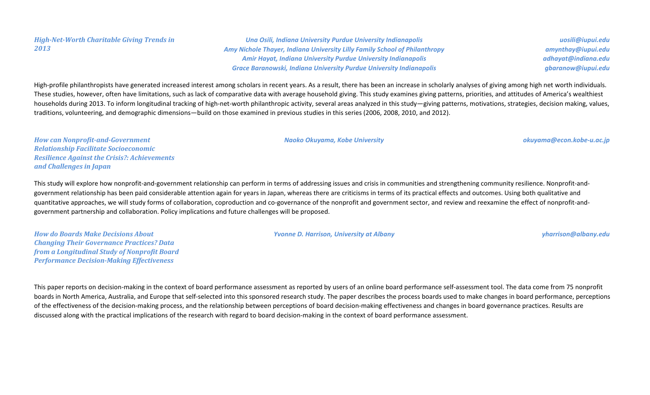### *High-Net-Worth Charitable Giving Trends in 2013*

*Una Osili, Indiana University Purdue University Indianapolis Amy Nichole Thayer, Indiana University Lilly Family School of Philanthropy Amir Hayat, Indiana University Purdue University Indianapolis Grace Baranowski, Indiana University Purdue University Indianapolis*

*uosili@iupui.edu amynthay@iupui.edu adhayat@indiana.edu gbaranow@iupui.edu*

High-profile philanthropists have generated increased interest among scholars in recent years. As a result, there has been an increase in scholarly analyses of giving among high net worth individuals. These studies, however, often have limitations, such as lack of comparative data with average household giving. This study examines giving patterns, priorities, and attitudes of America's wealthiest households during 2013. To inform longitudinal tracking of high-net-worth philanthropic activity, several areas analyzed in this study—giving patterns, motivations, strategies, decision making, values, traditions, volunteering, and demographic dimensions—build on those examined in previous studies in this series (2006, 2008, 2010, and 2012).

*How can Nonprofit-and-Government Relationship Facilitate Socioeconomic Resilience Against the Crisis?: Achievements and Challenges in Japan*

This study will explore how nonprofit-and-government relationship can perform in terms of addressing issues and crisis in communities and strengthening community resilience. Nonprofit-andgovernment relationship has been paid considerable attention again for years in Japan, whereas there are criticisms in terms of its practical effects and outcomes. Using both qualitative and quantitative approaches, we will study forms of collaboration, coproduction and co-governance of the nonprofit and government sector, and review and reexamine the effect of nonprofit-andgovernment partnership and collaboration. Policy implications and future challenges will be proposed.

*How do Boards Make Decisions About Changing Their Governance Practices? Data from a Longitudinal Study of Nonprofit Board Performance Decision-Making Effectiveness*

*Yvonne D. Harrison, University at Albany yharrison@albany.edu*

This paper reports on decision-making in the context of board performance assessment as reported by users of an online board performance self-assessment tool. The data come from 75 nonprofit boards in North America, Australia, and Europe that self-selected into this sponsored research study. The paper describes the process boards used to make changes in board performance, perceptions of the effectiveness of the decision-making process, and the relationship between perceptions of board decision-making effectiveness and changes in board governance practices. Results are discussed along with the practical implications of the research with regard to board decision-making in the context of board performance assessment.

*Naoko Okuyama, Kobe University okuyama@econ.kobe-u.ac.jp*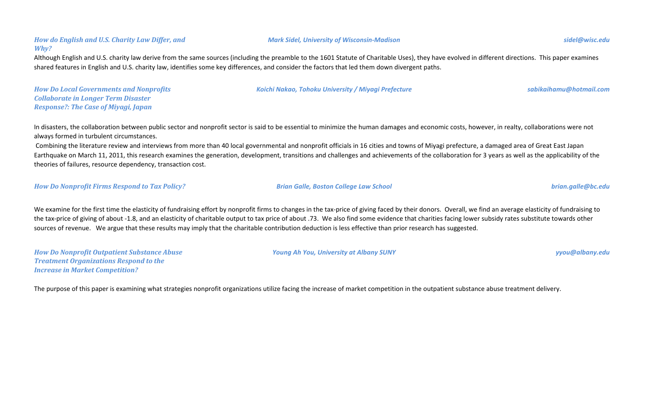## *How do English and U.S. Charity Law Differ, and Why?*

Although English and U.S. charity law derive from the same sources (including the preamble to the 1601 Statute of Charitable Uses), they have evolved in different directions. This paper examines shared features in English and U.S. charity law, identifies some key differences, and consider the factors that led them down divergent paths.

*How Do Local Governments and Nonprofits Collaborate in Longer Term Disaster Response?: The Case of Miyagi, Japan*

In disasters, the collaboration between public sector and nonprofit sector is said to be essential to minimize the human damages and economic costs, however, in realty, collaborations were not always formed in turbulent circumstances.

 Combining the literature review and interviews from more than 40 local governmental and nonprofit officials in 16 cities and towns of Miyagi prefecture, a damaged area of Great East Japan Earthquake on March 11, 2011, this research examines the generation, development, transitions and challenges and achievements of the collaboration for 3 years as well as the applicability of the theories of failures, resource dependency, transaction cost.

*How Do Nonprofit Firms Respond to Tax Policy? Brian Galle, Boston College Law School brian.galle@bc.edu*

We examine for the first time the elasticity of fundraising effort by nonprofit firms to changes in the tax-price of giving faced by their donors. Overall, we find an average elasticity of fundraising to the tax-price of giving of about -1.8, and an elasticity of charitable output to tax price of about .73. We also find some evidence that charities facing lower subsidy rates substitute towards other sources of revenue. We argue that these results may imply that the charitable contribution deduction is less effective than prior research has suggested.

*How Do Nonprofit Outpatient Substance Abuse Treatment Organizations Respond to the Increase in Market Competition?*

The purpose of this paper is examining what strategies nonprofit organizations utilize facing the increase of market competition in the outpatient substance abuse treatment delivery.

*Koichi Nakao, Tohoku University / Miyagi Prefecture sabikaihamu@hotmail.com*

*Young Ah You, University at Albany SUNY yyou@albany.edu*

*Mark Sidel, University of Wisconsin-Madison sidel@wisc.edu*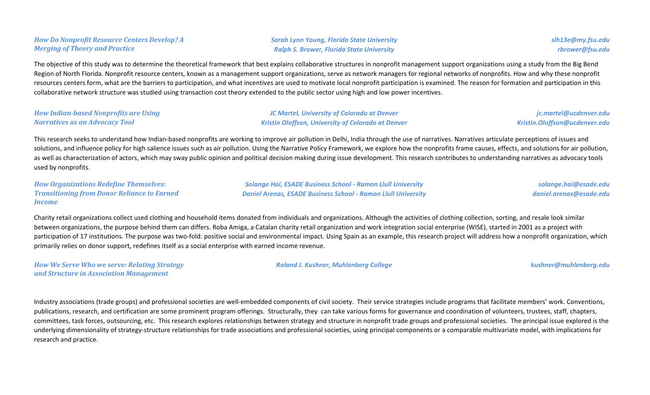## *How Do Nonprofit Resource Centers Develop? A Merging of Theory and Practice*

*Sarah Lynn Young, Florida State University Ralph S. Brower, Florida State University*

The objective of this study was to determine the theoretical framework that best explains collaborative structures in nonprofit management support organizations using a study from the Big Bend Region of North Florida. Nonprofit resource centers, known as a management support organizations, serve as network managers for regional networks of nonprofits. How and why these nonprofit resources centers form, what are the barriers to participation, and what incentives are used to motivate local nonprofit participation is examined. The reason for formation and participation in this collaborative network structure was studied using transaction cost theory extended to the public sector using high and low power incentives.

#### *How Indian-based Nonprofits are Using Narratives as an Advocacy Tool*

*JC Martel, University of Colorado at Denver Kristin Oloffson, University of Colorado at Denver*

*jc.martel@ucdenver.edu Kristin.Oloffson@ucdenver.edu*

This research seeks to understand how Indian-based nonprofits are working to improve air pollution in Delhi, India through the use of narratives. Narratives articulate perceptions of issues and solutions, and influence policy for high salience issues such as air pollution. Using the Narrative Policy Framework, we explore how the nonprofits frame causes, effects, and solutions for air pollution, as well as characterization of actors, which may sway public opinion and political decision making during issue development. This research contributes to understanding narratives as advocacy tools used by nonprofits.

*How Organizations Redefine Themselves: Transitioning from Donor Reliance to Earned Income*

*Solange Hai, ESADE Business School - Ramon Llull University Daniel Arenas, ESADE Business School - Ramon Llull University*

*solange.hai@esade.edu daniel.arenas@esade.edu*

Charity retail organizations collect used clothing and household items donated from individuals and organizations. Although the activities of clothing collection, sorting, and resale look similar between organizations, the purpose behind them can differs. Roba Amiga, a Catalan charity retail organization and work integration social enterprise (WISE), started in 2001 as a project with participation of 17 institutions. The purpose was two-fold: positive social and environmental impact. Using Spain as an example, this research project will address how a nonprofit organization, which primarily relies on donor support, redefines itself as a social enterprise with earned income revenue.

*How We Serve Who we serve: Relating Strategy and Structure in Association Management*

*Roland J. Kushner, Muhlenberg College kushner@muhlenberg.edu*

Industry associations (trade groups) and professional societies are well-embedded components of civil society. Their service strategies include programs that facilitate members' work. Conventions, publications, research, and certification are some prominent program offerings. Structurally, they can take various forms for governance and coordination of volunteers, trustees, staff, chapters, committees, task forces, outsourcing, etc. This research explores relationships between strategy and structure in nonprofit trade groups and professional societies. The principal issue explored is the underlying dimensionality of strategy-structure relationships for trade associations and professional societies, using principal components or a comparable multivariate model, with implications for research and practice.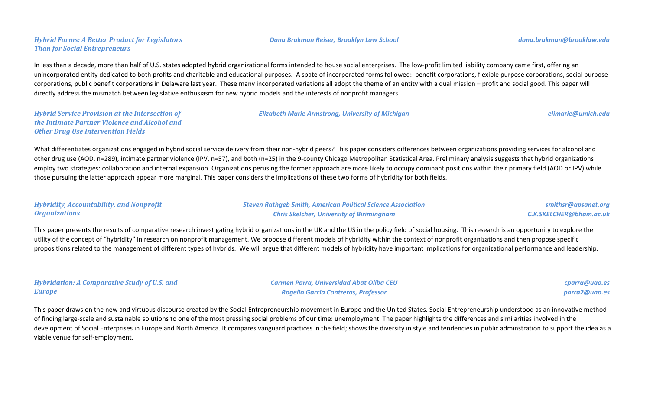# *Hybrid Forms: A Better Product for Legislators Than for Social Entrepreneurs*

In less than a decade, more than half of U.S. states adopted hybrid organizational forms intended to house social enterprises. The low-profit limited liability company came first, offering an unincorporated entity dedicated to both profits and charitable and educational purposes. A spate of incorporated forms followed: benefit corporations, flexible purpose corporations, social purpose corporations, public benefit corporations in Delaware last year. These many incorporated variations all adopt the theme of an entity with a dual mission – profit and social good. This paper will directly address the mismatch between legislative enthusiasm for new hybrid models and the interests of nonprofit managers.

*Hybrid Service Provision at the Intersection of the Intimate Partner Violence and Alcohol and Other Drug Use Intervention Fields*

*Elizabeth Marie Armstrong, University of Michigan elimarie@umich.edu*

What differentiates organizations engaged in hybrid social service delivery from their non-hybrid peers? This paper considers differences between organizations providing services for alcohol and other drug use (AOD, n=289), intimate partner violence (IPV, n=57), and both (n=25) in the 9-county Chicago Metropolitan Statistical Area. Preliminary analysis suggests that hybrid organizations employ two strategies: collaboration and internal expansion. Organizations perusing the former approach are more likely to occupy dominant positions within their primary field (AOD or IPV) while those pursuing the latter approach appear more marginal. This paper considers the implications of these two forms of hybridity for both fields.

| <b>Hybridity, Accountability, and Nonprofit</b> |  |
|-------------------------------------------------|--|
| <b>Organizations</b>                            |  |

*Steven Rathgeb Smith, American Political Science Association Chris Skelcher, University of Birimingham*

*smithsr@apsanet.org C.K.SKELCHER@bham.ac.uk*

This paper presents the results of comparative research investigating hybrid organizations in the UK and the US in the policy field of social housing. This research is an opportunity to explore the utility of the concept of "hybridity" in research on nonprofit management. We propose different models of hybridity within the context of nonprofit organizations and then propose specific propositions related to the management of different types of hybrids. We will argue that different models of hybridity have important implications for organizational performance and leadership.

| <b>Hybridation: A Comparative Study of U.S. and</b> | <b>Carmen Parra, Universidad Abat Oliba CEU</b> | cparra@uao.es |
|-----------------------------------------------------|-------------------------------------------------|---------------|
| <b>Europe</b>                                       | <b>Rogelio Garcia Contreras, Professor</b>      | parra2@uao.es |

This paper draws on the new and virtuous discourse created by the Social Entrepreneurship movement in Europe and the United States. Social Entrepreneurship understood as an innovative method of finding large-scale and sustainable solutions to one of the most pressing social problems of our time: unemployment. The paper highlights the differences and similarities involved in the development of Social Enterprises in Europe and North America. It compares vanguard practices in the field; shows the diversity in style and tendencies in public adminstration to support the idea as a viable venue for self-employment.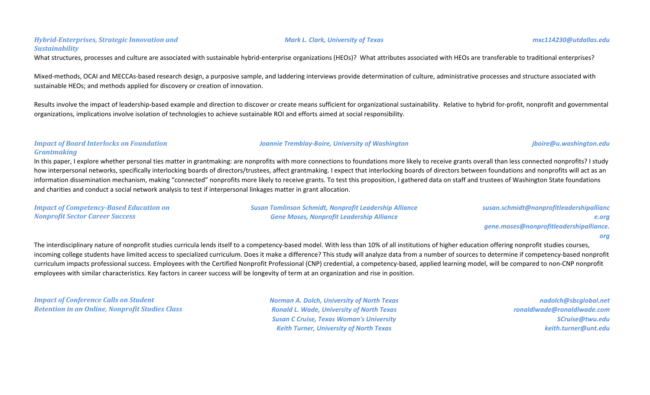# *Hybrid-Enterprises, Strategic Innovation and Sustainability*

What structures, processes and culture are associated with sustainable hybrid-enterprise organizations (HEOs)? What attributes associated with HEOs are transferable to traditional enterprises?

Mixed-methods, OCAI and MECCAs-based research design, a purposive sample, and laddering interviews provide determination of culture, administrative processes and structure associated with sustainable HEOs; and methods applied for discovery or creation of innovation.

Results involve the impact of leadership-based example and direction to discover or create means sufficient for organizational sustainability. Relative to hybrid for-profit, nonprofit and governmental organizations, implications involve isolation of technologies to achieve sustainable ROI and efforts aimed at social responsibility.

#### *Impact of Board Interlocks on Foundation Grantmaking*

In this paper, I explore whether personal ties matter in grantmaking: are nonprofits with more connections to foundations more likely to receive grants overall than less connected nonprofits? I study how interpersonal networks, specifically interlocking boards of directors/trustees, affect grantmaking. I expect that interlocking boards of directors between foundations and nonprofits will act as an information dissemination mechanism, making "connected" nonprofits more likely to receive grants. To test this proposition, I gathered data on staff and trustees of Washington State foundations and charities and conduct a social network analysis to test if interpersonal linkages matter in grant allocation.

| <b>Impact of Competency-Based Education on</b> |  |
|------------------------------------------------|--|
| <b>Nonprofit Sector Career Success</b>         |  |

*Susan Tomlinson Schmidt, Nonprofit Leadership Alliance Gene Moses, Nonprofit Leadership Alliance*

*susan.schmidt@nonprofitleadershipallianc e.org gene.moses@nonprofitleadershipalliance. org*

The interdisciplinary nature of nonprofit studies curricula lends itself to a competency-based model. With less than 10% of all institutions of higher education offering nonprofit studies courses, incoming college students have limited access to specialized curriculum. Does it make a difference? This study will analyze data from a number of sources to determine if competency-based nonprofit curriculum impacts professional success. Employees with the Certified Nonprofit Professional (CNP) credential, a competency-based, applied learning model, will be compared to non-CNP nonprofit employees with similar characteristics. Key factors in career success will be longevity of term at an organization and rise in position.

*Impact of Conference Calls on Student Retention in an Online, Nonprofit Studies Class*

*Norman A. Dolch, University of North Texas Ronald L. Wade, University of North Texas Susan C Cruise, Texas Woman's University Keith Turner, University of North Texas*

*nadolch@sbcglobal.net ronaldlwade@ronaldlwade.com SCruise@twu.edu keith.turner@unt.edu*

#### *Joannie Tremblay-Boire, University of Washington jboire@u.washington.edu*

#### *Mark L. Clark, University of Texas mxc114230@utdallas.edu*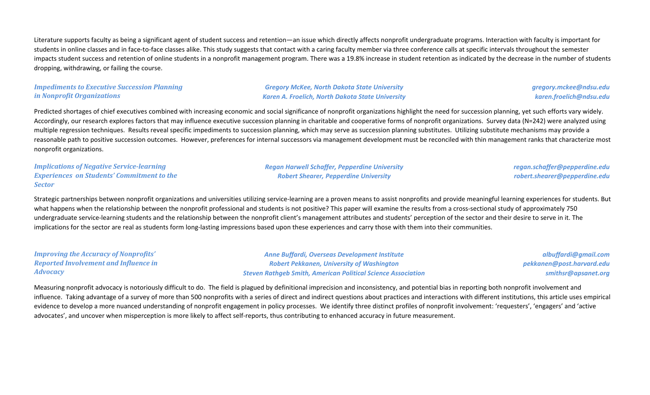Literature supports faculty as being a significant agent of student success and retention—an issue which directly affects nonprofit undergraduate programs. Interaction with faculty is important for students in online classes and in face-to-face classes alike. This study suggests that contact with a caring faculty member via three conference calls at specific intervals throughout the semester impacts student success and retention of online students in a nonprofit management program. There was a 19.8% increase in student retention as indicated by the decrease in the number of students dropping, withdrawing, or failing the course.

#### *Impediments to Executive Succession Planning in Nonprofit Organizations*

#### *Gregory McKee, North Dakota State University Karen A. Froelich, North Dakota State University*

*gregory.mckee@ndsu.edu karen.froelich@ndsu.edu*

Predicted shortages of chief executives combined with increasing economic and social significance of nonprofit organizations highlight the need for succession planning, yet such efforts vary widely. Accordingly, our research explores factors that may influence executive succession planning in charitable and cooperative forms of nonprofit organizations. Survey data (N=242) were analyzed using multiple regression techniques. Results reveal specific impediments to succession planning, which may serve as succession planning substitutes. Utilizing substitute mechanisms may provide a reasonable path to positive succession outcomes. However, preferences for internal successors via management development must be reconciled with thin management ranks that characterize most nonprofit organizations.

*Implications of Negative Service-learning Experiences on Students' Commitment to the Sector*

*Regan Harwell Schaffer, Pepperdine University Robert Shearer, Pepperdine University*

*regan.schaffer@pepperdine.edu robert.shearer@pepperdine.edu*

Strategic partnerships between nonprofit organizations and universities utilizing service-learning are a proven means to assist nonprofits and provide meaningful learning experiences for students. But what happens when the relationship between the nonprofit professional and students is not positive? This paper will examine the results from a cross-sectional study of approximately 750 undergraduate service-learning students and the relationship between the nonprofit client's management attributes and students' perception of the sector and their desire to serve in it. The implications for the sector are real as students form long-lasting impressions based upon these experiences and carry those with them into their communities.

*Improving the Accuracy of Nonprofits' Reported Involvement and Influence in Advocacy*

*Anne Buffardi, Overseas Development Institute Robert Pekkanen, University of Washington Steven Rathgeb Smith, American Political Science Association*

*albuffardi@gmail.com pekkanen@post.harvard.edu smithsr@apsanet.org*

Measuring nonprofit advocacy is notoriously difficult to do. The field is plagued by definitional imprecision and inconsistency, and potential bias in reporting both nonprofit involvement and influence. Taking advantage of a survey of more than 500 nonprofits with a series of direct and indirect questions about practices and interactions with different institutions, this article uses empirical evidence to develop a more nuanced understanding of nonprofit engagement in policy processes. We identify three distinct profiles of nonprofit involvement: 'requesters', 'engagers' and 'active advocates', and uncover when misperception is more likely to affect self-reports, thus contributing to enhanced accuracy in future measurement.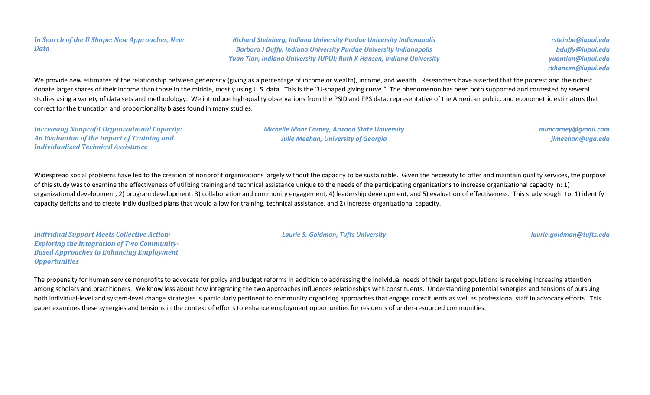#### *In Search of the U Shape: New Approaches, New Data*

*Richard Steinberg, Indiana University Purdue University Indianapolis Barbara J Duffy, Indiana University Purdue University Indianapolis Yuan Tian, Indiana University-IUPUI; Ruth K Hansen, Indiana University*

*rsteinbe@iupui.edu bduffy@iupui.edu yuantian@iupui.edu rkhansen@iupui.edu*

We provide new estimates of the relationship between generosity (giving as a percentage of income or wealth), income, and wealth. Researchers have asserted that the poorest and the richest donate larger shares of their income than those in the middle, mostly using U.S. data. This is the "U-shaped giving curve." The phenomenon has been both supported and contested by several studies using a variety of data sets and methodology. We introduce high-quality observations from the PSID and PPS data, representative of the American public, and econometric estimators that correct for the truncation and proportionality biases found in many studies.

*Increasing Nonprofit Organizational Capacity: An Evaluation of the Impact of Training and Individualized Technical Assistance*

*Michelle Mohr Carney, Arizona State University Julie Meehan, University of Georgia*

*mlmcarney@gmail.com jlmeehan@uga.edu*

Widespread social problems have led to the creation of nonprofit organizations largely without the capacity to be sustainable. Given the necessity to offer and maintain quality services, the purpose of this study was to examine the effectiveness of utilizing training and technical assistance unique to the needs of the participating organizations to increase organizational capacity in: 1) organizational development, 2) program development, 3) collaboration and community engagement, 4) leadership development, and 5) evaluation of effectiveness. This study sought to: 1) identify capacity deficits and to create individualized plans that would allow for training, technical assistance, and 2) increase organizational capacity.

*Individual Support Meets Collective Action: Exploring the Integration of Two Community-Based Approaches to Enhancing Employment Opportunities*

*Laurie S. Goldman, Tufts University laurie.goldman@tufts.edu*

The propensity for human service nonprofits to advocate for policy and budget reforms in addition to addressing the individual needs of their target populations is receiving increasing attention among scholars and practitioners. We know less about how integrating the two approaches influences relationships with constituents. Understanding potential synergies and tensions of pursuing both individual-level and system-level change strategies is particularly pertinent to community organizing approaches that engage constituents as well as professional staff in advocacy efforts. This paper examines these synergies and tensions in the context of efforts to enhance employment opportunities for residents of under-resourced communities.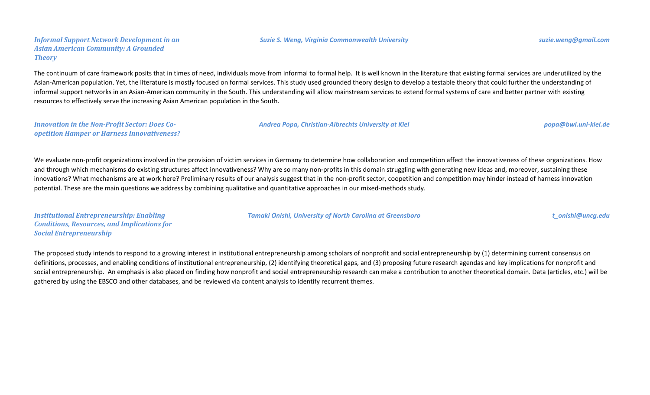#### *Suzie S. Weng, Virginia Commonwealth University suzie.weng@gmail.com*

*Informal Support Network Development in an Asian American Community: A Grounded Theory*

The continuum of care framework posits that in times of need, individuals move from informal to formal help. It is well known in the literature that existing formal services are underutilized by the Asian-American population. Yet, the literature is mostly focused on formal services. This study used grounded theory design to develop a testable theory that could further the understanding of informal support networks in an Asian-American community in the South. This understanding will allow mainstream services to extend formal systems of care and better partner with existing resources to effectively serve the increasing Asian American population in the South.

| <b>Innovation in the Non-Profit Sector: Does Co-</b> | Andrea Popa, Christian-Albrechts University at Kiel | popa@bwl.uni-kiel.de |
|------------------------------------------------------|-----------------------------------------------------|----------------------|
| <b>opetition Hamper or Harness Innovativeness?</b>   |                                                     |                      |

We evaluate non-profit organizations involved in the provision of victim services in Germany to determine how collaboration and competition affect the innovativeness of these organizations. How and through which mechanisms do existing structures affect innovativeness? Why are so many non-profits in this domain struggling with generating new ideas and, moreover, sustaining these innovations? What mechanisms are at work here? Preliminary results of our analysis suggest that in the non-profit sector, coopetition and competition may hinder instead of harness innovation potential. These are the main questions we address by combining qualitative and quantitative approaches in our mixed-methods study.

*Institutional Entrepreneurship: Enabling Conditions, Resources, and Implications for Social Entrepreneurship*

*Tamaki Onishi, University of North Carolina at Greensboro t\_onishi@uncg.edu*

The proposed study intends to respond to a growing interest in institutional entrepreneurship among scholars of nonprofit and social entrepreneurship by (1) determining current consensus on definitions, processes, and enabling conditions of institutional entrepreneurship, (2) identifying theoretical gaps, and (3) proposing future research agendas and key implications for nonprofit and social entrepreneurship. An emphasis is also placed on finding how nonprofit and social entrepreneurship research can make a contribution to another theoretical domain. Data (articles, etc.) will be gathered by using the EBSCO and other databases, and be reviewed via content analysis to identify recurrent themes.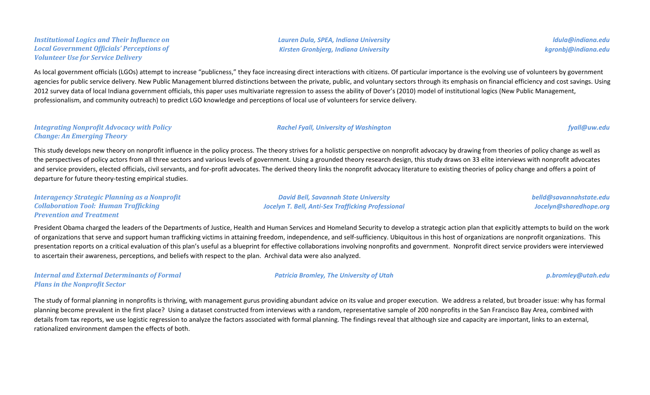#### *Institutional Logics and Their Influence on Local Government Officials' Perceptions of Volunteer Use for Service Delivery*

*Lauren Dula, SPEA, Indiana University Kirsten Gronbjerg, Indiana University*

*ldula@indiana.edu kgronbj@indiana.edu*

As local government officials (LGOs) attempt to increase "publicness," they face increasing direct interactions with citizens. Of particular importance is the evolving use of volunteers by government agencies for public service delivery. New Public Management blurred distinctions between the private, public, and voluntary sectors through its emphasis on financial efficiency and cost savings. Using 2012 survey data of local Indiana government officials, this paper uses multivariate regression to assess the ability of Dover's (2010) model of institutional logics (New Public Management, professionalism, and community outreach) to predict LGO knowledge and perceptions of local use of volunteers for service delivery.

### *Integrating Nonprofit Advocacy with Policy Change: An Emerging Theory*

This study develops new theory on nonprofit influence in the policy process. The theory strives for a holistic perspective on nonprofit advocacy by drawing from theories of policy change as well as the perspectives of policy actors from all three sectors and various levels of government. Using a grounded theory research design, this study draws on 33 elite interviews with nonprofit advocates and service providers, elected officials, civil servants, and for-profit advocates. The derived theory links the nonprofit advocacy literature to existing theories of policy change and offers a point of departure for future theory-testing empirical studies.

*Interagency Strategic Planning as a Nonprofit Collaboration Tool: Human Trafficking Prevention and Treatment*

*David Bell, Savannah State University Jocelyn T. Bell, Anti-Sex Trafficking Professional*

*Rachel Fyall, University of Washington fyall@uw.edu*

*belld@savannahstate.edu Jocelyn@sharedhope.org*

President Obama charged the leaders of the Departments of Justice, Health and Human Services and Homeland Security to develop a strategic action plan that explicitly attempts to build on the work of organizations that serve and support human trafficking victims in attaining freedom, independence, and self-sufficiency. Ubiquitous in this host of organizations are nonprofit organizations. This presentation reports on a critical evaluation of this plan's useful as a blueprint for effective collaborations involving nonprofits and government. Nonprofit direct service providers were interviewed to ascertain their awareness, perceptions, and beliefs with respect to the plan. Archival data were also analyzed.

*Internal and External Determinants of Formal Plans in the Nonprofit Sector*

*Patricia Bromley, The University of Utah p.bromley@utah.edu*

The study of formal planning in nonprofits is thriving, with management gurus providing abundant advice on its value and proper execution. We address a related, but broader issue: why has formal planning become prevalent in the first place? Using a dataset constructed from interviews with a random, representative sample of 200 nonprofits in the San Francisco Bay Area, combined with details from tax reports, we use logistic regression to analyze the factors associated with formal planning. The findings reveal that although size and capacity are important, links to an external, rationalized environment dampen the effects of both.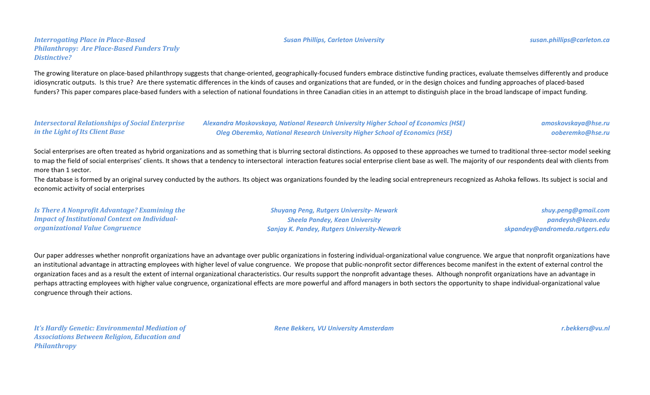#### *Susan Phillips, Carleton University susan.phillips@carleton.ca*

The growing literature on place-based philanthropy suggests that change-oriented, geographically-focused funders embrace distinctive funding practices, evaluate themselves differently and produce idiosyncratic outputs. Is this true? Are there systematic differences in the kinds of causes and organizations that are funded, or in the design choices and funding approaches of placed-based funders? This paper compares place-based funders with a selection of national foundations in three Canadian cities in an attempt to distinguish place in the broad landscape of impact funding.

| <b>Intersectoral Relationships of Social Enterprise</b> | Alexandra Moskovskaya, National Research University Higher School of Economics (HSE) | amoskovskaya@hse.ru |
|---------------------------------------------------------|--------------------------------------------------------------------------------------|---------------------|
| in the Light of Its Client Base                         | <b>Oleg Oberemko, National Research University Higher School of Economics (HSE)</b>  | ooberemko@hse.ru    |

Social enterprises are often treated as hybrid organizations and as something that is blurring sectoral distinctions. As opposed to these approaches we turned to traditional three-sector model seeking to map the field of social enterprises' clients. It shows that a tendency to intersectoral interaction features social enterprise client base as well. The majority of our respondents deal with clients from more than 1 sector.

The database is formed by an original survey conducted by the authors. Its object was organizations founded by the leading social entrepreneurs recognized as Ashoka fellows. Its subject is social and economic activity of social enterprises

| Is There A Nonprofit Advantage? Examining the         | <b>Shuyang Peng, Rutgers University- Newark</b>    | shuy.peng@gmail.com            |
|-------------------------------------------------------|----------------------------------------------------|--------------------------------|
| <b>Impact of Institutional Context on Individual-</b> | <b>Sheela Pandey, Kean University</b>              | pandeysh@kean.edu              |
| <b>organizational Value Congruence</b>                | <b>Sanjay K. Pandey, Rutgers University-Newark</b> | skpandey@andromeda.rutgers.edu |

Our paper addresses whether nonprofit organizations have an advantage over public organizations in fostering individual-organizational value congruence. We argue that nonprofit organizations have an institutional advantage in attracting employees with higher level of value congruence. We propose that public-nonprofit sector differences become manifest in the extent of external control the organization faces and as a result the extent of internal organizational characteristics. Our results support the nonprofit advantage theses. Although nonprofit organizations have an advantage in perhaps attracting employees with higher value congruence, organizational effects are more powerful and afford managers in both sectors the opportunity to shape individual-organizational value congruence through their actions.

*It's Hardly Genetic: Environmental Mediation of Associations Between Religion, Education and Philanthropy*

*Rene Bekkers, VU University Amsterdam r.bekkers@vu.nl*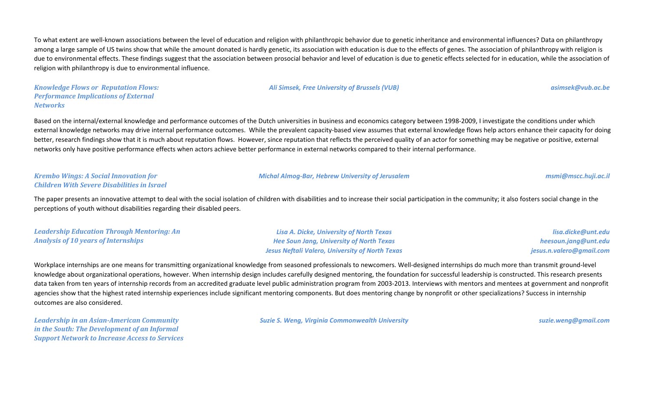To what extent are well-known associations between the level of education and religion with philanthropic behavior due to genetic inheritance and environmental influences? Data on philanthropy among a large sample of US twins show that while the amount donated is hardly genetic, its association with education is due to the effects of genes. The association of philanthropy with religion is due to environmental effects. These findings suggest that the association between prosocial behavior and level of education is due to genetic effects selected for in education, while the association of religion with philanthropy is due to environmental influence.

#### *Ali Simsek, Free University of Brussels (VUB) asimsek@vub.ac.be*

*Knowledge Flows or Reputation Flows: Performance Implications of External Networks*

Based on the internal/external knowledge and performance outcomes of the Dutch universities in business and economics category between 1998-2009, I investigate the conditions under which external knowledge networks may drive internal performance outcomes. While the prevalent capacity-based view assumes that external knowledge flows help actors enhance their capacity for doing better, research findings show that it is much about reputation flows. However, since reputation that reflects the perceived quality of an actor for something may be negative or positive, external networks only have positive performance effects when actors achieve better performance in external networks compared to their internal performance.

#### *Krembo Wings: A Social Innovation for Children With Severe Disabilities in Israel*

The paper presents an innovative attempt to deal with the social isolation of children with disabilities and to increase their social participation in the community; it also fosters social change in the perceptions of youth without disabilities regarding their disabled peers.

| <b>Leadership Education Through Mentoring: An</b> | Lisa A. Dicke, University of North Texas               | lisa.dicke@unt.edu       |
|---------------------------------------------------|--------------------------------------------------------|--------------------------|
| <b>Analysis of 10 years of Internships</b>        | <b>Hee Soun Jang, University of North Texas</b>        | heesoun.jang@unt.edu     |
|                                                   | <b>Jesus Neftali Valero, University of North Texas</b> | jesus.n.valero@gmail.com |

Workplace internships are one means for transmitting organizational knowledge from seasoned professionals to newcomers. Well-designed internships do much more than transmit ground-level knowledge about organizational operations, however. When internship design includes carefully designed mentoring, the foundation for successful leadership is constructed. This research presents data taken from ten years of internship records from an accredited graduate level public administration program from 2003-2013. Interviews with mentors and mentees at government and nonprofit agencies show that the highest rated internship experiences include significant mentoring components. But does mentoring change by nonprofit or other specializations? Success in internship outcomes are also considered.

*Leadership in an Asian-American Community in the South: The Development of an Informal Support Network to Increase Access to Services* *Suzie S. Weng, Virginia Commonwealth University suzie.weng@gmail.com*

*Michal Almog-Bar, Hebrew University of Jerusalem msmi@mscc.huji.ac.il*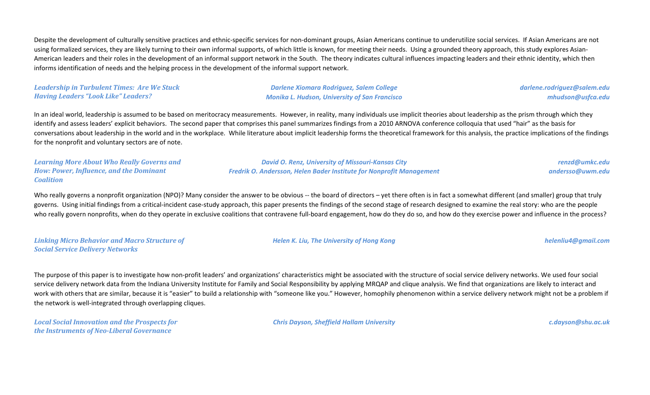Despite the development of culturally sensitive practices and ethnic-specific services for non-dominant groups, Asian Americans continue to underutilize social services. If Asian Americans are not using formalized services, they are likely turning to their own informal supports, of which little is known, for meeting their needs. Using a grounded theory approach, this study explores Asian-American leaders and their roles in the development of an informal support network in the South. The theory indicates cultural influences impacting leaders and their ethnic identity, which then informs identification of needs and the helping process in the development of the informal support network.

#### *Leadership in Turbulent Times: Are We Stuck Having Leaders "Look Like" Leaders?*

*Darlene Xiomara Rodriguez, Salem College Monika L. Hudson, University of San Francisco* *darlene.rodriguez@salem.edu mhudson@usfca.edu*

In an ideal world, leadership is assumed to be based on meritocracy measurements. However, in reality, many individuals use implicit theories about leadership as the prism through which they identify and assess leaders' explicit behaviors. The second paper that comprises this panel summarizes findings from a 2010 ARNOVA conference colloquia that used "hair" as the basis for conversations about leadership in the world and in the workplace. While literature about implicit leadership forms the theoretical framework for this analysis, the practice implications of the findings for the nonprofit and voluntary sectors are of note.

*Learning More About Who Really Governs and How: Power, Influence, and the Dominant Coalition*

*David O. Renz, University of Missouri-Kansas City Fredrik O. Andersson, Helen Bader Institute for Nonprofit Management*

*renzd@umkc.edu andersso@uwm.edu*

Who really governs a nonprofit organization (NPO)? Many consider the answer to be obvious -- the board of directors – yet there often is in fact a somewhat different (and smaller) group that truly governs. Using initial findings from a critical-incident case-study approach, this paper presents the findings of the second stage of research designed to examine the real story: who are the people who really govern nonprofits, when do they operate in exclusive coalitions that contravene full-board engagement, how do they do so, and how do they exercise power and influence in the process?

#### *Linking Micro Behavior and Macro Structure of Social Service Delivery Networks*

*Helen K. Liu, The University of Hong Kong helenliu4@gmail.com*

The purpose of this paper is to investigate how non-profit leaders' and organizations' characteristics might be associated with the structure of social service delivery networks. We used four social service delivery network data from the Indiana University Institute for Family and Social Responsibility by applying MRQAP and clique analysis. We find that organizations are likely to interact and work with others that are similar, because it is "easier" to build a relationship with "someone like you." However, homophily phenomenon within a service delivery network might not be a problem if the network is well-integrated through overlapping cliques.

*Local Social Innovation and the Prospects for the Instruments of Neo-Liberal Governance*

*Chris Dayson, Sheffield Hallam University c.dayson@shu.ac.uk*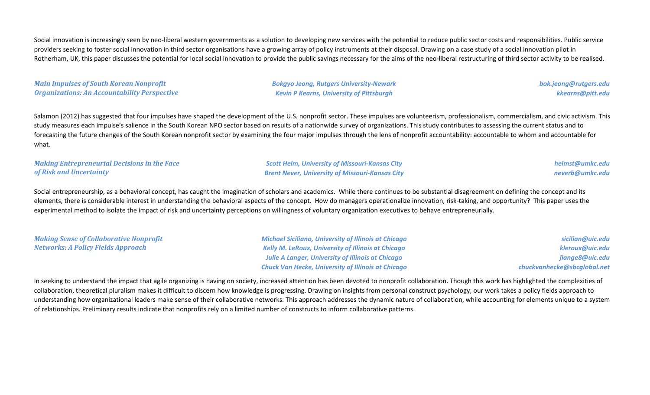Social innovation is increasingly seen by neo-liberal western governments as a solution to developing new services with the potential to reduce public sector costs and responsibilities. Public service providers seeking to foster social innovation in third sector organisations have a growing array of policy instruments at their disposal. Drawing on a case study of a social innovation pilot in Rotherham, UK, this paper discusses the potential for local social innovation to provide the public savings necessary for the aims of the neo-liberal restructuring of third sector activity to be realised.

*Main Impulses of South Korean Nonprofit Organizations: An Accountability Perspective* *Bokgyo Jeong, Rutgers University-Newark Kevin P Kearns, University of Pittsburgh*

*bok.jeong@rutgers.edu kkearns@pitt.edu*

Salamon (2012) has suggested that four impulses have shaped the development of the U.S. nonprofit sector. These impulses are volunteerism, professionalism, commercialism, and civic activism. This study measures each impulse's salience in the South Korean NPO sector based on results of a nationwide survey of organizations. This study contributes to assessing the current status and to forecasting the future changes of the South Korean nonprofit sector by examining the four major impulses through the lens of nonprofit accountability: accountable to whom and accountable for what.

#### *Making Entrepreneurial Decisions in the Face of Risk and Uncertainty*

*Scott Helm, University of Missouri-Kansas City Brent Never, University of Missouri-Kansas City*

*helmst@umkc.edu neverb@umkc.edu*

Social entrepreneurship, as a behavioral concept, has caught the imagination of scholars and academics. While there continues to be substantial disagreement on defining the concept and its elements, there is considerable interest in understanding the behavioral aspects of the concept. How do managers operationalize innovation, risk-taking, and opportunity? This paper uses the experimental method to isolate the impact of risk and uncertainty perceptions on willingness of voluntary organization executives to behave entrepreneurially.

| <b>Making Sense of Collaborative Nonprofit</b> | <b>Michael Siciliano, University of Illinois at Chicago</b> | sicilian@uic.edu            |
|------------------------------------------------|-------------------------------------------------------------|-----------------------------|
| Networks: A Policy Fields Approach             | <b>Kelly M. LeRoux, University of Illinois at Chicago</b>   | kleroux@uic.edu             |
|                                                | Julie A Langer, University of Illinois at Chicago           | jlange8@uic.edu             |
|                                                | <b>Chuck Van Hecke, University of Illinois at Chicago</b>   | chuckvanhecke@sbcglobal.net |

In seeking to understand the impact that agile organizing is having on society, increased attention has been devoted to nonprofit collaboration. Though this work has highlighted the complexities of collaboration, theoretical pluralism makes it difficult to discern how knowledge is progressing. Drawing on insights from personal construct psychology, our work takes a policy fields approach to understanding how organizational leaders make sense of their collaborative networks. This approach addresses the dynamic nature of collaboration, while accounting for elements unique to a system of relationships. Preliminary results indicate that nonprofits rely on a limited number of constructs to inform collaborative patterns.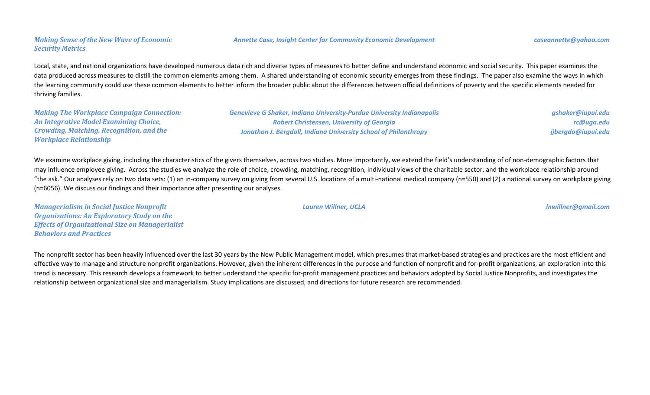### *Making Sense of the New Wave of Economic Security Metrics*

Local, state, and national organizations have developed numerous data rich and diverse types of measures to better define and understand economic and social security. This paper examines the data produced across measures to distill the common elements among them. A shared understanding of economic security emerges from these findings. The paper also examine the ways in which the learning community could use these common elements to better inform the broader public about the differences between official definitions of poverty and the specific elements needed for thriving families.

*Making The Workplace Campaign Connection: An Integrative Model Examining Choice, Crowding, Matching, Recognition, and the Workplace Relationship*

*Genevieve G Shaker, Indiana University-Purdue University Indianapolis Robert Christensen, University of Georgia Jonathon J. Bergdoll, Indiana University School of Philanthropy*

*gshaker@iupui.edu rc@uga.edu jjbergdo@iupui.edu*

We examine workplace giving, including the characteristics of the givers themselves, across two studies. More importantly, we extend the field's understanding of of non-demographic factors that may influence employee giving. Across the studies we analyze the role of choice, crowding, matching, recognition, individual views of the charitable sector, and the workplace relationship around "the ask." Our analyses rely on two data sets: (1) an in-company survey on giving from several U.S. locations of a multi-national medical company (n=550) and (2) a national survey on workplace giving (n=6056). We discuss our findings and their importance after presenting our analyses.

*Lauren Willner, UCLA lnwillner@gmail.com*

*Managerialism in Social Justice Nonprofit Organizations: An Exploratory Study on the Effects of Organizational Size on Managerialist Behaviors and Practices*

The nonprofit sector has been heavily influenced over the last 30 years by the New Public Management model, which presumes that market-based strategies and practices are the most efficient and effective way to manage and structure nonprofit organizations. However, given the inherent differences in the purpose and function of nonprofit and for-profit organizations, an exploration into this trend is necessary. This research develops a framework to better understand the specific for-profit management practices and behaviors adopted by Social Justice Nonprofits, and investigates the relationship between organizational size and managerialism. Study implications are discussed, and directions for future research are recommended.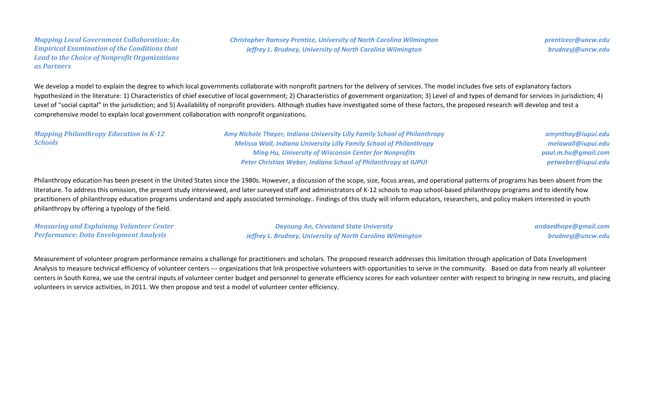#### *Mapping Local Government Collaboration: An Empirical Examination of the Conditions that Lead to the Choice of Nonprofit Organizations as Partners*

*Christopher Ramsey Prentice, University of North Carolina Wilmington Jeffrey L. Brudney, University of North Carolina Wilmington*

*prenticecr@uncw.edu brudneyj@uncw.edu*

We develop a model to explain the degree to which local governments collaborate with nonprofit partners for the delivery of services. The model includes five sets of explanatory factors hypothesized in the literature: 1) Characteristics of chief executive of local government; 2) Characteristics of government organization; 3) Level of and types of demand for services in jurisdiction; 4) Level of "social capital" in the jurisdiction; and 5) Availability of nonprofit providers. Although studies have investigated some of these factors, the proposed research will develop and test a comprehensive model to explain local government collaboration with nonprofit organizations.

| <b>Mapping Philanthropy Education in K-12</b> | Amy Nichole Thayer, Indiana University Lilly Family School of Philanthropy  | amynthay@iupui.edu  |
|-----------------------------------------------|-----------------------------------------------------------------------------|---------------------|
| <b>Schools</b>                                | <b>Melissa Wall, Indiana University Lilly Family School of Philanthropy</b> | melawall@iupui.edu  |
|                                               | <b>Ming Hu, University of Wisconsin Center for Nonprofits</b>               | paul.m.hu@gmail.com |
|                                               | Peter Christian Weber, Indiana School of Philanthropy at IUPUI              | petweber@iupui.edu  |

Philanthropy education has been present in the United States since the 1980s. However, a discussion of the scope, size, focus areas, and operational patterns of programs has been absent from the literature. To address this omission, the present study interviewed, and later surveyed staff and administrators of K-12 schools to map school-based philanthropy programs and to identify how practitioners of philanthropy education programs understand and apply associated terminology.. Findings of this study will inform educators, researchers, and policy makers interested in youth philanthropy by offering a typology of the field.

| <b>Measuring and Explaining Volunteer Center</b> | <b>Dayoung An, Cleveland State University</b>               | andaedhope@gmail.com |
|--------------------------------------------------|-------------------------------------------------------------|----------------------|
| Performance: Data Envelopment Analysis           | Jeffrey L. Brudney, University of North Carolina Wilmington | brudneyj@uncw.edu    |

Measurement of volunteer program performance remains a challenge for practitioners and scholars. The proposed research addresses this limitation through application of Data Envelopment Analysis to measure technical efficiency of volunteer centers --- organizations that link prospective volunteers with opportunities to serve in the community. Based on data from nearly all volunteer centers in South Korea, we use the central inputs of volunteer center budget and personnel to generate efficiency scores for each volunteer center with respect to bringing in new recruits, and placing volunteers in service activities, in 2011. We then propose and test a model of volunteer center efficiency.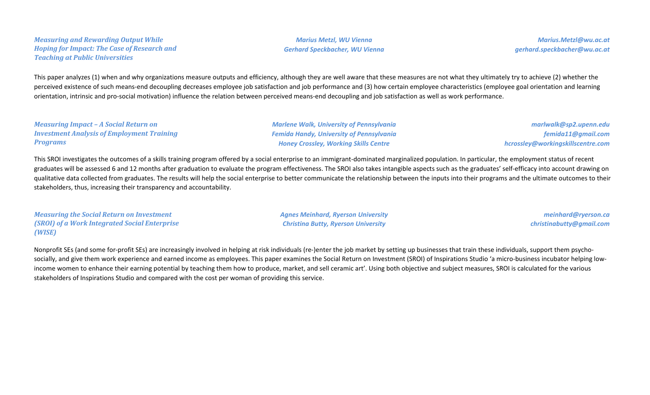#### *Measuring and Rewarding Output While Hoping for Impact: The Case of Research and Teaching at Public Universities*

*Marius Metzl, WU Vienna Gerhard Speckbacher, WU Vienna*

*Marius.Metzl@wu.ac.at gerhard.speckbacher@wu.ac.at*

This paper analyzes (1) when and why organizations measure outputs and efficiency, although they are well aware that these measures are not what they ultimately try to achieve (2) whether the perceived existence of such means-end decoupling decreases employee job satisfaction and job performance and (3) how certain employee characteristics (employee goal orientation and learning orientation, intrinsic and pro-social motivation) influence the relation between perceived means-end decoupling and job satisfaction as well as work performance.

| <b>Measuring Impact - A Social Return on</b>      |  |
|---------------------------------------------------|--|
| <b>Investment Analysis of Employment Training</b> |  |
| <b>Programs</b>                                   |  |

*Marlene Walk, University of Pennsylvania Femida Handy, University of Pennsylvania Honey Crossley, Working Skills Centre*

*marlwalk@sp2.upenn.edu femida11@gmail.com hcrossley@workingskillscentre.com*

This SROI investigates the outcomes of a skills training program offered by a social enterprise to an immigrant-dominated marginalized population. In particular, the employment status of recent graduates will be assessed 6 and 12 months after graduation to evaluate the program effectiveness. The SROI also takes intangible aspects such as the graduates' self-efficacy into account drawing on qualitative data collected from graduates. The results will help the social enterprise to better communicate the relationship between the inputs into their programs and the ultimate outcomes to their stakeholders, thus, increasing their transparency and accountability.

*Measuring the Social Return on Investment (SROI) of a Work Integrated Social Enterprise (WISE)*

*Agnes Meinhard, Ryerson University Christina Butty, Ryerson University*

*meinhard@ryerson.ca christinabutty@gmail.com*

Nonprofit SEs (and some for-profit SEs) are increasingly involved in helping at risk individuals (re-)enter the job market by setting up businesses that train these individuals, support them psychosocially, and give them work experience and earned income as employees. This paper examines the Social Return on Investment (SROI) of Inspirations Studio 'a micro-business incubator helping lowincome women to enhance their earning potential by teaching them how to produce, market, and sell ceramic art'. Using both objective and subject measures, SROI is calculated for the various stakeholders of Inspirations Studio and compared with the cost per woman of providing this service.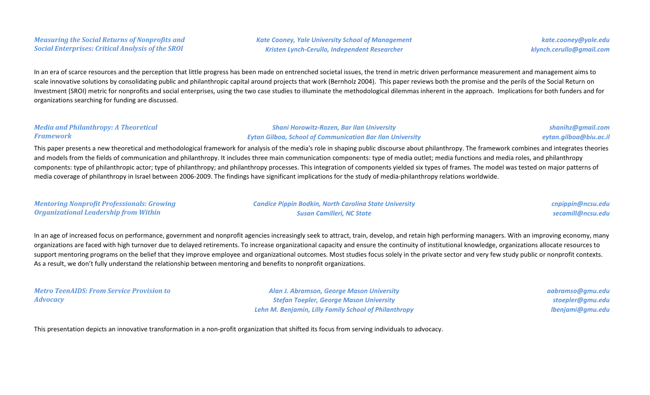### *Measuring the Social Returns of Nonprofits and Social Enterprises: Critical Analysis of the SROI*

*Kate Cooney, Yale University School of Management Kristen Lynch-Cerullo, Independent Researcher*

*kate.cooney@yale.edu klynch.cerullo@gmail.com*

> *shanihz@gmail.com eytan.gilboa@biu.ac.il*

In an era of scarce resources and the perception that little progress has been made on entrenched societal issues, the trend in metric driven performance measurement and management aims to scale innovative solutions by consolidating public and philanthropic capital around projects that work (Bernholz 2004). This paper reviews both the promise and the perils of the Social Return on Investment (SROI) metric for nonprofits and social enterprises, using the two case studies to illuminate the methodological dilemmas inherent in the approach. Implications for both funders and for organizations searching for funding are discussed.

#### *Media and Philanthropy: A Theoretical Framework*

*Shani Horowitz-Rozen, Bar Ilan University Eytan Gilboa, School of Communication Bar Ilan University*

This paper presents a new theoretical and methodological framework for analysis of the media's role in shaping public discourse about philanthropy. The framework combines and integrates theories and models from the fields of communication and philanthropy. It includes three main communication components: type of media outlet; media functions and media roles, and philanthropy components: type of philanthropic actor; type of philanthropy; and philanthropy processes. This integration of components yielded six types of frames. The model was tested on major patterns of media coverage of philanthropy in Israel between 2006-2009. The findings have significant implications for the study of media-philanthropy relations worldwide.

| <b>Mentoring Nonprofit Professionals: Growing</b> | <b>Candice Pippin Bodkin, North Carolina State University</b> | cnpippin@ncsu.edu |
|---------------------------------------------------|---------------------------------------------------------------|-------------------|
| Organizational Leadership from Within             | <b>Susan Camilleri, NC State</b>                              | secamill@ncsu.edu |

In an age of increased focus on performance, government and nonprofit agencies increasingly seek to attract, train, develop, and retain high performing managers. With an improving economy, many organizations are faced with high turnover due to delayed retirements. To increase organizational capacity and ensure the continuity of institutional knowledge, organizations allocate resources to support mentoring programs on the belief that they improve employee and organizational outcomes. Most studies focus solely in the private sector and very few study public or nonprofit contexts. As a result, we don't fully understand the relationship between mentoring and benefits to nonprofit organizations.

|                 | <b>Metro TeenAIDS: From Service Provision to</b> |  |  |
|-----------------|--------------------------------------------------|--|--|
| <b>Advocacy</b> |                                                  |  |  |

*Alan J. Abramson, George Mason University Stefan Toepler, George Mason University Lehn M. Benjamin, Lilly Family School of Philanthropy*

*aabramso@gmu.edu stoepler@gmu.edu lbenjami@gmu.edu*

This presentation depicts an innovative transformation in a non-profit organization that shifted its focus from serving individuals to advocacy.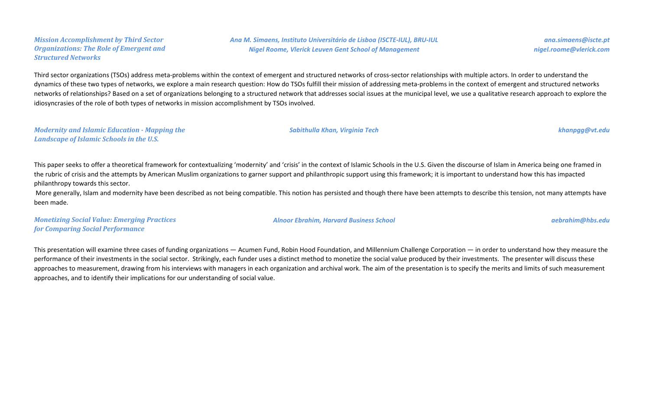#### *Mission Accomplishment by Third Sector Organizations: The Role of Emergent and Structured Networks*

*Ana M. Simaens, Instituto Universitário de Lisboa (ISCTE-IUL), BRU-IUL Nigel Roome, Vlerick Leuven Gent School of Management*

Third sector organizations (TSOs) address meta-problems within the context of emergent and structured networks of cross-sector relationships with multiple actors. In order to understand the dynamics of these two types of networks, we explore a main research question: How do TSOs fulfill their mission of addressing meta-problems in the context of emergent and structured networks networks of relationships? Based on a set of organizations belonging to a structured network that addresses social issues at the municipal level, we use a qualitative research approach to explore the idiosyncrasies of the role of both types of networks in mission accomplishment by TSOs involved.

*Sabithulla Khan, Virginia Tech khanpgg@vt.edu*

#### *Modernity and Islamic Education - Mapping the Landscape of Islamic Schools in the U.S.*

This paper seeks to offer a theoretical framework for contextualizing 'modernity' and 'crisis' in the context of Islamic Schools in the U.S. Given the discourse of Islam in America being one framed in the rubric of crisis and the attempts by American Muslim organizations to garner support and philanthropic support using this framework; it is important to understand how this has impacted philanthropy towards this sector.

More generally, Islam and modernity have been described as not being compatible. This notion has persisted and though there have been attempts to describe this tension, not many attempts have been made.

*Monetizing Social Value: Emerging Practices for Comparing Social Performance*

This presentation will examine three cases of funding organizations — Acumen Fund, Robin Hood Foundation, and Millennium Challenge Corporation — in order to understand how they measure the performance of their investments in the social sector. Strikingly, each funder uses a distinct method to monetize the social value produced by their investments. The presenter will discuss these approaches to measurement, drawing from his interviews with managers in each organization and archival work. The aim of the presentation is to specify the merits and limits of such measurement approaches, and to identify their implications for our understanding of social value.

*ana.simaens@iscte.pt nigel.roome@vlerick.com*

*Alnoor Ebrahim, Harvard Business School aebrahim@hbs.edu*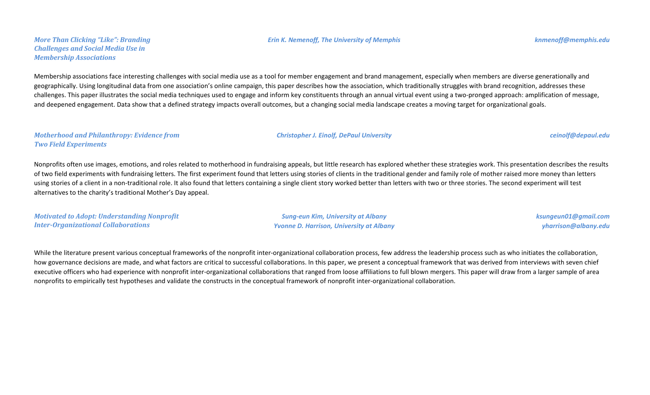*More Than Clicking "Like": Branding Challenges and Social Media Use in Membership Associations*

### Membership associations face interesting challenges with social media use as a tool for member engagement and brand management, especially when members are diverse generationally and geographically. Using longitudinal data from one association's online campaign, this paper describes how the association, which traditionally struggles with brand recognition, addresses these challenges. This paper illustrates the social media techniques used to engage and inform key constituents through an annual virtual event using a two-pronged approach: amplification of message, and deepened engagement. Data show that a defined strategy impacts overall outcomes, but a changing social media landscape creates a moving target for organizational goals.

#### *Motherhood and Philanthropy: Evidence from Two Field Experiments*

Nonprofits often use images, emotions, and roles related to motherhood in fundraising appeals, but little research has explored whether these strategies work. This presentation describes the results of two field experiments with fundraising letters. The first experiment found that letters using stories of clients in the traditional gender and family role of mother raised more money than letters using stories of a client in a non-traditional role. It also found that letters containing a single client story worked better than letters with two or three stories. The second experiment will test alternatives to the charity's traditional Mother's Day appeal.

*Motivated to Adopt: Understanding Nonprofit Inter-Organizational Collaborations*

*Sung-eun Kim, University at Albany Yvonne D. Harrison, University at Albany* *ksungeun01@gmail.com yharrison@albany.edu*

While the literature present various conceptual frameworks of the nonprofit inter-organizational collaboration process, few address the leadership process such as who initiates the collaboration, how governance decisions are made, and what factors are critical to successful collaborations. In this paper, we present a conceptual framework that was derived from interviews with seven chief executive officers who had experience with nonprofit inter-organizational collaborations that ranged from loose affiliations to full blown mergers. This paper will draw from a larger sample of area nonprofits to empirically test hypotheses and validate the constructs in the conceptual framework of nonprofit inter-organizational collaboration.

*Christopher J. Einolf, DePaul University ceinolf@depaul.edu*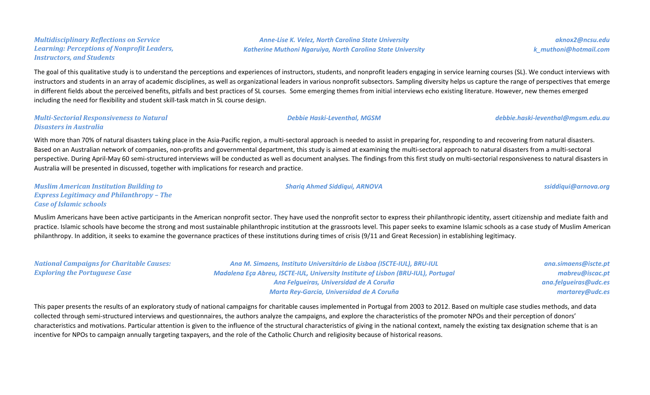#### *Multidisciplinary Reflections on Service Learning: Perceptions of Nonprofit Leaders, Instructors, and Students*

The goal of this qualitative study is to understand the perceptions and experiences of instructors, students, and nonprofit leaders engaging in service learning courses (SL). We conduct interviews with instructors and students in an array of academic disciplines, as well as organizational leaders in various nonprofit subsectors. Sampling diversity helps us capture the range of perspectives that emerge in different fields about the perceived benefits, pitfalls and best practices of SL courses. Some emerging themes from initial interviews echo existing literature. However, new themes emerged including the need for flexibility and student skill-task match in SL course design.

#### *Multi-Sectorial Responsiveness to Natural Disasters in Australia*

With more than 70% of natural disasters taking place in the Asia-Pacific region, a multi-sectoral approach is needed to assist in preparing for, responding to and recovering from natural disasters. Based on an Australian network of companies, non-profits and governmental department, this study is aimed at examining the multi-sectoral approach to natural disasters from a multi-sectoral perspective. During April-May 60 semi-structured interviews will be conducted as well as document analyses. The findings from this first study on multi-sectorial responsiveness to natural disasters in Australia will be presented in discussed, together with implications for research and practice.

*Muslim American Institution Building to Express Legitimacy and Philanthropy – The Case of Islamic schools*

Muslim Americans have been active participants in the American nonprofit sector. They have used the nonprofit sector to express their philanthropic identity, assert citizenship and mediate faith and practice. Islamic schools have become the strong and most sustainable philanthropic institution at the grassroots level. This paper seeks to examine Islamic schools as a case study of Muslim American philanthropy. In addition, it seeks to examine the governance practices of these institutions during times of crisis (9/11 and Great Recession) in establishing legitimacy.

*National Campaigns for Charitable Causes: Exploring the Portuguese Case Ana M. Simaens, Instituto Universitário de Lisboa (ISCTE-IUL), BRU-IUL Madalena Eça Abreu, ISCTE-IUL, University Institute of Lisbon (BRU-IUL), Portugal Ana Felgueiras, Universidad de A Coruña Marta Rey-Garcia, Universidad de A Coruña ana.simaens@iscte.pt mabreu@iscac.pt ana.felgueiras@udc.es martarey@udc.es*

This paper presents the results of an exploratory study of national campaigns for charitable causes implemented in Portugal from 2003 to 2012. Based on multiple case studies methods, and data collected through semi-structured interviews and questionnaires, the authors analyze the campaigns, and explore the characteristics of the promoter NPOs and their perception of donors' characteristics and motivations. Particular attention is given to the influence of the structural characteristics of giving in the national context, namely the existing tax designation scheme that is an incentive for NPOs to campaign annually targeting taxpayers, and the role of the Catholic Church and religiosity because of historical reasons.

*Anne-Lise K. Velez, North Carolina State University Katherine Muthoni Ngaruiya, North Carolina State University*

*aknox2@ncsu.edu k\_muthoni@hotmail.com*

*Debbie Haski-Leventhal, MGSM debbie.haski-leventhal@mgsm.edu.au*

*Shariq Ahmed Siddiqui, ARNOVA [ssiddiqui@arnova.org](mailto:ssiddiqui@arnova.org)*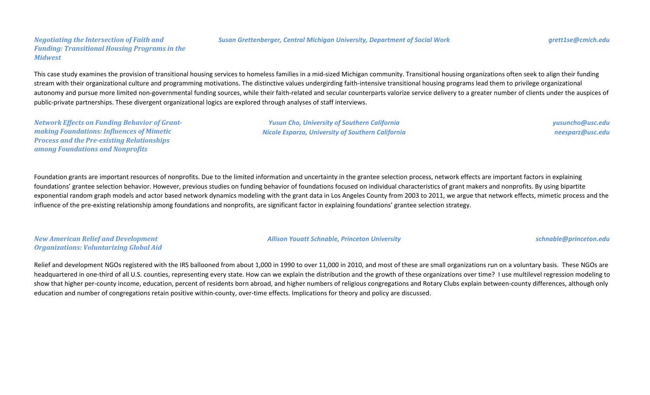#### *Negotiating the Intersection of Faith and Funding: Transitional Housing Programs in the Midwest*

#### *Susan Grettenberger, Central Michigan University, Department of Social Work grett1se@cmich.edu*

This case study examines the provision of transitional housing services to homeless families in a mid-sized Michigan community. Transitional housing organizations often seek to align their funding stream with their organizational culture and programming motivations. The distinctive values undergirding faith-intensive transitional housing programs lead them to privilege organizational autonomy and pursue more limited non-governmental funding sources, while their faith-related and secular counterparts valorize service delivery to a greater number of clients under the auspices of public-private partnerships. These divergent organizational logics are explored through analyses of staff interviews.

*Network Effects on Funding Behavior of Grantmaking Foundations: Influences of Mimetic Process and the Pre-existing Relationships among Foundations and Nonprofits*

*Yusun Cho, University of Southern California Nicole Esparza, University of Southern California* *yusuncho@usc.edu neesparz@usc.edu*

Foundation grants are important resources of nonprofits. Due to the limited information and uncertainty in the grantee selection process, network effects are important factors in explaining foundations' grantee selection behavior. However, previous studies on funding behavior of foundations focused on individual characteristics of grant makers and nonprofits. By using bipartite exponential random graph models and actor based network dynamics modeling with the grant data in Los Angeles County from 2003 to 2011, we argue that network effects, mimetic process and the influence of the pre-existing relationship among foundations and nonprofits, are significant factor in explaining foundations' grantee selection strategy.

*New American Relief and Development Organizations: Voluntarizing Global Aid*

Relief and development NGOs registered with the IRS ballooned from about 1,000 in 1990 to over 11,000 in 2010, and most of these are small organizations run on a voluntary basis. These NGOs are headquartered in one-third of all U.S. counties, representing every state. How can we explain the distribution and the growth of these organizations over time? I use multilevel regression modeling to show that higher per-county income, education, percent of residents born abroad, and higher numbers of religious congregations and Rotary Clubs explain between-county differences, although only education and number of congregations retain positive within-county, over-time effects. Implications for theory and policy are discussed.

*Allison Youatt Schnable, Princeton University schnable@princeton.edu*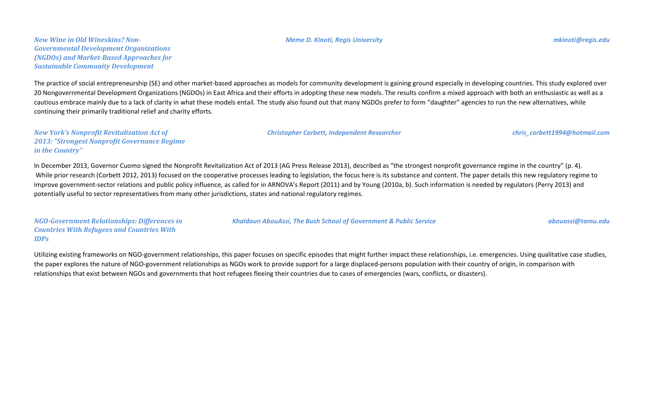#### *Meme D. Kinoti, Regis University mkinoti@regis.edu*

The practice of social entrepreneurship (SE) and other market-based approaches as models for community development is gaining ground especially in developing countries. This study explored over 20 Nongovernmental Development Organizations (NGDOs) in East Africa and their efforts in adopting these new models. The results confirm a mixed approach with both an enthusiastic as well as a cautious embrace mainly due to a lack of clarity in what these models entail. The study also found out that many NGDOs prefer to form "daughter" agencies to run the new alternatives, while continuing their primarily traditional relief and charity efforts.

*New York's Nonprofit Revitalization Act of 2013: "Strongest Nonprofit Governance Regime in the Country"*

In December 2013, Governor Cuomo signed the Nonprofit Revitalization Act of 2013 (AG Press Release 2013), described as "the strongest nonprofit governance regime in the country" (p. 4). While prior research (Corbett 2012, 2013) focused on the cooperative processes leading to legislation, the focus here is its substance and content. The paper details this new regulatory regime to improve government-sector relations and public policy influence, as called for in ARNOVA's Report (2011) and by Young (2010a, b). Such information is needed by regulators (Perry 2013) and potentially useful to sector representatives from many other jurisdictions, states and national regulatory regimes.

*NGO-Government Relationships: Differences in Countries With Refugees and Countries With IDPs*

Utilizing existing frameworks on NGO-government relationships, this paper focuses on specific episodes that might further impact these relationships, i.e. emergencies. Using qualitative case studies, the paper explores the nature of NGO-government relationships as NGOs work to provide support for a large displaced-persons population with their country of origin, in comparison with relationships that exist between NGOs and governments that host refugees fleeing their countries due to cases of emergencies (wars, conflicts, or disasters).

*Khaldoun AbouAssi, The Bush School of Government & Public Service abouassi@tamu.edu*

*Christopher Corbett, Independent Researcher chris\_corbett1994@hotmail.com*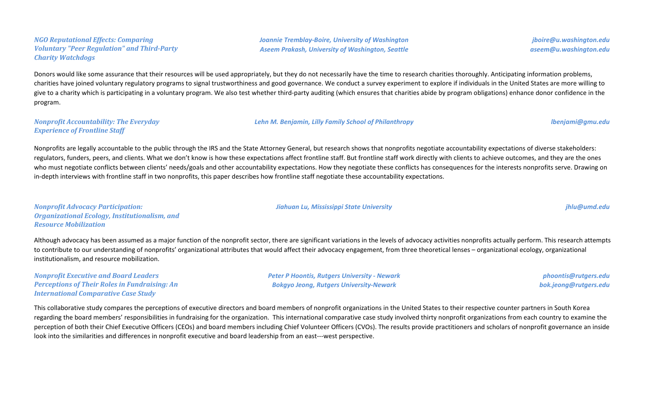#### *NGO Reputational Effects: Comparing Voluntary "Peer Regulation" and Third-Party Charity Watchdogs*

*Joannie Tremblay-Boire, University of Washington Aseem Prakash, University of Washington, Seattle*

*jboire@u.washington.edu aseem@u.washington.edu*

Donors would like some assurance that their resources will be used appropriately, but they do not necessarily have the time to research charities thoroughly. Anticipating information problems, charities have joined voluntary regulatory programs to signal trustworthiness and good governance. We conduct a survey experiment to explore if individuals in the United States are more willing to give to a charity which is participating in a voluntary program. We also test whether third-party auditing (which ensures that charities abide by program obligations) enhance donor confidence in the program.

*Nonprofit Accountability: The Everyday Experience of Frontline Staff*

Nonprofits are legally accountable to the public through the IRS and the State Attorney General, but research shows that nonprofits negotiate accountability expectations of diverse stakeholders: regulators, funders, peers, and clients. What we don't know is how these expectations affect frontline staff. But frontline staff work directly with clients to achieve outcomes, and they are the ones who must negotiate conflicts between clients' needs/goals and other accountability expectations. How they negotiate these conflicts has consequences for the interests nonprofits serve. Drawing on in-depth interviews with frontline staff in two nonprofits, this paper describes how frontline staff negotiate these accountability expectations.

*Nonprofit Advocacy Participation: Organizational Ecology, Institutionalism, and Resource Mobilization*

Although advocacy has been assumed as a major function of the nonprofit sector, there are significant variations in the levels of advocacy activities nonprofits actually perform. This research attempts to contribute to our understanding of nonprofits' organizational attributes that would affect their advocacy engagement, from three theoretical lenses – organizational ecology, organizational institutionalism, and resource mobilization.

*Nonprofit Executive and Board Leaders Perceptions of Their Roles in Fundraising: An International Comparative Case Study*

*Peter P Hoontis, Rutgers University - Newark Bokgyo Jeong, Rutgers University-Newark*

*phoontis@rutgers.edu bok.jeong@rutgers.edu*

This collaborative study compares the perceptions of executive directors and board members of nonprofit organizations in the United States to their respective counter partners in South Korea regarding the board members' responsibilities in fundraising for the organization. This international comparative case study involved thirty nonprofit organizations from each country to examine the perception of both their Chief Executive Officers (CEOs) and board members including Chief Volunteer Officers (CVOs). The results provide practitioners and scholars of nonprofit governance an inside look into the similarities and differences in nonprofit executive and board leadership from an east---west perspective.

*Lehn M. Benjamin, Lilly Family School of Philanthropy lbenjami@gmu.edu*

*Jiahuan Lu, Mississippi State University jhlu@umd.edu*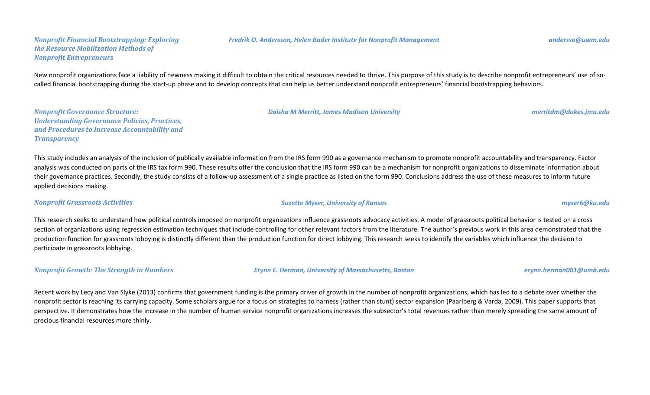#### *Nonprofit Financial Bootstrapping: Exploring the Resource Mobilization Methods of Nonprofit Entrepreneurs*

New nonprofit organizations face a liability of newness making it difficult to obtain the critical resources needed to thrive. This purpose of this study is to describe nonprofit entrepreneurs' use of socalled financial bootstrapping during the start-up phase and to develop concepts that can help us better understand nonprofit entrepreneurs' financial bootstrapping behaviors.

*Nonprofit Governance Structure: Understanding Governance Policies, Practices, and Procedures to Increase Accountability and Transparency*

This study includes an analysis of the inclusion of publically available information from the IRS form 990 as a governance mechanism to promote nonprofit accountability and transparency. Factor analysis was conducted on parts of the IRS tax form 990. These results offer the conclusion that the IRS form 990 can be a mechanism for nonprofit organizations to disseminate information about their governance practices. Secondly, the study consists of a follow-up assessment of a single practice as listed on the form 990. Conclusions address the use of these measures to inform future applied decisions making.

#### *Nonprofit Grassroots Activities Suzette Myser, University of Kansas myser6@ku.edu*

This research seeks to understand how political controls imposed on nonprofit organizations influence grassroots advocacy activities. A model of grassroots political behavior is tested on a cross section of organizations using regression estimation techniques that include controlling for other relevant factors from the literature. The author's previous work in this area demonstrated that the production function for grassroots lobbying is distinctly different than the production function for direct lobbying. This research seeks to identify the variables which influence the decision to participate in grassroots lobbying.

*Nonprofit Growth: The Strength in Numbers Erynn E. Herman, University of Massachusetts, Boston erynn.herman001@umb.edu*

Recent work by Lecy and Van Slyke (2013) confirms that government funding is the primary driver of growth in the number of nonprofit organizations, which has led to a debate over whether the nonprofit sector is reaching its carrying capacity. Some scholars argue for a focus on strategies to harness (rather than stunt) sector expansion (Paarlberg & Varda, 2009). This paper supports that perspective. It demonstrates how the increase in the number of human service nonprofit organizations increases the subsector's total revenues rather than merely spreading the same amount of precious financial resources more thinly.

*Daisha M Merritt, James Madison University merritdm@dukes.jmu.edu*

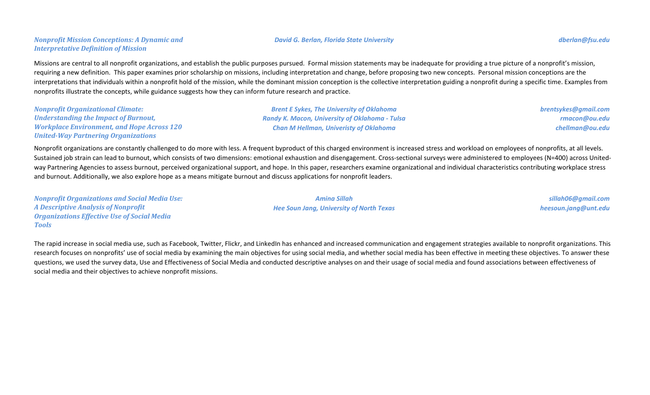### *Nonprofit Mission Conceptions: A Dynamic and Interpretative Definition of Mission*

Missions are central to all nonprofit organizations, and establish the public purposes pursued. Formal mission statements may be inadequate for providing a true picture of a nonprofit's mission, requiring a new definition. This paper examines prior scholarship on missions, including interpretation and change, before proposing two new concepts. Personal mission conceptions are the interpretations that individuals within a nonprofit hold of the mission, while the dominant mission conception is the collective interpretation guiding a nonprofit during a specific time. Examples from nonprofits illustrate the concepts, while guidance suggests how they can inform future research and practice.

| <b>Nonprofit Organizational Climate:</b>          | <b>Brent E Sykes, The University of Oklahoma</b>      | brentsykes@gmail.com |
|---------------------------------------------------|-------------------------------------------------------|----------------------|
| <b>Understanding the Impact of Burnout,</b>       | <b>Randy K. Macon, University of Oklahoma - Tulsa</b> | rmacon@ou.edu        |
| <b>Workplace Environment, and Hope Across 120</b> | <b>Chan M Hellman, Univeristy of Oklahoma</b>         | chellman@ou.edu      |
| <b>United-Way Partnering Organizations</b>        |                                                       |                      |

Nonprofit organizations are constantly challenged to do more with less. A frequent byproduct of this charged environment is increased stress and workload on employees of nonprofits, at all levels. Sustained job strain can lead to burnout, which consists of two dimensions: emotional exhaustion and disengagement. Cross-sectional surveys were administered to employees (N=400) across Unitedway Partnering Agencies to assess burnout, perceived organizational support, and hope. In this paper, researchers examine organizational and individual characteristics contributing workplace stress and burnout. Additionally, we also explore hope as a means mitigate burnout and discuss applications for nonprofit leaders.

*Nonprofit Organizations and Social Media Use: A Descriptive Analysis of Nonprofit Organizations Effective Use of Social Media Tools Amina Sillah Hee Soun Jang, University of North Texas sillah06@gmail.com heesoun.jang@unt.edu*

The rapid increase in social media use, such as Facebook, Twitter, Flickr, and LinkedIn has enhanced and increased communication and engagement strategies available to nonprofit organizations. This research focuses on nonprofits' use of social media by examining the main objectives for using social media, and whether social media has been effective in meeting these objectives. To answer these questions, we used the survey data, Use and Effectiveness of Social Media and conducted descriptive analyses on and their usage of social media and found associations between effectiveness of social media and their objectives to achieve nonprofit missions.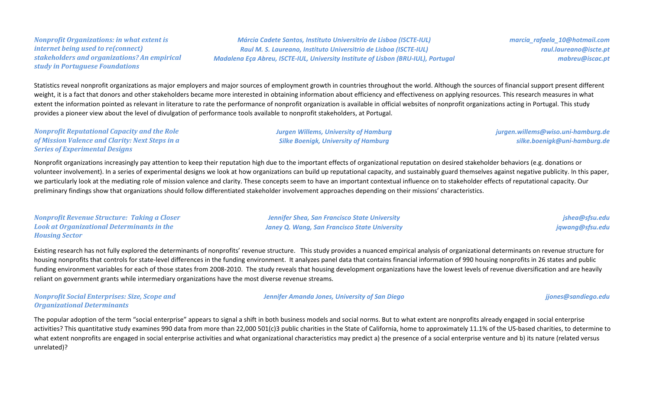#### *Nonprofit Organizations: in what extent is internet being used to re(connect) stakeholders and organizations? An empirical study in Portuguese Foundations*

### *Márcia Cadete Santos, Instituto Universitrio de Lisboa (ISCTE-IUL) Raul M. S. Laureano, Instituto Universitrio de Lisboa (ISCTE-IUL) Madalena Eça Abreu, ISCTE-IUL, University Institute of Lisbon (BRU-IUL), Portugal*

*marcia\_rafaela\_10@hotmail.com raul.laureano@iscte.pt mabreu@iscac.pt*

Statistics reveal nonprofit organizations as major employers and major sources of employment growth in countries throughout the world. Although the sources of financial support present different weight, it is a fact that donors and other stakeholders became more interested in obtaining information about efficiency and effectiveness on applying resources. This research measures in what extent the information pointed as relevant in literature to rate the performance of nonprofit organization is available in official websites of nonprofit organizations acting in Portugal. This study provides a pioneer view about the level of divulgation of performance tools available to nonprofit stakeholders, at Portugal.

#### *Nonprofit Reputational Capacity and the Role of Mission Valence and Clarity: Next Steps in a Series of Experimental Designs*

*Silke Boenigk, University of Hamburg*

*jurgen.willems@wiso.uni-hamburg.de silke.boenigk@uni-hamburg.de*

Nonprofit organizations increasingly pay attention to keep their reputation high due to the important effects of organizational reputation on desired stakeholder behaviors (e.g. donations or volunteer involvement). In a series of experimental designs we look at how organizations can build up reputational capacity, and sustainably guard themselves against negative publicity. In this paper, we particularly look at the mediating role of mission valence and clarity. These concepts seem to have an important contextual influence on to stakeholder effects of reputational capacity. Our preliminary findings show that organizations should follow differentiated stakeholder involvement approaches depending on their missions' characteristics.

| <b>Nonprofit Revenue Structure: Taking a Closer</b> | <b>Jennifer Shea, San Francisco State University</b> | jshea@sfsu.edu  |
|-----------------------------------------------------|------------------------------------------------------|-----------------|
| Look at Organizational Determinants in the          | <b>Janey Q. Wang, San Francisco State University</b> | jqwang@sfsu.edu |
| <b>Housing Sector</b>                               |                                                      |                 |

Existing research has not fully explored the determinants of nonprofits' revenue structure. This study provides a nuanced empirical analysis of organizational determinants on revenue structure for housing nonprofits that controls for state-level differences in the funding environment. It analyzes panel data that contains financial information of 990 housing nonprofits in 26 states and public funding environment variables for each of those states from 2008-2010. The study reveals that housing development organizations have the lowest levels of revenue diversification and are heavily reliant on government grants while intermediary organizations have the most diverse revenue streams.

#### *Nonprofit Social Enterprises: Size, Scope and Organizational Determinants*

*Jennifer Amanda Jones, University of San Diego jjones@sandiego.edu*

The popular adoption of the term "social enterprise" appears to signal a shift in both business models and social norms. But to what extent are nonprofits already engaged in social enterprise activities? This quantitative study examines 990 data from more than 22,000 501(c)3 public charities in the State of California, home to approximately 11.1% of the US-based charities, to determine to what extent nonprofits are engaged in social enterprise activities and what organizational characteristics may predict a) the presence of a social enterprise venture and b) its nature (related versus unrelated)?

# *Jurgen Willems, University of Hamburg*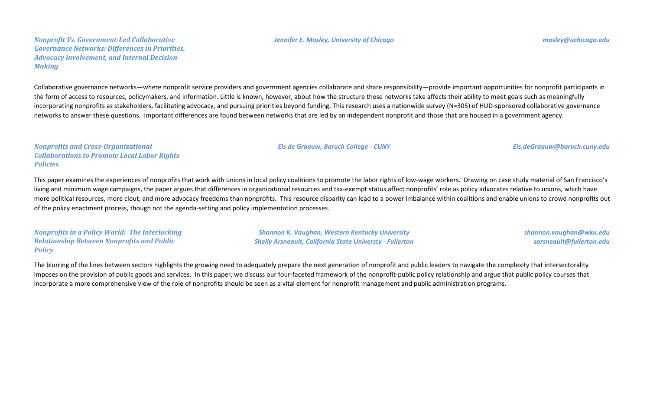#### *Jennifer E. Mosley, University of Chicago mosley@uchicago.edu*

Collaborative governance networks—where nonprofit service providers and government agencies collaborate and share responsibility—provide important opportunities for nonprofit participants in the form of access to resources, policymakers, and information. Little is known, however, about how the structure these networks take affects their ability to meet goals such as meaningfully incorporating nonprofits as stakeholders, facilitating advocacy, and pursuing priorities beyond funding. This research uses a nationwide survey (N=305) of HUD-sponsored collaborative governance networks to answer these questions. Important differences are found between networks that are led by an independent nonprofit and those that are housed in a government agency.

*Nonprofits and Cross-Organizational Collaborations to Promote Local Labor Rights Policies*

This paper examines the experiences of nonprofits that work with unions in local policy coalitions to promote the labor rights of low-wage workers. Drawing on case study material of San Francisco's living and minimum wage campaigns, the paper argues that differences in organizational resources and tax-exempt status affect nonprofits' role as policy advocates relative to unions, which have more political resources, more clout, and more advocacy freedoms than nonprofits. This resource disparity can lead to a power imbalance within coalitions and enable unions to crowd nonprofits out of the policy enactment process, though not the agenda-setting and policy implementation processes.

*Nonprofits in a Policy World: The Interlocking Relationship Between Nonprofits and Public Policy*

*Shannon K. Vaughan, Western Kentucky University Shelly Arsneault, California State Universty - Fullerton* *shannon.vaughan@wku.edu sarsneault@fullerton.edu*

The blurring of the lines between sectors highlights the growing need to adequately prepare the next generation of nonprofit and public leaders to navigate the complexity that intersectorality imposes on the provision of public goods and services. In this paper, we discuss our four-faceted framework of the nonprofit-public policy relationship and argue that public policy courses that incorporate a more comprehensive view of the role of nonprofits should be seen as a vital element for nonprofit management and public administration programs.

*Els de Graauw, Baruch College - CUNY Els.deGraauw@baruch.cuny.edu*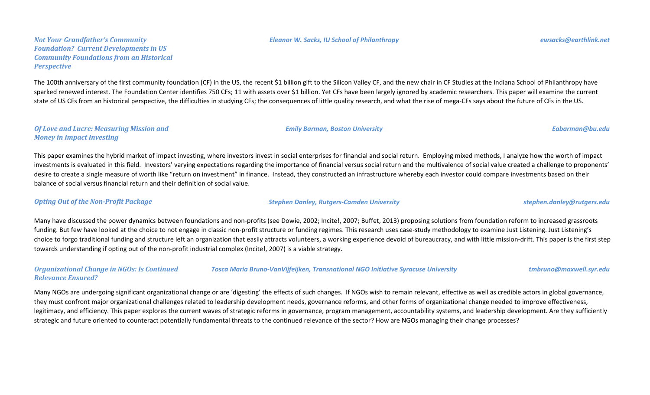#### *Eleanor W. Sacks, IU School of Philanthropy ewsacks@earthlink.net*

*Not Your Grandfather's Community Foundation? Current Developments in US Community Foundations from an Historical Perspective*

The 100th anniversary of the first community foundation (CF) in the US, the recent \$1 billion gift to the Silicon Valley CF, and the new chair in CF Studies at the Indiana School of Philanthropy have sparked renewed interest. The Foundation Center identifies 750 CFs; 11 with assets over \$1 billion. Yet CFs have been largely ignored by academic researchers. This paper will examine the current state of US CFs from an historical perspective, the difficulties in studying CFs; the consequences of little quality research, and what the rise of mega-CFs says about the future of CFs in the US.

#### *Of Love and Lucre: Measuring Mission and Money in Impact Investing*

This paper examines the hybrid market of impact investing, where investors invest in social enterprises for financial and social return. Employing mixed methods, I analyze how the worth of impact investments is evaluated in this field. Investors' varying expectations regarding the importance of financial versus social return and the multivalence of social value created a challenge to proponents' desire to create a single measure of worth like "return on investment" in finance. Instead, they constructed an infrastructure whereby each investor could compare investments based on their balance of social versus financial return and their definition of social value.

Many have discussed the power dynamics between foundations and non-profits (see Dowie, 2002; Incite!, 2007; Buffet, 2013) proposing solutions from foundation reform to increased grassroots funding. But few have looked at the choice to not engage in classic non-profit structure or funding regimes. This research uses case-study methodology to examine Just Listening. Just Listening's choice to forgo traditional funding and structure left an organization that easily attracts volunteers, a working experience devoid of bureaucracy, and with little mission-drift. This paper is the first step towards understanding if opting out of the non-profit industrial complex (Incite!, 2007) is a viable strategy.

*Organizational Change in NGOs: Is Continued Relevance Ensured? Tosca Maria Bruno-VanVijfeijken, Transnational NGO Initiative Syracuse University tmbruno@maxwell.syr.edu*

Many NGOs are undergoing significant organizational change or are 'digesting' the effects of such changes. If NGOs wish to remain relevant, effective as well as credible actors in global governance, they must confront major organizational challenges related to leadership development needs, governance reforms, and other forms of organizational change needed to improve effectiveness, legitimacy, and efficiency. This paper explores the current waves of strategic reforms in governance, program management, accountability systems, and leadership development. Are they sufficiently strategic and future oriented to counteract potentially fundamental threats to the continued relevance of the sector? How are NGOs managing their change processes?

*Emily Barman, Boston University Eabarman@bu.edu*

*Opting Out of the Non-Profit Package Stephen Danley, Rutgers-Camden University stephen.danley@rutgers.edu*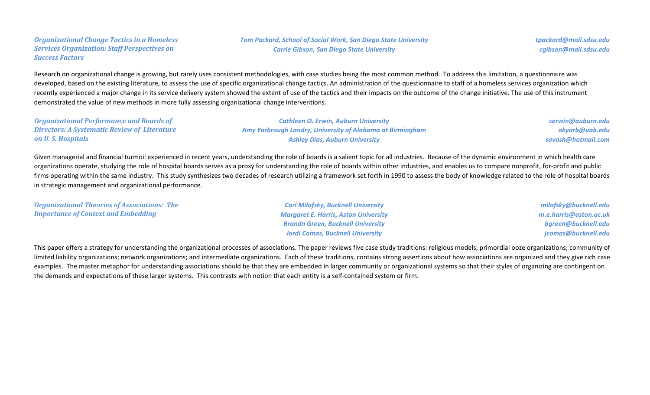#### *Organizational Change Tactics in a Homeless Services Organization: Staff Perspectives on Success Factors*

Research on organizational change is growing, but rarely uses consistent methodologies, with case studies being the most common method. To address this limitation, a questionnaire was developed, based on the existing literature, to assess the use of specific organizational change tactics. An administration of the questionnaire to staff of a homeless services organization which recently experienced a major change in its service delivery system showed the extent of use of the tactics and their impacts on the outcome of the change initiative. The use of this instrument demonstrated the value of new methods in more fully assessing organizational change interventions.

#### *Organizational Performance and Boards of Directors: A Systematic Review of Literature on U. S. Hospitals*

*Cathleen O. Erwin, Auburn University Amy Yarbrough Landry, University of Alabama at Birmingham Ashley Dias, Auburn University*

*cerwin@auburn.edu akyarb@uab.edu savash@hotmail.com*

Given managerial and financial turmoil experienced in recent years, understanding the role of boards is a salient topic for all industries. Because of the dynamic environment in which health care organizations operate, studying the role of hospital boards serves as a proxy for understanding the role of boards within other industries, and enables us to compare nonprofit, for-profit and public firms operating within the same industry. This study synthesizes two decades of research utilizing a framework set forth in 1990 to assess the body of knowledge related to the role of hospital boards in strategic management and organizational performance.

| <b>Organizational Theories of Associations: The</b> | <b>Carl Milofsky, Bucknell University</b>   | milofsky@bucknell.edu  |
|-----------------------------------------------------|---------------------------------------------|------------------------|
| <b>Importance of Context and Embedding</b>          | <b>Margaret E. Harris, Aston University</b> | m.e.harris@aston.ac.uk |
|                                                     | <b>Brandn Green, Bucknell University</b>    | bgreen@bucknell.edu    |
|                                                     | <b>Jordi Comas, Bucknell University</b>     | jcomas@bucknell.edu    |

This paper offers a strategy for understanding the organizational processes of associations. The paper reviews five case study traditions: religious models; primordial ooze organizations; community of limited liability organizations; network organizations; and intermediate organizations. Each of these traditions, contains strong assertions about how associations are organized and they give rich case examples. The master metaphor for understanding associations should be that they are embedded in larger community or organizational systems so that their styles of organizing are contingent on the demands and expectations of these larger systems. This contrasts with notion that each entity is a self-contained system or firm.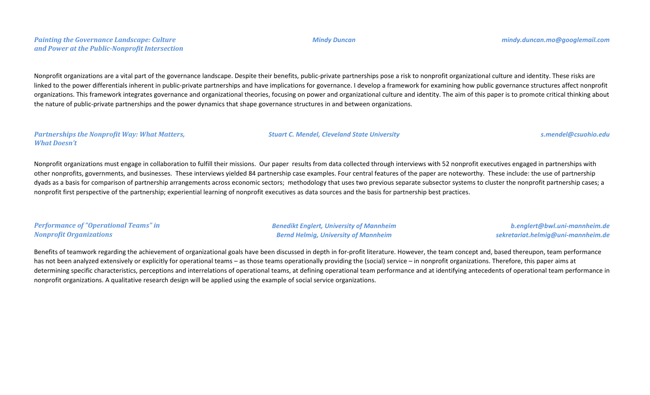#### *Painting the Governance Landscape: Culture and Power at the Public-Nonprofit Intersection*

Nonprofit organizations are a vital part of the governance landscape. Despite their benefits, public-private partnerships pose a risk to nonprofit organizational culture and identity. These risks are linked to the power differentials inherent in public-private partnerships and have implications for governance. I develop a framework for examining how public governance structures affect nonprofit organizations. This framework integrates governance and organizational theories, focusing on power and organizational culture and identity. The aim of this paper is to promote critical thinking about the nature of public-private partnerships and the power dynamics that shape governance structures in and between organizations.

#### *Partnerships the Nonprofit Way: What Matters, What Doesn't*

Nonprofit organizations must engage in collaboration to fulfill their missions. Our paper results from data collected through interviews with 52 nonprofit executives engaged in partnerships with other nonprofits, governments, and businesses. These interviews yielded 84 partnership case examples. Four central features of the paper are noteworthy. These include: the use of partnership dyads as a basis for comparison of partnership arrangements across economic sectors; methodology that uses two previous separate subsector systems to cluster the nonprofit partnership cases; a nonprofit first perspective of the partnership; experiential learning of nonprofit executives as data sources and the basis for partnership best practices.

| <b>Performance of "Operational Teams" in</b> | <b>Benedikt Englert, University of Mannheim</b> | b.englert@bwl.uni-mannheim.de      |
|----------------------------------------------|-------------------------------------------------|------------------------------------|
| <b>Nonprofit Organizations</b>               | <b>Bernd Helmig, University of Mannheim</b>     | sekretariat.helmig@uni-mannheim.de |

Benefits of teamwork regarding the achievement of organizational goals have been discussed in depth in for-profit literature. However, the team concept and, based thereupon, team performance has not been analyzed extensively or explicitly for operational teams – as those teams operationally providing the (social) service – in nonprofit organizations. Therefore, this paper aims at determining specific characteristics, perceptions and interrelations of operational teams, at defining operational team performance and at identifying antecedents of operational team performance in nonprofit organizations. A qualitative research design will be applied using the example of social service organizations.

*Stuart C. Mendel, Cleveland State University s.mendel@csuohio.edu*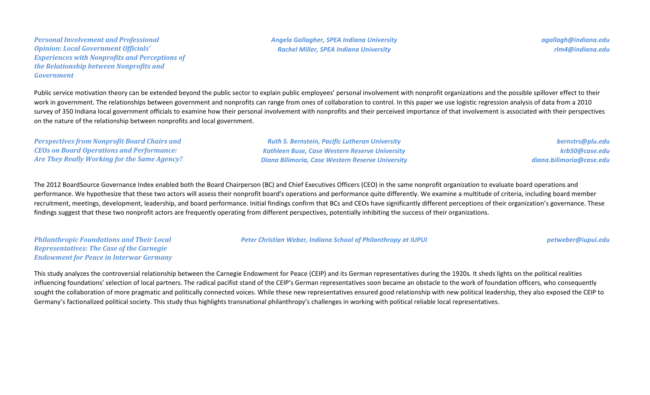*Personal Involvement and Professional Opinion: Local Government Officials' Experiences with Nonprofits and Perceptions of the Relationship between Nonprofits and Government*

Public service motivation theory can be extended beyond the public sector to explain public employees' personal involvement with nonprofit organizations and the possible spillover effect to their work in government. The relationships between government and nonprofits can range from ones of collaboration to control. In this paper we use logistic regression analysis of data from a 2010 survey of 350 Indiana local government officials to examine how their personal involvement with nonprofits and their perceived importance of that involvement is associated with their perspectives on the nature of the relationship between nonprofits and local government.

| <b>Perspectives from Nonprofit Board Chairs and</b> | <b>Ruth S. Bernstein, Pacific Lutheran University</b> | bernstrs@plu.edu         |
|-----------------------------------------------------|-------------------------------------------------------|--------------------------|
| <b>CEOs on Board Operations and Performance:</b>    | <b>Kathleen Buse, Case Western Reserve University</b> | krb50@case.edu           |
| <b>Are They Really Working for the Same Agency?</b> | Diana Bilimoria, Case Western Reserve University      | diana.bilimoria@case.edu |

The 2012 BoardSource Governance Index enabled both the Board Chairperson (BC) and Chief Executives Officers (CEO) in the same nonprofit organization to evaluate board operations and performance. We hypothesize that these two actors will assess their nonprofit board's operations and performance quite differently. We examine a multitude of criteria, including board member recruitment, meetings, development, leadership, and board performance. Initial findings confirm that BCs and CEOs have significantly different perceptions of their organization's governance. These findings suggest that these two nonprofit actors are frequently operating from different perspectives, potentially inhibiting the success of their organizations.

*Philanthropic Foundations and Their Local Representatives: The Case of the Carnegie Endowment for Peace in Interwar Germany* *Peter Christian Weber, Indiana School of Philanthropy at IUPUI petweber@iupui.edu*

This study analyzes the controversial relationship between the Carnegie Endowment for Peace (CEIP) and its German representatives during the 1920s. It sheds lights on the political realities influencing foundations' selection of local partners. The radical pacifist stand of the CEIP's German representatives soon became an obstacle to the work of foundation officers, who consequently sought the collaboration of more pragmatic and politically connected voices. While these new representatives ensured good relationship with new political leadership, they also exposed the CEIP to Germany's factionalized political society. This study thus highlights transnational philanthropy's challenges in working with political reliable local representatives.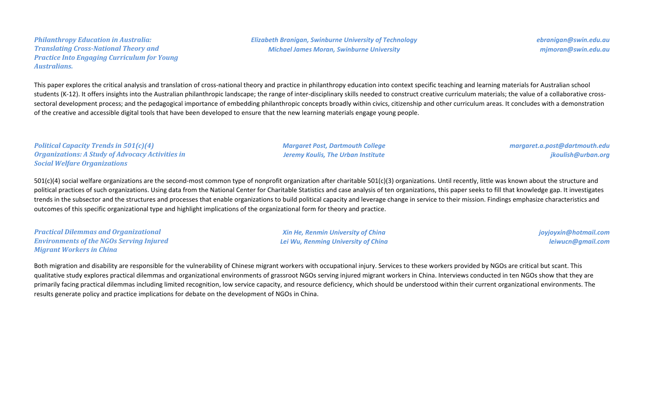#### *Philanthropy Education in Australia: Translating Cross-National Theory and Practice Into Engaging Curriculum for Young Australians.*

*ebranigan@swin.edu.au mjmoran@swin.edu.au*

This paper explores the critical analysis and translation of cross-national theory and practice in philanthropy education into context specific teaching and learning materials for Australian school students (K-12). It offers insights into the Australian philanthropic landscape; the range of inter-disciplinary skills needed to construct creative curriculum materials; the value of a collaborative crosssectoral development process; and the pedagogical importance of embedding philanthropic concepts broadly within civics, citizenship and other curriculum areas. It concludes with a demonstration of the creative and accessible digital tools that have been developed to ensure that the new learning materials engage young people.

*Political Capacity Trends in 501(c)(4) Organizations: A Study of Advocacy Activities in Social Welfare Organizations*

*Margaret Post, Dartmouth College Jeremy Koulis, The Urban Institute*

*margaret.a.post@dartmouth.edu jkoulish@urban.org*

 $501(c)(4)$  social welfare organizations are the second-most common type of nonprofit organization after charitable  $501(c)(3)$  organizations. Until recently, little was known about the structure and political practices of such organizations. Using data from the National Center for Charitable Statistics and case analysis of ten organizations, this paper seeks to fill that knowledge gap. It investigates trends in the subsector and the structures and processes that enable organizations to build political capacity and leverage change in service to their mission. Findings emphasize characteristics and outcomes of this specific organizational type and highlight implications of the organizational form for theory and practice.

*Practical Dilemmas and Organizational Environments of the NGOs Serving Injured Migrant Workers in China*

*Xin He, Renmin University of China Lei Wu, Renming University of China* *joyjoyxin@hotmail.com leiwucn@gmail.com*

Both migration and disability are responsible for the vulnerability of Chinese migrant workers with occupational injury. Services to these workers provided by NGOs are critical but scant. This qualitative study explores practical dilemmas and organizational environments of grassroot NGOs serving injured migrant workers in China. Interviews conducted in ten NGOs show that they are primarily facing practical dilemmas including limited recognition, low service capacity, and resource deficiency, which should be understood within their current organizational environments. The results generate policy and practice implications for debate on the development of NGOs in China.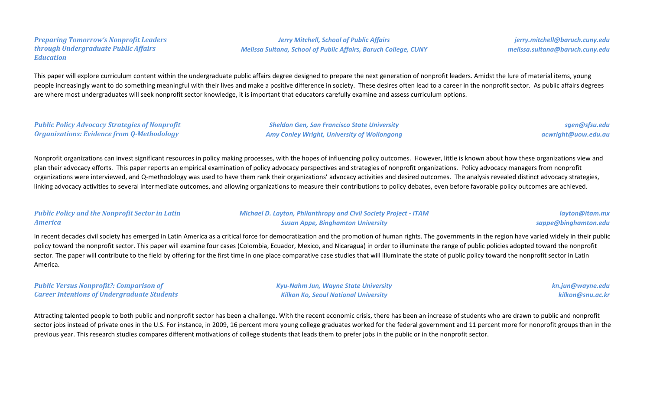*Preparing Tomorrow's Nonprofit Leaders through Undergraduate Public Affairs Education*

*Jerry Mitchell, School of Public Affairs Melissa Sultana, School of Public Affairs, Baruch College, CUNY*

*jerry.mitchell@baruch.cuny.edu melissa.sultana@baruch.cuny.edu*

This paper will explore curriculum content within the undergraduate public affairs degree designed to prepare the next generation of nonprofit leaders. Amidst the lure of material items, young people increasingly want to do something meaningful with their lives and make a positive difference in society. These desires often lead to a career in the nonprofit sector. As public affairs degrees are where most undergraduates will seek nonprofit sector knowledge, it is important that educators carefully examine and assess curriculum options.

*Public Policy Advocacy Strategies of Nonprofit Organizations: Evidence from Q-Methodology*

*Sheldon Gen, San Francisco State University Amy Conley Wright, University of Wollongong*

*sgen@sfsu.edu acwright@uow.edu.au*

Nonprofit organizations can invest significant resources in policy making processes, with the hopes of influencing policy outcomes. However, little is known about how these organizations view and plan their advocacy efforts. This paper reports an empirical examination of policy advocacy perspectives and strategies of nonprofit organizations. Policy advocacy managers from nonprofit organizations were interviewed, and Q-methodology was used to have them rank their organizations' advocacy activities and desired outcomes. The analysis revealed distinct advocacy strategies, linking advocacy activities to several intermediate outcomes, and allowing organizations to measure their contributions to policy debates, even before favorable policy outcomes are achieved.

#### *Public Policy and the Nonprofit Sector in Latin America*

*Michael D. Layton, Philanthropy and Civil Society Project - ITAM Susan Appe, Binghamton University*

*layton@itam.mx sappe@binghamton.edu*

In recent decades civil society has emerged in Latin America as a critical force for democratization and the promotion of human rights. The governments in the region have varied widely in their public policy toward the nonprofit sector. This paper will examine four cases (Colombia, Ecuador, Mexico, and Nicaragua) in order to illuminate the range of public policies adopted toward the nonprofit sector. The paper will contribute to the field by offering for the first time in one place comparative case studies that will illuminate the state of public policy toward the nonprofit sector in Latin America.

*Public Versus Nonprofit?: Comparison of Career Intentions of Undergraduate Students* *Kyu-Nahm Jun, Wayne State University Kilkon Ko, Seoul National University*

*kn.jun@wayne.edu kilkon@snu.ac.kr*

Attracting talented people to both public and nonprofit sector has been a challenge. With the recent economic crisis, there has been an increase of students who are drawn to public and nonprofit sector jobs instead of private ones in the U.S. For instance, in 2009, 16 percent more young college graduates worked for the federal government and 11 percent more for nonprofit groups than in the previous year. This research studies compares different motivations of college students that leads them to prefer jobs in the public or in the nonprofit sector.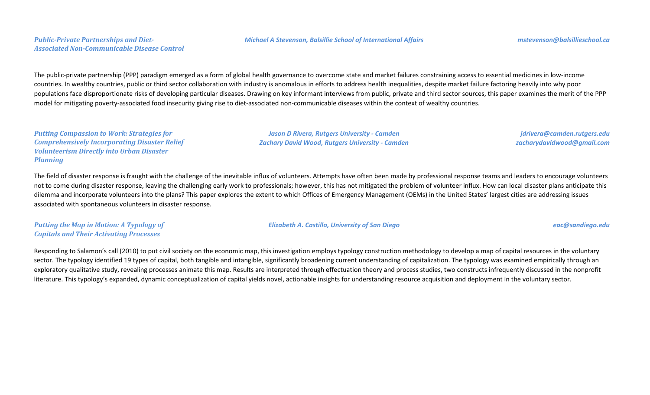#### *Public-Private Partnerships and Diet-Associated Non-Communicable Disease Control*

The public-private partnership (PPP) paradigm emerged as a form of global health governance to overcome state and market failures constraining access to essential medicines in low-income countries. In wealthy countries, public or third sector collaboration with industry is anomalous in efforts to address health inequalities, despite market failure factoring heavily into why poor populations face disproportionate risks of developing particular diseases. Drawing on key informant interviews from public, private and third sector sources, this paper examines the merit of the PPP model for mitigating poverty-associated food insecurity giving rise to diet-associated non-communicable diseases within the context of wealthy countries.

*Putting Compassion to Work: Strategies for Comprehensively Incorporating Disaster Relief Volunteerism Directly into Urban Disaster Planning*

*Jason D Rivera, Rutgers University - Camden Zachary David Wood, Rutgers University - Camden*

*Elizabeth A. Castillo, University of San Diego eac@sandiego.edu*

*jdrivera@camden.rutgers.edu zacharydavidwood@gmail.com*

The field of disaster response is fraught with the challenge of the inevitable influx of volunteers. Attempts have often been made by professional response teams and leaders to encourage volunteers not to come during disaster response, leaving the challenging early work to professionals; however, this has not mitigated the problem of volunteer influx. How can local disaster plans anticipate this dilemma and incorporate volunteers into the plans? This paper explores the extent to which Offices of Emergency Management (OEMs) in the United States' largest cities are addressing issues associated with spontaneous volunteers in disaster response.

*Putting the Map in Motion: A Typology of Capitals and Their Activating Processes*

Responding to Salamon's call (2010) to put civil society on the economic map, this investigation employs typology construction methodology to develop a map of capital resources in the voluntary sector. The typology identified 19 types of capital, both tangible and intangible, significantly broadening current understanding of capitalization. The typology was examined empirically through an exploratory qualitative study, revealing processes animate this map. Results are interpreted through effectuation theory and process studies, two constructs infrequently discussed in the nonprofit literature. This typology's expanded, dynamic conceptualization of capital yields novel, actionable insights for understanding resource acquisition and deployment in the voluntary sector.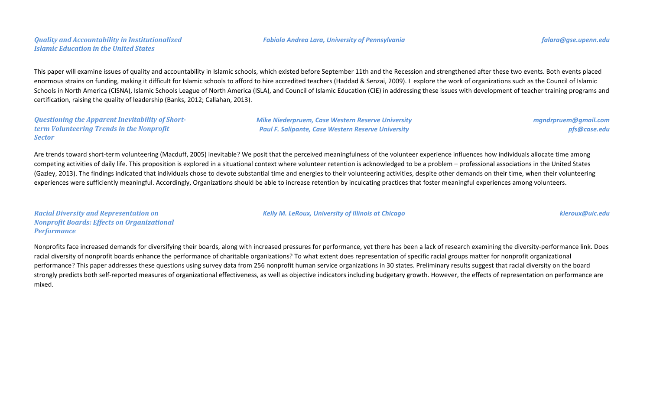### *Quality and Accountability in Institutionalized Islamic Education in the United States*

This paper will examine issues of quality and accountability in Islamic schools, which existed before September 11th and the Recession and strengthened after these two events. Both events placed enormous strains on funding, making it difficult for Islamic schools to afford to hire accredited teachers (Haddad & Senzai, 2009). I explore the work of organizations such as the Council of Islamic Schools in North America (CISNA), Islamic Schools League of North America (ISLA), and Council of Islamic Education (CIE) in addressing these issues with development of teacher training programs and certification, raising the quality of leadership (Banks, 2012; Callahan, 2013).

*Questioning the Apparent Inevitability of Shortterm Volunteering Trends in the Nonprofit Sector*

*Mike Niederpruem, Case Western Reserve University Paul F. Salipante, Case Western Reserve University*

*mgndrpruem@gmail.com pfs@case.edu*

Are trends toward short-term volunteering (Macduff, 2005) inevitable? We posit that the perceived meaningfulness of the volunteer experience influences how individuals allocate time among competing activities of daily life. This proposition is explored in a situational context where volunteer retention is acknowledged to be a problem – professional associations in the United States (Gazley, 2013). The findings indicated that individuals chose to devote substantial time and energies to their volunteering activities, despite other demands on their time, when their volunteering experiences were sufficiently meaningful. Accordingly, Organizations should be able to increase retention by inculcating practices that foster meaningful experiences among volunteers.

*Racial Diversity and Representation on Nonprofit Boards: Effects on Organizational Performance*

Nonprofits face increased demands for diversifying their boards, along with increased pressures for performance, yet there has been a lack of research examining the diversity-performance link. Does racial diversity of nonprofit boards enhance the performance of charitable organizations? To what extent does representation of specific racial groups matter for nonprofit organizational performance? This paper addresses these questions using survey data from 256 nonprofit human service organizations in 30 states. Preliminary results suggest that racial diversity on the board strongly predicts both self-reported measures of organizational effectiveness, as well as objective indicators including budgetary growth. However, the effects of representation on performance are mixed.

*Kelly M. LeRoux, University of Illinois at Chicago kleroux@uic.edu*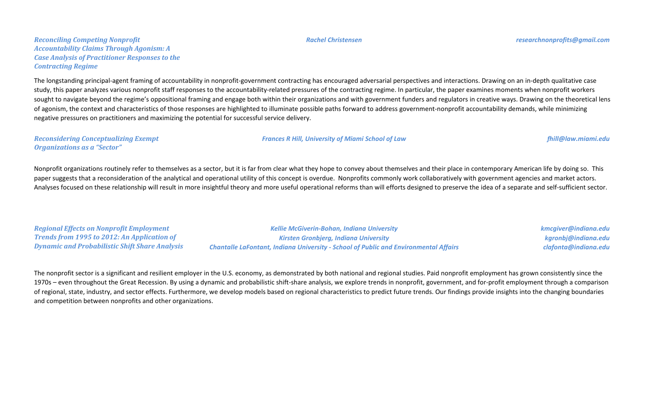*Reconciling Competing Nonprofit Accountability Claims Through Agonism: A Case Analysis of Practitioner Responses to the Contracting Regime*

The longstanding principal-agent framing of accountability in nonprofit-government contracting has encouraged adversarial perspectives and interactions. Drawing on an in-depth qualitative case study, this paper analyzes various nonprofit staff responses to the accountability-related pressures of the contracting regime. In particular, the paper examines moments when nonprofit workers sought to navigate beyond the regime's oppositional framing and engage both within their organizations and with government funders and regulators in creative ways. Drawing on the theoretical lens of agonism, the context and characteristics of those responses are highlighted to illuminate possible paths forward to address government-nonprofit accountability demands, while minimizing negative pressures on practitioners and maximizing the potential for successful service delivery.

*Reconsidering Conceptualizing Exempt Organizations as a "Sector"*

Nonprofit organizations routinely refer to themselves as a sector, but it is far from clear what they hope to convey about themselves and their place in contemporary American life by doing so. This paper suggests that a reconsideration of the analytical and operational utility of this concept is overdue. Nonprofits commonly work collaboratively with government agencies and market actors. Analyses focused on these relationship will result in more insightful theory and more useful operational reforms than will efforts designed to preserve the idea of a separate and self-sufficient sector.

| <b>Regional Effects on Nonprofit Employment</b>       | Kellie McGiverin-Bohan, Indiana University                                                  | kmcgiver@indiana.edu |
|-------------------------------------------------------|---------------------------------------------------------------------------------------------|----------------------|
| <b>Trends from 1995 to 2012: An Application of</b>    | <b>Kirsten Gronbjerg, Indiana University</b>                                                | kgronbj@indiana.edu  |
| <b>Dynamic and Probabilistic Shift Share Analysis</b> | <b>Chantalle LaFontant, Indiana University - School of Public and Environmental Affairs</b> | clafonta@indiana.edu |

The nonprofit sector is a significant and resilient employer in the U.S. economy, as demonstrated by both national and regional studies. Paid nonprofit employment has grown consistently since the 1970s – even throughout the Great Recession. By using a dynamic and probabilistic shift-share analysis, we explore trends in nonprofit, government, and for-profit employment through a comparison of regional, state, industry, and sector effects. Furthermore, we develop models based on regional characteristics to predict future trends. Our findings provide insights into the changing boundaries and competition between nonprofits and other organizations.

*Frances R Hill, University of Miami School of Law fhill@law.miami.edu*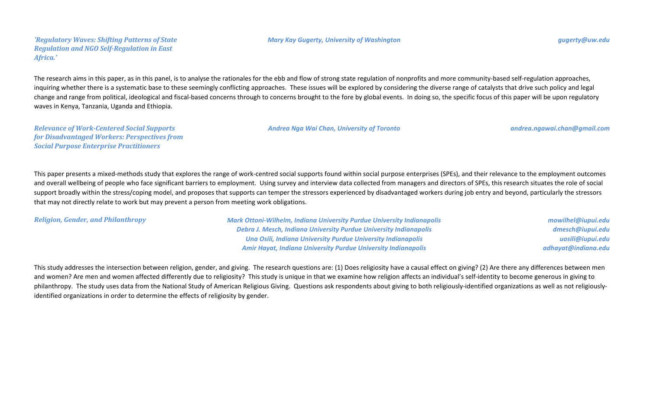#### *'Regulatory Waves: Shifting Patterns of State Regulation and NGO Self-Regulation in East Africa.'*

#### *Mary Kay Gugerty, University of Washington gugerty@uw.edu*

The research aims in this paper, as in this panel, is to analyse the rationales for the ebb and flow of strong state regulation of nonprofits and more community-based self-regulation approaches, inquiring whether there is a systematic base to these seemingly conflicting approaches. These issues will be explored by considering the diverse range of catalysts that drive such policy and legal change and range from political, ideological and fiscal-based concerns through to concerns brought to the fore by global events. In doing so, the specific focus of this paper will be upon regulatory waves in Kenya, Tanzania, Uganda and Ethiopia.

*Relevance of Work-Centered Social Supports for Disadvantaged Workers: Perspectives from Social Purpose Enterprise Practitioners*

This paper presents a mixed-methods study that explores the range of work-centred social supports found within social purpose enterprises (SPEs), and their relevance to the employment outcomes and overall wellbeing of people who face significant barriers to employment. Using survey and interview data collected from managers and directors of SPEs, this research situates the role of social support broadly within the stress/coping model, and proposes that supports can temper the stressors experienced by disadvantaged workers during job entry and beyond, particularly the stressors that may not directly relate to work but may prevent a person from meeting work obligations.

*Religion, Gender, and Philanthropy Mark Ottoni-Wilhelm, Indiana University Purdue University Indianapolis Debra J. Mesch, Indiana University Purdue University Indianapolis Una Osili, Indiana University Purdue University Indianapolis Amir Hayat, Indiana University Purdue University Indianapolis*

*mowilhel@iupui.edu dmesch@iupui.edu uosili@iupui.edu adhayat@indiana.edu*

This study addresses the intersection between religion, gender, and giving. The research questions are: (1) Does religiosity have a causal effect on giving? (2) Are there any differences between men and women? Are men and women affected differently due to religiosity? This study is unique in that we examine how religion affects an individual's self-identity to become generous in giving to philanthropy. The study uses data from the National Study of American Religious Giving. Questions ask respondents about giving to both religiously-identified organizations as well as not religiouslyidentified organizations in order to determine the effects of religiosity by gender.

*Andrea Nga Wai Chan, University of Toronto andrea.ngawai.chan@gmail.com*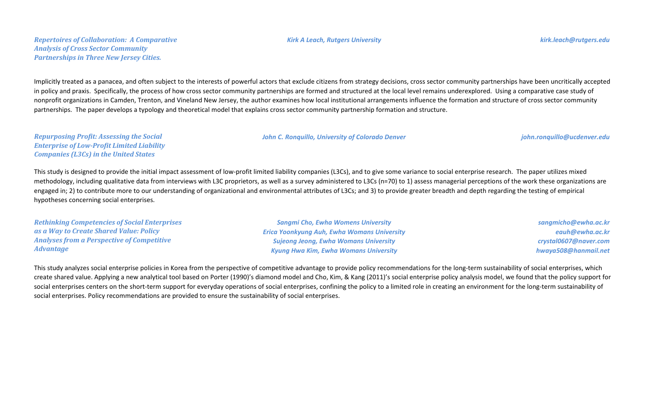#### *Kirk A Leach, Rutgers University kirk.leach@rutgers.edu*

Implicitly treated as a panacea, and often subject to the interests of powerful actors that exclude citizens from strategy decisions, cross sector community partnerships have been uncritically accepted in policy and praxis. Specifically, the process of how cross sector community partnerships are formed and structured at the local level remains underexplored. Using a comparative case study of nonprofit organizations in Camden, Trenton, and Vineland New Jersey, the author examines how local institutional arrangements influence the formation and structure of cross sector community partnerships. The paper develops a typology and theoretical model that explains cross sector community partnership formation and structure.

*John C. Ronquillo, University of Colorado Denver john.ronquillo@ucdenver.edu*

*Repurposing Profit: Assessing the Social Enterprise of Low-Profit Limited Liability Companies (L3Cs) in the United States*

This study is designed to provide the initial impact assessment of low-profit limited liability companies (L3Cs), and to give some variance to social enterprise research. The paper utilizes mixed methodology, including qualitative data from interviews with L3C proprietors, as well as a survey administered to L3Cs (n=70) to 1) assess managerial perceptions of the work these organizations are engaged in; 2) to contribute more to our understanding of organizational and environmental attributes of L3Cs; and 3) to provide greater breadth and depth regarding the testing of empirical hypotheses concerning social enterprises.

| <b>Rethinking Competencies of Social Enterprises</b> | <b>Sangmi Cho, Ewha Womens University</b>          | sangmicho@ewha.ac.kr  |
|------------------------------------------------------|----------------------------------------------------|-----------------------|
| as a Way to Create Shared Value: Policy              | <b>Erica Yoonkyung Auh, Ewha Womans University</b> | eauh@ewha.ac.kr       |
| <b>Analyses from a Perspective of Competitive</b>    | <b>Sujeong Jeong, Ewha Womans University</b>       | crystal0607@naver.com |
| <b>Advantage</b>                                     | <b>Kyung Hwa Kim, Ewha Womans University</b>       | hwaya508@hanmail.net  |

This study analyzes social enterprise policies in Korea from the perspective of competitive advantage to provide policy recommendations for the long-term sustainability of social enterprises, which create shared value. Applying a new analytical tool based on Porter (1990)'s diamond model and Cho, Kim, & Kang (2011)'s social enterprise policy analysis model, we found that the policy support for social enterprises centers on the short-term support for everyday operations of social enterprises, confining the policy to a limited role in creating an environment for the long-term sustainability of social enterprises. Policy recommendations are provided to ensure the sustainability of social enterprises.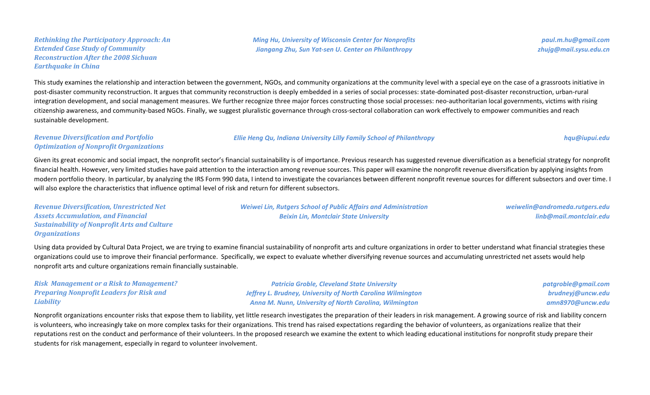### *Rethinking the Participatory Approach: An Extended Case Study of Community Reconstruction After the 2008 Sichuan Earthquake in China*

*Ming Hu, University of Wisconsin Center for Nonprofits Jiangang Zhu, Sun Yat-sen U. Center on Philanthropy*

*paul.m.hu@gmail.com zhujg@mail.sysu.edu.cn*

This study examines the relationship and interaction between the government, NGOs, and community organizations at the community level with a special eye on the case of a grassroots initiative in post-disaster community reconstruction. It argues that community reconstruction is deeply embedded in a series of social processes: state-dominated post-disaster reconstruction, urban-rural integration development, and social management measures. We further recognize three major forces constructing those social processes: neo-authoritarian local governments, victims with rising citizenship awareness, and community-based NGOs. Finally, we suggest pluralistic governance through cross-sectoral collaboration can work effectively to empower communities and reach sustainable development.

#### *Revenue Diversification and Portfolio Optimization of Nonprofit Organizations*

#### *Ellie Heng Qu, Indiana University Lilly Family School of Philanthropy hqu@iupui.edu*

Given its great economic and social impact, the nonprofit sector's financial sustainability is of importance. Previous research has suggested revenue diversification as a beneficial strategy for nonprofit financial health. However, very limited studies have paid attention to the interaction among revenue sources. This paper will examine the nonprofit revenue diversification by applying insights from modern portfolio theory. In particular, by analyzing the IRS Form 990 data, I intend to investigate the covariances between different nonprofit revenue sources for different subsectors and over time. I will also explore the characteristics that influence optimal level of risk and return for different subsectors.

*Revenue Diversification, Unrestricted Net Assets Accumulation, and Financial Sustainability of Nonprofit Arts and Culture Organizations*

*Weiwei Lin, Rutgers School of Public Affairs and Administration Beixin Lin, Montclair State University*

*weiwelin@andromeda.rutgers.edu linb@mail.montclair.edu*

Using data provided by Cultural Data Project, we are trying to examine financial sustainability of nonprofit arts and culture organizations in order to better understand what financial strategies these organizations could use to improve their financial performance. Specifically, we expect to evaluate whether diversifying revenue sources and accumulating unrestricted net assets would help nonprofit arts and culture organizations remain financially sustainable.

| <b>Risk Management or a Risk to Management?</b> | <b>Patricia Groble, Cleveland State University</b>            | patgroble@gmail.com |
|-------------------------------------------------|---------------------------------------------------------------|---------------------|
| <b>Preparing Nonprofit Leaders for Risk and</b> | Jeffrey L. Brudney, University of North Carolina Wilmington   | brudneyj@uncw.edu   |
| <b>Liability</b>                                | <b>Anna M. Nunn, University of North Carolina, Wilmington</b> | amn8970@uncw.edu    |

Nonprofit organizations encounter risks that expose them to liability, yet little research investigates the preparation of their leaders in risk management. A growing source of risk and liability concern is volunteers, who increasingly take on more complex tasks for their organizations. This trend has raised expectations regarding the behavior of volunteers, as organizations realize that their reputations rest on the conduct and performance of their volunteers. In the proposed research we examine the extent to which leading educational institutions for nonprofit study prepare their students for risk management, especially in regard to volunteer involvement.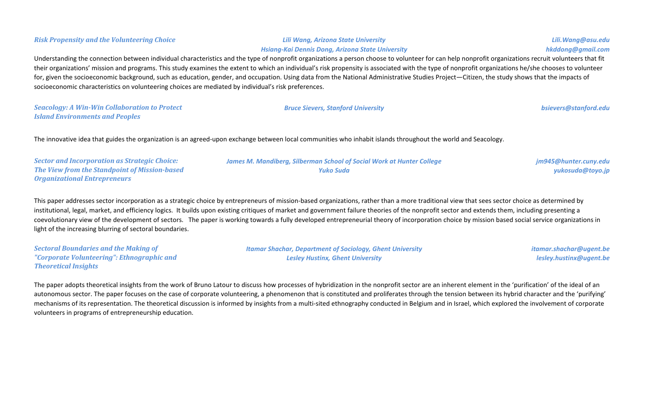| their organizations' mission and programs. This study examines the extent to which an individual's risk propensity is associated with the type of nonprofit organizations he/she chooses to volunteer<br>for, given the socioeconomic background, such as education, gender, and occupation. Using data from the National Administrative Studies Project-Citizen, the study shows that the impacts of<br>socioeconomic characteristics on volunteering choices are mediated by individual's risk preferences. |                                                                                                                                                               |                                           |  |
|---------------------------------------------------------------------------------------------------------------------------------------------------------------------------------------------------------------------------------------------------------------------------------------------------------------------------------------------------------------------------------------------------------------------------------------------------------------------------------------------------------------|---------------------------------------------------------------------------------------------------------------------------------------------------------------|-------------------------------------------|--|
| <b>Seacology: A Win-Win Collaboration to Protect</b><br><b>Island Environments and Peoples</b>                                                                                                                                                                                                                                                                                                                                                                                                                | <b>Bruce Sievers, Stanford University</b>                                                                                                                     | bsievers@stanford.edu                     |  |
|                                                                                                                                                                                                                                                                                                                                                                                                                                                                                                               | The innovative idea that guides the organization is an agreed-upon exchange between local communities who inhabit islands throughout the world and Seacology. |                                           |  |
| <b>Sector and Incorporation as Strategic Choice:</b><br>The View from the Standpoint of Mission-based                                                                                                                                                                                                                                                                                                                                                                                                         | James M. Mandiberg, Silberman School of Social Work at Hunter College<br><b>Yuko Suda</b>                                                                     | jm945@hunter.cuny.edu<br>yukosuda@toyo.jp |  |

This paper addresses sector incorporation as a strategic choice by entrepreneurs of mission-based organizations, rather than a more traditional view that sees sector choice as determined by institutional, legal, market, and efficiency logics. It builds upon existing critiques of market and government failure theories of the nonprofit sector and extends them, including presenting a coevolutionary view of the development of sectors. The paper is working towards a fully developed entrepreneurial theory of incorporation choice by mission based social service organizations in light of the increasing blurring of sectoral boundaries.

*Sectoral Boundaries and the Making of "Corporate Volunteering": Ethnographic and Theoretical Insights*

*Organizational Entrepreneurs*

*Itamar Shachar, Department of Sociology, Ghent University Lesley Hustinx, Ghent University*

*itamar.shachar@ugent.be lesley.hustinx@ugent.be*

The paper adopts theoretical insights from the work of Bruno Latour to discuss how processes of hybridization in the nonprofit sector are an inherent element in the 'purification' of the ideal of an autonomous sector. The paper focuses on the case of corporate volunteering, a phenomenon that is constituted and proliferates through the tension between its hybrid character and the 'purifying' mechanisms of its representation. The theoretical discussion is informed by insights from a multi-sited ethnography conducted in Belgium and in Israel, which explored the involvement of corporate volunteers in programs of entrepreneurship education.

#### *Risk Propensity and the Volunteering Choice Lili Wang, Arizona State University*

Understanding the connection between individual characteristics and the type of nonprofit organizations a person choose to volunteer for can help nonprofit organizations recruit volunteers that fit their organizations' mission and programs. This study examines the extent to which an individual's risk propensity is associated with the type of nonprofit organizations he/she chooses to volunteer

*Hsiang-Kai Dennis Dong, Arizona State University*

*Lili.Wang@asu.edu*

*hkddong@gmail.com*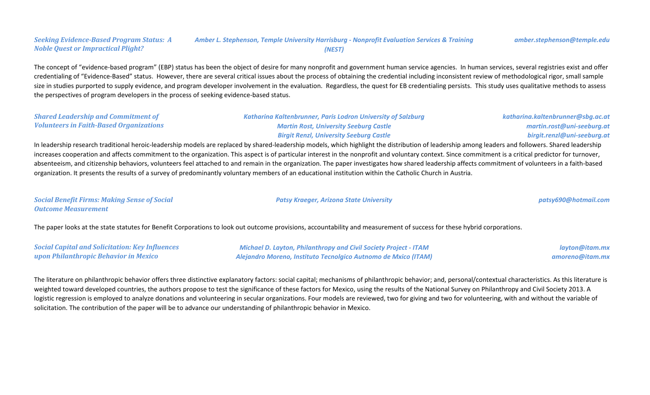#### *Seeking Evidence-Based Program Status: A Noble Quest or Impractical Plight? Amber L. Stephenson, Temple University Harrisburg - Nonprofit Evaluation Services & Training (NEST) amber.stephenson@temple.edu*

The concept of "evidence-based program" (EBP) status has been the object of desire for many nonprofit and government human service agencies. In human services, several registries exist and offer credentialing of "Evidence-Based" status. However, there are several critical issues about the process of obtaining the credential including inconsistent review of methodological rigor, small sample size in studies purported to supply evidence, and program developer involvement in the evaluation. Regardless, the quest for EB credentialing persists. This study uses qualitative methods to assess the perspectives of program developers in the process of seeking evidence-based status.

| <b>Shared Leadership and Commitment of</b>     | <b>Katharina Kaltenbrunner, Paris Lodron University of Salzburg</b> | katharina.kaltenbrunner@sbg.ac.at |
|------------------------------------------------|---------------------------------------------------------------------|-----------------------------------|
| <b>Volunteers in Faith-Based Organizations</b> | <b>Martin Rost, University Seeburg Castle</b>                       | martin.rost@uni-seeburg.at        |
|                                                | <b>Birgit Renzl, University Seeburg Castle</b>                      | birgit.renzl@uni-seeburg.at       |

In leadership research traditional heroic-leadership models are replaced by shared-leadership models, which highlight the distribution of leadership among leaders and followers. Shared leadership increases cooperation and affects commitment to the organization. This aspect is of particular interest in the nonprofit and voluntary context. Since commitment is a critical predictor for turnover, absenteeism, and citizenship behaviors, volunteers feel attached to and remain in the organization. The paper investigates how shared leadership affects commitment of volunteers in a faith-based organization. It presents the results of a survey of predominantly voluntary members of an educational institution within the Catholic Church in Austria.

| <b>Social Benefit Firms: Making Sense of Social</b> | <b>Patsy Kraeger, Arizona State University</b> | patsy690@hotmail.com |
|-----------------------------------------------------|------------------------------------------------|----------------------|
| <b>Outcome Measurement</b>                          |                                                |                      |

The paper looks at the state statutes for Benefit Corporations to look out outcome provisions, accountability and measurement of success for these hybrid corporations.

| <b>Social Capital and Solicitation: Key Influences</b> | <b>Michael D. Layton, Philanthropy and Civil Society Project - ITAM</b> | layton@itam.mx  |
|--------------------------------------------------------|-------------------------------------------------------------------------|-----------------|
| upon Philanthropic Behavior in Mexico                  | Alejandro Moreno, Instituto Tecnolgico Autnomo de Mxico (ITAM)          | amoreno@itam.mx |

The literature on philanthropic behavior offers three distinctive explanatory factors: social capital; mechanisms of philanthropic behavior; and, personal/contextual characteristics. As this literature is weighted toward developed countries, the authors propose to test the significance of these factors for Mexico, using the results of the National Survey on Philanthropy and Civil Society 2013. A logistic regression is employed to analyze donations and volunteering in secular organizations. Four models are reviewed, two for giving and two for volunteering, with and without the variable of solicitation. The contribution of the paper will be to advance our understanding of philanthropic behavior in Mexico.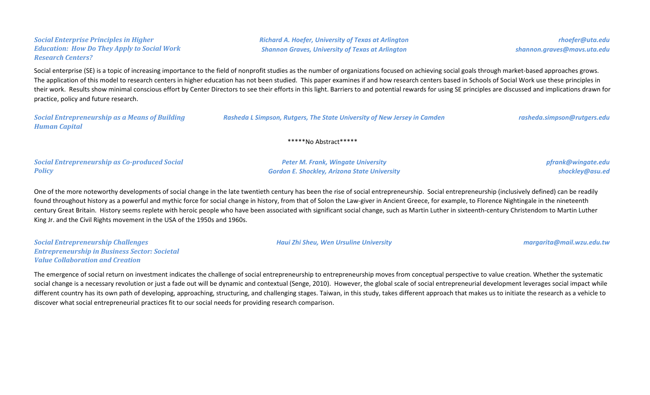*Social Enterprise Principles in Higher Education: How Do They Apply to Social Work Research Centers?*

*Richard A. Hoefer, University of Texas at Arlington Shannon Graves, University of Texas at Arlington*

*rhoefer@uta.edu shannon.graves@mavs.uta.edu*

Social enterprise (SE) is a topic of increasing importance to the field of nonprofit studies as the number of organizations focused on achieving social goals through market-based approaches grows. The application of this model to research centers in higher education has not been studied. This paper examines if and how research centers based in Schools of Social Work use these principles in their work. Results show minimal conscious effort by Center Directors to see their efforts in this light. Barriers to and potential rewards for using SE principles are discussed and implications drawn for practice, policy and future research.

| <b>Social Entrepreneurship as a Means of Building</b> | Rasheda L Simpson, Rutgers, The State University of New Jersey in Camden | rasheda.simpson@rutgers.edu |
|-------------------------------------------------------|--------------------------------------------------------------------------|-----------------------------|
| <b>Human Capital</b>                                  |                                                                          |                             |

\*\*\*\*\*No Abstract\*\*\*\*\*

*Social Entrepreneurship as Co-produced Social Policy*

*Peter M. Frank, Wingate University Gordon E. Shockley, Arizona State University* *pfrank@wingate.edu shockley@asu.ed*

One of the more noteworthy developments of social change in the late twentieth century has been the rise of social entrepreneurship. Social entrepreneurship (inclusively defined) can be readily found throughout history as a powerful and mythic force for social change in history, from that of Solon the Law-giver in Ancient Greece, for example, to Florence Nightingale in the nineteenth century Great Britain. History seems replete with heroic people who have been associated with significant social change, such as Martin Luther in sixteenth-century Christendom to Martin Luther King Jr. and the Civil Rights movement in the USA of the 1950s and 1960s.

*Social Entrepreneurship Challenges Entrepreneurship in Business Sector: Societal Value Collaboration and Creation*

*Haui Zhi Sheu, Wen Ursuline University margarita@mail.wzu.edu.tw*

The emergence of social return on investment indicates the challenge of social entrepreneurship to entrepreneurship moves from conceptual perspective to value creation. Whether the systematic social change is a necessary revolution or just a fade out will be dynamic and contextual (Senge, 2010). However, the global scale of social entrepreneurial development leverages social impact while different country has its own path of developing, approaching, structuring, and challenging stages. Taiwan, in this study, takes different approach that makes us to initiate the research as a vehicle to discover what social entrepreneurial practices fit to our social needs for providing research comparison.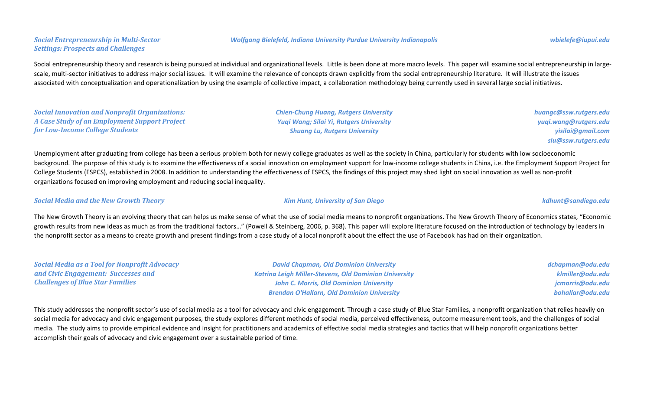Social entrepreneurship theory and research is being pursued at individual and organizational levels. Little is been done at more macro levels. This paper will examine social entrepreneurship in largescale, multi-sector initiatives to address major social issues. It will examine the relevance of concepts drawn explicitly from the social entrepreneurship literature. It will illustrate the issues associated with conceptualization and operationalization by using the example of collective impact, a collaboration methodology being currently used in several large social initiatives.

*Social Innovation and Nonprofit Organizations: A Case Study of an Employment Support Project for Low-Income College Students*

Unemployment after graduating from college has been a serious problem both for newly college graduates as well as the society in China, particularly for students with low socioeconomic background. The purpose of this study is to examine the effectiveness of a social innovation on employment support for low-income college students in China, i.e. the Employment Support Project for College Students (ESPCS), established in 2008. In addition to understanding the effectiveness of ESPCS, the findings of this project may shed light on social innovation as well as non-profit organizations focused on improving employment and reducing social inequality.

#### *Social Media and the New Growth Theory Kim Hunt, University of San Diego kdhunt@sandiego.edu*

*Social Media as a Tool for Nonprofit Advocacy* 

*and Civic Engagement: Successes and* 

*Challenges of Blue Star Families*

The New Growth Theory is an evolving theory that can helps us make sense of what the use of social media means to nonprofit organizations. The New Growth Theory of Economics states, "Economic growth results from new ideas as much as from the traditional factors…" (Powell & Steinberg, 2006, p. 368). This paper will explore literature focused on the introduction of technology by leaders in the nonprofit sector as a means to create growth and present findings from a case study of a local nonprofit about the effect the use of Facebook has had on their organization.

> *David Chapman, Old Dominion University Katrina Leigh Miller-Stevens, Old Dominion University John C. Morris, Old Dominion University Brendan O'Hallarn, Old Dominion University*

This study addresses the nonprofit sector's use of social media as a tool for advocacy and civic engagement. Through a case study of Blue Star Families, a nonprofit organization that relies heavily on social media for advocacy and civic engagement purposes, the study explores different methods of social media, perceived effectiveness, outcome measurement tools, and the challenges of social media. The study aims to provide empirical evidence and insight for practitioners and academics of effective social media strategies and tactics that will help nonprofit organizations better accomplish their goals of advocacy and civic engagement over a sustainable period of time.

#### *Wolfgang Bielefeld, Indiana University Purdue University Indianapolis wbielefe@iupui.edu*

*Shuang Lu, Rutgers University*

*Chien-Chung Huang, Rutgers University Yuqi Wang; Silai Yi, Rutgers University*

### *Social Entrepreneurship in Multi-Sector Settings: Prospects and Challenges*

*dchapman@odu.edu klmiller@odu.edu jcmorris@odu.edu bohallar@odu.edu*

*huangc@ssw.rutgers.edu yuqi.wang@rutgers.edu yisilai@gmail.com*

*slu@ssw.rutgers.edu*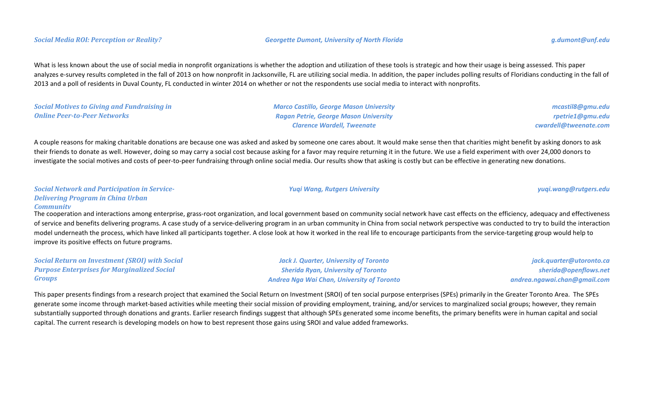What is less known about the use of social media in nonprofit organizations is whether the adoption and utilization of these tools is strategic and how their usage is being assessed. This paper analyzes e-survey results completed in the fall of 2013 on how nonprofit in Jacksonville, FL are utilizing social media. In addition, the paper includes polling results of Floridians conducting in the fall of 2013 and a poll of residents in Duval County, FL conducted in winter 2014 on whether or not the respondents use social media to interact with nonprofits.

*Social Motives to Giving and Fundraising in Online Peer-to-Peer Networks Marco Castillo, George Mason University Ragan Petrie, George Mason University Clarence Wardell, Tweenate*

*mcastil8@gmu.edu rpetrie1@gmu.edu cwardell@tweenate.com*

A couple reasons for making charitable donations are because one was asked and asked by someone one cares about. It would make sense then that charities might benefit by asking donors to ask their friends to donate as well. However, doing so may carry a social cost because asking for a favor may require returning it in the future. We use a field experiment with over 24,000 donors to investigate the social motives and costs of peer-to-peer fundraising through online social media. Our results show that asking is costly but can be effective in generating new donations.

*Social Network and Participation in Service-Delivering Program in China Urban Community*

The cooperation and interactions among enterprise, grass-root organization, and local government based on community social network have cast effects on the efficiency, adequacy and effectiveness of service and benefits delivering programs. A case study of a service-delivering program in an urban community in China from social network perspective was conducted to try to build the interaction model underneath the process, which have linked all participants together. A close look at how it worked in the real life to encourage participants from the service-targeting group would help to improve its positive effects on future programs.

*Social Return on Investment (SROI) with Social Purpose Enterprises for Marginalized Social Groups*

*Jack J. Quarter, University of Toronto Sherida Ryan, University of Toronto Andrea Nga Wai Chan, University of Toronto*

*Yuqi Wang, Rutgers University yuqi.wang@rutgers.edu*

*jack.quarter@utoronto.ca sherida@openflows.net andrea.ngawai.chan@gmail.com*

This paper presents findings from a research project that examined the Social Return on Investment (SROI) of ten social purpose enterprises (SPEs) primarily in the Greater Toronto Area. The SPEs generate some income through market-based activities while meeting their social mission of providing employment, training, and/or services to marginalized social groups; however, they remain substantially supported through donations and grants. Earlier research findings suggest that although SPEs generated some income benefits, the primary benefits were in human capital and social capital. The current research is developing models on how to best represent those gains using SROI and value added frameworks.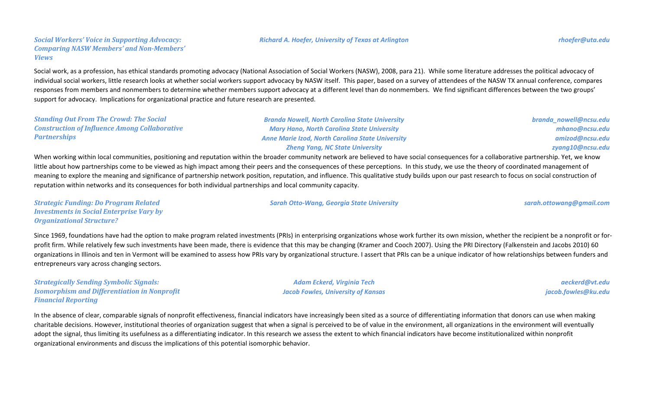### *Social Workers' Voice in Supporting Advocacy: Comparing NASW Members' and Non-Members'*

Social work, as a profession, has ethical standards promoting advocacy (National Association of Social Workers (NASW), 2008, para 21). While some literature addresses the political advocacy of individual social workers, little research looks at whether social workers support advocacy by NASW itself. This paper, based on a survey of attendees of the NASW TX annual conference, compares responses from members and nonmembers to determine whether members support advocacy at a different level than do nonmembers. We find significant differences between the two groups' support for advocacy. Implications for organizational practice and future research are presented.

*Standing Out From The Crowd: The Social Construction of Influence Among Collaborative Partnerships*

*Views*

*Branda Nowell, North Carolina State University Mary Hano, North Carolina State University Anne Marie Izod, North Carolina State University Zheng Yang, NC State University*

When working within local communities, positioning and reputation within the broader community network are believed to have social consequences for a collaborative partnership. Yet, we know little about how partnerships come to be viewed as high impact among their peers and the consequences of these perceptions. In this study, we use the theory of coordinated management of meaning to explore the meaning and significance of partnership network position, reputation, and influence. This qualitative study builds upon our past research to focus on social construction of reputation within networks and its consequences for both individual partnerships and local community capacity.

*Strategic Funding: Do Program Related Investments in Social Enterprise Vary by Organizational Structure?*

Since 1969, foundations have had the option to make program related investments (PRIs) in enterprising organizations whose work further its own mission, whether the recipient be a nonprofit or forprofit firm. While relatively few such investments have been made, there is evidence that this may be changing (Kramer and Cooch 2007). Using the PRI Directory (Falkenstein and Jacobs 2010) 60 organizations in Illinois and ten in Vermont will be examined to assess how PRIs vary by organizational structure. I assert that PRIs can be a unique indicator of how relationships between funders and entrepreneurs vary across changing sectors.

*Strategically Sending Symbolic Signals: Isomorphism and Differentiation in Nonprofit Financial Reporting*

*Adam Eckerd, Virginia Tech Jacob Fowles, University of Kansas*

*aeckerd@vt.edu jacob.fowles@ku.edu*

In the absence of clear, comparable signals of nonprofit effectiveness, financial indicators have increasingly been sited as a source of differentiating information that donors can use when making charitable decisions. However, institutional theories of organization suggest that when a signal is perceived to be of value in the environment, all organizations in the environment will eventually adopt the signal, thus limiting its usefulness as a differentiating indicator. In this research we assess the extent to which financial indicators have become institutionalized within nonprofit organizational environments and discuss the implications of this potential isomorphic behavior.

*branda\_nowell@ncsu.edu mhano@ncsu.edu amizod@ncsu.edu zyang10@ncsu.edu*

*Sarah Otto-Wang, Georgia State University sarah.ottowang@gmail.com*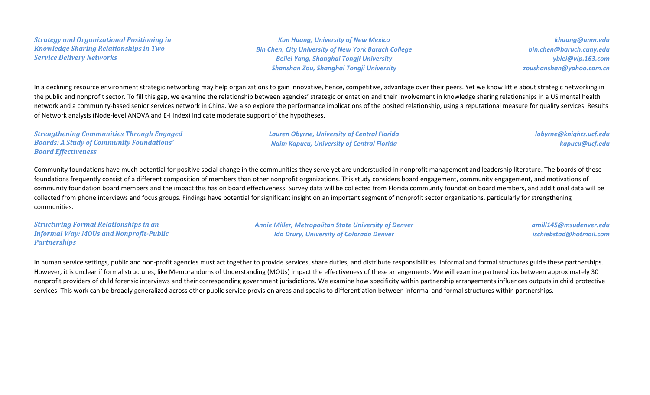*Strategy and Organizational Positioning in Knowledge Sharing Relationships in Two Service Delivery Networks*

*Kun Huang, University of New Mexico Bin Chen, City University of New York Baruch College Beilei Yang, Shanghai Tongji University Shanshan Zou, Shanghai Tongji University*

*khuang@unm.edu bin.chen@baruch.cuny.edu yblei@vip.163.com zoushanshan@yahoo.com.cn*

In a declining resource environment strategic networking may help organizations to gain innovative, hence, competitive, advantage over their peers. Yet we know little about strategic networking in the public and nonprofit sector. To fill this gap, we examine the relationship between agencies' strategic orientation and their involvement in knowledge sharing relationships in a US mental health network and a community-based senior services network in China. We also explore the performance implications of the posited relationship, using a reputational measure for quality services. Results of Network analysis (Node-level ANOVA and E-I Index) indicate moderate support of the hypotheses.

*Strengthening Communities Through Engaged Boards: A Study of Community Foundations' Board Effectiveness Lauren Obyrne, University of Central Florida Naim Kapucu, University of Central Florida lobyrne@knights.ucf.edu kapucu@ucf.edu*

Community foundations have much potential for positive social change in the communities they serve yet are understudied in nonprofit management and leadership literature. The boards of these foundations frequently consist of a different composition of members than other nonprofit organizations. This study considers board engagement, community engagement, and motivations of community foundation board members and the impact this has on board effectiveness. Survey data will be collected from Florida community foundation board members, and additional data will be collected from phone interviews and focus groups. Findings have potential for significant insight on an important segment of nonprofit sector organizations, particularly for strengthening communities.

*Structuring Formal Relationships in an Informal Way: MOUs and Nonprofit-Public Partnerships*

*Annie Miller, Metropolitan State University of Denver Ida Drury, University of Colorado Denver*

*amill145@msudenver.edu ischiebstad@hotmail.com*

In human service settings, public and non-profit agencies must act together to provide services, share duties, and distribute responsibilities. Informal and formal structures guide these partnerships. However, it is unclear if formal structures, like Memorandums of Understanding (MOUs) impact the effectiveness of these arrangements. We will examine partnerships between approximately 30 nonprofit providers of child forensic interviews and their corresponding government jurisdictions. We examine how specificity within partnership arrangements influences outputs in child protective services. This work can be broadly generalized across other public service provision areas and speaks to differentiation between informal and formal structures within partnerships.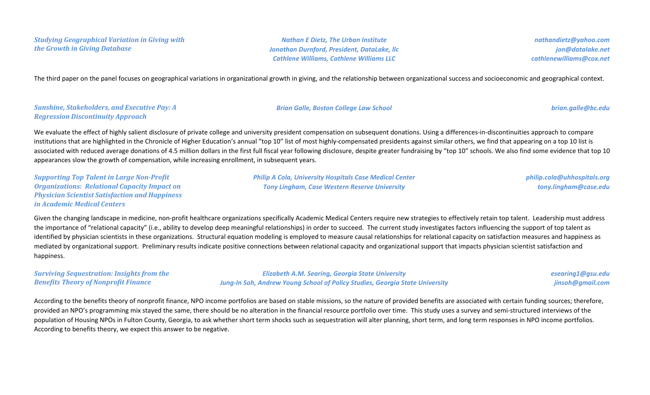*Studying Geographical Variation in Giving with the Growth in Giving Database*

*Nathan E Dietz, The Urban Institute Jonathan Durnford, President, DataLake, llc Cathlene Williams, Cathlene Williams LLC*

*nathandietz@yahoo.com jon@datalake.net cathlenewilliams@cox.net*

The third paper on the panel focuses on geographical variations in organizational growth in giving, and the relationship between organizational success and socioeconomic and geographical context.

#### *Sunshine, Stakeholders, and Executive Pay: A Regression Discontinuity Approach*

We evaluate the effect of highly salient disclosure of private college and university president compensation on subsequent donations. Using a differences-in-discontinuities approach to compare institutions that are highlighted in the Chronicle of Higher Education's annual "top 10" list of most highly-compensated presidents against similar others, we find that appearing on a top 10 list is associated with reduced average donations of 4.5 million dollars in the first full fiscal year following disclosure, despite greater fundraising by "top 10" schools. We also find some evidence that top 10 appearances slow the growth of compensation, while increasing enrollment, in subsequent years.

*Supporting Top Talent in Large Non-Profit Organizations: Relational Capacity Impact on Physician Scientist Satisfaction and Happiness in Academic Medical Centers*

*Philip A Cola, University Hospitals Case Medical Center Tony Lingham, Case Western Reserve University*

*philip.cola@uhhospitals.org tony.lingham@case.edu*

Given the changing landscape in medicine, non-profit healthcare organizations specifically Academic Medical Centers require new strategies to effectively retain top talent. Leadership must address the importance of "relational capacity" (i.e., ability to develop deep meaningful relationships) in order to succeed. The current study investigates factors influencing the support of top talent as identified by physician scientists in these organizations. Structural equation modeling is employed to measure causal relationships for relational capacity on satisfaction measures and happiness as mediated by organizational support. Preliminary results indicate positive connections between relational capacity and organizational support that impacts physician scientist satisfaction and happiness.

*Surviving Sequestration: Insights from the Benefits Theory of Nonprofit Finance Elizabeth A.M. Searing, Georgia State University Jung-In Soh, Andrew Young School of Policy Studies, Georgia State University esearing1@gsu.edu jinsoh@gmail.com*

According to the benefits theory of nonprofit finance, NPO income portfolios are based on stable missions, so the nature of provided benefits are associated with certain funding sources; therefore, provided an NPO's programming mix stayed the same, there should be no alteration in the financial resource portfolio over time. This study uses a survey and semi-structured interviews of the population of Housing NPOs in Fulton County, Georgia, to ask whether short term shocks such as sequestration will alter planning, short term, and long term responses in NPO income portfolios. According to benefits theory, we expect this answer to be negative.

#### *Brian Galle, Boston College Law School brian.galle@bc.edu*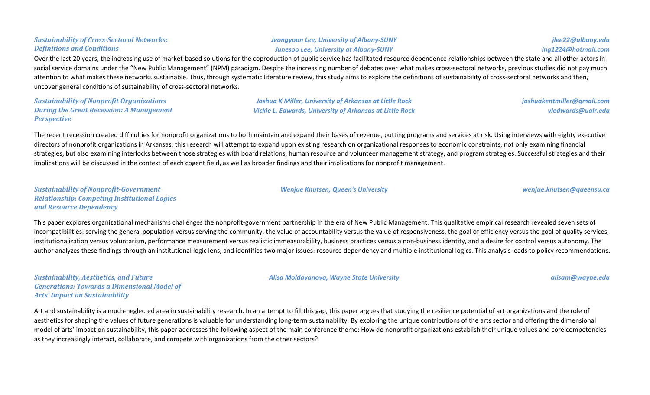### *Junesoo Lee, University at Albany-SUNY* Over the last 20 years, the increasing use of market-based solutions for the coproduction of public service has facilitated resource dependence relationships between the state and all other actors in social service domains under the "New Public Management" (NPM) paradigm. Despite the increasing number of debates over what makes cross-sectoral networks, previous studies did not pay much attention to what makes these networks sustainable. Thus, through systematic literature review, this study aims to explore the definitions of sustainability of cross-sectoral networks and then, uncover general conditions of sustainability of cross-sectoral networks.

*Sustainability of Nonprofit Organizations During the Great Recession: A Management Perspective*

*Joshua K Miller, University of Arkansas at Little Rock Vickie L. Edwards, University of Arkansas at Little Rock*

*Jeongyoon Lee, University of Albany-SUNY*

*vledwards@ualr.edu*

The recent recession created difficulties for nonprofit organizations to both maintain and expand their bases of revenue, putting programs and services at risk. Using interviews with eighty executive directors of nonprofit organizations in Arkansas, this research will attempt to expand upon existing research on organizational responses to economic constraints, not only examining financial strategies, but also examining interlocks between those strategies with board relations, human resource and volunteer management strategy, and program strategies. Successful strategies and their implications will be discussed in the context of each cogent field, as well as broader findings and their implications for nonprofit management.

*Sustainability of Nonprofit-Government Relationship: Competing Institutional Logics and Resource Dependency*

This paper explores organizational mechanisms challenges the nonprofit-government partnership in the era of New Public Management. This qualitative empirical research revealed seven sets of incompatibilities: serving the general population versus serving the community, the value of accountability versus the value of responsiveness, the goal of efficiency versus the goal of quality services, institutionalization versus voluntarism, performance measurement versus realistic immeasurability, business practices versus a non-business identity, and a desire for control versus autonomy. The author analyzes these findings through an institutional logic lens, and identifies two major issues: resource dependency and multiple institutional logics. This analysis leads to policy recommendations.

*Sustainability, Aesthetics, and Future Generations: Towards a Dimensional Model of Arts' Impact on Sustainability*

Art and sustainability is a much-neglected area in sustainability research. In an attempt to fill this gap, this paper argues that studying the resilience potential of art organizations and the role of aesthetics for shaping the values of future generations is valuable for understanding long-term sustainability. By exploring the unique contributions of the arts sector and offering the dimensional model of arts' impact on sustainability, this paper addresses the following aspect of the main conference theme: How do nonprofit organizations establish their unique values and core competencies as they increasingly interact, collaborate, and compete with organizations from the other sectors?

## *Definitions and Conditions*

*Sustainability of Cross-Sectoral Networks:* 

*Wenjue Knutsen, Queen's University wenjue.knutsen@queensu.ca*

*joshuakentmiller@gmail.com*

*jlee22@albany.edu ing1224@hotmail.com*

*Alisa Moldavanova, Wayne State University alisam@wayne.edu*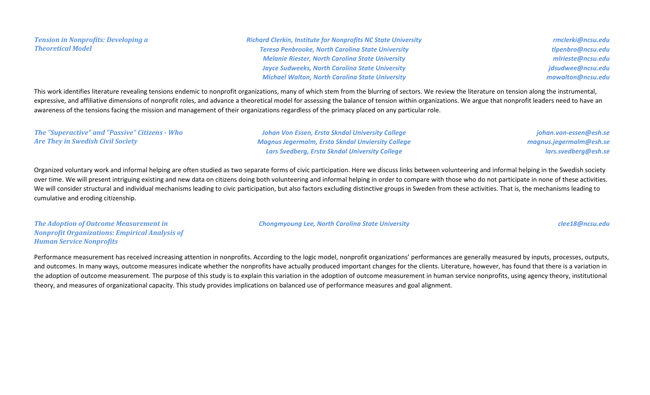*Tension in Nonprofits: Developing a Theoretical Model*

*Richard Clerkin, Institute for Nonprofits NC State University Teresa Penbrooke, North Carolina State University Melanie Riester, North Carolina State University Jayce Sudweeks, North Carolina State University Michael Walton, North Carolina State University*

*rmclerki@ncsu.edu tlpenbro@ncsu.edu mlrieste@ncsu.edu jdsudwee@ncsu.edu mawalton@ncsu.edu*

This work identifies literature revealing tensions endemic to nonprofit organizations, many of which stem from the blurring of sectors. We review the literature on tension along the instrumental, expressive, and affiliative dimensions of nonprofit roles, and advance a theoretical model for assessing the balance of tension within organizations. We argue that nonprofit leaders need to have an awareness of the tensions facing the mission and management of their organizations regardless of the primacy placed on any particular role.

*The "Superactive" and "Passive" Citizens - Who Are They in Swedish Civil Society Johan Von Essen, Ersta Skndal University College Magnus Jegermalm, Ersta Skndal Unviersity College Lars Svedberg, Ersta Skndal University College johan.von-essen@esh.se magnus.jegermalm@esh.se lars.svedberg@esh.se*

Organized voluntary work and informal helping are often studied as two separate forms of civic participation. Here we discuss links between volunteering and informal helping in the Swedish society over time. We will present intriguing existing and new data on citizens doing both volunteering and informal helping in order to compare with those who do not participate in none of these activities. We will consider structural and individual mechanisms leading to civic participation, but also factors excluding distinctive groups in Sweden from these activities. That is, the mechanisms leading to cumulative and eroding citizenship.

*Chongmyoung Lee, North Carolina State University clee18@ncsu.edu*

*The Adoption of Outcome Measurement in Nonprofit Organizations: Empirical Analysis of Human Service Nonprofits*

Performance measurement has received increasing attention in nonprofits. According to the logic model, nonprofit organizations' performances are generally measured by inputs, processes, outputs, and outcomes. In many ways, outcome measures indicate whether the nonprofits have actually produced important changes for the clients. Literature, however, has found that there is a variation in the adoption of outcome measurement. The purpose of this study is to explain this variation in the adoption of outcome measurement in human service nonprofits, using agency theory, institutional theory, and measures of organizational capacity. This study provides implications on balanced use of performance measures and goal alignment.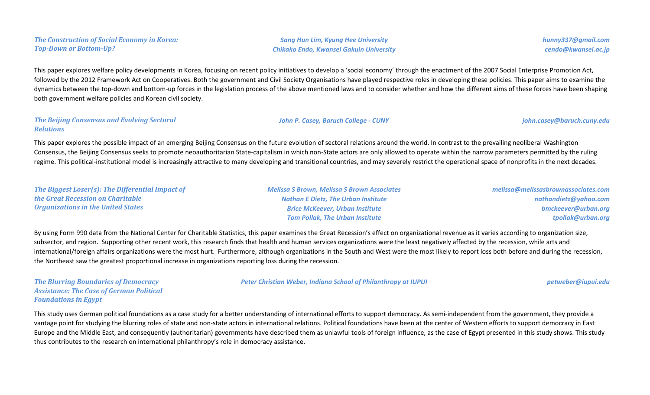|  |                               | <b>The Construction of Social Economy in Korea:</b> |  |
|--|-------------------------------|-----------------------------------------------------|--|
|  | <b>Top-Down or Bottom-Up?</b> |                                                     |  |

*Sang Hun Lim, Kyung Hee University Chikako Endo, Kwansei Gakuin University* *hunny337@gmail.com cendo@kwansei.ac.jp*

This paper explores welfare policy developments in Korea, focusing on recent policy initiatives to develop a 'social economy' through the enactment of the 2007 Social Enterprise Promotion Act, followed by the 2012 Framework Act on Cooperatives. Both the government and Civil Society Organisations have played respective roles in developing these policies. This paper aims to examine the dynamics between the top-down and bottom-up forces in the legislation process of the above mentioned laws and to consider whether and how the different aims of these forces have been shaping both government welfare policies and Korean civil society.

#### *The Beijing Consensus and Evolving Sectoral Relations*

This paper explores the possible impact of an emerging Beijing Consensus on the future evolution of sectoral relations around the world. In contrast to the prevailing neoliberal Washington Consensus, the Beijing Consensus seeks to promote neoauthoritarian State-capitalism in which non-State actors are only allowed to operate within the narrow parameters permitted by the ruling regime. This political-institutional model is increasingly attractive to many developing and transitional countries, and may severely restrict the operational space of nonprofits in the next decades.

| The Biggest Loser(s): The Differential Impact of | <b>Melissa S Brown, Melissa S Brown Associates</b>                                                                                                                                                 | melissa@melissasbrownassociates.com |
|--------------------------------------------------|----------------------------------------------------------------------------------------------------------------------------------------------------------------------------------------------------|-------------------------------------|
| the Great Recession on Charitable                | <b>Nathan E Dietz, The Urban Institute</b>                                                                                                                                                         | nathandietz@yahoo.com               |
| <b>Organizations in the United States</b>        | <b>Brice McKeever, Urban Institute</b>                                                                                                                                                             | bmckeever@urban.org                 |
|                                                  | <b>Tom Pollak, The Urban Institute</b>                                                                                                                                                             | tpollak@urban.org                   |
|                                                  | By using Form 990 data from the National Center for Charitable Statistics, this paper examines the Great Recession's effect on organizational revenue as it varies according to organization size, |                                     |
|                                                  | subsector, and region. Supporting other recent work, this research finds that health and human services organizations were the least negatively affected by the recession, while arts and          |                                     |

international/foreign affairs organizations were the most hurt. Furthermore, although organizations in the South and West were the most likely to report loss both before and during the recession, the Northeast saw the greatest proportional increase in organizations reporting loss during the recession.

*The Blurring Boundaries of Democracy Assistance: The Case of German Political Foundations in Egypt*

*Peter Christian Weber, Indiana School of Philanthropy at IUPUI petweber@iupui.edu*

This study uses German political foundations as a case study for a better understanding of international efforts to support democracy. As semi-independent from the government, they provide a vantage point for studying the blurring roles of state and non-state actors in international relations. Political foundations have been at the center of Western efforts to support democracy in East Europe and the Middle East, and consequently (authoritarian) governments have described them as unlawful tools of foreign influence, as the case of Egypt presented in this study shows. This study thus contributes to the research on international philanthropy's role in democracy assistance.

#### *John P. Casey, Baruch College - CUNY john.casey@baruch.cuny.edu*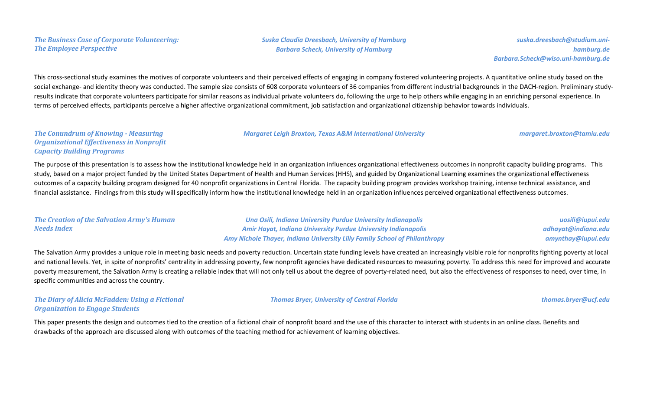*Suska Claudia Dreesbach, University of Hamburg Barbara Scheck, University of Hamburg*

*suska.dreesbach@studium.unihamburg.de Barbara.Scheck@wiso.uni-hamburg.de*

This cross-sectional study examines the motives of corporate volunteers and their perceived effects of engaging in company fostered volunteering projects. A quantitative online study based on the social exchange- and identity theory was conducted. The sample size consists of 608 corporate volunteers of 36 companies from different industrial backgrounds in the DACH-region. Preliminary studyresults indicate that corporate volunteers participate for similar reasons as individual private volunteers do, following the urge to help others while engaging in an enriching personal experience. In terms of perceived effects, participants perceive a higher affective organizational commitment, job satisfaction and organizational citizenship behavior towards individuals.

*Margaret Leigh Broxton, Texas A&M International University margaret.broxton@tamiu.edu*

## *The Conundrum of Knowing - Measuring Organizational Effectiveness in Nonprofit Capacity Building Programs*

The purpose of this presentation is to assess how the institutional knowledge held in an organization influences organizational effectiveness outcomes in nonprofit capacity building programs. This study, based on a major project funded by the United States Department of Health and Human Services (HHS), and guided by Organizational Learning examines the organizational effectiveness outcomes of a capacity building program designed for 40 nonprofit organizations in Central Florida. The capacity building program provides workshop training, intense technical assistance, and financial assistance. Findings from this study will specifically inform how the institutional knowledge held in an organization influences perceived organizational effectiveness outcomes.

#### *The Creation of the Salvation Army's Human Needs Index*

*Una Osili, Indiana University Purdue University Indianapolis Amir Hayat, Indiana University Purdue University Indianapolis Amy Nichole Thayer, Indiana University Lilly Family School of Philanthropy*

*uosili@iupui.edu adhayat@indiana.edu amynthay@iupui.edu*

The Salvation Army provides a unique role in meeting basic needs and poverty reduction. Uncertain state funding levels have created an increasingly visible role for nonprofits fighting poverty at local and national levels. Yet, in spite of nonprofits' centrality in addressing poverty, few nonprofit agencies have dedicated resources to measuring poverty. To address this need for improved and accurate poverty measurement, the Salvation Army is creating a reliable index that will not only tell us about the degree of poverty-related need, but also the effectiveness of responses to need, over time, in specific communities and across the country.

## *The Diary of Alicia McFadden: Using a Fictional Organization to Engage Students*

*Thomas Bryer, University of Central Florida thomas.bryer@ucf.edu*

This paper presents the design and outcomes tied to the creation of a fictional chair of nonprofit board and the use of this character to interact with students in an online class. Benefits and drawbacks of the approach are discussed along with outcomes of the teaching method for achievement of learning objectives.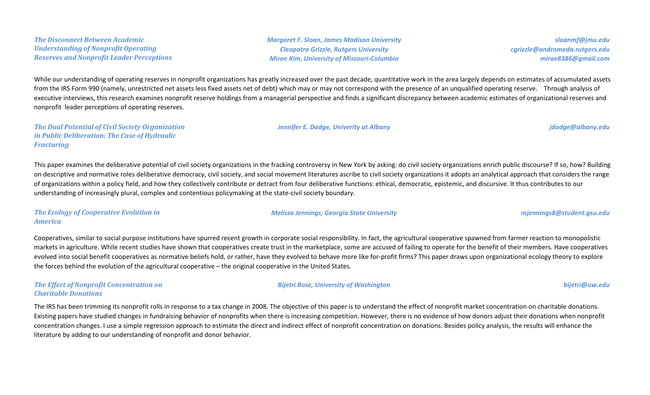*The Disconnect Between Academic Understanding of Nonprofit Operating Reserves and Nonprofit Leader Perceptions* *Margaret F. Sloan, James Madison University Cleopatra Grizzle, Rutgers University Mirae Kim, University of Missouri-Columbia*

*sloanmf@jmu.edu cgrizzle@andromeda.rutgers.edu mirae8386@gmail.com*

While our understanding of operating reserves in nonprofit organizations has greatly increased over the past decade, quantitative work in the area largely depends on estimates of accumulated assets from the IRS Form 990 (namely, unrestricted net assets less fixed assets net of debt) which may or may not correspond with the presence of an unqualified operating reserve. Through analysis of executive interviews, this research examines nonprofit reserve holdings from a managerial perspective and finds a significant discrepancy between academic estimates of organizational reserves and nonprofit leader perceptions of operating reserves.

*The Dual Potential of Civil Society Organization in Public Deliberation: The Case of Hydraulic Fracturing*

This paper examines the deliberative potential of civil society organizations in the fracking controversy in New York by asking: do civil society organizations enrich public discourse? If so, how? Building on descriptive and normative roles deliberative democracy, civil society, and social movement literatures ascribe to civil society organizations it adopts an analytical approach that considers the range of organizations within a policy field, and how they collectively contribute or detract from four deliberative functions: ethical, democratic, epistemic, and discursive. It thus contributes to our understanding of increasingly plural, complex and contentious policymaking at the state-civil society boundary.

*The Ecology of Cooperative Evolution in America*

Cooperatives, similar to social purpose institutions have spurred recent growth in corporate social responsibility. In fact, the agricultural cooperative spawned from farmer reaction to monopolistic markets in agriculture. While recent studies have shown that cooperatives create trust in the marketplace, some are accused of failing to operate for the benefit of their members. Have cooperatives evolved into social benefit cooperatives as normative beliefs hold, or rather, have they evolved to behave more like for-profit firms? This paper draws upon organizational ecology theory to explore the forces behind the evolution of the agricultural cooperative – the original cooperative in the United States.

## *The Effect of Nonprofit Concentration on Charitable Donations*

*Bijetri Bose, University of Washington bijetri@uw.edu*

The IRS has been trimming its nonprofit rolls in response to a tax change in 2008. The objective of this paper is to understand the effect of nonprofit market concentration on charitable donations. Existing papers have studied changes in fundraising behavior of nonprofits when there is increasing competition. However, there is no evidence of how donors adjust their donations when nonprofit concentration changes. I use a simple regression approach to estimate the direct and indirect effect of nonprofit concentration on donations. Besides policy analysis, the results will enhance the literature by adding to our understanding of nonprofit and donor behavior.

#### *Melissa Jennings, Georgia State University mjennings8@student.gsu.edu*

# *Jennifer E. Dodge, Univerity at Albany jdodge@albany.edu*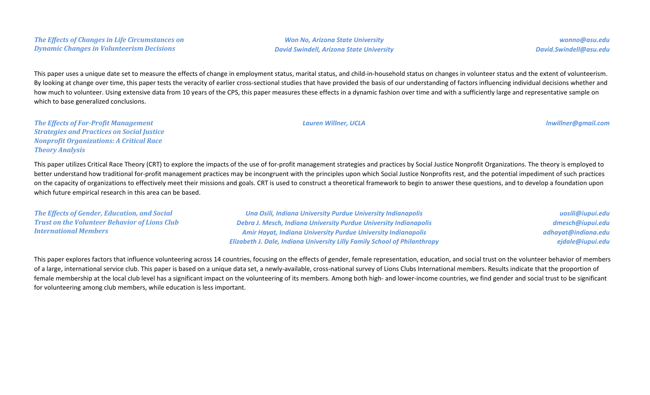*Won No, Arizona State University David Swindell, Arizona State University*

*wonno@asu.edu David.Swindell@asu.edu*

This paper uses a unique date set to measure the effects of change in employment status, marital status, and child-in-household status on changes in volunteer status and the extent of volunteerism. By looking at change over time, this paper tests the veracity of earlier cross-sectional studies that have provided the basis of our understanding of factors influencing individual decisions whether and how much to volunteer. Using extensive data from 10 years of the CPS, this paper measures these effects in a dynamic fashion over time and with a sufficiently large and representative sample on which to base generalized conclusions.

*The Effects of For-Profit Management Strategies and Practices on Social Justice Nonprofit Organizations: A Critical Race Theory Analysis*

This paper utilizes Critical Race Theory (CRT) to explore the impacts of the use of for-profit management strategies and practices by Social Justice Nonprofit Organizations. The theory is employed to better understand how traditional for-profit management practices may be incongruent with the principles upon which Social Justice Nonprofits rest, and the potential impediment of such practices on the capacity of organizations to effectively meet their missions and goals. CRT is used to construct a theoretical framework to begin to answer these questions, and to develop a foundation upon which future empirical research in this area can be based.

| The Effects of Gender, Education, and Social         | Una Osili, Indiana University Purdue University Indianapolis                     | uosili@iupui.edu    |
|------------------------------------------------------|----------------------------------------------------------------------------------|---------------------|
| <b>Trust on the Volunteer Behavior of Lions Club</b> | Debra J. Mesch, Indiana University Purdue University Indianapolis                | dmesch@iupui.edu    |
| <b>International Members</b>                         | <b>Amir Hayat, Indiana University Purdue University Indianapolis</b>             | adhayat@indiana.edu |
|                                                      | <b>Elizabeth J. Dale, Indiana University Lilly Family School of Philanthropy</b> | ejdale@iupui.edu    |

This paper explores factors that influence volunteering across 14 countries, focusing on the effects of gender, female representation, education, and social trust on the volunteer behavior of members of a large, international service club. This paper is based on a unique data set, a newly-available, cross-national survey of Lions Clubs International members. Results indicate that the proportion of female membership at the local club level has a significant impact on the volunteering of its members. Among both high- and lower-income countries, we find gender and social trust to be significant for volunteering among club members, while education is less important.

*Lauren Willner, UCLA lnwillner@gmail.com*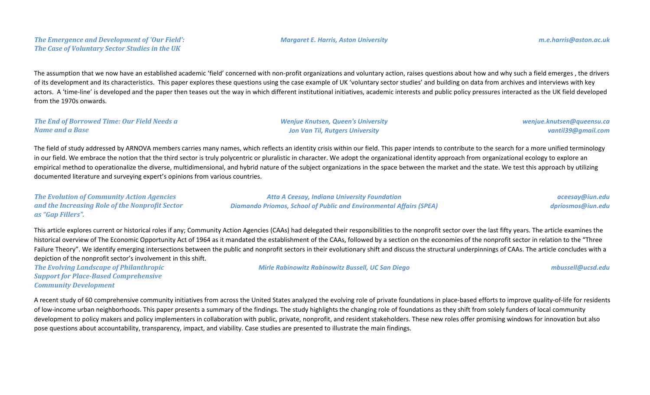### *The Emergence and Development of 'Our Field': The Case of Voluntary Sector Studies in the UK*

The assumption that we now have an established academic 'field' concerned with non-profit organizations and voluntary action, raises questions about how and why such a field emerges , the drivers of its development and its characteristics. This paper explores these questions using the case example of UK 'voluntary sector studies' and building on data from archives and interviews with key actors. A 'time-line' is developed and the paper then teases out the way in which different institutional initiatives, academic interests and public policy pressures interacted as the UK field developed from the 1970s onwards.

#### *The End of Borrowed Time: Our Field Needs a Name and a Base*

*Wenjue Knutsen, Queen's University Jon Van Til, Rutgers University*

*wenjue.knutsen@queensu.ca vantil39@gmail.com*

The field of study addressed by ARNOVA members carries many names, which reflects an identity crisis within our field. This paper intends to contribute to the search for a more unified terminology in our field. We embrace the notion that the third sector is truly polycentric or pluralistic in character. We adopt the organizational identity approach from organizational ecology to explore an empirical method to operationalize the diverse, multidimensional, and hybrid nature of the subject organizations in the space between the market and the state. We test this approach by utilizing documented literature and surveying expert's opinions from various countries.

*The Evolution of Community Action Agencies and the Increasing Role of the Nonprofit Sector as "Gap Fillers". Atta A Ceesay, Indiana University Foundation Diamando Priomos, School of Public and Environmental Affairs (SPEA) aceesay@iun.edu dpriosmos@iun.edu*

This article explores current or historical roles if any; Community Action Agencies (CAAs) had delegated their responsibilities to the nonprofit sector over the last fifty years. The article examines the historical overview of The Economic Opportunity Act of 1964 as it mandated the establishment of the CAAs, followed by a section on the economies of the nonprofit sector in relation to the "Three Failure Theory". We identify emerging intersections between the public and nonprofit sectors in their evolutionary shift and discuss the structural underpinnings of CAAs. The article concludes with a depiction of the nonprofit sector's involvement in this shift.

*The Evolving Landscape of Philanthropic Support for Place-Based Comprehensive Community Development*

*Mirle Rabinowitz Rabinowitz Bussell, UC San Diego mbussell@ucsd.edu*

A recent study of 60 comprehensive community initiatives from across the United States analyzed the evolving role of private foundations in place-based efforts to improve quality-of-life for residents of low-income urban neighborhoods. This paper presents a summary of the findings. The study highlights the changing role of foundations as they shift from solely funders of local community development to policy makers and policy implementers in collaboration with public, private, nonprofit, and resident stakeholders. These new roles offer promising windows for innovation but also pose questions about accountability, transparency, impact, and viability. Case studies are presented to illustrate the main findings.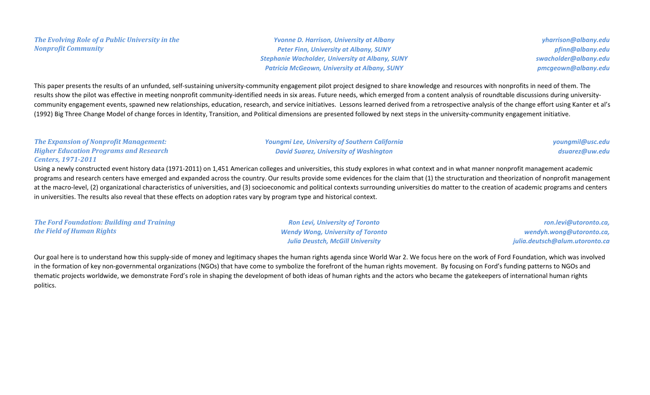## *The Evolving Role of a Public University in the Nonprofit Community*

*Yvonne D. Harrison, University at Albany Peter Finn, University at Albany, SUNY Stephanie Wacholder, University at Albany, SUNY Patricia McGeown, University at Albany, SUNY*

*yharrison@albany.edu pfinn@albany.edu swacholder@albany.edu pmcgeown@albany.edu*

This paper presents the results of an unfunded, self-sustaining university-community engagement pilot project designed to share knowledge and resources with nonprofits in need of them. The results show the pilot was effective in meeting nonprofit community-identified needs in six areas. Future needs, which emerged from a content analysis of roundtable discussions during universitycommunity engagement events, spawned new relationships, education, research, and service initiatives. Lessons learned derived from a retrospective analysis of the change effort using Kanter et al's (1992) Big Three Change Model of change forces in Identity, Transition, and Political dimensions are presented followed by next steps in the university-community engagement initiative.

| The Expansion of Nonprofit Management:        | <b>Youngmi Lee, University of Southern California</b>                                                                                                                                      | youngmil@usc.edu |
|-----------------------------------------------|--------------------------------------------------------------------------------------------------------------------------------------------------------------------------------------------|------------------|
| <b>Higher Education Programs and Research</b> | <b>David Suarez, University of Washington</b>                                                                                                                                              | dsuarez@uw.edu   |
| <b>Centers, 1971-2011</b>                     |                                                                                                                                                                                            |                  |
|                                               | Using a newly constructed event history data (1971-2011) on 1,451 American colleges and universities, this study explores in what context and in what manner nonprofit management academic |                  |

programs and research centers have emerged and expanded across the country. Our results provide some evidences for the claim that (1) the structuration and theorization of nonprofit management at the macro-level, (2) organizational characteristics of universities, and (3) socioeconomic and political contexts surrounding universities do matter to the creation of academic programs and centers in universities. The results also reveal that these effects on adoption rates vary by program type and historical context.

*The Ford Foundation: Building and Training the Field of Human Rights*

*Ron Levi, University of Toronto Wendy Wong, University of Toronto Julia Deustch, McGill University*

*ron.levi@utoronto.ca, wendyh.wong@utoronto.ca, julia.deutsch@alum.utoronto.ca*

Our goal here is to understand how this supply-side of money and legitimacy shapes the human rights agenda since World War 2. We focus here on the work of Ford Foundation, which was involved in the formation of key non-governmental organizations (NGOs) that have come to symbolize the forefront of the human rights movement. By focusing on Ford's funding patterns to NGOs and thematic projects worldwide, we demonstrate Ford's role in shaping the development of both ideas of human rights and the actors who became the gatekeepers of international human rights politics.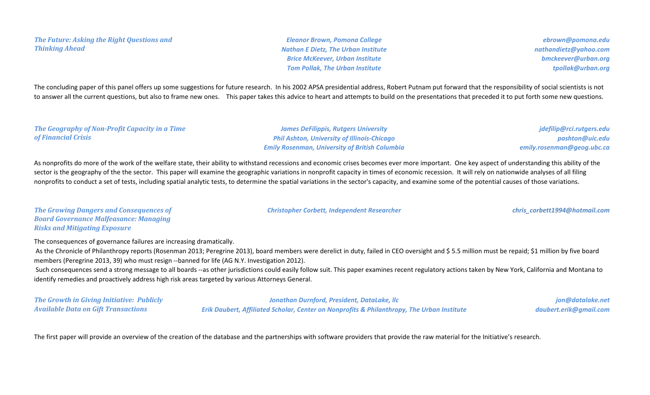*The Future: Asking the Right Questions and Thinking Ahead*

*Eleanor Brown, Pomona College Nathan E Dietz, The Urban Institute Brice McKeever, Urban Institute Tom Pollak, The Urban Institute*

*ebrown@pomona.edu nathandietz@yahoo.com bmckeever@urban.org tpollak@urban.org*

The concluding paper of this panel offers up some suggestions for future research. In his 2002 APSA presidential address, Robert Putnam put forward that the responsibility of social scientists is not to answer all the current questions, but also to frame new ones. This paper takes this advice to heart and attempts to build on the presentations that preceded it to put forth some new questions.

#### *The Geography of Non-Profit Capacity in a Time of Financial Crisis*

*James DeFilippis, Rutgers University Phil Ashton, University of Illinois-Chicago Emily Rosenman, University of British Columbia*

*jdefilip@rci.rutgers.edu pashton@uic.edu emily.rosenman@geog.ubc.ca*

As nonprofits do more of the work of the welfare state, their ability to withstand recessions and economic crises becomes ever more important. One key aspect of understanding this ability of the sector is the geography of the the sector. This paper will examine the geographic variations in nonprofit capacity in times of economic recession. It will rely on nationwide analyses of all filing nonprofits to conduct a set of tests, including spatial analytic tests, to determine the spatial variations in the sector's capacity, and examine some of the potential causes of those variations.

*The Growing Dangers and Consequences of Board Governance Malfeasance: Managing Risks and Mitigating Exposure*

*Christopher Corbett, Independent Researcher chris\_corbett1994@hotmail.com*

The consequences of governance failures are increasing dramatically.

As the Chronicle of Philanthropy reports (Rosenman 2013; Peregrine 2013), board members were derelict in duty, failed in CEO oversight and \$5.5 million must be repaid; \$1 million by five board members (Peregrine 2013, 39) who must resign --banned for life (AG N.Y. Investigation 2012).

Such consequences send a strong message to all boards --as other jurisdictions could easily follow suit. This paper examines recent regulatory actions taken by New York, California and Montana to identify remedies and proactively address high risk areas targeted by various Attorneys General.

*The Growth in Giving Initiative: Publicly Available Data on Gift Transactions*

*Jonathan Durnford, President, DataLake, llc Erik Daubert, Affiliated Scholar, Center on Nonprofits & Philanthropy, The Urban Institute*

*jon@datalake.net daubert.erik@gmail.com*

The first paper will provide an overview of the creation of the database and the partnerships with software providers that provide the raw material for the Initiative's research.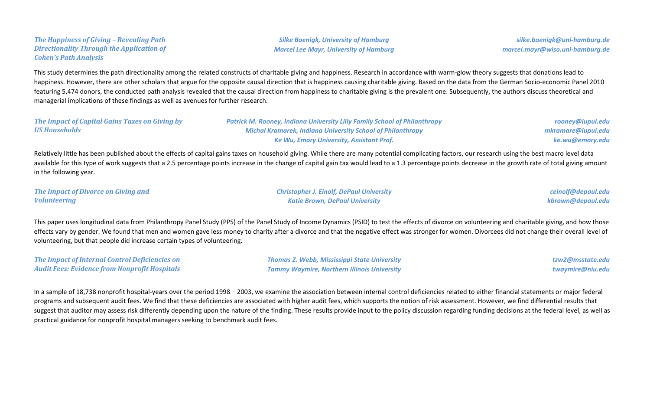*The Happiness of Giving – Revealing Path Directionality Through the Application of Cohen's Path Analysis*

*Silke Boenigk, University of Hamburg Marcel Lee Mayr, University of Hamburg*

*silke.boenigk@uni-hamburg.de marcel.mayr@wiso.uni-hamburg.de*

This study determines the path directionality among the related constructs of charitable giving and happiness. Research in accordance with warm-glow theory suggests that donations lead to happiness. However, there are other scholars that argue for the opposite causal direction that is happiness causing charitable giving. Based on the data from the German Socio-economic Panel 2010 featuring 5,474 donors, the conducted path analysis revealed that the causal direction from happiness to charitable giving is the prevalent one. Subsequently, the authors discuss theoretical and managerial implications of these findings as well as avenues for further research.

*The Impact of Capital Gains Taxes on Giving by US Households Patrick M. Rooney, Indiana University Lilly Family School of Philanthropy Michal Kramarek, Indiana University School of Philanthropy Ke Wu, Emory University, Assistant Prof. rooney@iupui.edu mkramare@iupui.edu ke.wu@emory.edu*

Relatively little has been published about the effects of capital gains taxes on household giving. While there are many potential complicating factors, our research using the best macro level data available for this type of work suggests that a 2.5 percentage points increase in the change of capital gain tax would lead to a 1.3 percentage points decrease in the growth rate of total giving amount in the following year.

*The Impact of Divorce on Giving and Volunteering*

*Christopher J. Einolf, DePaul University Katie Brown, DePaul University*

*ceinolf@depaul.edu kbrown@depaul.edu*

This paper uses longitudinal data from Philanthropy Panel Study (PPS) of the Panel Study of Income Dynamics (PSID) to test the effects of divorce on volunteering and charitable giving, and how those effects vary by gender. We found that men and women gave less money to charity after a divorce and that the negative effect was stronger for women. Divorcees did not change their overall level of volunteering, but that people did increase certain types of volunteering.

*The Impact of Internal Control Deficiencies on Audit Fees: Evidence from Nonprofit Hospitals* *Thomas Z. Webb, Mississippi State University Tammy Waymire, Northern Illinois University* *tzw2@msstate.edu twaymire@niu.edu*

In a sample of 18,738 nonprofit hospital-years over the period 1998 – 2003, we examine the association between internal control deficiencies related to either financial statements or major federal programs and subsequent audit fees. We find that these deficiencies are associated with higher audit fees, which supports the notion of risk assessment. However, we find differential results that suggest that auditor may assess risk differently depending upon the nature of the finding. These results provide input to the policy discussion regarding funding decisions at the federal level, as well as practical guidance for nonprofit hospital managers seeking to benchmark audit fees.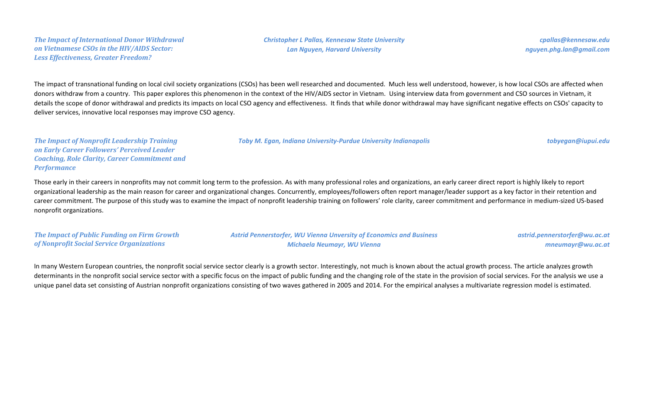*The Impact of International Donor Withdrawal on Vietnamese CSOs in the HIV/AIDS Sector: Less Effectiveness, Greater Freedom?*

*cpallas@kennesaw.edu nguyen.phg.lan@gmail.com*

The impact of transnational funding on local civil society organizations (CSOs) has been well researched and documented. Much less well understood, however, is how local CSOs are affected when donors withdraw from a country. This paper explores this phenomenon in the context of the HIV/AIDS sector in Vietnam. Using interview data from government and CSO sources in Vietnam, it details the scope of donor withdrawal and predicts its impacts on local CSO agency and effectiveness. It finds that while donor withdrawal may have significant negative effects on CSOs' capacity to deliver services, innovative local responses may improve CSO agency.

*Toby M. Egan, Indiana University-Purdue University Indianapolis tobyegan@iupui.edu*

*The Impact of Nonprofit Leadership Training on Early Career Followers' Perceived Leader Coaching, Role Clarity, Career Commitment and Performance*

Those early in their careers in nonprofits may not commit long term to the profession. As with many professional roles and organizations, an early career direct report is highly likely to report organizational leadership as the main reason for career and organizational changes. Concurrently, employees/followers often report manager/leader support as a key factor in their retention and career commitment. The purpose of this study was to examine the impact of nonprofit leadership training on followers' role clarity, career commitment and performance in medium-sized US-based nonprofit organizations.

*The Impact of Public Funding on Firm Growth of Nonprofit Social Service Organizations*

*Astrid Pennerstorfer, WU Vienna Unversity of Economics and Business Michaela Neumayr, WU Vienna*

*astrid.pennerstorfer@wu.ac.at mneumayr@wu.ac.at*

In many Western European countries, the nonprofit social service sector clearly is a growth sector. Interestingly, not much is known about the actual growth process. The article analyzes growth determinants in the nonprofit social service sector with a specific focus on the impact of public funding and the changing role of the state in the provision of social services. For the analysis we use a unique panel data set consisting of Austrian nonprofit organizations consisting of two waves gathered in 2005 and 2014. For the empirical analyses a multivariate regression model is estimated.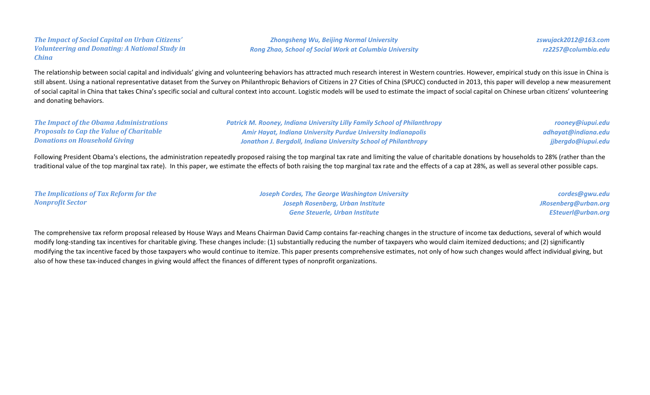#### *The Impact of Social Capital on Urban Citizens' Volunteering and Donating: A National Study in China*

*Zhongsheng Wu, Beijing Normal University Rong Zhao, School of Social Work at Columbia University* *zswujack2012@163.com rz2257@columbia.edu*

The relationship between social capital and individuals' giving and volunteering behaviors has attracted much research interest in Western countries. However, empirical study on this issue in China is still absent. Using a national representative dataset from the Survey on Philanthropic Behaviors of Citizens in 27 Cities of China (SPUCC) conducted in 2013, this paper will develop a new measurement of social capital in China that takes China's specific social and cultural context into account. Logistic models will be used to estimate the impact of social capital on Chinese urban citizens' volunteering and donating behaviors.

## *The Impact of the Obama Administrations Proposals to Cap the Value of Charitable Donations on Household Giving*

*Patrick M. Rooney, Indiana University Lilly Family School of Philanthropy Amir Hayat, Indiana University Purdue University Indianapolis Jonathon J. Bergdoll, Indiana University School of Philanthropy*

*rooney@iupui.edu adhayat@indiana.edu jjbergdo@iupui.edu*

Following President Obama's elections, the administration repeatedly proposed raising the top marginal tax rate and limiting the value of charitable donations by households to 28% (rather than the traditional value of the top marginal tax rate). In this paper, we estimate the effects of both raising the top marginal tax rate and the effects of a cap at 28%, as well as several other possible caps.

| The Implications of Tax Reform for the | <b>Joseph Cordes, The George Washington University</b> | cordes@gwu.edu            |
|----------------------------------------|--------------------------------------------------------|---------------------------|
| <b>Nonprofit Sector</b>                | Joseph Rosenberg, Urban Institute                      | JRosenberg@urban.org      |
|                                        | <b>Gene Steuerle, Urban Institute</b>                  | <b>ESteuerl@urban.org</b> |

The comprehensive tax reform proposal released by House Ways and Means Chairman David Camp contains far-reaching changes in the structure of income tax deductions, several of which would modify long-standing tax incentives for charitable giving. These changes include: (1) substantially reducing the number of taxpayers who would claim itemized deductions; and (2) significantly modifying the tax incentive faced by those taxpayers who would continue to itemize. This paper presents comprehensive estimates, not only of how such changes would affect individual giving, but also of how these tax-induced changes in giving would affect the finances of different types of nonprofit organizations.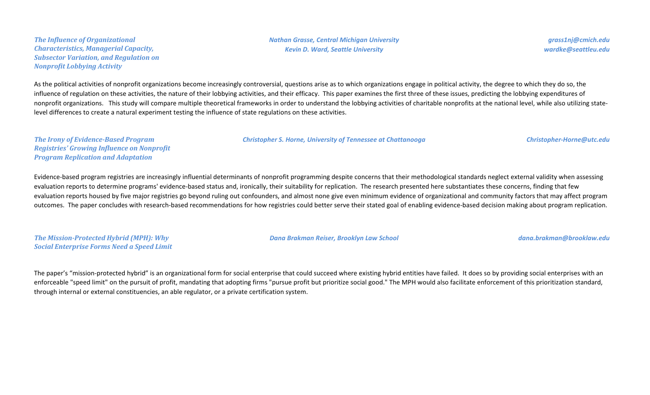*The Influence of Organizational Characteristics, Managerial Capacity, Subsector Variation, and Regulation on Nonprofit Lobbying Activity*

*grass1nj@cmich.edu wardke@seattleu.edu*

As the political activities of nonprofit organizations become increasingly controversial, questions arise as to which organizations engage in political activity, the degree to which they do so, the influence of regulation on these activities, the nature of their lobbying activities, and their efficacy. This paper examines the first three of these issues, predicting the lobbying expenditures of nonprofit organizations. This study will compare multiple theoretical frameworks in order to understand the lobbying activities of charitable nonprofits at the national level, while also utilizing statelevel differences to create a natural experiment testing the influence of state regulations on these activities.

*Christopher S. Horne, University of Tennessee at Chattanooga Christopher-Horne@utc.edu*

*The Irony of Evidence-Based Program Registries' Growing Influence on Nonprofit Program Replication and Adaptation*

Evidence-based program registries are increasingly influential determinants of nonprofit programming despite concerns that their methodological standards neglect external validity when assessing evaluation reports to determine programs' evidence-based status and, ironically, their suitability for replication. The research presented here substantiates these concerns, finding that few evaluation reports housed by five major registries go beyond ruling out confounders, and almost none give even minimum evidence of organizational and community factors that may affect program outcomes. The paper concludes with research-based recommendations for how registries could better serve their stated goal of enabling evidence-based decision making about program replication.

*The Mission-Protected Hybrid (MPH): Why Social Enterprise Forms Need a Speed Limit*

*Dana Brakman Reiser, Brooklyn Law School dana.brakman@brooklaw.edu*

The paper's "mission-protected hybrid" is an organizational form for social enterprise that could succeed where existing hybrid entities have failed. It does so by providing social enterprises with an enforceable "speed limit" on the pursuit of profit, mandating that adopting firms "pursue profit but prioritize social good." The MPH would also facilitate enforcement of this prioritization standard, through internal or external constituencies, an able regulator, or a private certification system.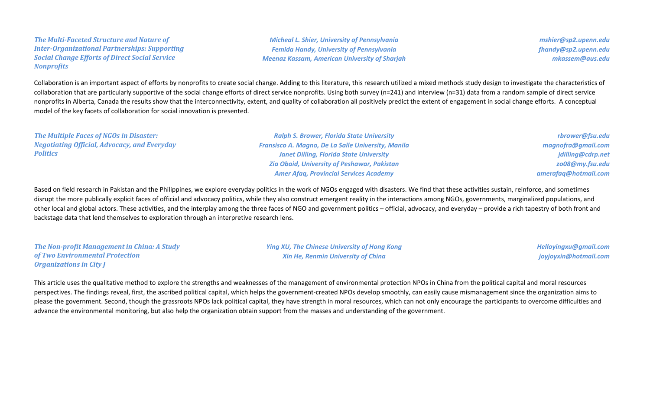## *The Multi-Faceted Structure and Nature of Inter-Organizational Partnerships: Supporting Social Change Efforts of Direct Social Service Nonprofits*

*Micheal L. Shier, University of Pennsylvania Femida Handy, University of Pennsylvania Meenaz Kassam, American University of Sharjah*

*mshier@sp2.upenn.edu fhandy@sp2.upenn.edu mkassem@aus.edu*

Collaboration is an important aspect of efforts by nonprofits to create social change. Adding to this literature, this research utilized a mixed methods study design to investigate the characteristics of collaboration that are particularly supportive of the social change efforts of direct service nonprofits. Using both survey (n=241) and interview (n=31) data from a random sample of direct service nonprofits in Alberta, Canada the results show that the interconnectivity, extent, and quality of collaboration all positively predict the extent of engagement in social change efforts. A conceptual model of the key facets of collaboration for social innovation is presented.

*The Multiple Faces of NGOs in Disaster: Negotiating Official, Advocacy, and Everyday Politics Ralph S. Brower, Florida State University Fransisco A. Magno, De La Salle University, Manila Janet Dilling, Florida State University Zia Obaid, University of Peshawar, Pakistan Amer Afaq, Provincial Services Academy rbrower@fsu.edu magnofra@gmail.com jdilling@cdrp.net zo08@my.fsu.edu amerafaq@hotmail.com*

Based on field research in Pakistan and the Philippines, we explore everyday politics in the work of NGOs engaged with disasters. We find that these activities sustain, reinforce, and sometimes disrupt the more publically explicit faces of official and advocacy politics, while they also construct emergent reality in the interactions among NGOs, governments, marginalized populations, and other local and global actors. These activities, and the interplay among the three faces of NGO and government politics – official, advocacy, and everyday – provide a rich tapestry of both front and backstage data that lend themselves to exploration through an interpretive research lens.

*The Non-profit Management in China: A Study of Two Environmental Protection Organizations in City J*

*Ying XU, The Chinese University of Hong Kong Xin He, Renmin University of China*

*Helloyingxu@gmail.com joyjoyxin@hotmail.com*

This article uses the qualitative method to explore the strengths and weaknesses of the management of environmental protection NPOs in China from the political capital and moral resources perspectives. The findings reveal, first, the ascribed political capital, which helps the government-created NPOs develop smoothly, can easily cause mismanagement since the organization aims to please the government. Second, though the grassroots NPOs lack political capital, they have strength in moral resources, which can not only encourage the participants to overcome difficulties and advance the environmental monitoring, but also help the organization obtain support from the masses and understanding of the government.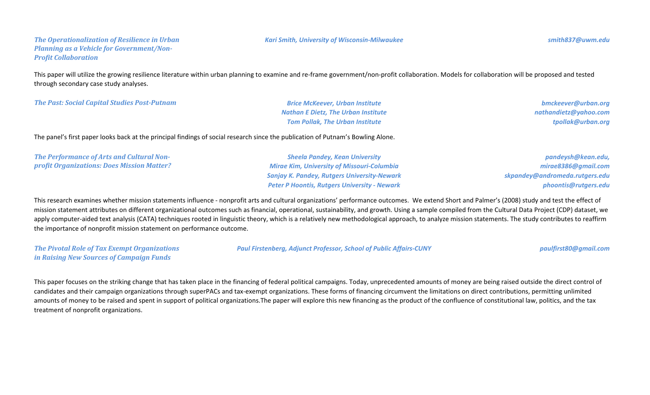#### *The Operationalization of Resilience in Urban Planning as a Vehicle for Government/Non-Profit Collaboration*

This paper will utilize the growing resilience literature within urban planning to examine and re-frame government/non-profit collaboration. Models for collaboration will be proposed and tested through secondary case study analyses.

*The Past: Social Capital Studies Post-Putnam Brice McKeever, Urban Institute*

*Nathan E Dietz, The Urban Institute Tom Pollak, The Urban Institute*

*bmckeever@urban.org nathandietz@yahoo.com tpollak@urban.org*

The panel's first paper looks back at the principal findings of social research since the publication of Putnam's Bowling Alone.

*The Performance of Arts and Cultural Nonprofit Organizations: Does Mission Matter?*

*Sheela Pandey, Kean University Mirae Kim, University of Missouri-Columbia Sanjay K. Pandey, Rutgers University-Newark Peter P Hoontis, Rutgers University - Newark*

*pandeysh@kean.edu, mirae8386@gmail.com skpandey@andromeda.rutgers.edu phoontis@rutgers.edu*

This research examines whether mission statements influence - nonprofit arts and cultural organizations' performance outcomes. We extend Short and Palmer's (2008) study and test the effect of mission statement attributes on different organizational outcomes such as financial, operational, sustainability, and growth. Using a sample compiled from the Cultural Data Project (CDP) dataset, we apply computer-aided text analysis (CATA) techniques rooted in linguistic theory, which is a relatively new methodological approach, to analyze mission statements. The study contributes to reaffirm the importance of nonprofit mission statement on performance outcome.

*The Pivotal Role of Tax Exempt Organizations in Raising New Sources of Campaign Funds*

*Paul Firstenberg, Adjunct Professor, School of Public Affairs-CUNY paulfirst80@gmail.com*

This paper focuses on the striking change that has taken place in the financing of federal political campaigns. Today, unprecedented amounts of money are being raised outside the direct control of candidates and their campaign organizations through superPACs and tax-exempt organizations. These forms of financing circumvent the limitations on direct contributions, permitting unlimited amounts of money to be raised and spent in support of political organizations.The paper will explore this new financing as the product of the confluence of constitutional law, politics, and the tax treatment of nonprofit organizations.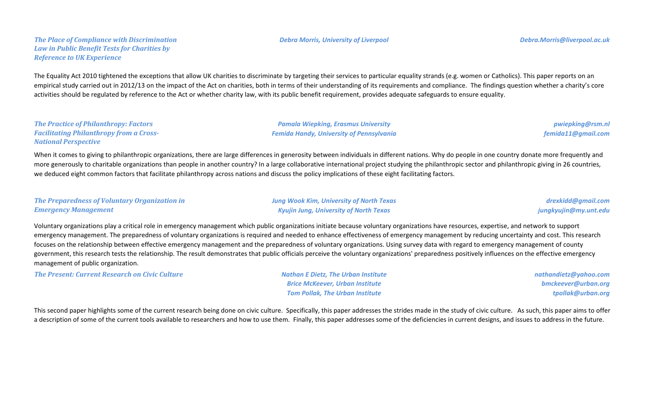#### *The Place of Compliance with Discrimination Law in Public Benefit Tests for Charities by Reference to UK Experience*

The Equality Act 2010 tightened the exceptions that allow UK charities to discriminate by targeting their services to particular equality strands (e.g. women or Catholics). This paper reports on an empirical study carried out in 2012/13 on the impact of the Act on charities, both in terms of their understanding of its requirements and compliance. The findings question whether a charity's core activities should be regulated by reference to the Act or whether charity law, with its public benefit requirement, provides adequate safeguards to ensure equality.

*The Practice of Philanthropy: Factors Facilitating Philanthropy from a Cross-National Perspective*

*Pamala Wiepking, Erasmus University Femida Handy, University of Pennsylvania*

*pwiepking@rsm.nl femida11@gmail.com*

When it comes to giving to philanthropic organizations, there are large differences in generosity between individuals in different nations. Why do people in one country donate more frequently and more generously to charitable organizations than people in another country? In a large collaborative international project studying the philanthropic sector and philanthropic giving in 26 countries, we deduced eight common factors that facilitate philanthropy across nations and discuss the policy implications of these eight facilitating factors.

| The Preparedness of Voluntary Organization in | <b>Jung Wook Kim, University of North Texas</b> | drexkidd@gmail.com    |
|-----------------------------------------------|-------------------------------------------------|-----------------------|
| <b>Emergency Management</b>                   | <b>Kyujin Jung, University of North Texas</b>   | jungkyujin@my.unt.edu |

Voluntary organizations play a critical role in emergency management which public organizations initiate because voluntary organizations have resources, expertise, and network to support emergency management. The preparedness of voluntary organizations is required and needed to enhance effectiveness of emergency management by reducing uncertainty and cost. This research focuses on the relationship between effective emergency management and the preparedness of voluntary organizations. Using survey data with regard to emergency management of county government, this research tests the relationship. The result demonstrates that public officials perceive the voluntary organizations' preparedness positively influences on the effective emergency management of public organization.

*The Present: Current Research on Civic Culture Nathan E Dietz, The Urban Institute*

*Brice McKeever, Urban Institute Tom Pollak, The Urban Institute* *nathandietz@yahoo.com bmckeever@urban.org tpollak@urban.org*

This second paper highlights some of the current research being done on civic culture. Specifically, this paper addresses the strides made in the study of civic culture. As such, this paper aims to offer a description of some of the current tools available to researchers and how to use them. Finally, this paper addresses some of the deficiencies in current designs, and issues to address in the future.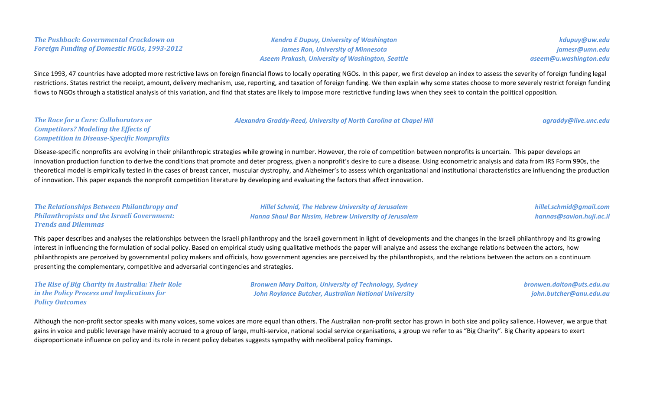## *The Pushback: Governmental Crackdown on Foreign Funding of Domestic NGOs, 1993-2012*

*Kendra E Dupuy, University of Washington James Ron, University of Minnesota Aseem Prakash, University of Washington, Seattle*

*kdupuy@uw.edu jamesr@umn.edu aseem@u.washington.edu*

Since 1993, 47 countries have adopted more restrictive laws on foreign financial flows to locally operating NGOs. In this paper, we first develop an index to assess the severity of foreign funding legal restrictions. States restrict the receipt, amount, delivery mechanism, use, reporting, and taxation of foreign funding. We then explain why some states choose to more severely restrict foreign funding flows to NGOs through a statistical analysis of this variation, and find that states are likely to impose more restrictive funding laws when they seek to contain the political opposition.

*The Race for a Cure: Collaborators or Competitors? Modeling the Effects of Competition in Disease-Specific Nonprofits* *Alexandra Graddy-Reed, University of North Carolina at Chapel Hill agraddy@live.unc.edu*

Disease-specific nonprofits are evolving in their philanthropic strategies while growing in number. However, the role of competition between nonprofits is uncertain. This paper develops an innovation production function to derive the conditions that promote and deter progress, given a nonprofit's desire to cure a disease. Using econometric analysis and data from IRS Form 990s, the theoretical model is empirically tested in the cases of breast cancer, muscular dystrophy, and Alzheimer's to assess which organizational and institutional characteristics are influencing the production of innovation. This paper expands the nonprofit competition literature by developing and evaluating the factors that affect innovation.

| <b>The Relationships Between Philanthropy and</b>  | <b>Hillel Schmid, The Hebrew University of Jerusalem</b>      | hillel.schmid@gmail.com  |
|----------------------------------------------------|---------------------------------------------------------------|--------------------------|
| <b>Philanthropists and the Israeli Government:</b> | <b>Hanna Shaul Bar Nissim, Hebrew University of Jerusalem</b> | hannas@savion.huji.ac.il |
| <b>Trends and Dilemmas</b>                         |                                                               |                          |

This paper describes and analyses the relationships between the Israeli philanthropy and the Israeli government in light of developments and the changes in the Israeli philanthropy and its growing interest in influencing the formulation of social policy. Based on empirical study using qualitative methods the paper will analyze and assess the exchange relations between the actors, how philanthropists are perceived by governmental policy makers and officials, how government agencies are perceived by the philanthropists, and the relations between the actors on a continuum presenting the complementary, competitive and adversarial contingencies and strategies.

*The Rise of Big Charity in Australia: Their Role in the Policy Process and Implications for Policy Outcomes*

*Bronwen Mary Dalton, University of Technology, Sydney John Roylance Butcher, Australian National University*

*bronwen.dalton@uts.edu.au john.butcher@anu.edu.au*

Although the non-profit sector speaks with many voices, some voices are more equal than others. The Australian non-profit sector has grown in both size and policy salience. However, we argue that gains in voice and public leverage have mainly accrued to a group of large, multi-service, national social service organisations, a group we refer to as "Big Charity". Big Charity appears to exert disproportionate influence on policy and its role in recent policy debates suggests sympathy with neoliberal policy framings.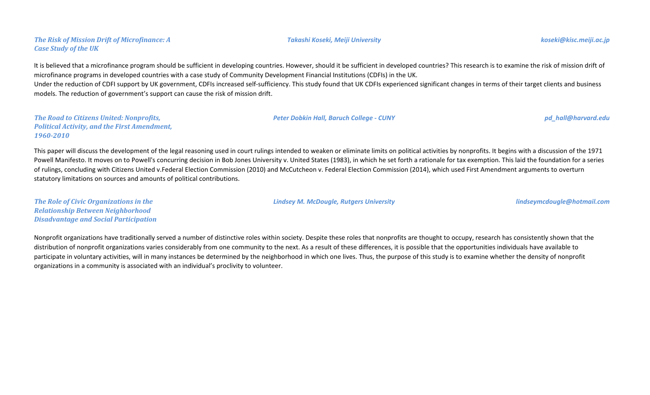## *The Risk of Mission Drift of Microfinance: A Case Study of the UK*

It is believed that a microfinance program should be sufficient in developing countries. However, should it be sufficient in developed countries? This research is to examine the risk of mission drift of microfinance programs in developed countries with a case study of Community Development Financial Institutions (CDFIs) in the UK. Under the reduction of CDFI support by UK government, CDFIs increased self-sufficiency. This study found that UK CDFIs experienced significant changes in terms of their target clients and business

models. The reduction of government's support can cause the risk of mission drift.

*The Road to Citizens United: Nonprofits, Political Activity, and the First Amendment, 1960-2010*

This paper will discuss the development of the legal reasoning used in court rulings intended to weaken or eliminate limits on political activities by nonprofits. It begins with a discussion of the 1971 Powell Manifesto. It moves on to Powell's concurring decision in Bob Jones University v. United States (1983), in which he set forth a rationale for tax exemption. This laid the foundation for a series of rulings, concluding with Citizens United v.Federal Election Commission (2010) and McCutcheon v. Federal Election Commission (2014), which used First Amendment arguments to overturn statutory limitations on sources and amounts of political contributions.

*The Role of Civic Organizations in the Relationship Between Neighborhood Disadvantage and Social Participation*

Nonprofit organizations have traditionally served a number of distinctive roles within society. Despite these roles that nonprofits are thought to occupy, research has consistently shown that the distribution of nonprofit organizations varies considerably from one community to the next. As a result of these differences, it is possible that the opportunities individuals have available to participate in voluntary activities, will in many instances be determined by the neighborhood in which one lives. Thus, the purpose of this study is to examine whether the density of nonprofit organizations in a community is associated with an individual's proclivity to volunteer.

*Lindsey M. McDougle, Rutgers University lindseymcdougle@hotmail.com*

*Peter Dobkin Hall, Baruch College - CUNY pd\_hall@harvard.edu*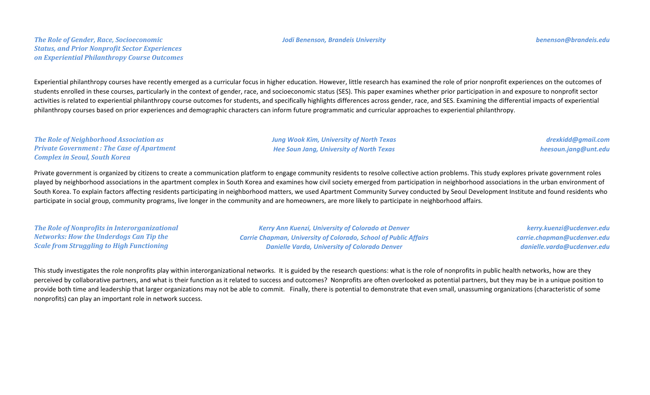#### *Jodi Benenson, Brandeis University benenson@brandeis.edu*

Experiential philanthropy courses have recently emerged as a curricular focus in higher education. However, little research has examined the role of prior nonprofit experiences on the outcomes of students enrolled in these courses, particularly in the context of gender, race, and socioeconomic status (SES). This paper examines whether prior participation in and exposure to nonprofit sector activities is related to experiential philanthropy course outcomes for students, and specifically highlights differences across gender, race, and SES. Examining the differential impacts of experiential philanthropy courses based on prior experiences and demographic characters can inform future programmatic and curricular approaches to experiential philanthropy.

*The Role of Neighborhood Association as Private Government : The Case of Apartment Complex in Seoul, South Korea*

*Jung Wook Kim, University of North Texas Hee Soun Jang, University of North Texas*

*drexkidd@gmail.com heesoun.jang@unt.edu*

Private government is organized by citizens to create a communication platform to engage community residents to resolve collective action problems. This study explores private government roles played by neighborhood associations in the apartment complex in South Korea and examines how civil society emerged from participation in neighborhood associations in the urban environment of South Korea. To explain factors affecting residents participating in neighborhood matters, we used Apartment Community Survey conducted by Seoul Development Institute and found residents who participate in social group, community programs, live longer in the community and are homeowners, are more likely to participate in neighborhood affairs.

*The Role of Nonprofits in Interorganizational Networks: How the Underdogs Can Tip the Scale from Struggling to High Functioning*

*Kerry Ann Kuenzi, University of Colorado at Denver Carrie Chapman, University of Colorado, School of Public Affairs Danielle Varda, University of Colorado Denver*

*kerry.kuenzi@ucdenver.edu carrie.chapman@ucdenver.edu danielle.varda@ucdenver.edu*

This study investigates the role nonprofits play within interorganizational networks. It is guided by the research questions: what is the role of nonprofits in public health networks, how are they perceived by collaborative partners, and what is their function as it related to success and outcomes? Nonprofits are often overlooked as potential partners, but they may be in a unique position to provide both time and leadership that larger organizations may not be able to commit. Finally, there is potential to demonstrate that even small, unassuming organizations (characteristic of some nonprofits) can play an important role in network success.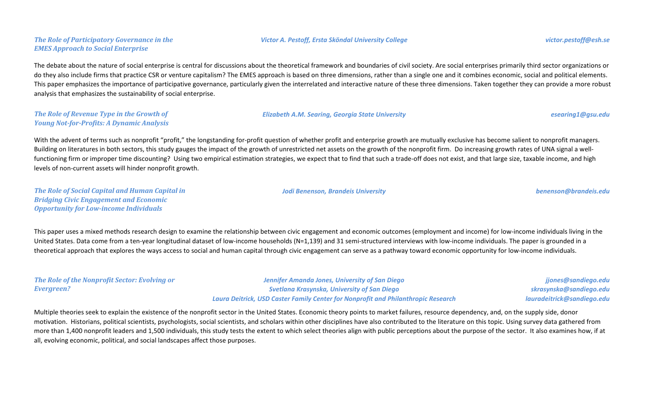# *The Role of Participatory Governance in the EMES Approach to Social Enterprise*

The debate about the nature of social enterprise is central for discussions about the theoretical framework and boundaries of civil society. Are social enterprises primarily third sector organizations or do they also include firms that practice CSR or venture capitalism? The EMES approach is based on three dimensions, rather than a single one and it combines economic, social and political elements. This paper emphasizes the importance of participative governance, particularly given the interrelated and interactive nature of these three dimensions. Taken together they can provide a more robust analysis that emphasizes the sustainability of social enterprise.

#### *The Role of Revenue Type in the Growth of Young Not-for-Profits: A Dynamic Analysis*

#### *Elizabeth A.M. Searing, Georgia State University esearing1@gsu.edu*

With the advent of terms such as nonprofit "profit," the longstanding for-profit question of whether profit and enterprise growth are mutually exclusive has become salient to nonprofit managers. Building on literatures in both sectors, this study gauges the impact of the growth of unrestricted net assets on the growth of the nonprofit firm. Do increasing growth rates of UNA signal a wellfunctioning firm or improper time discounting? Using two empirical estimation strategies, we expect that to find that such a trade-off does not exist, and that large size, taxable income, and high levels of non-current assets will hinder nonprofit growth.

*The Role of Social Capital and Human Capital in Bridging Civic Engagement and Economic Opportunity for Low-income Individuals*

This paper uses a mixed methods research design to examine the relationship between civic engagement and economic outcomes (employment and income) for low-income individuals living in the United States. Data come from a ten-year longitudinal dataset of low-income households (N=1,139) and 31 semi-structured interviews with low-income individuals. The paper is grounded in a theoretical approach that explores the ways access to social and human capital through civic engagement can serve as a pathway toward economic opportunity for low-income individuals.

| The Role of the Nonprofit Sector: Evolving or | <b>Jennifer Amand</b>              |
|-----------------------------------------------|------------------------------------|
| Evergreen?                                    | <b>Svetlana Kra</b>                |
|                                               | Laccon Dattainly HCD Canton Family |

*Jennifer Amanda Jones, University of San Diego Svetlana Krasynska, University of San Diego Laura Deitrick, USD Caster Family Center for Nonprofit and Philanthropic Research*

*Jodi Benenson, Brandeis University benenson@brandeis.edu*

*jjones@sandiego.edu skrasynska@sandiego.edu lauradeitrick@sandiego.edu*

Multiple theories seek to explain the existence of the nonprofit sector in the United States. Economic theory points to market failures, resource dependency, and, on the supply side, donor motivation. Historians, political scientists, psychologists, social scientists, and scholars within other disciplines have also contributed to the literature on this topic. Using survey data gathered from more than 1,400 nonprofit leaders and 1,500 individuals, this study tests the extent to which select theories align with public perceptions about the purpose of the sector. It also examines how, if at all, evolving economic, political, and social landscapes affect those purposes.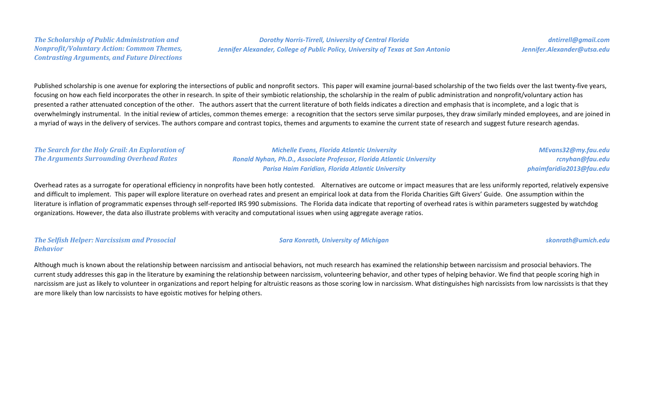#### *The Scholarship of Public Administration and Nonprofit/Voluntary Action: Common Themes, Contrasting Arguments, and Future Directions*

# *Dorothy Norris-Tirrell, University of Central Florida Jennifer Alexander, College of Public Policy, University of Texas at San Antonio*

*dntirrell@gmail.com Jennifer.Alexander@utsa.edu*

Published scholarship is one avenue for exploring the intersections of public and nonprofit sectors. This paper will examine journal-based scholarship of the two fields over the last twenty-five years, focusing on how each field incorporates the other in research. In spite of their symbiotic relationship, the scholarship in the realm of public administration and nonprofit/voluntary action has presented a rather attenuated conception of the other. The authors assert that the current literature of both fields indicates a direction and emphasis that is incomplete, and a logic that is overwhelmingly instrumental. In the initial review of articles, common themes emerge: a recognition that the sectors serve similar purposes, they draw similarly minded employees, and are joined in a myriad of ways in the delivery of services. The authors compare and contrast topics, themes and arguments to examine the current state of research and suggest future research agendas.

| The Search for the Holy Grail: An Exploration of | <b>Michelle Evans, Florida Atlantic University</b>                    | MEvans32@my.fau.edu      |
|--------------------------------------------------|-----------------------------------------------------------------------|--------------------------|
| The Arguments Surrounding Overhead Rates         | Ronald Nyhan, Ph.D., Associate Professor, Florida Atlantic University | rcnyhan@fau.edu          |
|                                                  | <b>Parisa Haim Faridian, Florida Atlantic University</b>              | phaimfaridia2013@fau.edu |

Overhead rates as a surrogate for operational efficiency in nonprofits have been hotly contested. Alternatives are outcome or impact measures that are less uniformly reported, relatively expensive and difficult to implement. This paper will explore literature on overhead rates and present an empirical look at data from the Florida Charities Gift Givers' Guide. One assumption within the literature is inflation of programmatic expenses through self-reported IRS 990 submissions. The Florida data indicate that reporting of overhead rates is within parameters suggested by watchdog organizations. However, the data also illustrate problems with veracity and computational issues when using aggregate average ratios.

#### *The Selfish Helper: Narcissism and Prosocial Behavior*

Although much is known about the relationship between narcissism and antisocial behaviors, not much research has examined the relationship between narcissism and prosocial behaviors. The current study addresses this gap in the literature by examining the relationship between narcissism, volunteering behavior, and other types of helping behavior. We find that people scoring high in narcissism are just as likely to volunteer in organizations and report helping for altruistic reasons as those scoring low in narcissism. What distinguishes high narcissists from low narcissists is that they are more likely than low narcissists to have egoistic motives for helping others.

## *Sara Konrath, University of Michigan skonrath@umich.edu*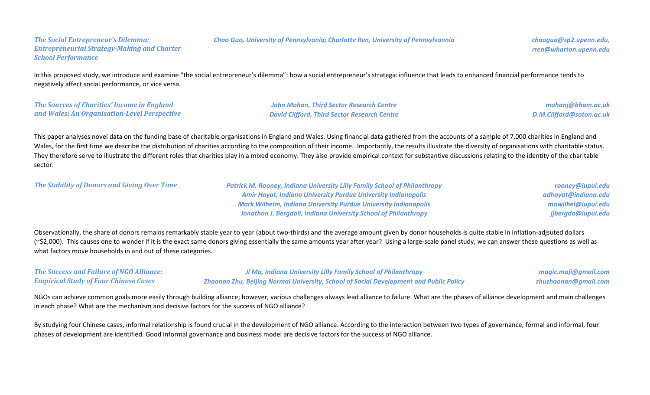#### *Chao Guo, University of Pennsylvania; Charlotte Ren, University of Pennsylvannia chaoguo@sp2.upenn.edu,*

*The Social Entrepreneur's Dilemma: Entrepreneurial Strategy-Making and Charter School Performance*

In this proposed study, we introduce and examine "the social entrepreneur's dilemma": how a social entrepreneur's strategic influence that leads to enhanced financial performance tends to negatively affect social performance, or vice versa.

*The Sources of Charities' Income in England and Wales: An Organisation-Level Perspective*

*John Mohan, Third Sector Research Centre David Clifford, Third Sector Research Centre*

*mohanj@bham.ac.uk D.M.Clifford@soton.ac.uk*

This paper analyses novel data on the funding base of charitable organisations in England and Wales. Using financial data gathered from the accounts of a sample of 7,000 charities in England and Wales, for the first time we describe the distribution of charities according to the composition of their income. Importantly, the results illustrate the diversity of organisations with charitable status. They therefore serve to illustrate the different roles that charities play in a mixed economy. They also provide empirical context for substantive discussions relating to the identity of the charitable sector.

| <b>The Stability of Donors and Giving Over Time</b> | <b>Patrick M. Rooney, Indiana University Lilly Family School of Philanthropy</b> | rooney@iupui.edu    |
|-----------------------------------------------------|----------------------------------------------------------------------------------|---------------------|
|                                                     | <b>Amir Hayat, Indiana University Purdue University Indianapolis</b>             | adhayat@indiana.edu |
|                                                     | <b>Mark Wilhelm, Indiana University Purdue University Indianapolis</b>           | mowilhel@iupui.edu  |
|                                                     | Jonathon J. Bergdoll, Indiana University School of Philanthropy                  | jjbergdo@iupui.edu  |
|                                                     |                                                                                  |                     |

Observationally, the share of donors remains remarkably stable year to year (about two-thirds) and the average amount given by donor households is quite stable in inflation-adjsuted dollars (~\$2,000). This causes one to wonder if it is the exact same donors giving essentially the same amounts year after year? Using a large-scale panel study, we can answer these questions as well as what factors move households in and out of these categories.

| <b>The Success and Failure of NGO Alliance:</b> | Ji Ma, Indiana University Lilly Family School of Philanthropy                          | magic.maji@gmail.com |
|-------------------------------------------------|----------------------------------------------------------------------------------------|----------------------|
| <b>Empirical Study of Four Chinese Cases</b>    | Zhaonan Zhu, Beijing Normal University, School of Social Development and Public Policy | zhuzhaonan@gmail.com |

NGOs can achieve common goals more easily through building alliance; however, various challenges always lead alliance to failure. What are the phases of alliance development and main challenges in each phase? What are the mechanism and decisive factors for the success of NGO alliance?

By studying four Chinese cases, informal relationship is found crucial in the development of NGO alliance. According to the interaction between two types of governance, formal and informal, four phases of development are identified. Good informal governance and business model are decisive factors for the success of NGO alliance.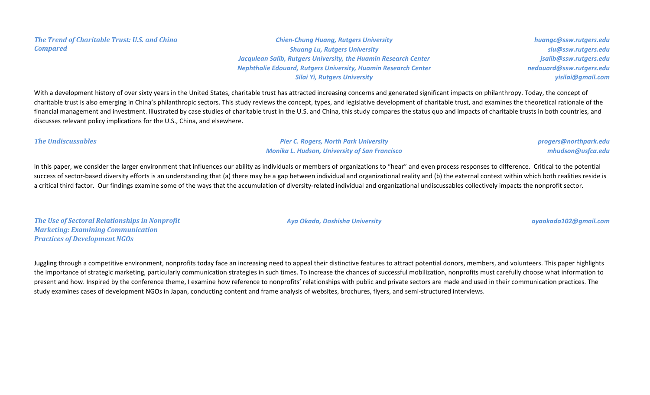*The Trend of Charitable Trust: U.S. and China Compared*

*Chien-Chung Huang, Rutgers University Shuang Lu, Rutgers University Jacqulean Salib, Rutgers University, the Huamin Research Center Nephthalie Edouard, Rutgers University, Huamin Research Center Silai Yi, Rutgers University*

*huangc@ssw.rutgers.edu slu@ssw.rutgers.edu jsalib@ssw.rutgers.edu nedouard@ssw.rutgers.edu yisilai@gmail.com*

With a development history of over sixty years in the United States, charitable trust has attracted increasing concerns and generated significant impacts on philanthropy. Today, the concept of charitable trust is also emerging in China's philanthropic sectors. This study reviews the concept, types, and legislative development of charitable trust, and examines the theoretical rationale of the financial management and investment. Illustrated by case studies of charitable trust in the U.S. and China, this study compares the status quo and impacts of charitable trusts in both countries, and discusses relevant policy implications for the U.S., China, and elsewhere.

*The Undiscussables Pier C. Rogers, North Park University Monika L. Hudson, University of San Francisco*

In this paper, we consider the larger environment that influences our ability as individuals or members of organizations to "hear" and even process responses to difference. Critical to the potential success of sector-based diversity efforts is an understanding that (a) there may be a gap between individual and organizational reality and (b) the external context within which both realities reside is a critical third factor. Our findings examine some of the ways that the accumulation of diversity-related individual and organizational undiscussables collectively impacts the nonprofit sector.

*The Use of Sectoral Relationships in Nonprofit Marketing: Examining Communication Practices of Development NGOs*

*Aya Okada, Doshisha University ayaokada102@gmail.com*

*progers@northpark.edu mhudson@usfca.edu*

Juggling through a competitive environment, nonprofits today face an increasing need to appeal their distinctive features to attract potential donors, members, and volunteers. This paper highlights the importance of strategic marketing, particularly communication strategies in such times. To increase the chances of successful mobilization, nonprofits must carefully choose what information to present and how. Inspired by the conference theme, I examine how reference to nonprofits' relationships with public and private sectors are made and used in their communication practices. The study examines cases of development NGOs in Japan, conducting content and frame analysis of websites, brochures, flyers, and semi-structured interviews.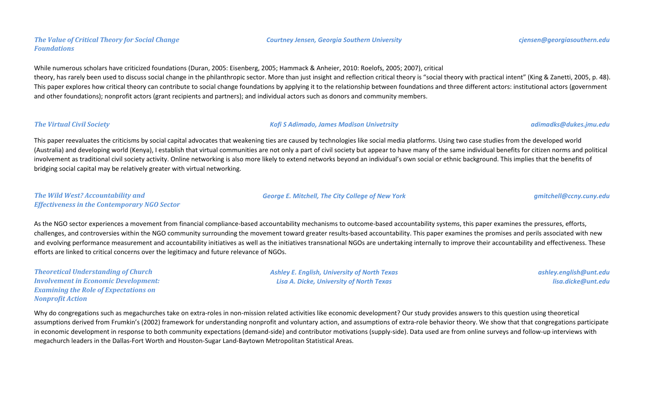## *The Value of Critical Theory for Social Change Foundations*

While numerous scholars have criticized foundations (Duran, 2005: Eisenberg, 2005; Hammack & Anheier, 2010: Roelofs, 2005; 2007), critical theory, has rarely been used to discuss social change in the philanthropic sector. More than just insight and reflection critical theory is "social theory with practical intent" (King & Zanetti, 2005, p. 48). This paper explores how critical theory can contribute to social change foundations by applying it to the relationship between foundations and three different actors: institutional actors (government and other foundations); nonprofit actors (grant recipients and partners); and individual actors such as donors and community members.

#### *The Virtual Civil Society Kofi S Adimado, James Madison Univetrsity adimadks@dukes.jmu.edu*

*George E. Mitchell, The City College of New York gmitchell@ccny.cuny.edu*

This paper reevaluates the criticisms by social capital advocates that weakening ties are caused by technologies like social media platforms. Using two case studies from the developed world (Australia) and developing world (Kenya), I establish that virtual communities are not only a part of civil society but appear to have many of the same individual benefits for citizen norms and political involvement as traditional civil society activity. Online networking is also more likely to extend networks beyond an individual's own social or ethnic background. This implies that the benefits of bridging social capital may be relatively greater with virtual networking.

#### *The Wild West? Accountability and Effectiveness in the Contemporary NGO Sector*

As the NGO sector experiences a movement from financial compliance-based accountability mechanisms to outcome-based accountability systems, this paper examines the pressures, efforts, challenges, and controversies within the NGO community surrounding the movement toward greater results-based accountability. This paper examines the promises and perils associated with new and evolving performance measurement and accountability initiatives as well as the initiatives transnational NGOs are undertaking internally to improve their accountability and effectiveness. These efforts are linked to critical concerns over the legitimacy and future relevance of NGOs.

| <b>Theoretical Understanding of Church</b>   |
|----------------------------------------------|
| <b>Involvement in Economic Development:</b>  |
| <b>Examining the Role of Expectations on</b> |
| <b>Nonprofit Action</b>                      |

*Ashley E. English, University of North Texas Lisa A. Dicke, University of North Texas*

*ashley.english@unt.edu lisa.dicke@unt.edu*

Why do congregations such as megachurches take on extra-roles in non-mission related activities like economic development? Our study provides answers to this question using theoretical assumptions derived from Frumkin's (2002) framework for understanding nonprofit and voluntary action, and assumptions of extra-role behavior theory. We show that that congregations participate in economic development in response to both community expectations (demand-side) and contributor motivations (supply-side). Data used are from online surveys and follow-up interviews with megachurch leaders in the Dallas-Fort Worth and Houston-Sugar Land-Baytown Metropolitan Statistical Areas.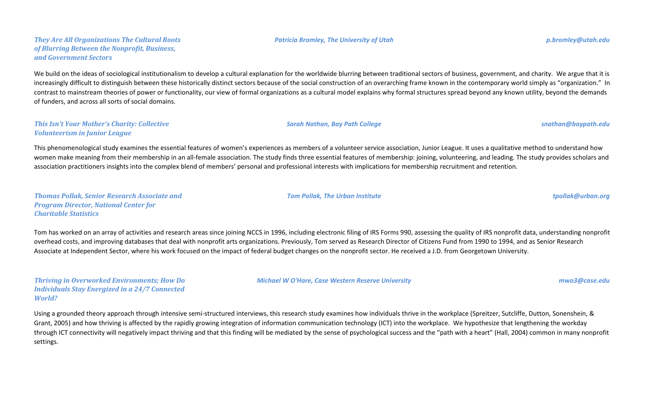#### *They Are All Organizations The Cultural Roots of Blurring Between the Nonprofit, Business, and Government Sectors*

We build on the ideas of sociological institutionalism to develop a cultural explanation for the worldwide blurring between traditional sectors of business, government, and charity. We argue that it is increasingly difficult to distinguish between these historically distinct sectors because of the social construction of an overarching frame known in the contemporary world simply as "organization." In contrast to mainstream theories of power or functionality, our view of formal organizations as a cultural model explains why formal structures spread beyond any known utility, beyond the demands of funders, and across all sorts of social domains.

#### *This Isn't Your Mother's Charity: Collective Volunteerism in Junior League*

This phenomenological study examines the essential features of women's experiences as members of a volunteer service association, Junior League. It uses a qualitative method to understand how women make meaning from their membership in an all-female association. The study finds three essential features of membership: joining, volunteering, and leading. The study provides scholars and association practitioners insights into the complex blend of members' personal and professional interests with implications for membership recruitment and retention.

*Thomas Pollak, Senior Research Associate and Program Director, National Center for Charitable Statistics*

Tom has worked on an array of activities and research areas since joining NCCS in 1996, including electronic filing of IRS Forms 990, assessing the quality of IRS nonprofit data, understanding nonprofit overhead costs, and improving databases that deal with nonprofit arts organizations. Previously, Tom served as Research Director of Citizens Fund from 1990 to 1994, and as Senior Research Associate at Independent Sector, where his work focused on the impact of federal budget changes on the nonprofit sector. He received a J.D. from Georgetown University.

*Thriving in Overworked Environments; How Do Individuals Stay Energized in a 24/7 Connected World?*

Using a grounded theory approach through intensive semi-structured interviews, this research study examines how individuals thrive in the workplace (Spreitzer, Sutcliffe, Dutton, Sonenshein, & Grant, 2005) and how thriving is affected by the rapidly growing integration of information communication technology (ICT) into the workplace. We hypothesize that lengthening the workday through ICT connectivity will negatively impact thriving and that this finding will be mediated by the sense of psychological success and the "path with a heart" (Hall, 2004) common in many nonprofit settings.

*Sarah Nathan, Bay Path College snathan@baypath.edu*

*Tom Pollak, The Urban Institute tpollak@urban.org*

*Michael W O'Hare, Case Western Reserve University mwo3@case.edu*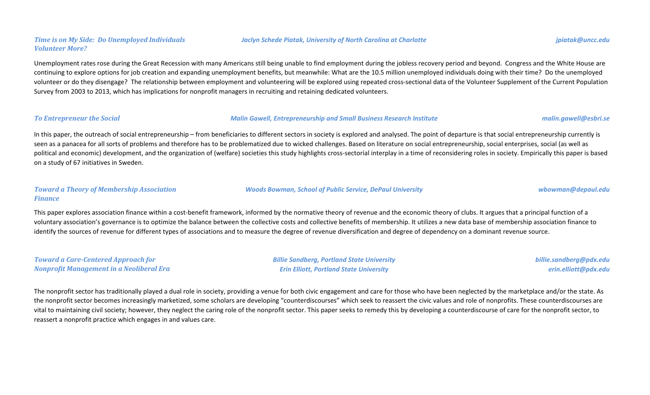## *Time is on My Side: Do Unemployed Individuals Volunteer More?*

# Unemployment rates rose during the Great Recession with many Americans still being unable to find employment during the jobless recovery period and beyond. Congress and the White House are continuing to explore options for job creation and expanding unemployment benefits, but meanwhile: What are the 10.5 million unemployed individuals doing with their time? Do the unemployed volunteer or do they disengage? The relationship between employment and volunteering will be explored using repeated cross-sectional data of the Volunteer Supplement of the Current Population Survey from 2003 to 2013, which has implications for nonprofit managers in recruiting and retaining dedicated volunteers.

#### *To Entrepreneur the Social Malin Gawell, Entrepreneurship and Small Business Research Institute malin.gawell@esbri.se*

In this paper, the outreach of social entrepreneurship – from beneficiaries to different sectors in society is explored and analysed. The point of departure is that social entrepreneurship currently is seen as a panacea for all sorts of problems and therefore has to be problematized due to wicked challenges. Based on literature on social entrepreneurship, social enterprises, social (as well as political and economic) development, and the organization of (welfare) societies this study highlights cross-sectorial interplay in a time of reconsidering roles in society. Empirically this paper is based on a study of 67 initiatives in Sweden.

### *Toward a Theory of Membership Association Finance*

This paper explores association finance within a cost-benefit framework, informed by the normative theory of revenue and the economic theory of clubs. It argues that a principal function of a voluntary association's governance is to optimize the balance between the collective costs and collective benefits of membership. It utilizes a new data base of membership association finance to identify the sources of revenue for different types of associations and to measure the degree of revenue diversification and degree of dependency on a dominant revenue source.

*Toward a Care-Centered Approach for Nonprofit Management in a Neoliberal Era* *Billie Sandberg, Portland State University Erin Elliott, Portland State University*

*billie.sandberg@pdx.edu erin.elliott@pdx.edu*

The nonprofit sector has traditionally played a dual role in society, providing a venue for both civic engagement and care for those who have been neglected by the marketplace and/or the state. As the nonprofit sector becomes increasingly marketized, some scholars are developing "counterdiscourses" which seek to reassert the civic values and role of nonprofits. These counterdiscourses are vital to maintaining civil society; however, they neglect the caring role of the nonprofit sector. This paper seeks to remedy this by developing a counterdiscourse of care for the nonprofit sector, to reassert a nonprofit practice which engages in and values care.



*Woods Bowman, School of Public Service, DePaul University wbowman@depaul.edu*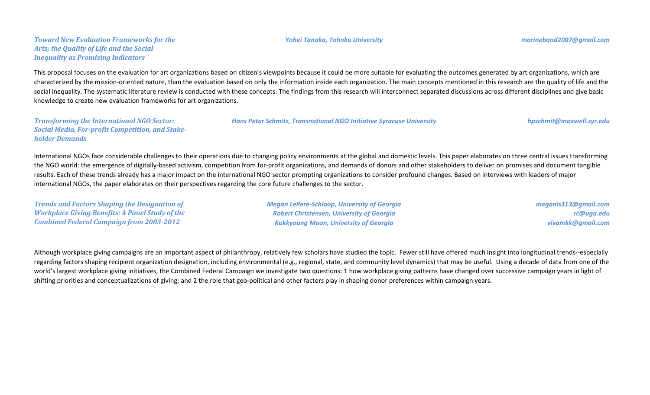#### *Yohei Tanaka, Tohoku University marineband2007@gmail.com*

This proposal focuses on the evaluation for art organizations based on citizen's viewpoints because it could be more suitable for evaluating the outcomes generated by art organizations, which are characterized by the mission-oriented nature, than the evaluation based on only the information inside each organization. The main concepts mentioned in this research are the quality of life and the social inequality. The systematic literature review is conducted with these concepts. The findings from this research will interconnect separated discussions across different disciplines and give basic knowledge to create new evaluation frameworks for art organizations.

| <b>Transforming the International NGO Sector:</b>       | <b>Hans Peter Schmitz, Transnational NGO Initiative Syracuse University</b> | hpschmit@maxwell.syr.edu |
|---------------------------------------------------------|-----------------------------------------------------------------------------|--------------------------|
| <b>Social Media, For-profit Competition, and Stake-</b> |                                                                             |                          |
| <b>holder Demands</b>                                   |                                                                             |                          |

International NGOs face considerable challenges to their operations due to changing policy environments at the global and domestic levels. This paper elaborates on three central issues transforming the NGO world: the emergence of digitally-based activism, competition from for-profit organizations, and demands of donors and other stakeholders to deliver on promises and document tangible results. Each of these trends already has a major impact on the international NGO sector prompting organizations to consider profound changes. Based on interviews with leaders of major international NGOs, the paper elaborates on their perspectives regarding the core future challenges to the sector.

*Trends and Factors Shaping the Designation of Workplace Giving Benefits: A Panel Study of the Combined Federal Campaign from 2003-2012 Megan LePere-Schloop, University of Georgia Robert Christensen, University of Georgia Kukkyoung Moon, University of Georgia*

Although workplace giving campaigns are an important aspect of philanthropy, relatively few scholars have studied the topic. Fewer still have offered much insight into longitudinal trends--especially regarding factors shaping recipient organization designation, including environmental (e.g., regional, state, and community level dynamics) that may be useful. Using a decade of data from one of the world's largest workplace giving initiatives, the Combined Federal Campaign we investigate two questions: 1 how workplace giving patterns have changed over successive campaign years in light of shifting priorities and conceptualizations of giving; and 2 the role that geo-political and other factors play in shaping donor preferences within campaign years.

*meganls313@gmail.com*

*vivamkk@gmail.com*

*rc@uga.edu*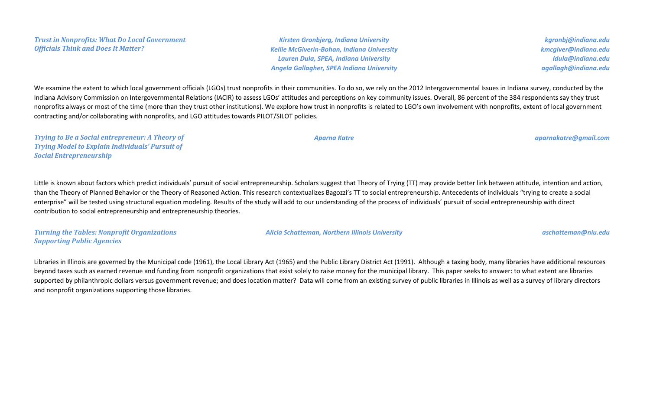*Kirsten Gronbjerg, Indiana University Kellie McGiverin-Bohan, Indiana University Lauren Dula, SPEA, Indiana University Angela Gallagher, SPEA Indiana University*

*kgronbj@indiana.edu kmcgiver@indiana.edu ldula@indiana.edu agallagh@indiana.edu*

We examine the extent to which local government officials (LGOs) trust nonprofits in their communities. To do so, we rely on the 2012 Intergovernmental Issues in Indiana survey, conducted by the Indiana Advisory Commission on Intergovernmental Relations (IACIR) to assess LGOs' attitudes and perceptions on key community issues. Overall, 86 percent of the 384 respondents say they trust nonprofits always or most of the time (more than they trust other institutions). We explore how trust in nonprofits is related to LGO's own involvement with nonprofits, extent of local government contracting and/or collaborating with nonprofits, and LGO attitudes towards PILOT/SILOT policies.

*Trying to Be a Social entrepreneur: A Theory of Trying Model to Explain Individuals' Pursuit of Social Entrepreneurship*

Little is known about factors which predict individuals' pursuit of social entrepreneurship. Scholars suggest that Theory of Trying (TT) may provide better link between attitude, intention and action, than the Theory of Planned Behavior or the Theory of Reasoned Action. This research contextualizes Bagozzi's TT to social entrepreneurship. Antecedents of individuals "trying to create a social enterprise" will be tested using structural equation modeling. Results of the study will add to our understanding of the process of individuals' pursuit of social entrepreneurship with direct contribution to social entrepreneurship and entrepreneurship theories.

*Turning the Tables: Nonprofit Organizations Supporting Public Agencies*

*Alicia Schatteman, Northern Illinois University aschatteman@niu.edu*

Libraries in Illinois are governed by the Municipal code (1961), the Local Library Act (1965) and the Public Library District Act (1991). Although a taxing body, many libraries have additional resources beyond taxes such as earned revenue and funding from nonprofit organizations that exist solely to raise money for the municipal library. This paper seeks to answer: to what extent are libraries supported by philanthropic dollars versus government revenue; and does location matter? Data will come from an existing survey of public libraries in Illinois as well as a survey of library directors and nonprofit organizations supporting those libraries.

*Aparna Katre aparnakatre@gmail.com*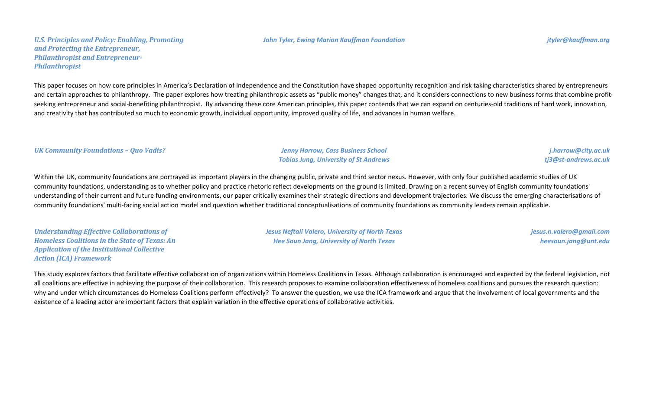*John Tyler, Ewing Marion Kauffman Foundation jtyler@kauffman.org*

*U.S. Principles and Policy: Enabling, Promoting and Protecting the Entrepreneur, Philanthropist and Entrepreneur-Philanthropist*

This paper focuses on how core principles in America's Declaration of Independence and the Constitution have shaped opportunity recognition and risk taking characteristics shared by entrepreneurs and certain approaches to philanthropy. The paper explores how treating philanthropic assets as "public money" changes that, and it considers connections to new business forms that combine profitseeking entrepreneur and social-benefiting philanthropist. By advancing these core American principles, this paper contends that we can expand on centuries-old traditions of hard work, innovation, and creativity that has contributed so much to economic growth, individual opportunity, improved quality of life, and advances in human welfare.

#### *UK Community Foundations – Quo Vadis? Jenny Harrow, Cass Business School*

*Tobias Jung, University of St Andrews*

*j.harrow@city.ac.uk tj3@st-andrews.ac.uk*

Within the UK, community foundations are portrayed as important players in the changing public, private and third sector nexus. However, with only four published academic studies of UK community foundations, understanding as to whether policy and practice rhetoric reflect developments on the ground is limited. Drawing on a recent survey of English community foundations' understanding of their current and future funding environments, our paper critically examines their strategic directions and development trajectories. We discuss the emerging characterisations of community foundations' multi-facing social action model and question whether traditional conceptualisations of community foundations as community leaders remain applicable.

*Understanding Effective Collaborations of Homeless Coalitions in the State of Texas: An Application of the Institutional Collective Action (ICA) Framework*

*Jesus Neftali Valero, University of North Texas Hee Soun Jang, University of North Texas*

*jesus.n.valero@gmail.com heesoun.jang@unt.edu*

This study explores factors that facilitate effective collaboration of organizations within Homeless Coalitions in Texas. Although collaboration is encouraged and expected by the federal legislation, not all coalitions are effective in achieving the purpose of their collaboration. This research proposes to examine collaboration effectiveness of homeless coalitions and pursues the research question: why and under which circumstances do Homeless Coalitions perform effectively? To answer the question, we use the ICA framework and argue that the involvement of local governments and the existence of a leading actor are important factors that explain variation in the effective operations of collaborative activities.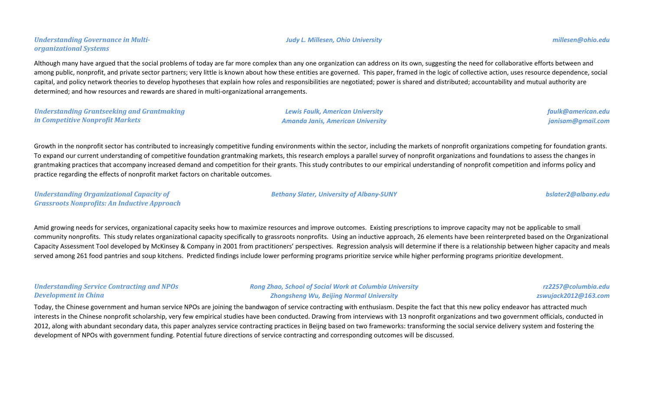Although many have argued that the social problems of today are far more complex than any one organization can address on its own, suggesting the need for collaborative efforts between and among public, nonprofit, and private sector partners; very little is known about how these entities are governed. This paper, framed in the logic of collective action, uses resource dependence, social capital, and policy network theories to develop hypotheses that explain how roles and responsibilities are negotiated; power is shared and distributed; accountability and mutual authority are determined; and how resources and rewards are shared in multi-organizational arrangements.

| <b>Understanding Grantseeking and Grantmaking</b> | <b>Lewis Faulk, American University</b>  | faulk@american.edu |
|---------------------------------------------------|------------------------------------------|--------------------|
| in Competitive Nonprofit Markets                  | <b>Amanda Janis, American University</b> | janisam@gmail.com  |

Growth in the nonprofit sector has contributed to increasingly competitive funding environments within the sector, including the markets of nonprofit organizations competing for foundation grants. To expand our current understanding of competitive foundation grantmaking markets, this research employs a parallel survey of nonprofit organizations and foundations to assess the changes in grantmaking practices that accompany increased demand and competition for their grants. This study contributes to our empirical understanding of nonprofit competition and informs policy and practice regarding the effects of nonprofit market factors on charitable outcomes.

*Understanding Organizational Capacity of Grassroots Nonprofits: An Inductive Approach*

Amid growing needs for services, organizational capacity seeks how to maximize resources and improve outcomes. Existing prescriptions to improve capacity may not be applicable to small community nonprofits. This study relates organizational capacity specifically to grassroots nonprofits. Using an inductive approach, 26 elements have been reinterpreted based on the Organizational Capacity Assessment Tool developed by McKinsey & Company in 2001 from practitioners' perspectives. Regression analysis will determine if there is a relationship between higher capacity and meals served among 261 food pantries and soup kitchens. Predicted findings include lower performing programs prioritize service while higher performing programs prioritize development.

## *Understanding Service Contracting and NPOs Development in China*

*Rong Zhao, School of Social Work at Columbia University Zhongsheng Wu, Beijing Normal University*

Today, the Chinese government and human service NPOs are joining the bandwagon of service contracting with enthusiasm. Despite the fact that this new policy endeavor has attracted much interests in the Chinese nonprofit scholarship, very few empirical studies have been conducted. Drawing from interviews with 13 nonprofit organizations and two government officials, conducted in 2012, along with abundant secondary data, this paper analyzes service contracting practices in Beijng based on two frameworks: transforming the social service delivery system and fostering the development of NPOs with government funding. Potential future directions of service contracting and corresponding outcomes will be discussed.

*Bethany Slater, University of Albany-SUNY bslater2@albany.edu*

*rz2257@columbia.edu zswujack2012@163.com*

*Judy L. Millesen, Ohio University millesen@ohio.edu*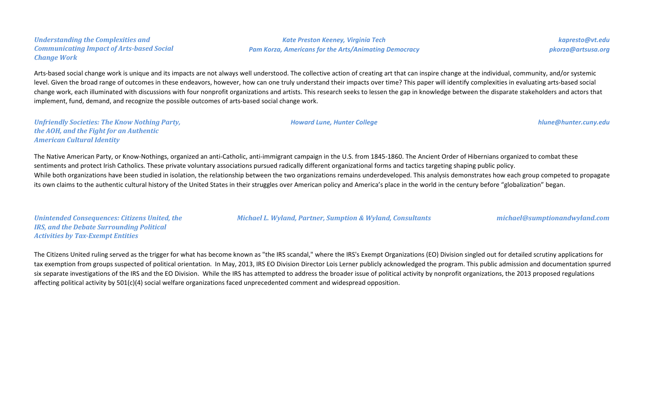*Understanding the Complexities and Communicating Impact of Arts-based Social Change Work*

*Kate Preston Keeney, Virginia Tech Pam Korza, Americans for the Arts/Animating Democracy*

*kapresto@vt.edu pkorza@artsusa.org*

Arts-based social change work is unique and its impacts are not always well understood. The collective action of creating art that can inspire change at the individual, community, and/or systemic level. Given the broad range of outcomes in these endeavors, however, how can one truly understand their impacts over time? This paper will identify complexities in evaluating arts-based social change work, each illuminated with discussions with four nonprofit organizations and artists. This research seeks to lessen the gap in knowledge between the disparate stakeholders and actors that implement, fund, demand, and recognize the possible outcomes of arts-based social change work.

*Unfriendly Societies: The Know Nothing Party, the AOH, and the Fight for an Authentic American Cultural Identity*

The Native American Party, or Know-Nothings, organized an anti-Catholic, anti-immigrant campaign in the U.S. from 1845-1860. The Ancient Order of Hibernians organized to combat these sentiments and protect Irish Catholics. These private voluntary associations pursued radically different organizational forms and tactics targeting shaping public policy. While both organizations have been studied in isolation, the relationship between the two organizations remains underdeveloped. This analysis demonstrates how each group competed to propagate its own claims to the authentic cultural history of the United States in their struggles over American policy and America's place in the world in the century before "globalization" began.

*Unintended Consequences: Citizens United, the IRS, and the Debate Surrounding Political Activities by Tax-Exempt Entities*

*Michael L. Wyland, Partner, Sumption & Wyland, Consultants michael@sumptionandwyland.com*

The Citizens United ruling served as the trigger for what has become known as "the IRS scandal," where the IRS's Exempt Organizations (EO) Division singled out for detailed scrutiny applications for tax exemption from groups suspected of political orientation. In May, 2013, IRS EO Division Director Lois Lerner publicly acknowledged the program. This public admission and documentation spurred six separate investigations of the IRS and the EO Division. While the IRS has attempted to address the broader issue of political activity by nonprofit organizations, the 2013 proposed regulations affecting political activity by 501(c)(4) social welfare organizations faced unprecedented comment and widespread opposition.

*Howard Lune, Hunter College hlune@hunter.cuny.edu*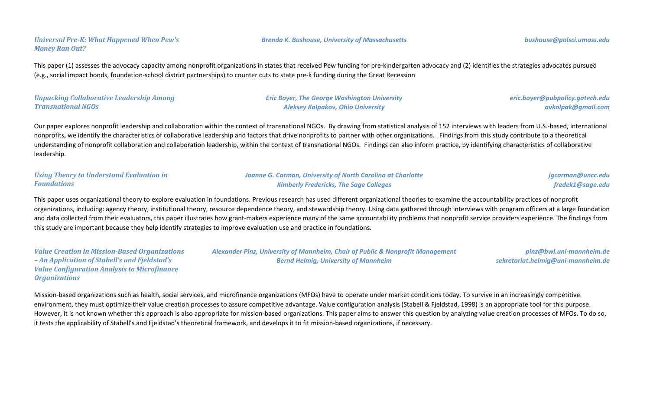*Universal Pre-K: What Happened When Pew's Money Ran Out?*

This paper (1) assesses the advocacy capacity among nonprofit organizations in states that received Pew funding for pre-kindergarten advocacy and (2) identifies the strategies advocates pursued (e.g., social impact bonds, foundation-school district partnerships) to counter cuts to state pre-k funding during the Great Recession

### *Unpacking Collaborative Leadership Among Transnational NGOs*

*Eric Boyer, The George Washington University Aleksey Kolpakov, Ohio University*

*eric.boyer@pubpolicy.gatech.edu avkolpak@gmail.com*

Our paper explores nonprofit leadership and collaboration within the context of transnational NGOs. By drawing from statistical analysis of 152 interviews with leaders from U.S.-based, international nonprofits, we identify the characteristics of collaborative leadership and factors that drive nonprofits to partner with other organizations. Findings from this study contribute to a theoretical understanding of nonprofit collaboration and collaboration leadership, within the context of transnational NGOs. Findings can also inform practice, by identifying characteristics of collaborative leadership.

| <b>Using Theory to Understand Evaluation in</b> | <b>Joanne G. Carman, University of North Carolina at Charlotte</b> | jgcarman@uncc.edu |
|-------------------------------------------------|--------------------------------------------------------------------|-------------------|
| <b>Foundations</b>                              | <b>Kimberly Fredericks, The Sage Colleges</b>                      | fredek1@sage.edu  |

This paper uses organizational theory to explore evaluation in foundations. Previous research has used different organizational theories to examine the accountability practices of nonprofit organizations, including: agency theory, institutional theory, resource dependence theory, and stewardship theory. Using data gathered through interviews with program officers at a large foundation and data collected from their evaluators, this paper illustrates how grant-makers experience many of the same accountability problems that nonprofit service providers experience. The findings from this study are important because they help identify strategies to improve evaluation use and practice in foundations.

*Value Creation in Mission-Based Organizations – An Application of Stabell's and Fjeldstad's Value Configuration Analysis to Microfinance Organizations*

*Alexander Pinz, University of Mannheim, Chair of Public & Nonprofit Management Bernd Helmig, University of Mannheim*

*pinz@bwl.uni-mannheim.de sekretariat.helmig@uni-mannheim.de*

Mission-based organizations such as health, social services, and microfinance organizations (MFOs) have to operate under market conditions today. To survive in an increasingly competitive environment, they must optimize their value creation processes to assure competitive advantage. Value configuration analysis (Stabell & Fjeldstad, 1998) is an appropriate tool for this purpose. However, it is not known whether this approach is also appropriate for mission-based organizations. This paper aims to answer this question by analyzing value creation processes of MFOs. To do so, it tests the applicability of Stabell's and Fjeldstad's theoretical framework, and develops it to fit mission-based organizations, if necessary.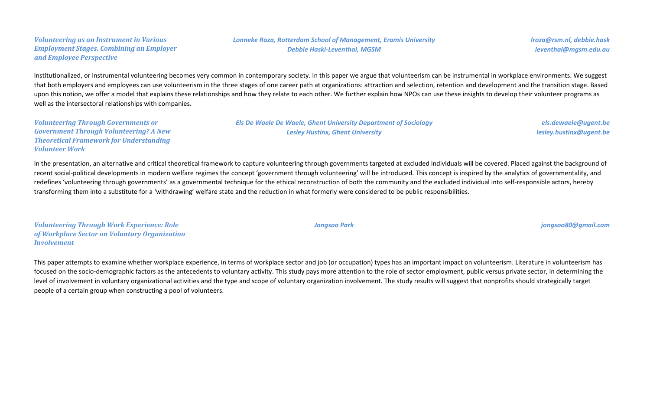### *Volunteering as an Instrument in Various Employment Stages. Combining an Employer and Employee Perspective*

## *Lonneke Roza, Rotterdam School of Management, Eramis University Debbie Haski-Leventhal, MGSM*

*lroza@rsm.nl, debbie.hask leventhal@mgsm.edu.au*

Institutionalized, or instrumental volunteering becomes very common in contemporary society. In this paper we argue that volunteerism can be instrumental in workplace environments. We suggest that both employers and employees can use volunteerism in the three stages of one career path at organizations: attraction and selection, retention and development and the transition stage. Based upon this notion, we offer a model that explains these relationships and how they relate to each other. We further explain how NPOs can use these insights to develop their volunteer programs as well as the intersectoral relationships with companies.

*Volunteering Through Governments or Government Through Volunteering? A New Theoretical Framework for Understanding Volunteer Work*

*Els De Waele De Waele, Ghent University Department of Sociology Lesley Hustinx, Ghent University*

*els.dewaele@ugent.be lesley.hustinx@ugent.be*

In the presentation, an alternative and critical theoretical framework to capture volunteering through governments targeted at excluded individuals will be covered. Placed against the background of recent social-political developments in modern welfare regimes the concept 'government through volunteering' will be introduced. This concept is inspired by the analytics of governmentality, and redefines 'volunteering through governments' as a governmental technique for the ethical reconstruction of both the community and the excluded individual into self-responsible actors, hereby transforming them into a substitute for a 'withdrawing' welfare state and the reduction in what formerly were considered to be public responsibilities.

*Volunteering Through Work Experience: Role of Workplace Sector on Voluntary Organization Involvement*

This paper attempts to examine whether workplace experience, in terms of workplace sector and job (or occupation) types has an important impact on volunteerism. Literature in volunteerism has focused on the socio-demographic factors as the antecedents to voluntary activity. This study pays more attention to the role of sector employment, public versus private sector, in determining the level of involvement in voluntary organizational activities and the type and scope of voluntary organization involvement. The study results will suggest that nonprofits should strategically target people of a certain group when constructing a pool of volunteers.

*Jongsoo Park jongsoo80@gmail.com*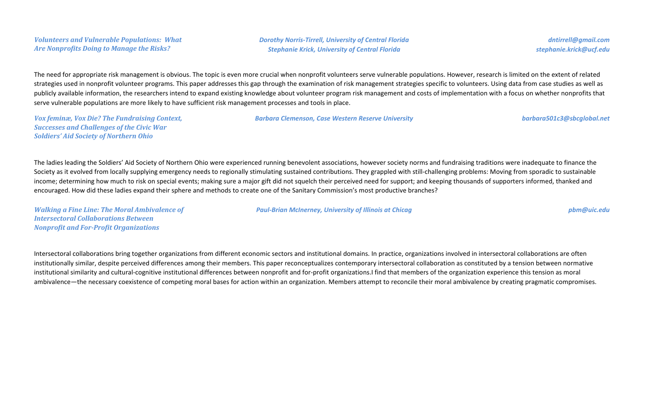*Dorothy Norris-Tirrell, University of Central Florida Stephanie Krick, University of Central Florida*

*dntirrell@gmail.com stephanie.krick@ucf.edu*

The need for appropriate risk management is obvious. The topic is even more crucial when nonprofit volunteers serve vulnerable populations. However, research is limited on the extent of related strategies used in nonprofit volunteer programs. This paper addresses this gap through the examination of risk management strategies specific to volunteers. Using data from case studies as well as publicly available information, the researchers intend to expand existing knowledge about volunteer program risk management and costs of implementation with a focus on whether nonprofits that serve vulnerable populations are more likely to have sufficient risk management processes and tools in place.

*Vox feminæ, Vox Die? The Fundraising Context, Successes and Challenges of the Civic War Soldiers' Aid Society of Northern Ohio*

*Barbara Clemenson, Case Western Reserve University barbara501c3@sbcglobal.net*

The ladies leading the Soldiers' Aid Society of Northern Ohio were experienced running benevolent associations, however society norms and fundraising traditions were inadequate to finance the Society as it evolved from locally supplying emergency needs to regionally stimulating sustained contributions. They grappled with still-challenging problems: Moving from sporadic to sustainable income; determining how much to risk on special events; making sure a major gift did not squelch their perceived need for support; and keeping thousands of supporters informed, thanked and encouraged. How did these ladies expand their sphere and methods to create one of the Sanitary Commission's most productive branches?

*Walking a Fine Line: The Moral Ambivalence of Intersectoral Collaborations Between Nonprofit and For-Profit Organizations*

*Paul-Brian McInerney, University of Illinois at Chicag pbm@uic.edu*

Intersectoral collaborations bring together organizations from different economic sectors and institutional domains. In practice, organizations involved in intersectoral collaborations are often institutionally similar, despite perceived differences among their members. This paper reconceptualizes contemporary intersectoral collaboration as constituted by a tension between normative institutional similarity and cultural-cognitive institutional differences between nonprofit and for-profit organizations.I find that members of the organization experience this tension as moral ambivalence—the necessary coexistence of competing moral bases for action within an organization. Members attempt to reconcile their moral ambivalence by creating pragmatic compromises.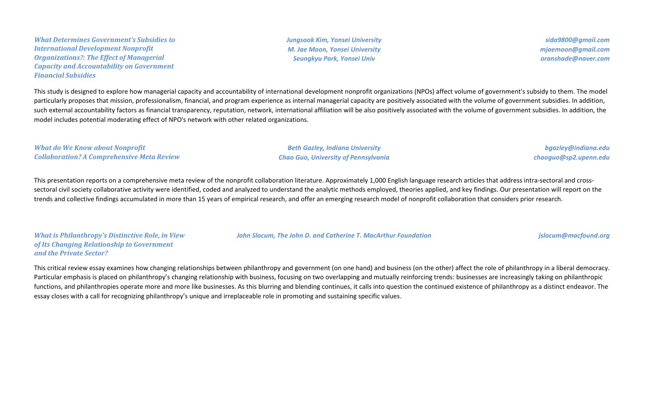*What Determines Government's Subsidies to International Development Nonprofit Organizations?: The Effect of Managerial Capacity and Accountability on Government Financial Subsidies*

*Jungsook Kim, Yonsei University M. Jae Moon, Yonsei University Seungkyu Park, Yonsei Univ*

*sida9800@gmail.com mjaemoon@gmail.com oranshade@naver.com*

This study is designed to explore how managerial capacity and accountability of international development nonprofit organizations (NPOs) affect volume of government's subsidy to them. The model particularly proposes that mission, professionalism, financial, and program experience as internal managerial capacity are positively associated with the volume of government subsidies. In addition, such external accountability factors as financial transparency, reputation, network, international affiliation will be also positively associated with the volume of government subsidies. In addition, the model includes potential moderating effect of NPO's network with other related organizations.

*What do We Know about Nonprofit Collaboration? A Comprehensive Meta Review*

*Beth Gazley, Indiana University Chao Guo, University of Pennsylvania*

*bgazley@indiana.edu chaoguo@sp2.upenn.edu*

This presentation reports on a comprehensive meta review of the nonprofit collaboration literature. Approximately 1,000 English language research articles that address intra-sectoral and crosssectoral civil society collaborative activity were identified, coded and analyzed to understand the analytic methods employed, theories applied, and key findings. Our presentation will report on the trends and collective findings accumulated in more than 15 years of empirical research, and offer an emerging research model of nonprofit collaboration that considers prior research.

*What is Philanthropy's Distinctive Role, in View of Its Changing Relationship to Government and the Private Sector?*

*John Slocum, The John D. and Catherine T. MacArthur Foundation jslocum@macfound.org*

This critical review essay examines how changing relationships between philanthropy and government (on one hand) and business (on the other) affect the role of philanthropy in a liberal democracy. Particular emphasis is placed on philanthropy's changing relationship with business, focusing on two overlapping and mutually reinforcing trends: businesses are increasingly taking on philanthropic functions, and philanthropies operate more and more like businesses. As this blurring and blending continues, it calls into question the continued existence of philanthropy as a distinct endeavor. The essay closes with a call for recognizing philanthropy's unique and irreplaceable role in promoting and sustaining specific values.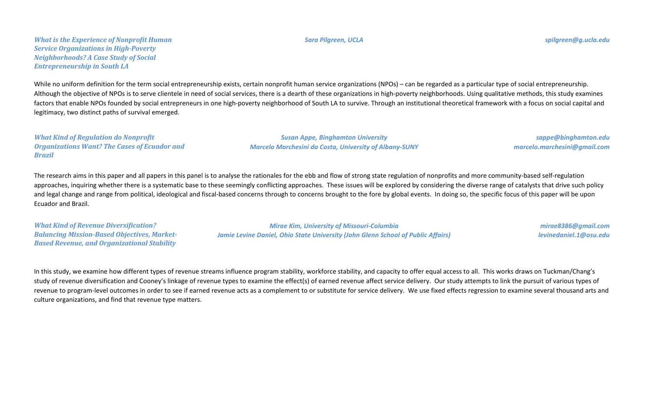While no uniform definition for the term social entrepreneurship exists, certain nonprofit human service organizations (NPOs) – can be regarded as a particular type of social entrepreneurship. Although the objective of NPOs is to serve clientele in need of social services, there is a dearth of these organizations in high-poverty neighborhoods. Using qualitative methods, this study examines factors that enable NPOs founded by social entrepreneurs in one high-poverty neighborhood of South LA to survive. Through an institutional theoretical framework with a focus on social capital and legitimacy, two distinct paths of survival emerged.

*What Kind of Regulation do Nonprofit Organizations Want? The Cases of Ecuador and Brazil*

*Susan Appe, Binghamton University Marcelo Marchesini da Costa, University of Albany-SUNY*

*sappe@binghamton.edu marcelo.marchesini@gmail.com*

The research aims in this paper and all papers in this panel is to analyse the rationales for the ebb and flow of strong state regulation of nonprofits and more community-based self-regulation approaches, inquiring whether there is a systematic base to these seemingly conflicting approaches. These issues will be explored by considering the diverse range of catalysts that drive such policy and legal change and range from political, ideological and fiscal-based concerns through to concerns brought to the fore by global events. In doing so, the specific focus of this paper will be upon Ecuador and Brazil.

*What Kind of Revenue Diversification? Balancing Mission-Based Objectives, Market-Based Revenue, and Organizational Stability*

*Mirae Kim, University of Missouri-Columbia Jamie Levine Daniel, Ohio State University (John Glenn School of Public Affairs)*

*mirae8386@gmail.com levinedaniel.1@osu.edu*

In this study, we examine how different types of revenue streams influence program stability, workforce stability, and capacity to offer equal access to all. This works draws on Tuckman/Chang's study of revenue diversification and Cooney's linkage of revenue types to examine the effect(s) of earned revenue affect service delivery. Our study attempts to link the pursuit of various types of revenue to program-level outcomes in order to see if earned revenue acts as a complement to or substitute for service delivery. We use fixed effects regression to examine several thousand arts and culture organizations, and find that revenue type matters.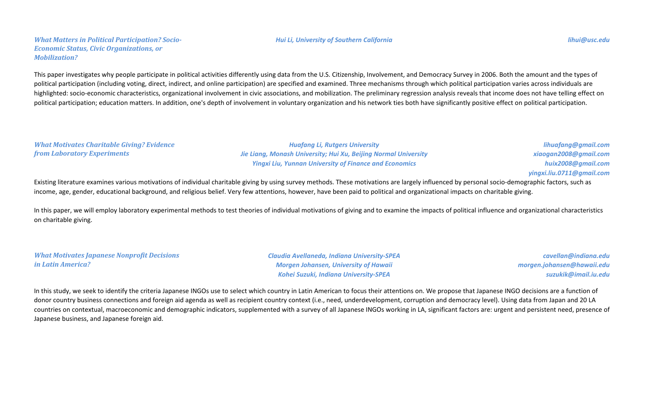*What Matters in Political Participation? Socio-Economic Status, Civic Organizations, or Mobilization?*

# This paper investigates why people participate in political activities differently using data from the U.S. Citizenship, Involvement, and Democracy Survey in 2006. Both the amount and the types of political participation (including voting, direct, indirect, and online participation) are specified and examined. Three mechanisms through which political participation varies across individuals are highlighted: socio-economic characteristics, organizational involvement in civic associations, and mobilization. The preliminary regression analysis reveals that income does not have telling effect on political participation; education matters. In addition, one's depth of involvement in voluntary organization and his network ties both have significantly positive effect on political participation.

*What Motivates Charitable Giving? Evidence from Laboratory Experiments*

*Huafang Li, Rutgers University Jie Liang, Monash University; Hui Xu, Beijing Normal University Yingxi Liu, Yunnan University of Finance and Economics*

*lihuafang@gmail.com xiaogan2008@gmail.com huix2008@gmail.com yingxi.liu.0711@gmail.com*

Existing literature examines various motivations of individual charitable giving by using survey methods. These motivations are largely influenced by personal socio-demographic factors, such as income, age, gender, educational background, and religious belief. Very few attentions, however, have been paid to political and organizational impacts on charitable giving.

In this paper, we will employ laboratory experimental methods to test theories of individual motivations of giving and to examine the impacts of political influence and organizational characteristics on charitable giving.

*What Motivates Japanese Nonprofit Decisions in Latin America?*

*Claudia Avellaneda, Indiana University-SPEA Morgen Johansen, University of Hawaii Kohei Suzuki, Indiana University-SPEA*

*cavellan@indiana.edu morgen.johansen@hawaii.edu suzukik@imail.iu.edu*

In this study, we seek to identify the criteria Japanese INGOs use to select which country in Latin American to focus their attentions on. We propose that Japanese INGO decisions are a function of donor country business connections and foreign aid agenda as well as recipient country context (i.e., need, underdevelopment, corruption and democracy level). Using data from Japan and 20 LA countries on contextual, macroeconomic and demographic indicators, supplemented with a survey of all Japanese INGOs working in LA, significant factors are: urgent and persistent need, presence of Japanese business, and Japanese foreign aid.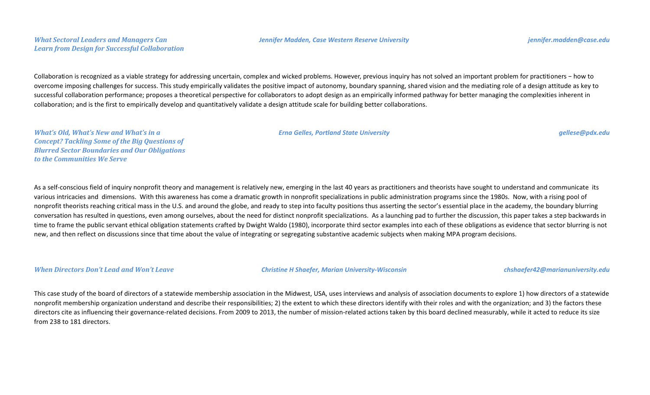#### *What Sectoral Leaders and Managers Can Learn from Design for Successful Collaboration*

# Collaboration is recognized as a viable strategy for addressing uncertain, complex and wicked problems. However, previous inquiry has not solved an important problem for practitioners − how to overcome imposing challenges for success. This study empirically validates the positive impact of autonomy, boundary spanning, shared vision and the mediating role of a design attitude as key to successful collaboration performance; proposes a theoretical perspective for collaborators to adopt design as an empirically informed pathway for better managing the complexities inherent in collaboration; and is the first to empirically develop and quantitatively validate a design attitude scale for building better collaborations.

*What's Old, What's New and What's in a Concept? Tackling Some of the Big Questions of Blurred Sector Boundaries and Our Obligations to the Communities We Serve*

As a self-conscious field of inquiry nonprofit theory and management is relatively new, emerging in the last 40 years as practitioners and theorists have sought to understand and communicate its various intricacies and dimensions. With this awareness has come a dramatic growth in nonprofit specializations in public administration programs since the 1980s. Now, with a rising pool of nonprofit theorists reaching critical mass in the U.S. and around the globe, and ready to step into faculty positions thus asserting the sector's essential place in the academy, the boundary blurring conversation has resulted in questions, even among ourselves, about the need for distinct nonprofit specializations. As a launching pad to further the discussion, this paper takes a step backwards in time to frame the public servant ethical obligation statements crafted by Dwight Waldo (1980), incorporate third sector examples into each of these obligations as evidence that sector blurring is not new, and then reflect on discussions since that time about the value of integrating or segregating substantive academic subjects when making MPA program decisions.

*When Directors Don't Lead and Won't Leave Christine H Shaefer, Marian University-Wisconsin chshaefer42@marianuniversity.edu*

This case study of the board of directors of a statewide membership association in the Midwest, USA, uses interviews and analysis of association documents to explore 1) how directors of a statewide nonprofit membership organization understand and describe their responsibilities; 2) the extent to which these directors identify with their roles and with the organization; and 3) the factors these directors cite as influencing their governance-related decisions. From 2009 to 2013, the number of mission-related actions taken by this board declined measurably, while it acted to reduce its size from 238 to 181 directors.

*Erna Gelles, Portland State University gellese@pdx.edu*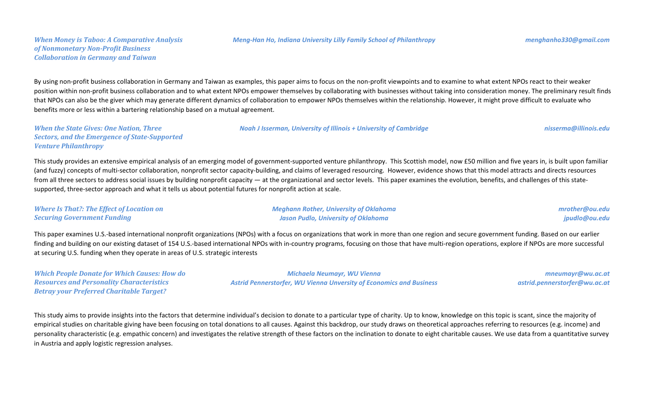#### *Meng-Han Ho, Indiana University Lilly Family School of Philanthropy menghanho330@gmail.com*

*Noah J Isserman, University of Illinois + University of Cambridge nisserma@illinois.edu*

By using non-profit business collaboration in Germany and Taiwan as examples, this paper aims to focus on the non-profit viewpoints and to examine to what extent NPOs react to their weaker position within non-profit business collaboration and to what extent NPOs empower themselves by collaborating with businesses without taking into consideration money. The preliminary result finds that NPOs can also be the giver which may generate different dynamics of collaboration to empower NPOs themselves within the relationship. However, it might prove difficult to evaluate who benefits more or less within a bartering relationship based on a mutual agreement.

*When the State Gives: One Nation, Three Sectors, and the Emergence of State-Supported Venture Philanthropy*

This study provides an extensive empirical analysis of an emerging model of government-supported venture philanthropy. This Scottish model, now £50 million and five years in, is built upon familiar (and fuzzy) concepts of multi-sector collaboration, nonprofit sector capacity-building, and claims of leveraged resourcing. However, evidence shows that this model attracts and directs resources from all three sectors to address social issues by building nonprofit capacity — at the organizational and sector levels. This paper examines the evolution, benefits, and challenges of this statesupported, three-sector approach and what it tells us about potential futures for nonprofit action at scale.

| <b>Where Is That?: The Effect of Location on</b> | <b>Meghann Rother, University of Oklahoma</b> | mrother@ou.edu |
|--------------------------------------------------|-----------------------------------------------|----------------|
| <b>Securing Government Funding</b>               | Jason Pudlo, University of Oklahoma           | jpudlo@ou.edu  |

This paper examines U.S.-based international nonprofit organizations (NPOs) with a focus on organizations that work in more than one region and secure government funding. Based on our earlier finding and building on our existing dataset of 154 U.S.-based international NPOs with in-country programs, focusing on those that have multi-region operations, explore if NPOs are more successful at securing U.S. funding when they operate in areas of U.S. strategic interests

*Which People Donate for Which Causes: How do Resources and Personality Characteristics Betray your Preferred Charitable Target?*

*Michaela Neumayr, WU Vienna Astrid Pennerstorfer, WU Vienna Unversity of Economics and Business*

*mneumayr@wu.ac.at astrid.pennerstorfer@wu.ac.at*

This study aims to provide insights into the factors that determine individual's decision to donate to a particular type of charity. Up to know, knowledge on this topic is scant, since the majority of empirical studies on charitable giving have been focusing on total donations to all causes. Against this backdrop, our study draws on theoretical approaches referring to resources (e.g. income) and personality characteristic (e.g. empathic concern) and investigates the relative strength of these factors on the inclination to donate to eight charitable causes. We use data from a quantitative survey in Austria and apply logistic regression analyses.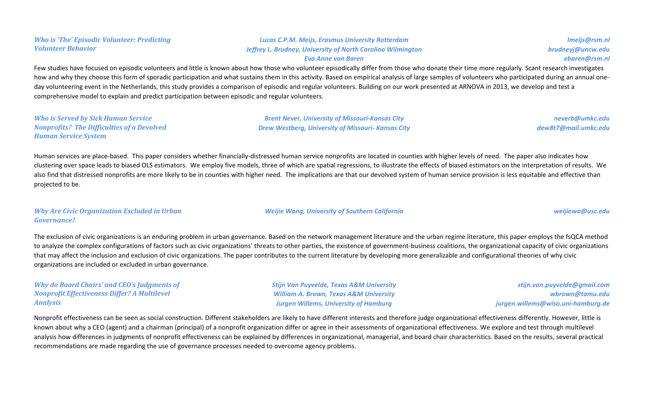*Who is 'The' Episodic Volunteer: Predicting Volunteer Behavior*

### *Lucas C.P.M. Meijs, Erasmus University Rotterdam Jeffrey L. Brudney, University of North Carolina Wilmington Eva Anne van Baren*

*lmeijs@rsm.nl brudneyj@uncw.edu ebaren@rsm.nl*

# Few studies have focused on episodic volunteers and little is known about how those who volunteer episodically differ from those who donate their time more regularly. Scant research investigates how and why they choose this form of sporadic participation and what sustains them in this activity. Based on empirical analysis of large samples of volunteers who participated during an annual oneday volunteering event in the Netherlands, this study provides a comparison of episodic and regular volunteers. Building on our work presented at ARNOVA in 2013, we develop and test a

comprehensive model to explain and predict participation between episodic and regular volunteers.

*Who is Served by Sick Human Service Nonprofits? The Difficulties of a Devolved Human Service System*

*Brent Never, University of Missouri-Kansas City Drew Westberg, University of Missouri- Kansas City*

*neverb@umkc.edu dew8t7@mail.umkc.edu*

Human services are place-based. This paper considers whether financially-distressed human service nonprofits are located in counties with higher levels of need. The paper also indicates how clustering over space leads to biased OLS estimators. We employ five models, three of which are spatial regressions, to illustrate the effects of biased estimators on the interpretation of results. We also find that distressed nonprofits are more likely to be in counties with higher need. The implications are that our devolved system of human service provision is less equitable and effective than projected to be.

### *Why Are Civic Organization Excluded in Urban Governance?*

*Weijie Wang, University of Southern California weijiewa@usc.edu*

The exclusion of civic organizations is an enduring problem in urban governance. Based on the network management literature and the urban regime literature, this paper employs the fsQCA method to analyze the complex configurations of factors such as civic organizations' threats to other parties, the existence of government-business coalitions, the organizational capacity of civic organizations that may affect the inclusion and exclusion of civic organizations. The paper contributes to the current literature by developing more generalizable and configurational theories of why civic organizations are included or excluded in urban governance.

## *Why do Board Chairs' and CEO's Judgments of Nonprofit Effectiveness Differ? A Multilevel Analysis*

*Stijn Van Puyvelde, Texas A&M University William A. Brown, Texas A&M University Jurgen Willems, University of Hamburg*

*stijn.van.puyvelde@gmail.com wbrown@tamu.edu jurgen.willems@wiso.uni-hamburg.de*

Nonprofit effectiveness can be seen as social construction. Different stakeholders are likely to have different interests and therefore judge organizational effectiveness differently. However, little is known about why a CEO (agent) and a chairman (principal) of a nonprofit organization differ or agree in their assessments of organizational effectiveness. We explore and test through multilevel analysis how differences in judgments of nonprofit effectiveness can be explained by differences in organizational, managerial, and board chair characteristics. Based on the results, several practical recommendations are made regarding the use of governance processes needed to overcome agency problems.